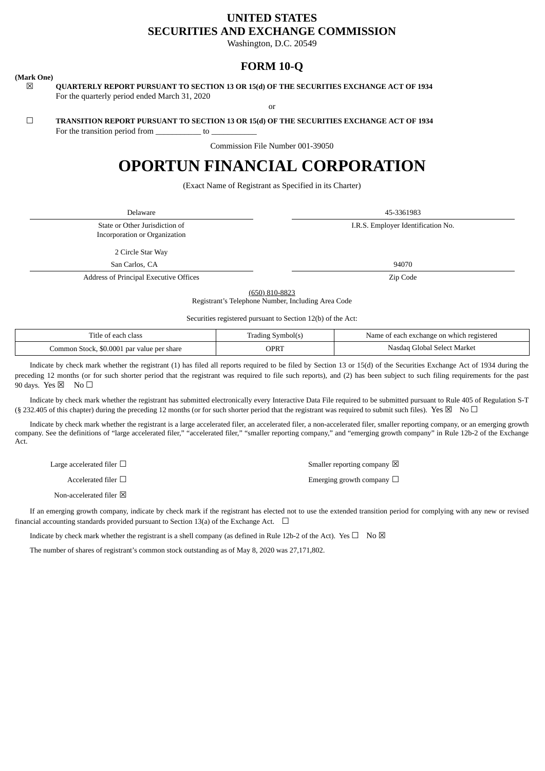# **UNITED STATES SECURITIES AND EXCHANGE COMMISSION**

Washington, D.C. 20549

# **FORM 10-Q**

# **(Mark One)**

☒ **QUARTERLY REPORT PURSUANT TO SECTION 13 OR 15(d) OF THE SECURITIES EXCHANGE ACT OF 1934** For the quarterly period ended March 31, 2020

or

# ☐ **TRANSITION REPORT PURSUANT TO SECTION 13 OR 15(d) OF THE SECURITIES EXCHANGE ACT OF 1934**

For the transition period from to

Commission File Number 001-39050

# **OPORTUN FINANCIAL CORPORATION**

(Exact Name of Registrant as Specified in its Charter)

Delaware 45-3361983

State or Other Jurisdiction of Incorporation or Organization I.R.S. Employer Identification No.

2 Circle Star Way

San Carlos, CA 94070

Address of Principal Executive Offices **Zip Code** 2 and 2 and 2 and 2 and 2 and 2 and 2 and 2 and 2 and 2 and 2 and 2 and 2 and 2 and 2 and 2 and 2 and 2 and 2 and 2 and 2 and 2 and 2 and 2 and 2 and 2 and 2 and 2 and 2 an

(650) 810-8823 Registrant's Telephone Number, Including Area Code

Securities registered pursuant to Section 12(b) of the Act:

| clas:<br>٦tl۴<br>a each<br>∙ ∩t                         | Symbol(s<br>Tradıng<br>ຼ | i exchange on which registered<br>Name<br>each |  |  |  |
|---------------------------------------------------------|--------------------------|------------------------------------------------|--|--|--|
| \$0.0001<br>l par value per share<br>Lommor<br>n Stock. | <b>OPRT</b>              | l Select Market<br>Nasda<br>Global             |  |  |  |

Indicate by check mark whether the registrant (1) has filed all reports required to be filed by Section 13 or 15(d) of the Securities Exchange Act of 1934 during the preceding 12 months (or for such shorter period that the registrant was required to file such reports), and (2) has been subject to such filing requirements for the past 90 days. Yes  $\boxtimes$  No  $\Box$ 

Indicate by check mark whether the registrant has submitted electronically every Interactive Data File required to be submitted pursuant to Rule 405 of Regulation S-T (§ 232.405 of this chapter) during the preceding 12 months (or for such shorter period that the registrant was required to submit such files). Yes  $\boxtimes$  No  $\Box$ 

Indicate by check mark whether the registrant is a large accelerated filer, an accelerated filer, a non-accelerated filer, smaller reporting company, or an emerging growth company. See the definitions of "large accelerated filer," "accelerated filer," "smaller reporting company," and "emerging growth company" in Rule 12b-2 of the Exchange Act.

Large accelerated filer  $\Box$ Accelerated filer □ <br>
Emerging growth company □ Non-accelerated filer  $\boxtimes$ 

If an emerging growth company, indicate by check mark if the registrant has elected not to use the extended transition period for complying with any new or revised financial accounting standards provided pursuant to Section 13(a) of the Exchange Act.  $\Box$ 

Indicate by check mark whether the registrant is a shell company (as defined in Rule 12b-2 of the Act). Yes  $\Box$  No  $\boxtimes$ 

The number of shares of registrant's common stock outstanding as of May 8, 2020 was 27,171,802.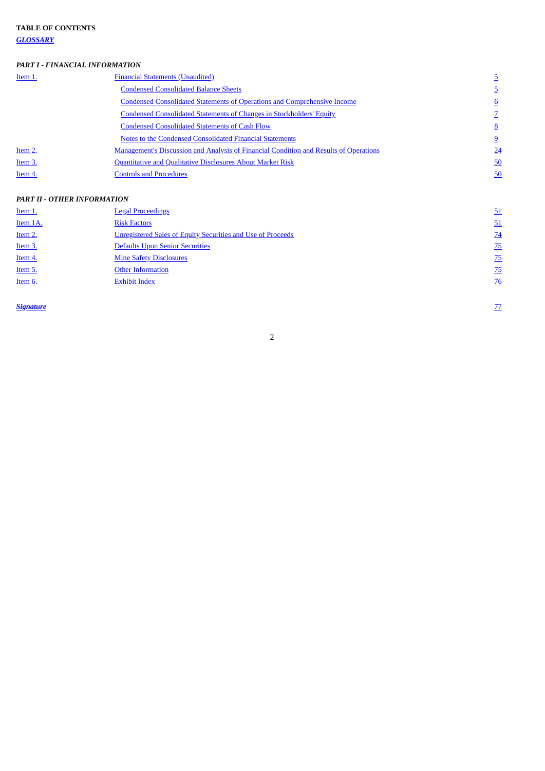*[GLOSSARY](#page-2-0)*

# *PART I ‑ FINANCIAL INFORMATION*

| Item 1. | <b>Financial Statements (Unaudited)</b>                                                      |                 |
|---------|----------------------------------------------------------------------------------------------|-----------------|
|         | <b>Condensed Consolidated Balance Sheets</b>                                                 |                 |
|         | <b>Condensed Consolidated Statements of Operations and Comprehensive Income</b>              | 6               |
|         | Condensed Consolidated Statements of Changes in Stockholders' Equity                         |                 |
|         | <b>Condensed Consolidated Statements of Cash Flow</b>                                        | 8               |
|         | Notes to the Condensed Consolidated Financial Statements                                     | <u>9</u>        |
| Item 2. | <b>Management's Discussion and Analysis of Financial Condition and Results of Operations</b> | $\overline{24}$ |
| Item 3. | <b>Quantitative and Qualitative Disclosures About Market Risk</b>                            | 50              |
| Item 4. | <b>Controls and Procedures</b>                                                               | 50              |

# *PART II ‑ OTHER INFORMATION*

| <b>Item 1.</b> | <b>Legal Proceedings</b>                                           | 51              |
|----------------|--------------------------------------------------------------------|-----------------|
| Item 1A.       | <b>Risk Factors</b>                                                | 51              |
| Item 2.        | <b>Unregistered Sales of Equity Securities and Use of Proceeds</b> | $\overline{24}$ |
| <u>Item 3.</u> | Defaults Upon Senior Securities                                    | $\overline{25}$ |
| Item 4.        | <b>Mine Safety Disclosures</b>                                     | Z <sub>5</sub>  |
| Item 5.        | <b>Other Information</b>                                           | $\overline{25}$ |
| Item 6.        | <b>Exhibit Index</b>                                               | $\overline{26}$ |
|                |                                                                    |                 |

**[Signature](#page-76-0)** [77](#page-76-0) *CONSIGNATION*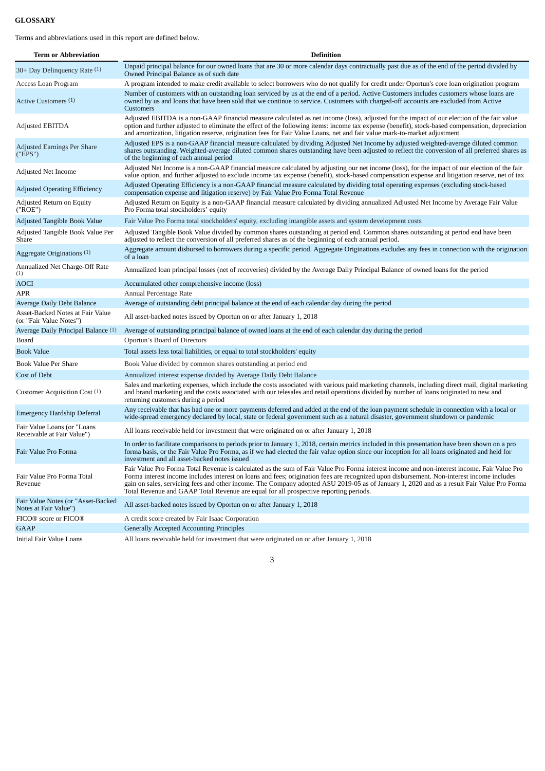# <span id="page-2-0"></span>**GLOSSARY**

Terms and abbreviations used in this report are defined below.

| <b>Term or Abbreviation</b>                                 | <b>Definition</b>                                                                                                                                                                                                                                                                                                                                                                                                                                                                                                                |
|-------------------------------------------------------------|----------------------------------------------------------------------------------------------------------------------------------------------------------------------------------------------------------------------------------------------------------------------------------------------------------------------------------------------------------------------------------------------------------------------------------------------------------------------------------------------------------------------------------|
| 30+ Day Delinquency Rate (1)                                | Unpaid principal balance for our owned loans that are 30 or more calendar days contractually past due as of the end of the period divided by<br>Owned Principal Balance as of such date                                                                                                                                                                                                                                                                                                                                          |
| Access Loan Program                                         | A program intended to make credit available to select borrowers who do not qualify for credit under Oportun's core loan origination program                                                                                                                                                                                                                                                                                                                                                                                      |
| Active Customers (1)                                        | Number of customers with an outstanding loan serviced by us at the end of a period. Active Customers includes customers whose loans are<br>owned by us and loans that have been sold that we continue to service. Customers with charged-off accounts are excluded from Active<br><b>Customers</b>                                                                                                                                                                                                                               |
| <b>Adjusted EBITDA</b>                                      | Adjusted EBITDA is a non-GAAP financial measure calculated as net income (loss), adjusted for the impact of our election of the fair value<br>option and further adjusted to eliminate the effect of the following items: income tax expense (benefit), stock-based compensation, depreciation<br>and amortization, litigation reserve, origination fees for Fair Value Loans, net and fair value mark-to-market adjustment                                                                                                      |
| Adjusted Earnings Per Share<br>("EPS")                      | Adjusted EPS is a non-GAAP financial measure calculated by dividing Adjusted Net Income by adjusted weighted-average diluted common<br>shares outstanding. Weighted-average diluted common shares outstanding have been adjusted to reflect the conversion of all preferred shares as<br>of the beginning of each annual period                                                                                                                                                                                                  |
| Adjusted Net Income                                         | Adjusted Net Income is a non-GAAP financial measure calculated by adjusting our net income (loss), for the impact of our election of the fair<br>value option, and further adjusted to exclude income tax expense (benefit), stock-based compensation expense and litigation reserve, net of tax                                                                                                                                                                                                                                 |
| <b>Adjusted Operating Efficiency</b>                        | Adjusted Operating Efficiency is a non-GAAP financial measure calculated by dividing total operating expenses (excluding stock-based<br>compensation expense and litigation reserve) by Fair Value Pro Forma Total Revenue                                                                                                                                                                                                                                                                                                       |
| Adjusted Return on Equity<br>("ROE")                        | Adjusted Return on Equity is a non-GAAP financial measure calculated by dividing annualized Adjusted Net Income by Average Fair Value<br>Pro Forma total stockholders' equity                                                                                                                                                                                                                                                                                                                                                    |
| Adjusted Tangible Book Value                                | Fair Value Pro Forma total stockholders' equity, excluding intangible assets and system development costs                                                                                                                                                                                                                                                                                                                                                                                                                        |
| Adjusted Tangible Book Value Per<br>Share                   | Adjusted Tangible Book Value divided by common shares outstanding at period end. Common shares outstanding at period end have been<br>adjusted to reflect the conversion of all preferred shares as of the beginning of each annual period.                                                                                                                                                                                                                                                                                      |
| Aggregate Originations (1)                                  | Aggregate amount disbursed to borrowers during a specific period. Aggregate Originations excludes any fees in connection with the origination<br>of a loan                                                                                                                                                                                                                                                                                                                                                                       |
| Annualized Net Charge-Off Rate<br>(1)                       | Annualized loan principal losses (net of recoveries) divided by the Average Daily Principal Balance of owned loans for the period                                                                                                                                                                                                                                                                                                                                                                                                |
| <b>AOCI</b>                                                 | Accumulated other comprehensive income (loss)                                                                                                                                                                                                                                                                                                                                                                                                                                                                                    |
| APR                                                         | Annual Percentage Rate                                                                                                                                                                                                                                                                                                                                                                                                                                                                                                           |
| Average Daily Debt Balance                                  | Average of outstanding debt principal balance at the end of each calendar day during the period                                                                                                                                                                                                                                                                                                                                                                                                                                  |
| Asset-Backed Notes at Fair Value<br>(or "Fair Value Notes") | All asset-backed notes issued by Oportun on or after January 1, 2018                                                                                                                                                                                                                                                                                                                                                                                                                                                             |
| Average Daily Principal Balance (1)                         | Average of outstanding principal balance of owned loans at the end of each calendar day during the period                                                                                                                                                                                                                                                                                                                                                                                                                        |
| Board                                                       | Oportun's Board of Directors                                                                                                                                                                                                                                                                                                                                                                                                                                                                                                     |
| <b>Book Value</b>                                           | Total assets less total liabilities, or equal to total stockholders' equity                                                                                                                                                                                                                                                                                                                                                                                                                                                      |
| Book Value Per Share                                        | Book Value divided by common shares outstanding at period end                                                                                                                                                                                                                                                                                                                                                                                                                                                                    |
| Cost of Debt                                                | Annualized interest expense divided by Average Daily Debt Balance                                                                                                                                                                                                                                                                                                                                                                                                                                                                |
| Customer Acquisition Cost (1)                               | Sales and marketing expenses, which include the costs associated with various paid marketing channels, including direct mail, digital marketing<br>and brand marketing and the costs associated with our telesales and retail operations divided by number of loans originated to new and<br>returning customers during a period                                                                                                                                                                                                 |
| Emergency Hardship Deferral                                 | Any receivable that has had one or more payments deferred and added at the end of the loan payment schedule in connection with a local or<br>wide-spread emergency declared by local, state or federal government such as a natural disaster, government shutdown or pandemic                                                                                                                                                                                                                                                    |
| Fair Value Loans (or "Loans"<br>Receivable at Fair Value")  | All loans receivable held for investment that were originated on or after January 1, 2018                                                                                                                                                                                                                                                                                                                                                                                                                                        |
| Fair Value Pro Forma                                        | In order to facilitate comparisons to periods prior to January 1, 2018, certain metrics included in this presentation have been shown on a pro<br>forma basis, or the Fair Value Pro Forma, as if we had elected the fair value option since our inception for all loans originated and held for<br>investment and all asset-backed notes issued                                                                                                                                                                                 |
| Fair Value Pro Forma Total<br>Revenue                       | Fair Value Pro Forma Total Revenue is calculated as the sum of Fair Value Pro Forma interest income and non-interest income. Fair Value Pro<br>Forma interest income includes interest on loans and fees; origination fees are recognized upon disbursement. Non-interest income includes<br>gain on sales, servicing fees and other income. The Company adopted ASU 2019-05 as of January 1, 2020 and as a result Fair Value Pro Forma<br>Total Revenue and GAAP Total Revenue are equal for all prospective reporting periods. |
| Fair Value Notes (or "Asset-Backed<br>Notes at Fair Value") | All asset-backed notes issued by Oportun on or after January 1, 2018                                                                                                                                                                                                                                                                                                                                                                                                                                                             |
| FICO® score or FICO®                                        | A credit score created by Fair Isaac Corporation                                                                                                                                                                                                                                                                                                                                                                                                                                                                                 |
| <b>GAAP</b>                                                 | <b>Generally Accepted Accounting Principles</b>                                                                                                                                                                                                                                                                                                                                                                                                                                                                                  |
| <b>Initial Fair Value Loans</b>                             | All loans receivable held for investment that were originated on or after January 1, 2018                                                                                                                                                                                                                                                                                                                                                                                                                                        |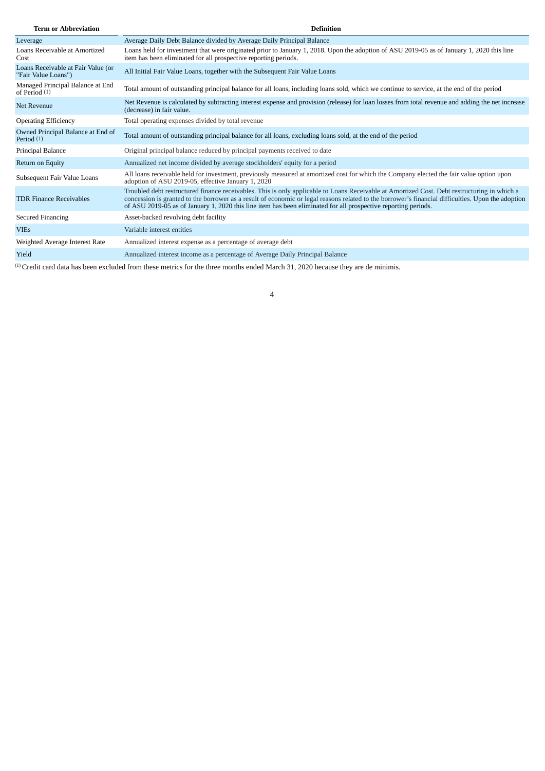| <b>Term or Abbreviation</b>                               | <b>Definition</b>                                                                                                                                                                                                                                                                                                                                                                                                    |
|-----------------------------------------------------------|----------------------------------------------------------------------------------------------------------------------------------------------------------------------------------------------------------------------------------------------------------------------------------------------------------------------------------------------------------------------------------------------------------------------|
| Leverage                                                  | Average Daily Debt Balance divided by Average Daily Principal Balance                                                                                                                                                                                                                                                                                                                                                |
| Loans Receivable at Amortized<br>Cost                     | Loans held for investment that were originated prior to January 1, 2018. Upon the adoption of ASU 2019-05 as of January 1, 2020 this line<br>item has been eliminated for all prospective reporting periods.                                                                                                                                                                                                         |
| Loans Receivable at Fair Value (or<br>"Fair Value Loans") | All Initial Fair Value Loans, together with the Subsequent Fair Value Loans                                                                                                                                                                                                                                                                                                                                          |
| Managed Principal Balance at End<br>of Period (1)         | Total amount of outstanding principal balance for all loans, including loans sold, which we continue to service, at the end of the period                                                                                                                                                                                                                                                                            |
| <b>Net Revenue</b>                                        | Net Revenue is calculated by subtracting interest expense and provision (release) for loan losses from total revenue and adding the net increase<br>(decrease) in fair value.                                                                                                                                                                                                                                        |
| <b>Operating Efficiency</b>                               | Total operating expenses divided by total revenue                                                                                                                                                                                                                                                                                                                                                                    |
| Owned Principal Balance at End of<br>Period (1)           | Total amount of outstanding principal balance for all loans, excluding loans sold, at the end of the period                                                                                                                                                                                                                                                                                                          |
| Principal Balance                                         | Original principal balance reduced by principal payments received to date                                                                                                                                                                                                                                                                                                                                            |
| Return on Equity                                          | Annualized net income divided by average stockholders' equity for a period                                                                                                                                                                                                                                                                                                                                           |
| Subsequent Fair Value Loans                               | All loans receivable held for investment, previously measured at amortized cost for which the Company elected the fair value option upon<br>adoption of ASU 2019-05, effective January 1, 2020                                                                                                                                                                                                                       |
| <b>TDR Finance Receivables</b>                            | Troubled debt restructured finance receivables. This is only applicable to Loans Receivable at Amortized Cost. Debt restructuring in which a<br>concession is granted to the borrower as a result of economic or legal reasons related to the borrower's financial difficulties. Upon the adoption<br>of ASU 2019-05 as of January 1, 2020 this line item has been eliminated for all prospective reporting periods. |
| <b>Secured Financing</b>                                  | Asset-backed revolving debt facility                                                                                                                                                                                                                                                                                                                                                                                 |
| <b>VIEs</b>                                               | Variable interest entities                                                                                                                                                                                                                                                                                                                                                                                           |
| Weighted Average Interest Rate                            | Annualized interest expense as a percentage of average debt                                                                                                                                                                                                                                                                                                                                                          |
| Yield                                                     | Annualized interest income as a percentage of Average Daily Principal Balance                                                                                                                                                                                                                                                                                                                                        |

(1) Credit card data has been excluded from these metrics for the three months ended March 31, 2020 because they are de minimis.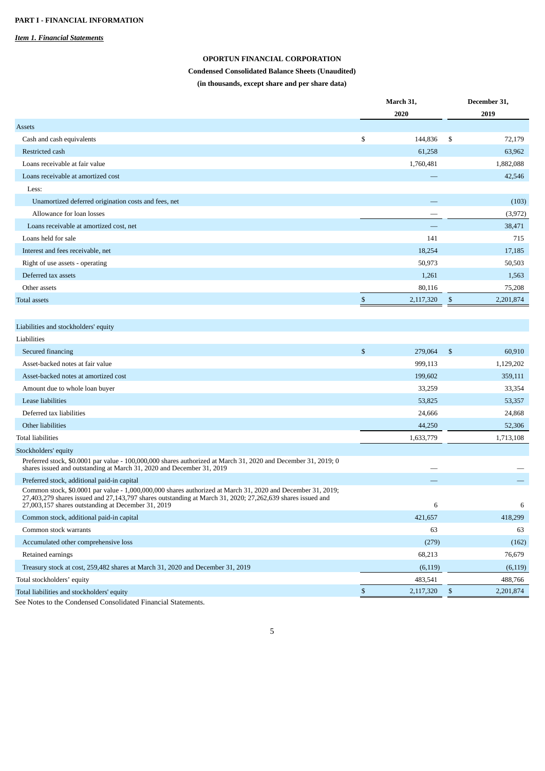# <span id="page-4-1"></span><span id="page-4-0"></span>*Item 1. Financial Statements*

# **OPORTUN FINANCIAL CORPORATION**

# **Condensed Consolidated Balance Sheets (Unaudited)**

**(in thousands, except share and per share data)**

|                                                                                                                                                                                                                                                                                 |              | March 31, |    | December 31, |
|---------------------------------------------------------------------------------------------------------------------------------------------------------------------------------------------------------------------------------------------------------------------------------|--------------|-----------|----|--------------|
|                                                                                                                                                                                                                                                                                 |              | 2020      |    | 2019         |
| Assets                                                                                                                                                                                                                                                                          |              |           |    |              |
| Cash and cash equivalents                                                                                                                                                                                                                                                       | \$           | 144,836   | \$ | 72,179       |
| Restricted cash                                                                                                                                                                                                                                                                 |              | 61,258    |    | 63,962       |
| Loans receivable at fair value                                                                                                                                                                                                                                                  |              | 1,760,481 |    | 1,882,088    |
| Loans receivable at amortized cost                                                                                                                                                                                                                                              |              |           |    | 42,546       |
| Less:                                                                                                                                                                                                                                                                           |              |           |    |              |
| Unamortized deferred origination costs and fees, net                                                                                                                                                                                                                            |              |           |    | (103)        |
| Allowance for loan losses                                                                                                                                                                                                                                                       |              |           |    | (3,972)      |
| Loans receivable at amortized cost, net                                                                                                                                                                                                                                         |              |           |    | 38,471       |
| Loans held for sale                                                                                                                                                                                                                                                             |              | 141       |    | 715          |
| Interest and fees receivable, net                                                                                                                                                                                                                                               |              | 18,254    |    | 17,185       |
| Right of use assets - operating                                                                                                                                                                                                                                                 |              | 50,973    |    | 50,503       |
| Deferred tax assets                                                                                                                                                                                                                                                             |              | 1,261     |    | 1,563        |
| Other assets                                                                                                                                                                                                                                                                    |              | 80,116    |    | 75,208       |
| <b>Total assets</b>                                                                                                                                                                                                                                                             | \$           | 2,117,320 | \$ | 2,201,874    |
|                                                                                                                                                                                                                                                                                 |              |           |    |              |
| Liabilities and stockholders' equity                                                                                                                                                                                                                                            |              |           |    |              |
| Liabilities                                                                                                                                                                                                                                                                     |              |           |    |              |
| Secured financing                                                                                                                                                                                                                                                               | $\mathbb{S}$ | 279,064   | \$ | 60,910       |
| Asset-backed notes at fair value                                                                                                                                                                                                                                                |              | 999,113   |    | 1,129,202    |
| Asset-backed notes at amortized cost                                                                                                                                                                                                                                            |              | 199,602   |    | 359,111      |
| Amount due to whole loan buyer                                                                                                                                                                                                                                                  |              | 33,259    |    | 33,354       |
| Lease liabilities                                                                                                                                                                                                                                                               |              | 53,825    |    | 53,357       |
| Deferred tax liabilities                                                                                                                                                                                                                                                        |              | 24,666    |    | 24,868       |
| Other liabilities                                                                                                                                                                                                                                                               |              | 44,250    |    | 52,306       |
| Total liabilities                                                                                                                                                                                                                                                               |              | 1,633,779 |    | 1,713,108    |
|                                                                                                                                                                                                                                                                                 |              |           |    |              |
| Stockholders' equity<br>Preferred stock, \$0.0001 par value - 100,000,000 shares authorized at March 31, 2020 and December 31, 2019; 0<br>shares issued and outstanding at March 31, 2020 and December 31, 2019                                                                 |              |           |    |              |
| Preferred stock, additional paid-in capital                                                                                                                                                                                                                                     |              |           |    |              |
| Common stock, \$0.0001 par value - 1,000,000,000 shares authorized at March 31, 2020 and December 31, 2019;<br>27,403,279 shares issued and 27,143,797 shares outstanding at March 31, 2020; 27,262,639 shares issued and<br>27,003,157 shares outstanding at December 31, 2019 |              | 6         |    | 6            |
| Common stock, additional paid-in capital                                                                                                                                                                                                                                        |              | 421,657   |    | 418,299      |
| Common stock warrants                                                                                                                                                                                                                                                           |              | 63        |    | 63           |
| Accumulated other comprehensive loss                                                                                                                                                                                                                                            |              | (279)     |    | (162)        |
| Retained earnings                                                                                                                                                                                                                                                               |              | 68,213    |    | 76,679       |
| Treasury stock at cost, 259,482 shares at March 31, 2020 and December 31, 2019                                                                                                                                                                                                  |              | (6, 119)  |    | (6, 119)     |
| Total stockholders' equity                                                                                                                                                                                                                                                      |              | 483,541   |    | 488,766      |
| Total liabilities and stockholders' equity                                                                                                                                                                                                                                      | \$           | 2,117,320 | \$ | 2,201,874    |
| See Notes to the Condensed Consolidated Financial Statements.                                                                                                                                                                                                                   |              |           |    |              |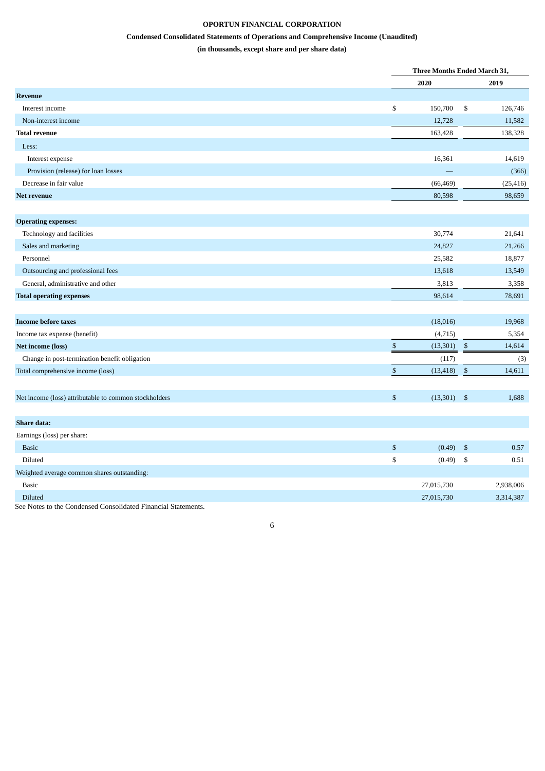# **OPORTUN FINANCIAL CORPORATION**

# **Condensed Consolidated Statements of Operations and Comprehensive Income (Unaudited)**

**(in thousands, except share and per share data)**

<span id="page-5-0"></span>

|                                                                                                                                                     |                           |                           | Three Months Ended March 31, |  |  |
|-----------------------------------------------------------------------------------------------------------------------------------------------------|---------------------------|---------------------------|------------------------------|--|--|
|                                                                                                                                                     | 2020                      |                           | 2019                         |  |  |
| <b>Revenue</b>                                                                                                                                      |                           |                           |                              |  |  |
| Interest income                                                                                                                                     | \$<br>150,700             | \$                        | 126,746                      |  |  |
| Non-interest income                                                                                                                                 | 12,728                    |                           | 11,582                       |  |  |
| <b>Total revenue</b>                                                                                                                                | 163,428                   |                           | 138,328                      |  |  |
| Less:                                                                                                                                               |                           |                           |                              |  |  |
| Interest expense                                                                                                                                    | 16,361                    |                           | 14,619                       |  |  |
| Provision (release) for loan losses                                                                                                                 |                           |                           | (366)                        |  |  |
| Decrease in fair value                                                                                                                              | (66, 469)                 |                           | (25, 416)                    |  |  |
| Net revenue                                                                                                                                         | 80,598                    |                           | 98,659                       |  |  |
|                                                                                                                                                     |                           |                           |                              |  |  |
| <b>Operating expenses:</b>                                                                                                                          |                           |                           |                              |  |  |
| Technology and facilities                                                                                                                           | 30,774                    |                           | 21,641                       |  |  |
| Sales and marketing                                                                                                                                 | 24,827                    |                           | 21,266                       |  |  |
| Personnel                                                                                                                                           | 25,582                    |                           | 18,877                       |  |  |
| Outsourcing and professional fees                                                                                                                   | 13,618                    |                           | 13,549                       |  |  |
| General, administrative and other                                                                                                                   | 3,813                     |                           | 3,358                        |  |  |
| <b>Total operating expenses</b>                                                                                                                     | 98,614                    |                           | 78,691                       |  |  |
|                                                                                                                                                     |                           |                           |                              |  |  |
| <b>Income before taxes</b>                                                                                                                          | (18,016)                  |                           | 19,968                       |  |  |
| Income tax expense (benefit)                                                                                                                        | (4, 715)                  |                           | 5,354                        |  |  |
| <b>Net income (loss)</b>                                                                                                                            | $\mathbb{S}$<br>(13, 301) | $\mathfrak{S}$            | 14,614                       |  |  |
| Change in post-termination benefit obligation                                                                                                       | (117)                     |                           | (3)                          |  |  |
| Total comprehensive income (loss)                                                                                                                   | $\mathbb{S}$<br>(13, 418) | $\$$                      | 14,611                       |  |  |
|                                                                                                                                                     |                           |                           |                              |  |  |
| Net income (loss) attributable to common stockholders                                                                                               | \$<br>(13, 301)           | $\mathfrak{s}$            | 1,688                        |  |  |
|                                                                                                                                                     |                           |                           |                              |  |  |
| Share data:                                                                                                                                         |                           |                           |                              |  |  |
| Earnings (loss) per share:                                                                                                                          |                           |                           |                              |  |  |
| <b>Basic</b>                                                                                                                                        | \$<br>(0.49)              | $\boldsymbol{\mathsf{S}}$ | 0.57                         |  |  |
| Diluted                                                                                                                                             | \$<br>(0.49)              | \$                        | 0.51                         |  |  |
| Weighted average common shares outstanding:                                                                                                         |                           |                           |                              |  |  |
| <b>Basic</b>                                                                                                                                        | 27,015,730                |                           | 2,938,006                    |  |  |
| Diluted                                                                                                                                             | 27,015,730                |                           | 3,314,387                    |  |  |
| $\overline{1}$ $\overline{0}$ $\overline{1}$ $\overline{1}$ $\overline{0}$<br>$\mathbf{1} \cdot \mathbf{1}$ . In the set<br>$\cdot$ $\cdot$ $\cdot$ |                           |                           |                              |  |  |

6

See Notes to the Condensed Consolidated Financial Statements.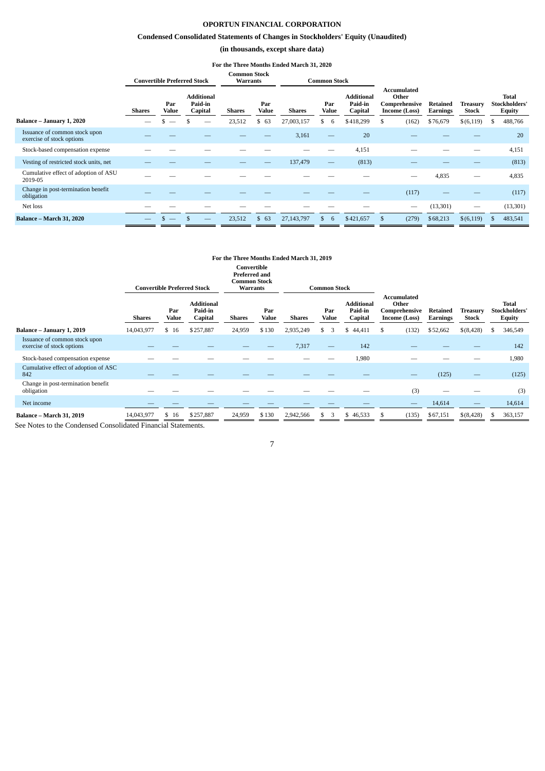# **OPORTUN FINANCIAL CORPORATION**

# **Condensed Consolidated Statements of Changes in Stockholders' Equity (Unaudited)**

# **(in thousands, except share data)**

#### **For the Three Months Ended March 31, 2020**

<span id="page-6-0"></span>

|                                                            |               |                     | <b>Convertible Preferred Stock</b>      | <b>Common Stock</b><br><b>Warrants</b> |              |            | <b>Common Stock</b>            |                                         |   |                                                        |                      |                   |    |                                                |
|------------------------------------------------------------|---------------|---------------------|-----------------------------------------|----------------------------------------|--------------|------------|--------------------------------|-----------------------------------------|---|--------------------------------------------------------|----------------------|-------------------|----|------------------------------------------------|
|                                                            | <b>Shares</b> | Par<br><b>Value</b> | <b>Additional</b><br>Paid-in<br>Capital | <b>Shares</b>                          | Par<br>Value | Shares     | Par<br>Value                   | <b>Additional</b><br>Paid-in<br>Capital |   | Accumulated<br>Other<br>Comprehensive<br>Income (Loss) | Retained<br>Earnings | Treasury<br>Stock |    | <b>Total</b><br>Stockholders'<br><b>Equity</b> |
| Balance - January 1, 2020                                  | $\sim$        | --                  | __                                      | 23,512                                 | 63<br>\$     | 27,003,157 | 6                              | \$418,299                               | S | (162)                                                  | \$76,679             | \$(6, 119)        | S. | 488,766                                        |
| Issuance of common stock upon<br>exercise of stock options |               |                     |                                         |                                        |              | 3,161      | —                              | 20                                      |   |                                                        |                      |                   |    | 20                                             |
| Stock-based compensation expense                           |               |                     |                                         |                                        |              |            |                                | 4,151                                   |   |                                                        |                      |                   |    | 4,151                                          |
| Vesting of restricted stock units, net                     |               |                     |                                         |                                        |              | 137,479    | $\qquad \qquad \longleftarrow$ | (813)                                   |   |                                                        |                      |                   |    | (813)                                          |
| Cumulative effect of adoption of ASU<br>2019-05            |               |                     |                                         |                                        |              |            |                                |                                         |   |                                                        | 4,835                |                   |    | 4,835                                          |
| Change in post-termination benefit<br>obligation           |               |                     |                                         |                                        |              |            |                                |                                         |   | (117)                                                  |                      |                   |    | (117)                                          |
| Net loss                                                   |               |                     |                                         |                                        |              |            |                                |                                         |   | $\hspace{0.1mm}-\hspace{0.1mm}$                        | (13, 301)            |                   |    | (13, 301)                                      |
| <b>Balance - March 31, 2020</b>                            |               |                     |                                         | 23,512                                 | 63<br>\$     | 27,143,797 | 6                              | \$421,657                               |   | (279)                                                  | \$68,213             | \$(6, 119)        |    | 483,541                                        |

# **For the Three Months Ended March 31, 2019**

|                                                            | <b>Convertible Preferred Stock</b> |              |                                         |               | Convertible<br><b>Preferred and</b><br><b>Common Stock</b><br><b>Warrants</b><br><b>Common Stock</b> |               |                          |                                         |                                                               |                             |                          |    |                                                |
|------------------------------------------------------------|------------------------------------|--------------|-----------------------------------------|---------------|------------------------------------------------------------------------------------------------------|---------------|--------------------------|-----------------------------------------|---------------------------------------------------------------|-----------------------------|--------------------------|----|------------------------------------------------|
|                                                            | <b>Shares</b>                      | Par<br>Value | <b>Additional</b><br>Paid-in<br>Capital | <b>Shares</b> | Par<br>Value                                                                                         | <b>Shares</b> | Par<br>Value             | <b>Additional</b><br>Paid-in<br>Capital | <b>Accumulated</b><br>Other<br>Comprehensive<br>Income (Loss) | Retained<br><b>Earnings</b> | Treasurv<br><b>Stock</b> |    | <b>Total</b><br>Stockholders'<br><b>Equity</b> |
| Balance - January 1, 2019                                  | 14,043,977                         | \$16         | \$257,887                               | 24,959        | \$130                                                                                                | 2,935,249     | 3                        | 44,411<br>\$                            | (132)<br>.S                                                   | \$52,662                    | \$(8,428)                | \$ | 346,549                                        |
| Issuance of common stock upon<br>exercise of stock options |                                    |              |                                         |               |                                                                                                      | 7,317         | $\overline{\phantom{0}}$ | 142                                     |                                                               |                             |                          |    | 142                                            |
| Stock-based compensation expense                           |                                    |              |                                         |               |                                                                                                      |               |                          | 1,980                                   |                                                               |                             |                          |    | 1,980                                          |
| Cumulative effect of adoption of ASC<br>842                |                                    |              |                                         |               |                                                                                                      |               |                          |                                         |                                                               | (125)                       |                          |    | (125)                                          |
| Change in post-termination benefit<br>obligation           |                                    |              |                                         |               |                                                                                                      |               |                          |                                         | (3)                                                           |                             |                          |    | (3)                                            |
| Net income                                                 |                                    |              |                                         |               |                                                                                                      |               |                          |                                         |                                                               | 14,614                      |                          |    | 14,614                                         |
| <b>Balance - March 31, 2019</b>                            | 14,043,977                         | \$16         | \$257,887                               | 24,959        | \$130                                                                                                | 2,942,566     | 3<br>S.                  | \$46,533                                | (135)                                                         | \$67,151                    | $$$ (8,428)              | S. | 363,157                                        |

See Notes to the Condensed Consolidated Financial Statements.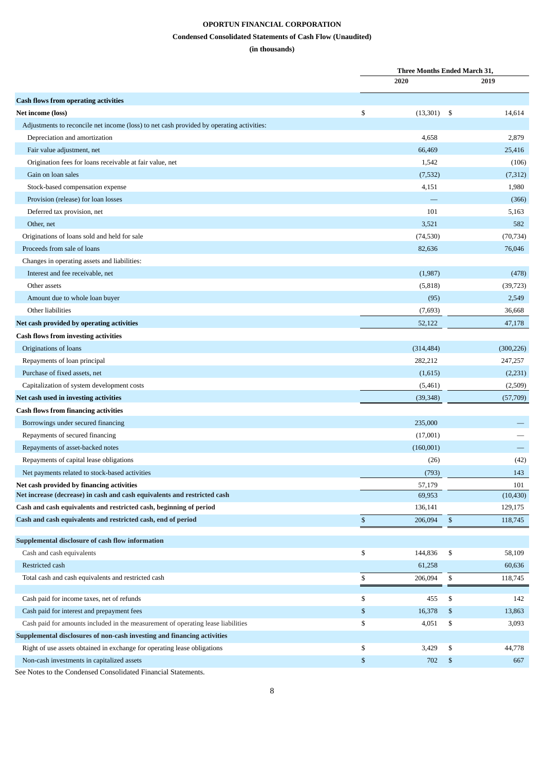# **OPORTUN FINANCIAL CORPORATION**

# **Condensed Consolidated Statements of Cash Flow (Unaudited)**

# **(in thousands)**

<span id="page-7-0"></span>

|                                                                                          | <b>Three Months Ended March 31,</b> |      |            |
|------------------------------------------------------------------------------------------|-------------------------------------|------|------------|
|                                                                                          | 2020                                |      | 2019       |
| <b>Cash flows from operating activities</b>                                              |                                     |      |            |
| Net income (loss)                                                                        | \$<br>(13,301)                      | - \$ | 14,614     |
| Adjustments to reconcile net income (loss) to net cash provided by operating activities: |                                     |      |            |
| Depreciation and amortization                                                            | 4,658                               |      | 2,879      |
| Fair value adjustment, net                                                               | 66,469                              |      | 25,416     |
| Origination fees for loans receivable at fair value, net                                 | 1,542                               |      | (106)      |
| Gain on loan sales                                                                       | (7,532)                             |      | (7,312)    |
| Stock-based compensation expense                                                         | 4,151                               |      | 1,980      |
| Provision (release) for loan losses                                                      |                                     |      | (366)      |
| Deferred tax provision, net                                                              | 101                                 |      | 5,163      |
| Other, net                                                                               | 3,521                               |      | 582        |
| Originations of loans sold and held for sale                                             | (74, 530)                           |      | (70, 734)  |
| Proceeds from sale of loans                                                              | 82,636                              |      | 76,046     |
| Changes in operating assets and liabilities:                                             |                                     |      |            |
| Interest and fee receivable, net                                                         | (1,987)                             |      | (478)      |
| Other assets                                                                             | (5,818)                             |      | (39, 723)  |
| Amount due to whole loan buyer                                                           | (95)                                |      | 2,549      |
| Other liabilities                                                                        | (7,693)                             |      | 36,668     |
| Net cash provided by operating activities                                                | 52,122                              |      | 47,178     |
| <b>Cash flows from investing activities</b>                                              |                                     |      |            |
| Originations of loans                                                                    | (314, 484)                          |      | (300, 226) |
| Repayments of loan principal                                                             | 282,212                             |      | 247,257    |
| Purchase of fixed assets, net                                                            | (1,615)                             |      | (2,231)    |
| Capitalization of system development costs                                               | (5,461)                             |      | (2,509)    |
| Net cash used in investing activities                                                    | (39, 348)                           |      | (57,709)   |
| <b>Cash flows from financing activities</b>                                              |                                     |      |            |
| Borrowings under secured financing                                                       | 235,000                             |      |            |
| Repayments of secured financing                                                          | (17,001)                            |      |            |
| Repayments of asset-backed notes                                                         | (160,001)                           |      |            |
| Repayments of capital lease obligations                                                  | (26)                                |      | (42)       |
| Net payments related to stock-based activities                                           | (793)                               |      | 143        |
| Net cash provided by financing activities                                                | 57,179                              |      | 101        |
| Net increase (decrease) in cash and cash equivalents and restricted cash                 | 69,953                              |      | (10, 430)  |
| Cash and cash equivalents and restricted cash, beginning of period                       | 136,141                             |      | 129,175    |
| Cash and cash equivalents and restricted cash, end of period                             | \$<br>206,094                       | \$   | 118,745    |
| Supplemental disclosure of cash flow information                                         |                                     |      |            |
| Cash and cash equivalents                                                                | \$<br>144,836                       | \$   | 58,109     |
| Restricted cash                                                                          | 61,258                              |      | 60,636     |
| Total cash and cash equivalents and restricted cash                                      | \$<br>206,094                       | \$   | 118,745    |
| Cash paid for income taxes, net of refunds                                               | \$<br>455                           | \$   | 142        |
| Cash paid for interest and prepayment fees                                               | \$<br>16,378                        | \$   | 13,863     |
| Cash paid for amounts included in the measurement of operating lease liabilities         | \$<br>4,051                         | \$   | 3,093      |
| Supplemental disclosures of non-cash investing and financing activities                  |                                     |      |            |
| Right of use assets obtained in exchange for operating lease obligations                 | \$<br>3,429                         | \$   | 44,778     |
| Non-cash investments in capitalized assets                                               | \$<br>702                           | \$   | 667        |
| See Notes to the Condensed Consolidated Einangial Statements                             |                                     |      |            |

See Notes to the Condensed Consolidated Financial Statements.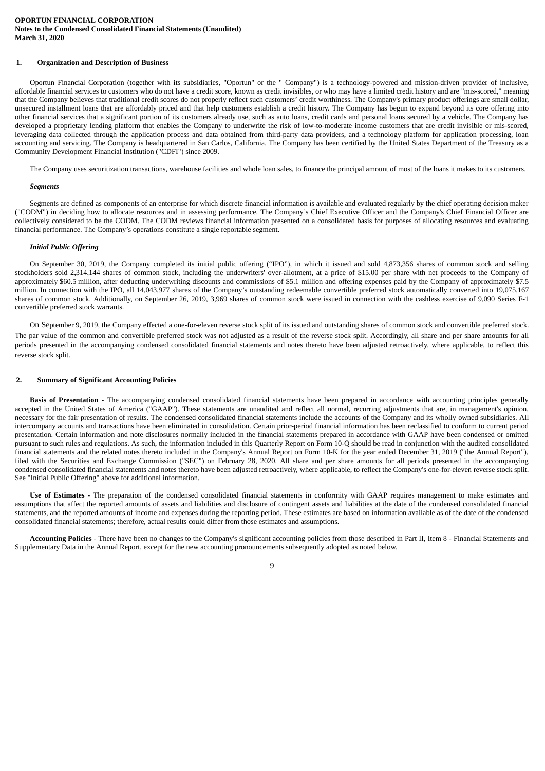# <span id="page-8-0"></span>**1. Organization and Description of Business**

Oportun Financial Corporation (together with its subsidiaries, "Oportun" or the " Company") is a technology-powered and mission-driven provider of inclusive, affordable financial services to customers who do not have a credit score, known as credit invisibles, or who may have a limited credit history and are "mis-scored," meaning that the Company believes that traditional credit scores do not properly reflect such customers' credit worthiness. The Company's primary product offerings are small dollar, unsecured installment loans that are affordably priced and that help customers establish a credit history. The Company has begun to expand beyond its core offering into other financial services that a significant portion of its customers already use, such as auto loans, credit cards and personal loans secured by a vehicle. The Company has developed a proprietary lending platform that enables the Company to underwrite the risk of low-to-moderate income customers that are credit invisible or mis-scored, leveraging data collected through the application process and data obtained from third-party data providers, and a technology platform for application processing, loan accounting and servicing. The Company is headquartered in San Carlos, California. The Company has been certified by the United States Department of the Treasury as a Community Development Financial Institution ("CDFI") since 2009.

The Company uses securitization transactions, warehouse facilities and whole loan sales, to finance the principal amount of most of the loans it makes to its customers.

#### *Segments*

Segments are defined as components of an enterprise for which discrete financial information is available and evaluated regularly by the chief operating decision maker ("CODM") in deciding how to allocate resources and in assessing performance. The Company's Chief Executive Officer and the Company's Chief Financial Officer are collectively considered to be the CODM. The CODM reviews financial information presented on a consolidated basis for purposes of allocating resources and evaluating financial performance. The Company's operations constitute a single reportable segment.

### *Initial Public Offering*

On September 30, 2019, the Company completed its initial public offering ("IPO"), in which it issued and sold 4,873,356 shares of common stock and selling stockholders sold 2,314,144 shares of common stock, including the underwriters' over-allotment, at a price of \$15.00 per share with net proceeds to the Company of approximately \$60.5 million, after deducting underwriting discounts and commissions of \$5.1 million and offering expenses paid by the Company of approximately \$7.5 million. In connection with the IPO, all 14,043,977 shares of the Company's outstanding redeemable convertible preferred stock automatically converted into 19,075,167 shares of common stock. Additionally, on September 26, 2019, 3,969 shares of common stock were issued in connection with the cashless exercise of 9,090 Series F-1 convertible preferred stock warrants.

On September 9, 2019, the Company effected a one-for-eleven reverse stock split of its issued and outstanding shares of common stock and convertible preferred stock. The par value of the common and convertible preferred stock was not adjusted as a result of the reverse stock split. Accordingly, all share and per share amounts for all periods presented in the accompanying condensed consolidated financial statements and notes thereto have been adjusted retroactively, where applicable, to reflect this reverse stock split.

#### **2. Summary of Significant Accounting Policies**

**Basis of Presentation** - The accompanying condensed consolidated financial statements have been prepared in accordance with accounting principles generally accepted in the United States of America ("GAAP"). These statements are unaudited and reflect all normal, recurring adjustments that are, in management's opinion, necessary for the fair presentation of results. The condensed consolidated financial statements include the accounts of the Company and its wholly owned subsidiaries. All intercompany accounts and transactions have been eliminated in consolidation. Certain prior-period financial information has been reclassified to conform to current period presentation. Certain information and note disclosures normally included in the financial statements prepared in accordance with GAAP have been condensed or omitted pursuant to such rules and regulations. As such, the information included in this Quarterly Report on Form 10-Q should be read in conjunction with the audited consolidated financial statements and the related notes thereto included in the Company's Annual Report on Form 10-K for the year ended December 31, 2019 ("the Annual Report"), filed with the Securities and Exchange Commission ("SEC") on February 28, 2020. All share and per share amounts for all periods presented in the accompanying condensed consolidated financial statements and notes thereto have been adjusted retroactively, where applicable, to reflect the Company's one-for-eleven reverse stock split. See "Initial Public Offering" above for additional information.

**Use of Estimates ‑** The preparation of the condensed consolidated financial statements in conformity with GAAP requires management to make estimates and assumptions that affect the reported amounts of assets and liabilities and disclosure of contingent assets and liabilities at the date of the condensed consolidated financial statements, and the reported amounts of income and expenses during the reporting period. These estimates are based on information available as of the date of the condensed consolidated financial statements; therefore, actual results could differ from those estimates and assumptions.

**Accounting Policies** - There have been no changes to the Company's significant accounting policies from those described in Part II, Item 8 - Financial Statements and Supplementary Data in the Annual Report, except for the new accounting pronouncements subsequently adopted as noted below.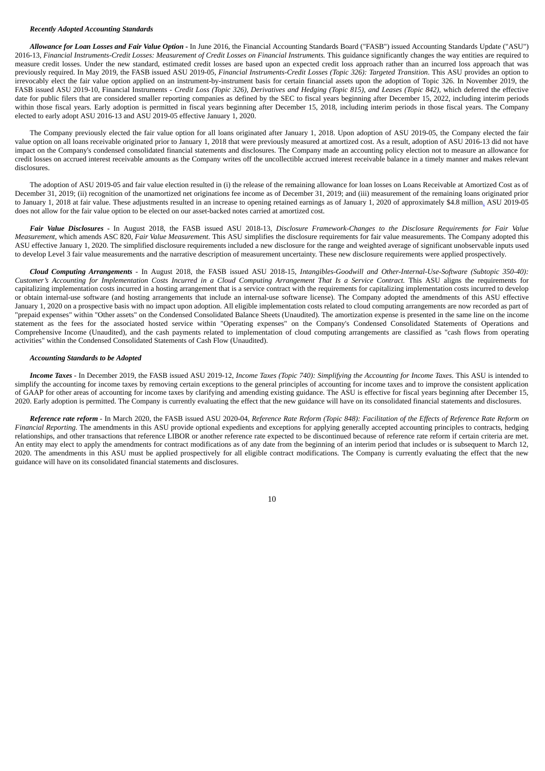# *Recently Adopted Accounting Standards*

*Allowance for Loan Losses and Fair Value Option* - In June 2016, the Financial Accounting Standards Board ("FASB") issued Accounting Standards Update ("ASU") 2016-13, *Financial Instruments-Credit Losses: Measurement of Credit Losses on Financial Instruments.* This guidance significantly changes the way entities are required to measure credit losses. Under the new standard, estimated credit losses are based upon an expected credit loss approach rather than an incurred loss approach that was previously required. In May 2019, the FASB issued ASU 2019-05, *Financial Instruments-Credit Losses (Topic 326): Targeted Transition*. This ASU provides an option to irrevocably elect the fair value option applied on an instrument-by-instrument basis for certain financial assets upon the adoption of Topic 326. In November 2019, the FASB issued ASU 2019-10, Financial Instruments - *Credit Loss (Topic 326), Derivatives and Hedging (Topic 815), and Leases (Topic 842)*, which deferred the effective date for public filers that are considered smaller reporting companies as defined by the SEC to fiscal years beginning after December 15, 2022, including interim periods within those fiscal years. Early adoption is permitted in fiscal years beginning after December 15, 2018, including interim periods in those fiscal years. The Company elected to early adopt ASU 2016-13 and ASU 2019-05 effective January 1, 2020.

The Company previously elected the fair value option for all loans originated after January 1, 2018. Upon adoption of ASU 2019-05, the Company elected the fair value option on all loans receivable originated prior to January 1, 2018 that were previously measured at amortized cost. As a result, adoption of ASU 2016-13 did not have impact on the Company's condensed consolidated financial statements and disclosures. The Company made an accounting policy election not to measure an allowance for credit losses on accrued interest receivable amounts as the Company writes off the uncollectible accrued interest receivable balance in a timely manner and makes relevant disclosures.

The adoption of ASU 2019-05 and fair value election resulted in (i) the release of the remaining allowance for loan losses on Loans Receivable at Amortized Cost as of December 31, 2019; (ii) recognition of the unamortized net originations fee income as of December 31, 2019; and (iii) measurement of the remaining loans originated prior to January 1, 2018 at fair value. These adjustments resulted in an increase to opening retained earnings as of January 1, 2020 of approximately \$4.8 million. ASU 2019-05 does not allow for the fair value option to be elected on our asset-backed notes carried at amortized cost.

*Fair Value Disclosures* **‑** In August 2018, the FASB issued ASU 2018-13, *Disclosure Framework-Changes to the Disclosure Requirements for Fair Value Measurement*, which amends ASC 820, *Fair Value Measurement*. This ASU simplifies the disclosure requirements for fair value measurements. The Company adopted this ASU effective January 1, 2020. The simplified disclosure requirements included a new disclosure for the range and weighted average of significant unobservable inputs used to develop Level 3 fair value measurements and the narrative description of measurement uncertainty. These new disclosure requirements were applied prospectively.

*Cloud Computing Arrangements* - In August 2018, the FASB issued ASU 2018-15, *Intangibles-Goodwill and Other-Internal-Use-Software (Subtopic 350-40): Customer's Accounting for Implementation Costs Incurred in a Cloud Computing Arrangement That Is a Service Contract.* This ASU aligns the requirements for capitalizing implementation costs incurred in a hosting arrangement that is a service contract with the requirements for capitalizing implementation costs incurred to develop or obtain internal-use software (and hosting arrangements that include an internal-use software license). The Company adopted the amendments of this ASU effective January 1, 2020 on a prospective basis with no impact upon adoption. All eligible implementation costs related to cloud computing arrangements are now recorded as part of "prepaid expenses" within "Other assets" on the Condensed Consolidated Balance Sheets (Unaudited). The amortization expense is presented in the same line on the income statement as the fees for the associated hosted service within "Operating expenses" on the Company's Condensed Consolidated Statements of Operations and Comprehensive Income (Unaudited), and the cash payments related to implementation of cloud computing arrangements are classified as "cash flows from operating activities" within the Condensed Consolidated Statements of Cash Flow (Unaudited).

#### *Accounting Standards to be Adopted*

*Income Taxes* - In December 2019, the FASB issued ASU 2019-12, *Income Taxes (Topic 740): Simplifying the Accounting for Income Taxes*. This ASU is intended to simplify the accounting for income taxes by removing certain exceptions to the general principles of accounting for income taxes and to improve the consistent application of GAAP for other areas of accounting for income taxes by clarifying and amending existing guidance. The ASU is effective for fiscal years beginning after December 15, 2020. Early adoption is permitted. The Company is currently evaluating the effect that the new guidance will have on its consolidated financial statements and disclosures.

*Reference rate reform* - In March 2020, the FASB issued ASU 2020-04, *Reference Rate Reform (Topic 848): Facilitation of the Effects of Reference Rate Reform on Financial Reporting*. The amendments in this ASU provide optional expedients and exceptions for applying generally accepted accounting principles to contracts, hedging relationships, and other transactions that reference LIBOR or another reference rate expected to be discontinued because of reference rate reform if certain criteria are met. An entity may elect to apply the amendments for contract modifications as of any date from the beginning of an interim period that includes or is subsequent to March 12, 2020. The amendments in this ASU must be applied prospectively for all eligible contract modifications. The Company is currently evaluating the effect that the new guidance will have on its consolidated financial statements and disclosures.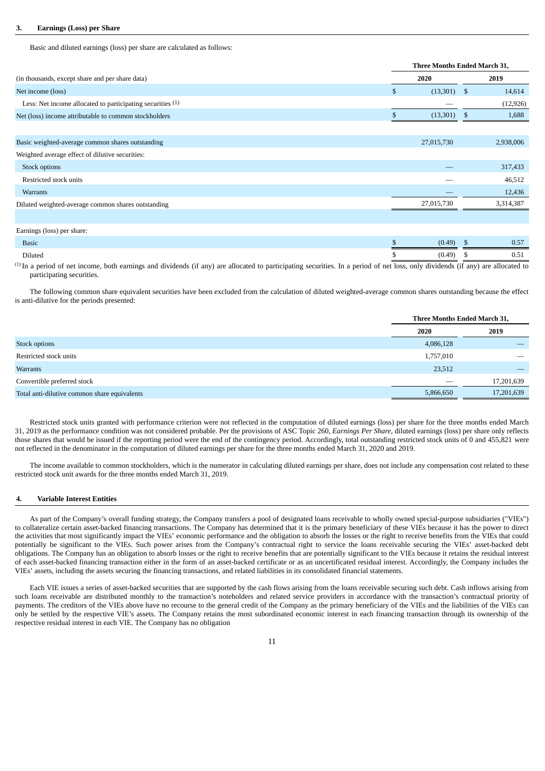### **3. Earnings (Loss) per Share**

Basic and diluted earnings (loss) per share are calculated as follows:

|                                                            | Three Months Ended March 31, |     |           |  |  |
|------------------------------------------------------------|------------------------------|-----|-----------|--|--|
| (in thousands, except share and per share data)            | 2020                         |     | 2019      |  |  |
| Net income (loss)                                          | \$<br>$(13,301)$ \$          |     | 14,614    |  |  |
| Less: Net income allocated to participating securities (1) |                              |     | (12, 926) |  |  |
| Net (loss) income attributable to common stockholders      | (13, 301)                    | -\$ | 1,688     |  |  |
|                                                            |                              |     |           |  |  |
| Basic weighted-average common shares outstanding           | 27,015,730                   |     | 2,938,006 |  |  |
| Weighted average effect of dilutive securities:            |                              |     |           |  |  |
| Stock options                                              |                              |     | 317,433   |  |  |
| Restricted stock units                                     |                              |     | 46,512    |  |  |
| <b>Warrants</b>                                            |                              |     | 12,436    |  |  |
| Diluted weighted-average common shares outstanding         | 27,015,730                   |     | 3,314,387 |  |  |
|                                                            |                              |     |           |  |  |
| Earnings (loss) per share:                                 |                              |     |           |  |  |
| <b>Basic</b>                                               | (0.49)                       | - S | 0.57      |  |  |
| Diluted                                                    | \$<br>(0.49)                 | -5  | 0.51      |  |  |

(1) In a period of net income, both earnings and dividends (if any) are allocated to participating securities. In a period of net loss, only dividends (if any) are allocated to participating securities.

The following common share equivalent securities have been excluded from the calculation of diluted weighted-average common shares outstanding because the effect is anti-dilutive for the periods presented:

|                                              | Three Months Ended March 31, |            |
|----------------------------------------------|------------------------------|------------|
|                                              | 2020                         | 2019       |
| Stock options                                | 4,086,128                    |            |
| Restricted stock units                       | 1,757,010                    |            |
| Warrants                                     | 23,512                       |            |
| Convertible preferred stock                  |                              | 17,201,639 |
| Total anti-dilutive common share equivalents | 5,866,650                    | 17,201,639 |

Restricted stock units granted with performance criterion were not reflected in the computation of diluted earnings (loss) per share for the three months ended March 31, 2019 as the performance condition was not considered probable. Per the provisions of ASC Topic 260, *Earnings Per Share*, diluted earnings (loss) per share only reflects those shares that would be issued if the reporting period were the end of the contingency period. Accordingly, total outstanding restricted stock units of 0 and 455,821 were not reflected in the denominator in the computation of diluted earnings per share for the three months ended March 31, 2020 and 2019.

The income available to common stockholders, which is the numerator in calculating diluted earnings per share, does not include any compensation cost related to these restricted stock unit awards for the three months ended March 31, 2019.

# **4. Variable Interest Entities**

As part of the Company's overall funding strategy, the Company transfers a pool of designated loans receivable to wholly owned special-purpose subsidiaries ("VIEs") to collateralize certain asset-backed financing transactions. The Company has determined that it is the primary beneficiary of these VIEs because it has the power to direct the activities that most significantly impact the VIEs' economic performance and the obligation to absorb the losses or the right to receive benefits from the VIEs that could potentially be significant to the VIEs. Such power arises from the Company's contractual right to service the loans receivable securing the VIEs' asset-backed debt obligations. The Company has an obligation to absorb losses or the right to receive benefits that are potentially significant to the VIEs because it retains the residual interest of each asset-backed financing transaction either in the form of an asset-backed certificate or as an uncertificated residual interest. Accordingly, the Company includes the VIEs' assets, including the assets securing the financing transactions, and related liabilities in its consolidated financial statements.

Each VIE issues a series of asset-backed securities that are supported by the cash flows arising from the loans receivable securing such debt. Cash inflows arising from such loans receivable are distributed monthly to the transaction's noteholders and related service providers in accordance with the transaction's contractual priority of payments. The creditors of the VIEs above have no recourse to the general credit of the Company as the primary beneficiary of the VIEs and the liabilities of the VIEs can only be settled by the respective VIE's assets. The Company retains the most subordinated economic interest in each financing transaction through its ownership of the respective residual interest in each VIE. The Company has no obligation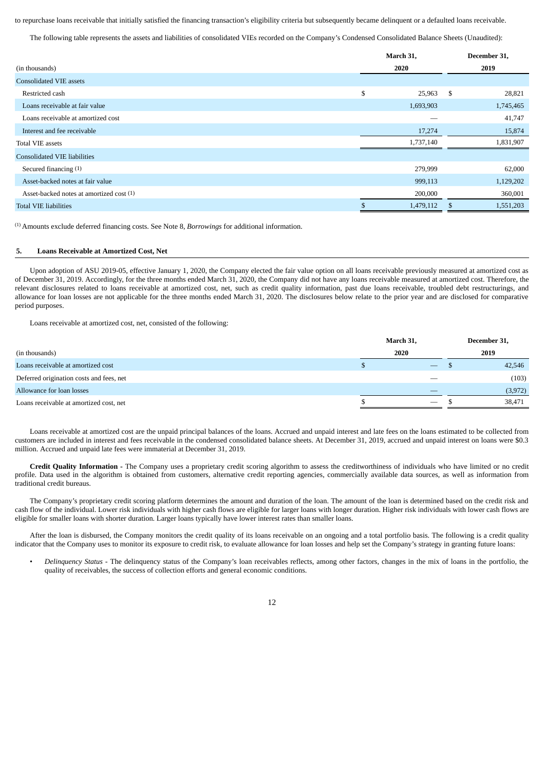to repurchase loans receivable that initially satisfied the financing transaction's eligibility criteria but subsequently became delinquent or a defaulted loans receivable.

The following table represents the assets and liabilities of consolidated VIEs recorded on the Company's Condensed Consolidated Balance Sheets (Unaudited):

|    | March 31, |     | December 31, |  |      |
|----|-----------|-----|--------------|--|------|
|    | 2020      |     |              |  | 2019 |
|    |           |     |              |  |      |
| \$ | 25,963    | \$  | 28,821       |  |      |
|    | 1,693,903 |     | 1,745,465    |  |      |
|    |           |     | 41,747       |  |      |
|    | 17,274    |     | 15,874       |  |      |
|    | 1,737,140 |     | 1,831,907    |  |      |
|    |           |     |              |  |      |
|    | 279,999   |     | 62,000       |  |      |
|    | 999,113   |     | 1,129,202    |  |      |
|    | 200,000   |     | 360,001      |  |      |
|    | 1,479,112 | \$. | 1,551,203    |  |      |
|    |           |     |              |  |      |

(1) Amounts exclude deferred financing costs. See Note 8, *Borrowings* for additional information.

# **5. Loans Receivable at Amortized Cost, Net**

Upon adoption of ASU 2019-05, effective January 1, 2020, the Company elected the fair value option on all loans receivable previously measured at amortized cost as of December 31, 2019. Accordingly, for the three months ended March 31, 2020, the Company did not have any loans receivable measured at amortized cost. Therefore, the relevant disclosures related to loans receivable at amortized cost, net, such as credit quality information, past due loans receivable, troubled debt restructurings, and allowance for loan losses are not applicable for the three months ended March 31, 2020. The disclosures below relate to the prior year and are disclosed for comparative period purposes.

Loans receivable at amortized cost, net, consisted of the following:

|                                          | March 31, |                                 | December 31, |  |
|------------------------------------------|-----------|---------------------------------|--------------|--|
| (in thousands)                           | 2020      |                                 | 2019         |  |
| Loans receivable at amortized cost       |           |                                 | 42,546       |  |
| Deferred origination costs and fees, net |           | $\overline{\phantom{a}}$        | (103)        |  |
| Allowance for loan losses                |           |                                 | (3,972)      |  |
| Loans receivable at amortized cost, net  |           | $\hspace{0.1mm}-\hspace{0.1mm}$ | 38,471       |  |

Loans receivable at amortized cost are the unpaid principal balances of the loans. Accrued and unpaid interest and late fees on the loans estimated to be collected from customers are included in interest and fees receivable in the condensed consolidated balance sheets. At December 31, 2019, accrued and unpaid interest on loans were \$0.3 million. Accrued and unpaid late fees were immaterial at December 31, 2019.

**Credit Quality Information -** The Company uses a proprietary credit scoring algorithm to assess the creditworthiness of individuals who have limited or no credit profile. Data used in the algorithm is obtained from customers, alternative credit reporting agencies, commercially available data sources, as well as information from traditional credit bureaus.

The Company's proprietary credit scoring platform determines the amount and duration of the loan. The amount of the loan is determined based on the credit risk and cash flow of the individual. Lower risk individuals with higher cash flows are eligible for larger loans with longer duration. Higher risk individuals with lower cash flows are eligible for smaller loans with shorter duration. Larger loans typically have lower interest rates than smaller loans.

After the loan is disbursed, the Company monitors the credit quality of its loans receivable on an ongoing and a total portfolio basis. The following is a credit quality indicator that the Company uses to monitor its exposure to credit risk, to evaluate allowance for loan losses and help set the Company's strategy in granting future loans:

• *Delinquency Status* ‑ The delinquency status of the Company's loan receivables reflects, among other factors, changes in the mix of loans in the portfolio, the quality of receivables, the success of collection efforts and general economic conditions.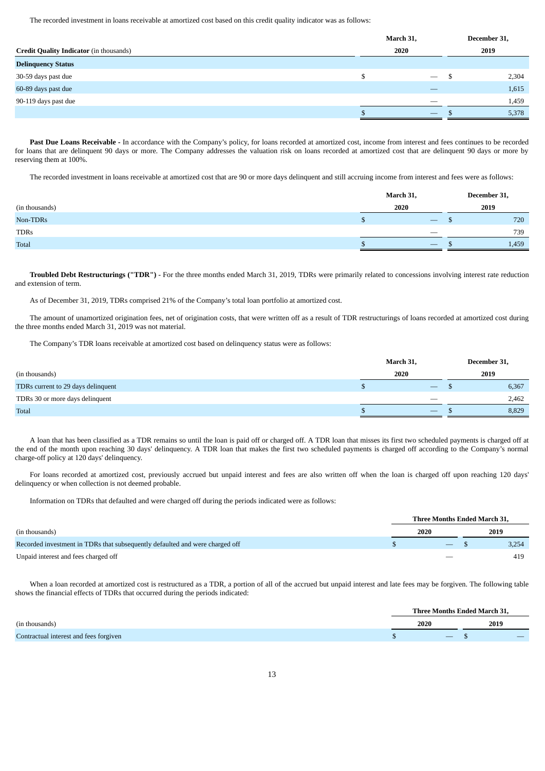The recorded investment in loans receivable at amortized cost based on this credit quality indicator was as follows:

|                                                | March 31, | December 31,             |      |       |
|------------------------------------------------|-----------|--------------------------|------|-------|
| <b>Credit Quality Indicator</b> (in thousands) | 2020      |                          | 2019 |       |
| <b>Delinquency Status</b>                      |           |                          |      |       |
| 30-59 days past due                            |           |                          |      | 2,304 |
| 60-89 days past due                            |           |                          |      | 1,615 |
| 90-119 days past due                           |           | $\overline{\phantom{a}}$ |      | 1,459 |
|                                                |           |                          |      | 5,378 |
|                                                |           |                          |      |       |

Past Due Loans Receivable - In accordance with the Company's policy, for loans recorded at amortized cost, income from interest and fees continues to be recorded for loans that are delinquent 90 days or more. The Company addresses the valuation risk on loans recorded at amortized cost that are delinquent 90 days or more by reserving them at 100%.

The recorded investment in loans receivable at amortized cost that are 90 or more days delinquent and still accruing income from interest and fees were as follows:

|                | March 31,                       | December 31, |
|----------------|---------------------------------|--------------|
| (in thousands) | 2020                            | 2019         |
| Non-TDRs       | $\hspace{0.1mm}-\hspace{0.1mm}$ | 720          |
| <b>TDRs</b>    | $\sim$                          | 739          |
| <b>Total</b>   | $\overline{\phantom{a}}$        | 1,459        |

**Troubled Debt Restructurings ("TDR")** - For the three months ended March 31, 2019, TDRs were primarily related to concessions involving interest rate reduction and extension of term.

As of December 31, 2019, TDRs comprised 21% of the Company's total loan portfolio at amortized cost.

The amount of unamortized origination fees, net of origination costs, that were written off as a result of TDR restructurings of loans recorded at amortized cost during the three months ended March 31, 2019 was not material.

The Company's TDR loans receivable at amortized cost based on delinquency status were as follows:

|                                    | March 31, |                                 | December 31, |       |  |
|------------------------------------|-----------|---------------------------------|--------------|-------|--|
| (in thousands)                     | 2020      |                                 | 2019         |       |  |
| TDRs current to 29 days delinquent |           | $\hspace{0.1mm}-\hspace{0.1mm}$ |              | 6,367 |  |
| TDRs 30 or more days delinquent    |           |                                 |              | 2,462 |  |
| Total                              |           | $\overline{\phantom{a}}$        |              | 8,829 |  |

A loan that has been classified as a TDR remains so until the loan is paid off or charged off. A TDR loan that misses its first two scheduled payments is charged off at the end of the month upon reaching 30 days' delinquency. A TDR loan that makes the first two scheduled payments is charged off according to the Company's normal charge-off policy at 120 days' delinquency.

For loans recorded at amortized cost, previously accrued but unpaid interest and fees are also written off when the loan is charged off upon reaching 120 days' delinquency or when collection is not deemed probable.

Information on TDRs that defaulted and were charged off during the periods indicated were as follows:

|                                                                              |  | <b>Three Months Ended March 31.</b> |       |
|------------------------------------------------------------------------------|--|-------------------------------------|-------|
| (in thousands)                                                               |  | 2020                                | 2019  |
| Recorded investment in TDRs that subsequently defaulted and were charged off |  | $ s$                                | 3,254 |
| Unpaid interest and fees charged off                                         |  |                                     | 419   |

When a loan recorded at amortized cost is restructured as a TDR, a portion of all of the accrued but unpaid interest and late fees may be forgiven. The following table shows the financial effects of TDRs that occurred during the periods indicated:

|                                        |      |                          | Three Months Ended March 31, |  |
|----------------------------------------|------|--------------------------|------------------------------|--|
| (in thousands)                         | 2020 |                          | 2019                         |  |
| Contractual interest and fees forgiven |      | $\overline{\phantom{0}}$ |                              |  |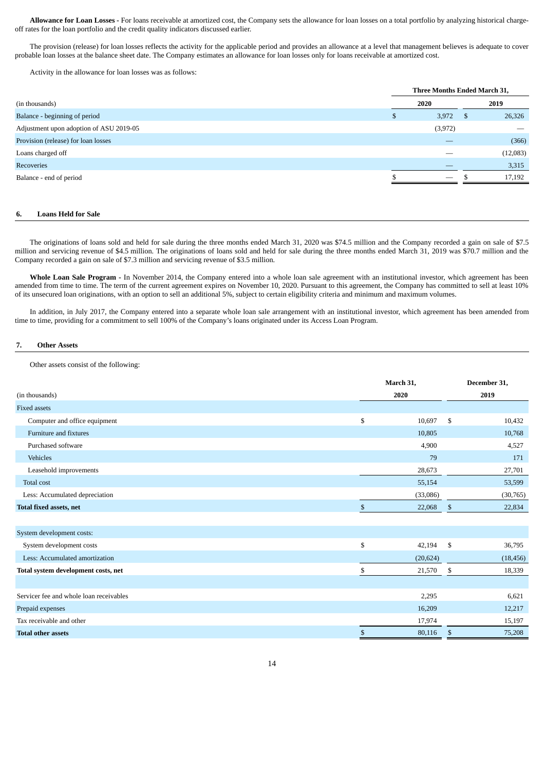**Allowance for Loan Losses -** For loans receivable at amortized cost, the Company sets the allowance for loan losses on a total portfolio by analyzing historical chargeoff rates for the loan portfolio and the credit quality indicators discussed earlier.

The provision (release) for loan losses reflects the activity for the applicable period and provides an allowance at a level that management believes is adequate to cover probable loan losses at the balance sheet date. The Company estimates an allowance for loan losses only for loans receivable at amortized cost.

Activity in the allowance for loan losses was as follows:

|                                         |   |         | Three Months Ended March 31, |                          |  |
|-----------------------------------------|---|---------|------------------------------|--------------------------|--|
| (in thousands)                          |   | 2020    |                              | 2019                     |  |
| Balance - beginning of period           | а | 3,972   | - \$                         | 26,326                   |  |
| Adjustment upon adoption of ASU 2019-05 |   | (3,972) |                              | $\overline{\phantom{a}}$ |  |
| Provision (release) for loan losses     |   |         |                              | (366)                    |  |
| Loans charged off                       |   |         |                              | (12,083)                 |  |
| Recoveries                              |   |         |                              | 3,315                    |  |
| Balance - end of period                 |   |         |                              | 17,192                   |  |
|                                         |   |         |                              |                          |  |

# **6. Loans Held for Sale**

The originations of loans sold and held for sale during the three months ended March 31, 2020 was \$74.5 million and the Company recorded a gain on sale of \$7.5 million and servicing revenue of \$4.5 million. The originations of loans sold and held for sale during the three months ended March 31, 2019 was \$70.7 million and the Company recorded a gain on sale of \$7.3 million and servicing revenue of \$3.5 million.

Whole Loan Sale Program - In November 2014, the Company entered into a whole loan sale agreement with an institutional investor, which agreement has been amended from time to time. The term of the current agreement expires on November 10, 2020. Pursuant to this agreement, the Company has committed to sell at least 10% of its unsecured loan originations, with an option to sell an additional 5%, subject to certain eligibility criteria and minimum and maximum volumes.

In addition, in July 2017, the Company entered into a separate whole loan sale arrangement with an institutional investor, which agreement has been amended from time to time, providing for a commitment to sell 100% of the Company's loans originated under its Access Loan Program.

# **7. Other Assets**

Other assets consist of the following:

|                                         | March 31,    |           |    | December 31, |
|-----------------------------------------|--------------|-----------|----|--------------|
| (in thousands)                          |              | 2020      |    | 2019         |
| <b>Fixed assets</b>                     |              |           |    |              |
| Computer and office equipment           | \$           | 10,697    | \$ | 10,432       |
| Furniture and fixtures                  |              | 10,805    |    | 10,768       |
| Purchased software                      |              | 4,900     |    | 4,527        |
| Vehicles                                |              | 79        |    | 171          |
| Leasehold improvements                  |              | 28,673    |    | 27,701       |
| Total cost                              |              | 55,154    |    | 53,599       |
| Less: Accumulated depreciation          |              | (33,086)  |    | (30, 765)    |
| <b>Total fixed assets, net</b>          | $\mathbb{S}$ | 22,068    | \$ | 22,834       |
|                                         |              |           |    |              |
| System development costs:               |              |           |    |              |
| System development costs                | \$           | 42,194    | \$ | 36,795       |
| Less: Accumulated amortization          |              | (20, 624) |    | (18, 456)    |
| Total system development costs, net     | \$           | 21,570    | \$ | 18,339       |
|                                         |              |           |    |              |
| Servicer fee and whole loan receivables |              | 2,295     |    | 6,621        |
| Prepaid expenses                        |              | 16,209    |    | 12,217       |
| Tax receivable and other                |              | 17,974    |    | 15,197       |
| <b>Total other assets</b>               | \$           | 80,116    | \$ | 75,208       |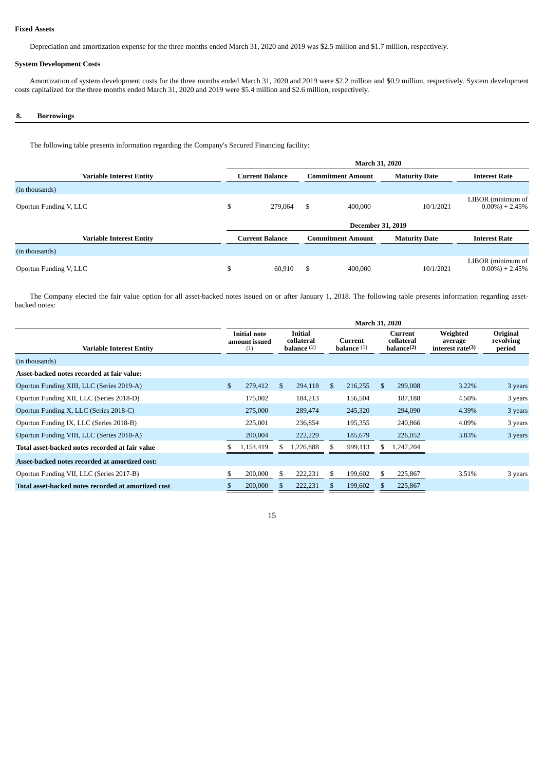# **Fixed Assets**

Depreciation and amortization expense for the three months ended March 31, 2020 and 2019 was \$2.5 million and \$1.7 million, respectively.

# **System Development Costs**

Amortization of system development costs for the three months ended March 31, 2020 and 2019 were \$2.2 million and \$0.9 million, respectively. System development costs capitalized for the three months ended March 31, 2020 and 2019 were \$5.4 million and \$2.6 million, respectively.

# **8. Borrowings**

The following table presents information regarding the Company's Secured Financing facility:

|                                 | <b>March 31, 2020</b> |                        |    |                          |                      |                                         |  |  |  |  |
|---------------------------------|-----------------------|------------------------|----|--------------------------|----------------------|-----------------------------------------|--|--|--|--|
| <b>Variable Interest Entity</b> |                       | <b>Current Balance</b> |    | <b>Commitment Amount</b> | <b>Maturity Date</b> | <b>Interest Rate</b>                    |  |  |  |  |
| (in thousands)                  |                       |                        |    |                          |                      |                                         |  |  |  |  |
| Oportun Funding V, LLC          | \$                    | 279.064                | \$ | 400,000                  | 10/1/2021            | LIBOR (minimum of<br>$0.00\%$ ) + 2.45% |  |  |  |  |
|                                 |                       |                        |    | <b>December 31, 2019</b> |                      |                                         |  |  |  |  |
| <b>Variable Interest Entity</b> |                       | <b>Current Balance</b> |    | <b>Commitment Amount</b> | <b>Maturity Date</b> | <b>Interest Rate</b>                    |  |  |  |  |
| (in thousands)                  |                       |                        |    |                          |                      |                                         |  |  |  |  |
| Oportun Funding V, LLC          |                       | 60,910                 | \$ | 400,000                  | 10/1/2021            | LIBOR (minimum of<br>$0.00\%$ ) + 2.45% |  |  |  |  |

The Company elected the fair value option for all asset-backed notes issued on or after January 1, 2018. The following table presents information regarding assetbacked notes:

|                                                     | <b>March 31, 2020</b> |                                             |               |                                               |     |                          |               |                                                 |                                            |                                 |  |  |
|-----------------------------------------------------|-----------------------|---------------------------------------------|---------------|-----------------------------------------------|-----|--------------------------|---------------|-------------------------------------------------|--------------------------------------------|---------------------------------|--|--|
| <b>Variable Interest Entity</b>                     |                       | <b>Initial note</b><br>amount issued<br>(1) |               | <b>Initial</b><br>collateral<br>balance $(2)$ |     | Current<br>balance $(1)$ |               | Current<br>collateral<br>balance <sup>(2)</sup> | Weighted<br>average<br>interest rate $(3)$ | Original<br>revolving<br>period |  |  |
| (in thousands)                                      |                       |                                             |               |                                               |     |                          |               |                                                 |                                            |                                 |  |  |
| Asset-backed notes recorded at fair value:          |                       |                                             |               |                                               |     |                          |               |                                                 |                                            |                                 |  |  |
| Oportun Funding XIII, LLC (Series 2019-A)           | $\mathcal{S}$         | 279,412                                     | <sup>\$</sup> | 294,118                                       | \$. | 216,255                  | $\mathcal{S}$ | 299,008                                         | 3.22%                                      | 3 years                         |  |  |
| Oportun Funding XII, LLC (Series 2018-D)            |                       | 175,002                                     |               | 184,213                                       |     | 156,504                  |               | 187,188                                         | 4.50%                                      | 3 years                         |  |  |
| Oportun Funding X, LLC (Series 2018-C)              |                       | 275,000                                     |               | 289,474                                       |     | 245,320                  |               | 294,090                                         | 4.39%                                      | 3 years                         |  |  |
| Oportun Funding IX, LLC (Series 2018-B)             |                       | 225,001                                     |               | 236,854                                       |     | 195,355                  |               | 240,866                                         | 4.09%                                      | 3 years                         |  |  |
| Oportun Funding VIII, LLC (Series 2018-A)           |                       | 200,004                                     |               | 222,229                                       |     | 185,679                  |               | 226,052                                         | 3.83%                                      | 3 years                         |  |  |
| Total asset-backed notes recorded at fair value     |                       | 1,154,419                                   |               | 1,226,888                                     |     | 999,113                  | S.            | 1,247,204                                       |                                            |                                 |  |  |
| Asset-backed notes recorded at amortized cost:      |                       |                                             |               |                                               |     |                          |               |                                                 |                                            |                                 |  |  |
| Oportun Funding VII, LLC (Series 2017-B)            | \$.                   | 200,000                                     | \$            | 222,231                                       | \$  | 199,602                  | \$            | 225,867                                         | 3.51%                                      | 3 years                         |  |  |
| Total asset-backed notes recorded at amortized cost |                       | 200,000                                     |               | 222,231                                       |     | 199,602                  |               | 225,867                                         |                                            |                                 |  |  |

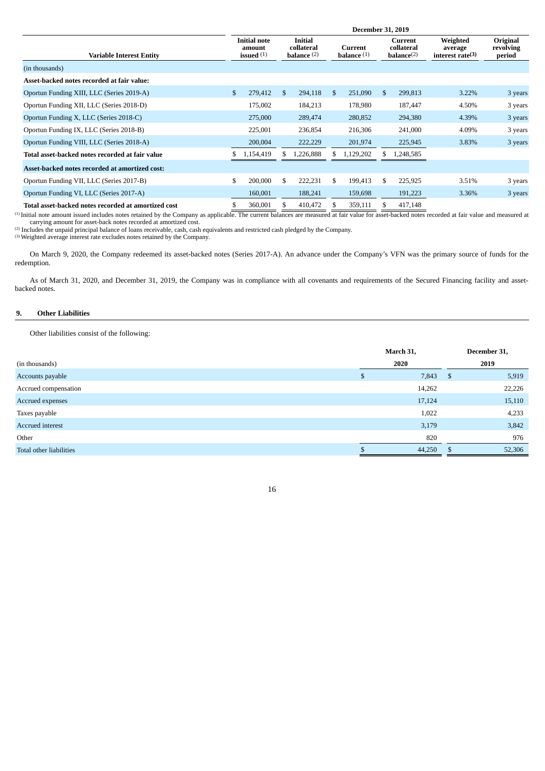|                                                     | <b>December 31, 2019</b> |                                               |    |                                        |    |                          |               |                                                       |                                            |                                 |  |  |  |
|-----------------------------------------------------|--------------------------|-----------------------------------------------|----|----------------------------------------|----|--------------------------|---------------|-------------------------------------------------------|--------------------------------------------|---------------------------------|--|--|--|
| Variable Interest Entity                            |                          | <b>Initial note</b><br>amount<br>issued $(1)$ |    | Initial<br>collateral<br>balance $(2)$ |    | Current<br>balance $(1)$ |               | <b>Current</b><br>collateral<br>$\mathbf{balance}(2)$ | Weighted<br>average<br>interest rate $(3)$ | Original<br>revolving<br>period |  |  |  |
| (in thousands)                                      |                          |                                               |    |                                        |    |                          |               |                                                       |                                            |                                 |  |  |  |
| Asset-backed notes recorded at fair value:          |                          |                                               |    |                                        |    |                          |               |                                                       |                                            |                                 |  |  |  |
| Oportun Funding XIII, LLC (Series 2019-A)           | $\mathbb{S}$             | 279,412                                       | \$ | 294,118                                | \$ | 251,090                  | $\mathcal{S}$ | 299,813                                               | 3.22%                                      | 3 years                         |  |  |  |
| Oportun Funding XII, LLC (Series 2018-D)            |                          | 175,002                                       |    | 184,213                                |    | 178,980                  |               | 187,447                                               | 4.50%                                      | 3 years                         |  |  |  |
| Oportun Funding X, LLC (Series 2018-C)              |                          | 275,000                                       |    | 289,474                                |    | 280,852                  |               | 294,380                                               | 4.39%                                      | 3 years                         |  |  |  |
| Oportun Funding IX, LLC (Series 2018-B)             |                          | 225,001                                       |    | 236,854                                |    | 216,306                  |               | 241,000                                               | 4.09%                                      | 3 years                         |  |  |  |
| Oportun Funding VIII, LLC (Series 2018-A)           |                          | 200,004                                       |    | 222,229                                |    | 201,974                  |               | 225,945                                               | 3.83%                                      | 3 years                         |  |  |  |
| Total asset-backed notes recorded at fair value     |                          | 1,154,419                                     |    | 1,226,888                              |    | 1,129,202                |               | 1,248,585                                             |                                            |                                 |  |  |  |
| Asset-backed notes recorded at amortized cost:      |                          |                                               |    |                                        |    |                          |               |                                                       |                                            |                                 |  |  |  |
| Oportun Funding VII, LLC (Series 2017-B)            | \$                       | 200,000                                       | \$ | 222,231                                | \$ | 199,413                  | \$            | 225,925                                               | 3.51%                                      | 3 years                         |  |  |  |
| Oportun Funding VI, LLC (Series 2017-A)             |                          | 160,001                                       |    | 188,241                                |    | 159,698                  |               | 191,223                                               | 3.36%                                      | 3 years                         |  |  |  |
| Total asset-backed notes recorded at amortized cost | \$                       | 360,001                                       |    | 410,472                                | S  | 359,111                  | \$            | 417,148                                               |                                            |                                 |  |  |  |

(1) Initial note amount issued includes notes retained by the Company as applicable. The current balances are measured at fair value for asset-backed notes recorded at fair value and measured at carrying amount for asset-back notes recorded at amortized cost.

(2) Includes the unpaid principal balance of loans receivable, cash, cash equivalents and restricted cash pledged by the Company.

 $(3)$  Weighted average interest rate excludes notes retained by the Company.

On March 9, 2020, the Company redeemed its asset-backed notes (Series 2017-A). An advance under the Company's VFN was the primary source of funds for the redemption.

As of March 31, 2020, and December 31, 2019, the Company was in compliance with all covenants and requirements of the Secured Financing facility and assetbacked notes.

# **9. Other Liabilities**

Other liabilities consist of the following:

|                         | March 31,   |     | December 31, |
|-------------------------|-------------|-----|--------------|
| (in thousands)          | 2020        |     | 2019         |
| Accounts payable        | \$<br>7,843 | -\$ | 5,919        |
| Accrued compensation    | 14,262      |     | 22,226       |
| Accrued expenses        | 17,124      |     | 15,110       |
| Taxes payable           | 1,022       |     | 4,233        |
| Accrued interest        | 3,179       |     | 3,842        |
| Other                   | 820         |     | 976          |
| Total other liabilities | 44,250      | S.  | 52,306       |
|                         |             |     |              |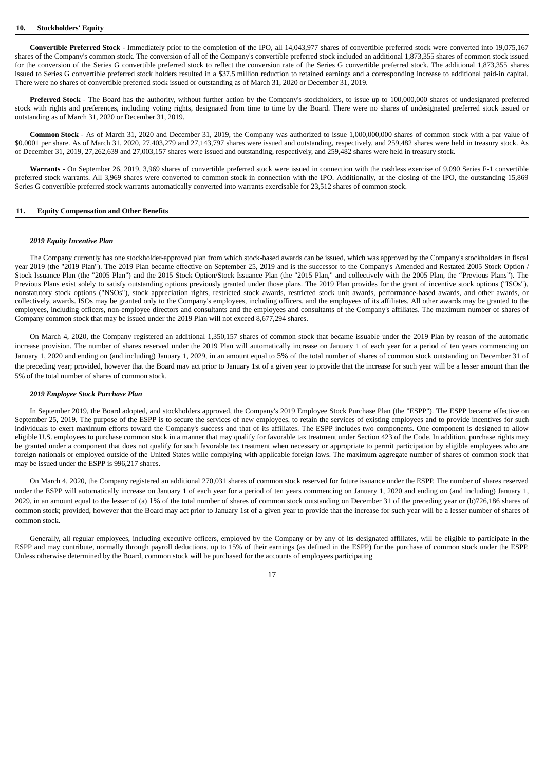#### **10. Stockholders' Equity**

**Convertible Preferred Stock -** Immediately prior to the completion of the IPO, all 14,043,977 shares of convertible preferred stock were converted into 19,075,167 shares of the Company's common stock. The conversion of all of the Company's convertible preferred stock included an additional 1,873,355 shares of common stock issued for the conversion of the Series G convertible preferred stock to reflect the conversion rate of the Series G convertible preferred stock. The additional 1,873,355 shares issued to Series G convertible preferred stock holders resulted in a \$37.5 million reduction to retained earnings and a corresponding increase to additional paid-in capital. There were no shares of convertible preferred stock issued or outstanding as of March 31, 2020 or December 31, 2019.

**Preferred Stock** - The Board has the authority, without further action by the Company's stockholders, to issue up to 100,000,000 shares of undesignated preferred stock with rights and preferences, including voting rights, designated from time to time by the Board. There were no shares of undesignated preferred stock issued or outstanding as of March 31, 2020 or December 31, 2019.

**Common Stock** - As of March 31, 2020 and December 31, 2019, the Company was authorized to issue 1,000,000,000 shares of common stock with a par value of \$0.0001 per share. As of March 31, 2020, 27,403,279 and 27,143,797 shares were issued and outstanding, respectively, and 259,482 shares were held in treasury stock. As of December 31, 2019, 27,262,639 and 27,003,157 shares were issued and outstanding, respectively, and 259,482 shares were held in treasury stock.

**Warrants** - On September 26, 2019, 3,969 shares of convertible preferred stock were issued in connection with the cashless exercise of 9,090 Series F-1 convertible preferred stock warrants. All 3,969 shares were converted to common stock in connection with the IPO. Additionally, at the closing of the IPO, the outstanding 15,869 Series G convertible preferred stock warrants automatically converted into warrants exercisable for 23,512 shares of common stock.

### **11. Equity Compensation and Other Benefits**

#### *2019 Equity Incentive Plan*

The Company currently has one stockholder-approved plan from which stock-based awards can be issued, which was approved by the Company's stockholders in fiscal year 2019 (the "2019 Plan"). The 2019 Plan became effective on September 25, 2019 and is the successor to the Company's Amended and Restated 2005 Stock Option / Stock Issuance Plan (the "2005 Plan") and the 2015 Stock Option/Stock Issuance Plan (the "2015 Plan," and collectively with the 2005 Plan, the "Previous Plans"). The Previous Plans exist solely to satisfy outstanding options previously granted under those plans. The 2019 Plan provides for the grant of incentive stock options ("ISOs"), nonstatutory stock options ("NSOs"), stock appreciation rights, restricted stock awards, restricted stock unit awards, performance-based awards, and other awards, or collectively, awards. ISOs may be granted only to the Company's employees, including officers, and the employees of its affiliates. All other awards may be granted to the employees, including officers, non-employee directors and consultants and the employees and consultants of the Company's affiliates. The maximum number of shares of Company common stock that may be issued under the 2019 Plan will not exceed 8,677,294 shares.

On March 4, 2020, the Company registered an additional 1,350,157 shares of common stock that became issuable under the 2019 Plan by reason of the automatic increase provision. The number of shares reserved under the 2019 Plan will automatically increase on January 1 of each year for a period of ten years commencing on January 1, 2020 and ending on (and including) January 1, 2029, in an amount equal to 5% of the total number of shares of common stock outstanding on December 31 of the preceding year; provided, however that the Board may act prior to January 1st of a given year to provide that the increase for such year will be a lesser amount than the 5% of the total number of shares of common stock.

# *2019 Employee Stock Purchase Plan*

In September 2019, the Board adopted, and stockholders approved, the Company's 2019 Employee Stock Purchase Plan (the "ESPP"). The ESPP became effective on September 25, 2019. The purpose of the ESPP is to secure the services of new employees, to retain the services of existing employees and to provide incentives for such individuals to exert maximum efforts toward the Company's success and that of its affiliates. The ESPP includes two components. One component is designed to allow eligible U.S. employees to purchase common stock in a manner that may qualify for favorable tax treatment under Section 423 of the Code. In addition, purchase rights may be granted under a component that does not qualify for such favorable tax treatment when necessary or appropriate to permit participation by eligible employees who are foreign nationals or employed outside of the United States while complying with applicable foreign laws. The maximum aggregate number of shares of common stock that may be issued under the ESPP is 996,217 shares.

On March 4, 2020, the Company registered an additional 270,031 shares of common stock reserved for future issuance under the ESPP. The number of shares reserved under the ESPP will automatically increase on January 1 of each year for a period of ten years commencing on January 1, 2020 and ending on (and including) January 1, 2029, in an amount equal to the lesser of (a) 1% of the total number of shares of common stock outstanding on December 31 of the preceding year or (b)726,186 shares of common stock; provided, however that the Board may act prior to January 1st of a given year to provide that the increase for such year will be a lesser number of shares of common stock.

Generally, all regular employees, including executive officers, employed by the Company or by any of its designated affiliates, will be eligible to participate in the ESPP and may contribute, normally through payroll deductions, up to 15% of their earnings (as defined in the ESPP) for the purchase of common stock under the ESPP. Unless otherwise determined by the Board, common stock will be purchased for the accounts of employees participating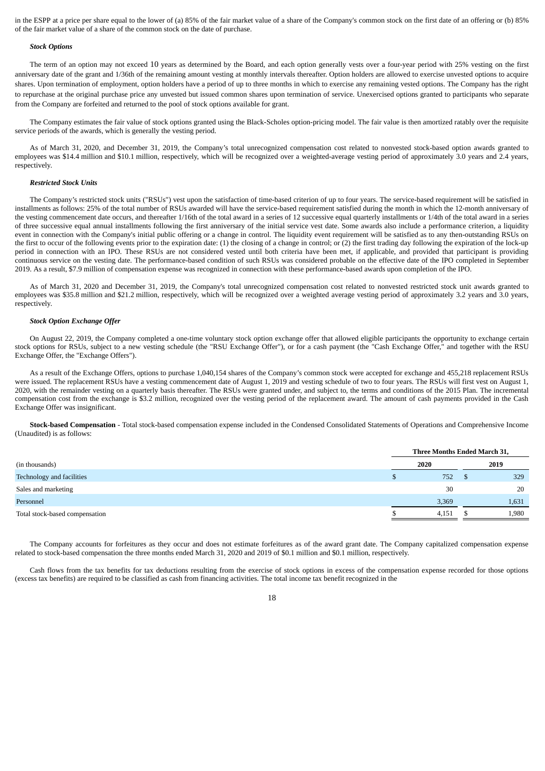in the ESPP at a price per share equal to the lower of (a) 85% of the fair market value of a share of the Company's common stock on the first date of an offering or (b) 85% of the fair market value of a share of the common stock on the date of purchase.

### *Stock Options*

The term of an option may not exceed 10 years as determined by the Board, and each option generally vests over a four-year period with 25% vesting on the first anniversary date of the grant and 1/36th of the remaining amount vesting at monthly intervals thereafter. Option holders are allowed to exercise unvested options to acquire shares. Upon termination of employment, option holders have a period of up to three months in which to exercise any remaining vested options. The Company has the right to repurchase at the original purchase price any unvested but issued common shares upon termination of service. Unexercised options granted to participants who separate from the Company are forfeited and returned to the pool of stock options available for grant.

The Company estimates the fair value of stock options granted using the Black-Scholes option-pricing model. The fair value is then amortized ratably over the requisite service periods of the awards, which is generally the vesting period.

As of March 31, 2020, and December 31, 2019, the Company's total unrecognized compensation cost related to nonvested stock-based option awards granted to employees was \$14.4 million and \$10.1 million, respectively, which will be recognized over a weighted-average vesting period of approximately 3.0 years and 2.4 years, respectively.

## *Restricted Stock Units*

The Company's restricted stock units ("RSUs") vest upon the satisfaction of time-based criterion of up to four years. The service-based requirement will be satisfied in installments as follows: 25% of the total number of RSUs awarded will have the service-based requirement satisfied during the month in which the 12-month anniversary of the vesting commencement date occurs, and thereafter 1/16th of the total award in a series of 12 successive equal quarterly installments or 1/4th of the total award in a series of three successive equal annual installments following the first anniversary of the initial service vest date. Some awards also include a performance criterion, a liquidity event in connection with the Company's initial public offering or a change in control. The liquidity event requirement will be satisfied as to any then-outstanding RSUs on the first to occur of the following events prior to the expiration date: (1) the closing of a change in control; or (2) the first trading day following the expiration of the lock-up period in connection with an IPO. These RSUs are not considered vested until both criteria have been met, if applicable, and provided that participant is providing continuous service on the vesting date. The performance-based condition of such RSUs was considered probable on the effective date of the IPO completed in September 2019. As a result, \$7.9 million of compensation expense was recognized in connection with these performance-based awards upon completion of the IPO.

As of March 31, 2020 and December 31, 2019, the Company's total unrecognized compensation cost related to nonvested restricted stock unit awards granted to employees was \$35.8 million and \$21.2 million, respectively, which will be recognized over a weighted average vesting period of approximately 3.2 years and 3.0 years, respectively.

### *Stock Option Exchange Offer*

On August 22, 2019, the Company completed a one-time voluntary stock option exchange offer that allowed eligible participants the opportunity to exchange certain stock options for RSUs, subject to a new vesting schedule (the "RSU Exchange Offer"), or for a cash payment (the "Cash Exchange Offer," and together with the RSU Exchange Offer, the "Exchange Offers").

As a result of the Exchange Offers, options to purchase 1,040,154 shares of the Company's common stock were accepted for exchange and 455,218 replacement RSUs were issued. The replacement RSUs have a vesting commencement date of August 1, 2019 and vesting schedule of two to four years. The RSUs will first vest on August 1, 2020, with the remainder vesting on a quarterly basis thereafter. The RSUs were granted under, and subject to, the terms and conditions of the 2015 Plan. The incremental compensation cost from the exchange is \$3.2 million, recognized over the vesting period of the replacement award. The amount of cash payments provided in the Cash Exchange Offer was insignificant.

**Stock-based Compensation** - Total stock-based compensation expense included in the Condensed Consolidated Statements of Operations and Comprehensive Income (Unaudited) is as follows:

|                                | Three Months Ended March 31, |  |       |  |  |  |  |
|--------------------------------|------------------------------|--|-------|--|--|--|--|
| (in thousands)                 | 2020                         |  | 2019  |  |  |  |  |
| Technology and facilities      | 752                          |  | 329   |  |  |  |  |
| Sales and marketing            | 30                           |  | 20    |  |  |  |  |
| Personnel                      | 3,369                        |  | 1,631 |  |  |  |  |
| Total stock-based compensation | 4,151                        |  | 1,980 |  |  |  |  |
|                                |                              |  |       |  |  |  |  |

The Company accounts for forfeitures as they occur and does not estimate forfeitures as of the award grant date. The Company capitalized compensation expense related to stock-based compensation the three months ended March 31, 2020 and 2019 of \$0.1 million and \$0.1 million, respectively.

Cash flows from the tax benefits for tax deductions resulting from the exercise of stock options in excess of the compensation expense recorded for those options (excess tax benefits) are required to be classified as cash from financing activities. The total income tax benefit recognized in the

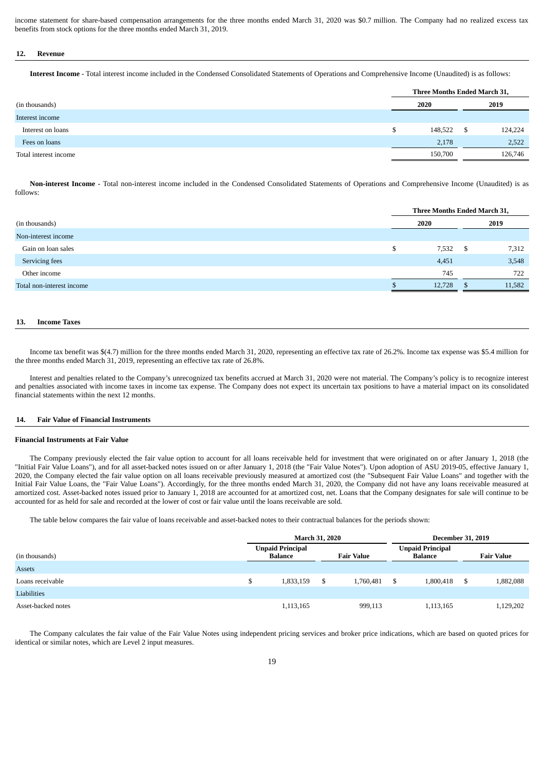income statement for share-based compensation arrangements for the three months ended March 31, 2020 was \$0.7 million. The Company had no realized excess tax benefits from stock options for the three months ended March 31, 2019.

# **12. Revenue**

**Interest Income** - Total interest income included in the Condensed Consolidated Statements of Operations and Comprehensive Income (Unaudited) is as follows:

|                       | Three Months Ended March 31, |         |    |         |
|-----------------------|------------------------------|---------|----|---------|
| (in thousands)        | 2020                         |         |    | 2019    |
| Interest income       |                              |         |    |         |
| Interest on loans     |                              | 148,522 | -S | 124,224 |
| Fees on loans         |                              | 2,178   |    | 2,522   |
| Total interest income |                              | 150,700 |    | 126,746 |

**Non-interest Income** - Total non-interest income included in the Condensed Consolidated Statements of Operations and Comprehensive Income (Unaudited) is as follows:

|                           |  |        | Three Months Ended March 31, |        |  |
|---------------------------|--|--------|------------------------------|--------|--|
| (in thousands)            |  | 2020   |                              | 2019   |  |
| Non-interest income       |  |        |                              |        |  |
| Gain on loan sales        |  | 7,532  | - S                          | 7,312  |  |
| Servicing fees            |  | 4,451  |                              | 3,548  |  |
| Other income              |  | 745    |                              | 722    |  |
| Total non-interest income |  | 12,728 | -8                           | 11,582 |  |
|                           |  |        |                              |        |  |

# **13. Income Taxes**

Income tax benefit was \$(4.7) million for the three months ended March 31, 2020, representing an effective tax rate of 26.2%. Income tax expense was \$5.4 million for the three months ended March 31, 2019, representing an effective tax rate of 26.8%.

Interest and penalties related to the Company's unrecognized tax benefits accrued at March 31, 2020 were not material. The Company's policy is to recognize interest and penalties associated with income taxes in income tax expense. The Company does not expect its uncertain tax positions to have a material impact on its consolidated financial statements within the next 12 months.

# **14. Fair Value of Financial Instruments**

#### **Financial Instruments at Fair Value**

The Company previously elected the fair value option to account for all loans receivable held for investment that were originated on or after January 1, 2018 (the "Initial Fair Value Loans"), and for all asset-backed notes issued on or after January 1, 2018 (the "Fair Value Notes"). Upon adoption of ASU 2019-05, effective January 1, 2020, the Company elected the fair value option on all loans receivable previously measured at amortized cost (the "Subsequent Fair Value Loans" and together with the Initial Fair Value Loans, the "Fair Value Loans"). Accordingly, for the three months ended March 31, 2020, the Company did not have any loans receivable measured at amortized cost. Asset-backed notes issued prior to January 1, 2018 are accounted for at amortized cost, net. Loans that the Company designates for sale will continue to be accounted for as held for sale and recorded at the lower of cost or fair value until the loans receivable are sold.

The table below compares the fair value of loans receivable and asset-backed notes to their contractual balances for the periods shown:

|                    | <b>March 31, 2020</b> |                                    |   |                   |   | <b>December 31, 2019</b>           |    |                   |  |
|--------------------|-----------------------|------------------------------------|---|-------------------|---|------------------------------------|----|-------------------|--|
| (in thousands)     |                       | <b>Unpaid Principal</b><br>Balance |   | <b>Fair Value</b> |   | <b>Unpaid Principal</b><br>Balance |    | <b>Fair Value</b> |  |
| Assets             |                       |                                    |   |                   |   |                                    |    |                   |  |
| Loans receivable   | \$                    | 1,833,159                          | S | 1,760,481         | S | 1,800,418                          | -S | 1,882,088         |  |
| Liabilities        |                       |                                    |   |                   |   |                                    |    |                   |  |
| Asset-backed notes |                       | 1,113,165                          |   | 999,113           |   | 1,113,165                          |    | 1,129,202         |  |

The Company calculates the fair value of the Fair Value Notes using independent pricing services and broker price indications, which are based on quoted prices for identical or similar notes, which are Level 2 input measures.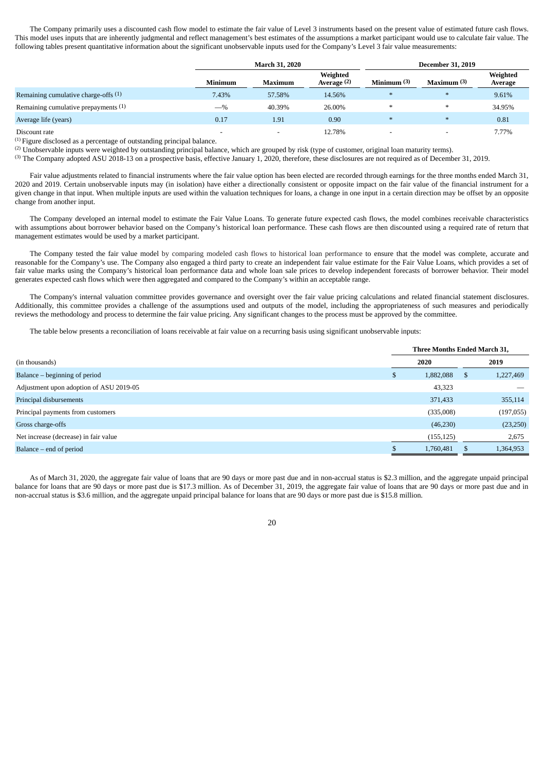The Company primarily uses a discounted cash flow model to estimate the fair value of Level 3 instruments based on the present value of estimated future cash flows. This model uses inputs that are inherently judgmental and reflect management's best estimates of the assumptions a market participant would use to calculate fair value. The following tables present quantitative information about the significant unobservable inputs used for the Company's Level 3 fair value measurements:

|                                        |                | <b>March 31, 2020</b>    |                         | <b>December 31, 2019</b> |             |                     |  |
|----------------------------------------|----------------|--------------------------|-------------------------|--------------------------|-------------|---------------------|--|
|                                        | <b>Minimum</b> | Maximum                  | Weighted<br>Average (2) | Minimum $(3)$            | Maximum (3) | Weighted<br>Average |  |
| Remaining cumulative charge-offs $(1)$ | 7.43%          | 57.58%                   | 14.56%                  | $*$                      | $*$         | 9.61%               |  |
| Remaining cumulative prepayments (1)   | $-$ %          | 40.39%                   | 26.00%                  | $*$                      | $\ast$      | 34.95%              |  |
| Average life (years)                   | 0.17           | 1.91                     | 0.90                    | $*$                      | $\ast$      | 0.81                |  |
| Discount rate                          | -              | $\overline{\phantom{0}}$ | 12.78%                  | -                        | -           | 7.77%               |  |

(1) Figure disclosed as a percentage of outstanding principal balance.

<sup>(2)</sup> Unobservable inputs were weighted by outstanding principal balance, which are grouped by risk (type of customer, original loan maturity terms).

(3) The Company adopted ASU 2018-13 on a prospective basis, effective January 1, 2020, therefore, these disclosures are not required as of December 31, 2019.

Fair value adjustments related to financial instruments where the fair value option has been elected are recorded through earnings for the three months ended March 31, 2020 and 2019. Certain unobservable inputs may (in isolation) have either a directionally consistent or opposite impact on the fair value of the financial instrument for a given change in that input. When multiple inputs are used within the valuation techniques for loans, a change in one input in a certain direction may be offset by an opposite change from another input.

The Company developed an internal model to estimate the Fair Value Loans. To generate future expected cash flows, the model combines receivable characteristics with assumptions about borrower behavior based on the Company's historical loan performance. These cash flows are then discounted using a required rate of return that management estimates would be used by a market participant.

The Company tested the fair value model by comparing modeled cash flows to historical loan performance to ensure that the model was complete, accurate and reasonable for the Company's use. The Company also engaged a third party to create an independent fair value estimate for the Fair Value Loans, which provides a set of fair value marks using the Company's historical loan performance data and whole loan sale prices to develop independent forecasts of borrower behavior. Their model generates expected cash flows which were then aggregated and compared to the Company's within an acceptable range.

The Company's internal valuation committee provides governance and oversight over the fair value pricing calculations and related financial statement disclosures. Additionally, this committee provides a challenge of the assumptions used and outputs of the model, including the appropriateness of such measures and periodically reviews the methodology and process to determine the fair value pricing. Any significant changes to the process must be approved by the committee.

The table below presents a reconciliation of loans receivable at fair value on a recurring basis using significant unobservable inputs:

|                                         | Three Months Ended March 31, |            |               |           |  |
|-----------------------------------------|------------------------------|------------|---------------|-----------|--|
| (in thousands)                          |                              | 2020       |               | 2019      |  |
| Balance – beginning of period           |                              | 1,882,088  | <sup>\$</sup> | 1,227,469 |  |
| Adjustment upon adoption of ASU 2019-05 |                              | 43,323     |               |           |  |
| Principal disbursements                 |                              | 371,433    |               | 355,114   |  |
| Principal payments from customers       |                              | (335,008)  |               | (197,055) |  |
| Gross charge-offs                       |                              | (46, 230)  |               | (23,250)  |  |
| Net increase (decrease) in fair value   |                              | (155, 125) |               | 2,675     |  |
| Balance – end of period                 |                              | 1,760,481  | -S            | 1,364,953 |  |

As of March 31, 2020, the aggregate fair value of loans that are 90 days or more past due and in non-accrual status is \$2.3 million, and the aggregate unpaid principal balance for loans that are 90 days or more past due is \$17.3 million. As of December 31, 2019, the aggregate fair value of loans that are 90 days or more past due and in non-accrual status is \$3.6 million, and the aggregate unpaid principal balance for loans that are 90 days or more past due is \$15.8 million.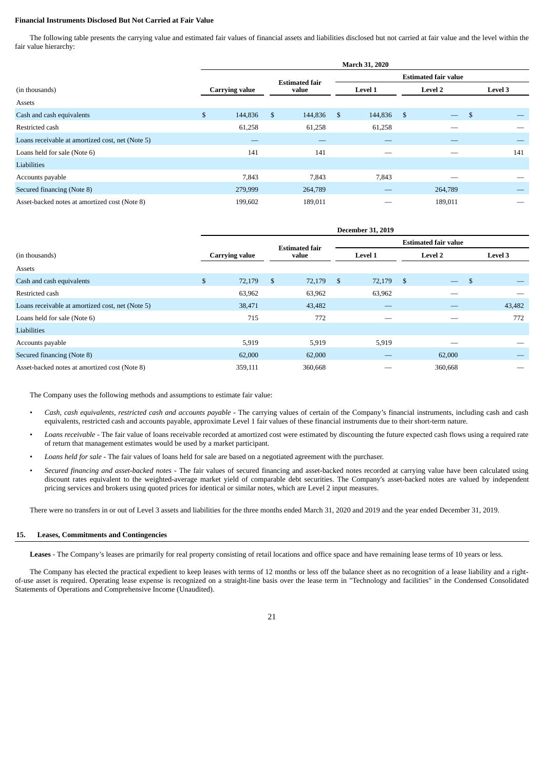### **Financial Instruments Disclosed But Not Carried at Fair Value**

The following table presents the carrying value and estimated fair values of financial assets and liabilities disclosed but not carried at fair value and the level within the fair value hierarchy:

|                                                  | March 31, 2020        |                       |         |               |                             |      |                          |    |         |  |  |
|--------------------------------------------------|-----------------------|-----------------------|---------|---------------|-----------------------------|------|--------------------------|----|---------|--|--|
|                                                  |                       | <b>Estimated fair</b> |         |               | <b>Estimated fair value</b> |      |                          |    |         |  |  |
| (in thousands)                                   | <b>Carrying value</b> |                       | value   |               | <b>Level 1</b>              |      | <b>Level 2</b>           |    | Level 3 |  |  |
| Assets                                           |                       |                       |         |               |                             |      |                          |    |         |  |  |
| Cash and cash equivalents                        | \$<br>144,836         | \$                    | 144,836 | <sup>\$</sup> | 144,836                     | - \$ | $\overline{\phantom{0}}$ | \$ |         |  |  |
| Restricted cash                                  | 61,258                |                       | 61,258  |               | 61,258                      |      |                          |    |         |  |  |
| Loans receivable at amortized cost, net (Note 5) |                       |                       |         |               |                             |      |                          |    |         |  |  |
| Loans held for sale (Note 6)                     | 141                   |                       | 141     |               |                             |      |                          |    | 141     |  |  |
| Liabilities                                      |                       |                       |         |               |                             |      |                          |    |         |  |  |
| Accounts payable                                 | 7,843                 |                       | 7,843   |               | 7,843                       |      |                          |    |         |  |  |
| Secured financing (Note 8)                       | 279,999               |                       | 264,789 |               |                             |      | 264,789                  |    |         |  |  |
| Asset-backed notes at amortized cost (Note 8)    | 199,602               |                       | 189,011 |               |                             |      | 189,011                  |    |         |  |  |

|                                                  | <b>December 31, 2019</b> |         |                       |         |                             |        |         |                          |              |         |  |
|--------------------------------------------------|--------------------------|---------|-----------------------|---------|-----------------------------|--------|---------|--------------------------|--------------|---------|--|
|                                                  |                          |         | <b>Estimated fair</b> |         | <b>Estimated fair value</b> |        |         |                          |              |         |  |
| (in thousands)                                   | <b>Carrying value</b>    |         | value                 |         | Level 1                     |        | Level 2 |                          |              | Level 3 |  |
| Assets                                           |                          |         |                       |         |                             |        |         |                          |              |         |  |
| Cash and cash equivalents                        | $\mathbb{S}$             | 72,179  | \$                    | 72,179  | -\$                         | 72,179 | - \$    | $\overline{\phantom{a}}$ | $\mathbf{s}$ |         |  |
| Restricted cash                                  |                          | 63,962  |                       | 63,962  |                             | 63,962 |         |                          |              |         |  |
| Loans receivable at amortized cost, net (Note 5) |                          | 38,471  |                       | 43,482  |                             |        |         |                          |              | 43,482  |  |
| Loans held for sale (Note 6)                     |                          | 715     |                       | 772     |                             |        |         |                          |              | 772     |  |
| Liabilities                                      |                          |         |                       |         |                             |        |         |                          |              |         |  |
| Accounts payable                                 |                          | 5,919   |                       | 5,919   |                             | 5,919  |         |                          |              |         |  |
| Secured financing (Note 8)                       |                          | 62,000  |                       | 62,000  |                             |        |         | 62,000                   |              |         |  |
| Asset-backed notes at amortized cost (Note 8)    |                          | 359,111 |                       | 360,668 |                             |        |         | 360,668                  |              |         |  |

The Company uses the following methods and assumptions to estimate fair value:

- Cash, cash equivalents, restricted cash and accounts payable The carrying values of certain of the Company's financial instruments, including cash and cash equivalents, restricted cash and accounts payable, approximate Level 1 fair values of these financial instruments due to their short-term nature.
- *Loans receivable ‑* The fair value of loans receivable recorded at amortized cost were estimated by discounting the future expected cash flows using a required rate of return that management estimates would be used by a market participant.
- *Loans held for sale ‑* The fair values of loans held for sale are based on a negotiated agreement with the purchaser.
- *Secured financing and asset-backed notes ‑* The fair values of secured financing and asset-backed notes recorded at carrying value have been calculated using discount rates equivalent to the weighted-average market yield of comparable debt securities. The Company's asset-backed notes are valued by independent pricing services and brokers using quoted prices for identical or similar notes, which are Level 2 input measures.

There were no transfers in or out of Level 3 assets and liabilities for the three months ended March 31, 2020 and 2019 and the year ended December 31, 2019.

# **15. Leases, Commitments and Contingencies**

**Leases** - The Company's leases are primarily for real property consisting of retail locations and office space and have remaining lease terms of 10 years or less.

The Company has elected the practical expedient to keep leases with terms of 12 months or less off the balance sheet as no recognition of a lease liability and a rightof-use asset is required. Operating lease expense is recognized on a straight-line basis over the lease term in "Technology and facilities" in the Condensed Consolidated Statements of Operations and Comprehensive Income (Unaudited).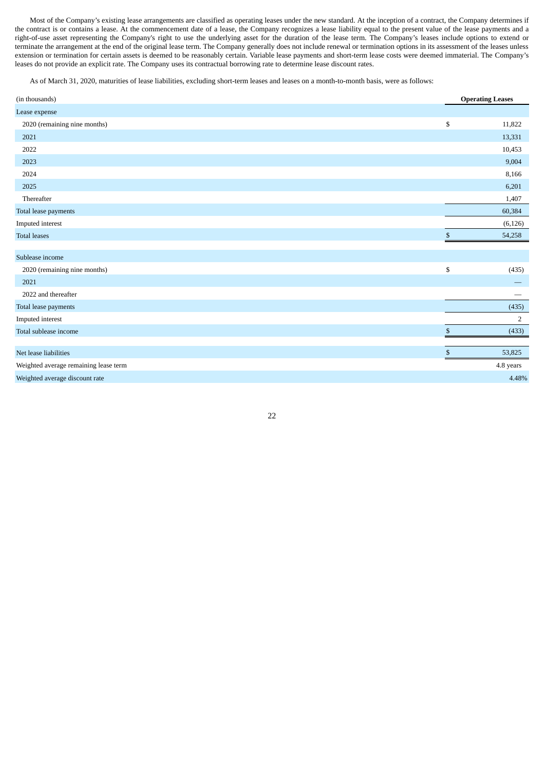Most of the Company's existing lease arrangements are classified as operating leases under the new standard. At the inception of a contract, the Company determines if the contract is or contains a lease. At the commencement date of a lease, the Company recognizes a lease liability equal to the present value of the lease payments and a right-of-use asset representing the Company's right to use the underlying asset for the duration of the lease term. The Company's leases include options to extend or terminate the arrangement at the end of the original lease term. The Company generally does not include renewal or termination options in its assessment of the leases unless extension or termination for certain assets is deemed to be reasonably certain. Variable lease payments and short-term lease costs were deemed immaterial. The Company's leases do not provide an explicit rate. The Company uses its contractual borrowing rate to determine lease discount rates.

As of March 31, 2020, maturities of lease liabilities, excluding short-term leases and leases on a month-to-month basis, were as follows:

| (in thousands)                        |              | <b>Operating Leases</b> |
|---------------------------------------|--------------|-------------------------|
| Lease expense                         |              |                         |
| 2020 (remaining nine months)          | \$           | 11,822                  |
| 2021                                  |              | 13,331                  |
| 2022                                  |              | 10,453                  |
| 2023                                  |              | 9,004                   |
| 2024                                  |              | 8,166                   |
| 2025                                  |              | 6,201                   |
| Thereafter                            |              | 1,407                   |
| Total lease payments                  |              | 60,384                  |
| Imputed interest                      |              | (6, 126)                |
| <b>Total leases</b>                   | $\mathbb{S}$ | 54,258                  |
|                                       |              |                         |
| Sublease income                       |              |                         |
| 2020 (remaining nine months)          | \$           | (435)                   |
| 2021                                  |              |                         |
| 2022 and thereafter                   |              |                         |
| Total lease payments                  |              | (435)                   |
| Imputed interest                      |              | 2                       |
| Total sublease income                 | $\mathbb{S}$ | (433)                   |
|                                       |              |                         |
| Net lease liabilities                 | \$           | 53,825                  |
| Weighted average remaining lease term |              | 4.8 years               |
| Weighted average discount rate        |              | 4.48%                   |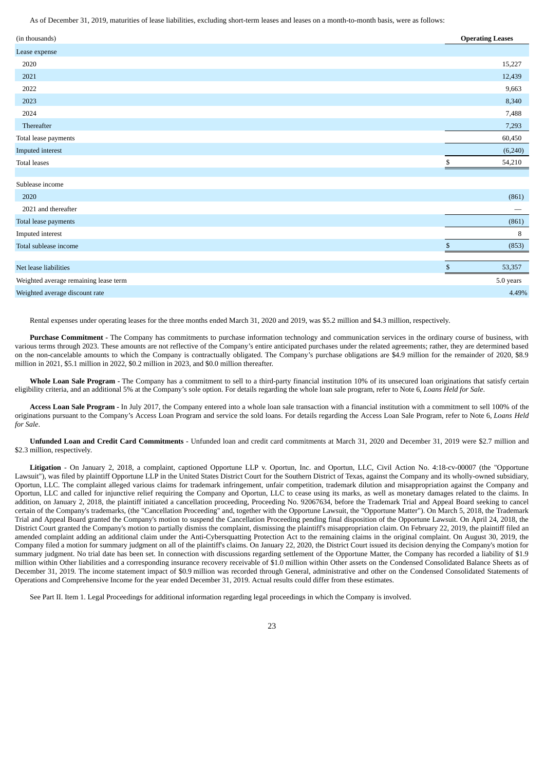As of December 31, 2019, maturities of lease liabilities, excluding short-term leases and leases on a month-to-month basis, were as follows:

| (in thousands)                        |                | <b>Operating Leases</b> |
|---------------------------------------|----------------|-------------------------|
| Lease expense                         |                |                         |
| 2020                                  |                | 15,227                  |
| 2021                                  |                | 12,439                  |
| 2022                                  |                | 9,663                   |
| 2023                                  |                | 8,340                   |
| 2024                                  |                | 7,488                   |
| Thereafter                            |                | 7,293                   |
| Total lease payments                  |                | 60,450                  |
| Imputed interest                      |                | (6, 240)                |
| <b>Total leases</b>                   | \$             | 54,210                  |
|                                       |                |                         |
| Sublease income                       |                |                         |
| 2020                                  |                | (861)                   |
| 2021 and thereafter                   |                | -                       |
| Total lease payments                  |                | (861)                   |
| Imputed interest                      |                | 8                       |
| Total sublease income                 | $\mathbb{S}$   | (853)                   |
|                                       |                |                         |
| Net lease liabilities                 | $$\mathbb{S}$$ | 53,357                  |
| Weighted average remaining lease term |                | 5.0 years               |
| Weighted average discount rate        |                | 4.49%                   |

Rental expenses under operating leases for the three months ended March 31, 2020 and 2019, was \$5.2 million and \$4.3 million, respectively.

Purchase Commitment - The Company has commitments to purchase information technology and communication services in the ordinary course of business, with various terms through 2023. These amounts are not reflective of the Company's entire anticipated purchases under the related agreements; rather, they are determined based on the non-cancelable amounts to which the Company is contractually obligated. The Company's purchase obligations are \$4.9 million for the remainder of 2020, \$8.9 million in 2021, \$5.1 million in 2022, \$0.2 million in 2023, and \$0.0 million thereafter.

Whole Loan Sale Program - The Company has a commitment to sell to a third-party financial institution 10% of its unsecured loan originations that satisfy certain eligibility criteria, and an additional 5% at the Company's sole option. For details regarding the whole loan sale program, refer to Note 6, *Loans Held for Sale*.

**Access Loan Sale Program** *‑* In July 2017, the Company entered into a whole loan sale transaction with a financial institution with a commitment to sell 100% of the originations pursuant to the Company's Access Loan Program and service the sold loans. For details regarding the Access Loan Sale Program, refer to Note 6, *Loans Held for Sale*.

**Unfunded Loan and Credit Card Commitments** - Unfunded loan and credit card commitments at March 31, 2020 and December 31, 2019 were \$2.7 million and \$2.3 million, respectively.

**Litigation** - On January 2, 2018, a complaint, captioned Opportune LLP v. Oportun, Inc. and Oportun, LLC, Civil Action No. 4:18-cv-00007 (the "Opportune Lawsuit"), was filed by plaintiff Opportune LLP in the United States District Court for the Southern District of Texas, against the Company and its wholly-owned subsidiary, Oportun, LLC. The complaint alleged various claims for trademark infringement, unfair competition, trademark dilution and misappropriation against the Company and Oportun, LLC and called for injunctive relief requiring the Company and Oportun, LLC to cease using its marks, as well as monetary damages related to the claims. In addition, on January 2, 2018, the plaintiff initiated a cancellation proceeding, Proceeding No. 92067634, before the Trademark Trial and Appeal Board seeking to cancel certain of the Company's trademarks, (the "Cancellation Proceeding" and, together with the Opportune Lawsuit, the "Opportune Matter"). On March 5, 2018, the Trademark Trial and Appeal Board granted the Company's motion to suspend the Cancellation Proceeding pending final disposition of the Opportune Lawsuit. On April 24, 2018, the District Court granted the Company's motion to partially dismiss the complaint, dismissing the plaintiff's misappropriation claim. On February 22, 2019, the plaintiff filed an amended complaint adding an additional claim under the Anti-Cybersquatting Protection Act to the remaining claims in the original complaint. On August 30, 2019, the Company filed a motion for summary judgment on all of the plaintiff's claims. On January 22, 2020, the District Court issued its decision denying the Company's motion for summary judgment. No trial date has been set. In connection with discussions regarding settlement of the Opportune Matter, the Company has recorded a liability of \$1.9 million within Other liabilities and a corresponding insurance recovery receivable of \$1.0 million within Other assets on the Condensed Consolidated Balance Sheets as of December 31, 2019. The income statement impact of \$0.9 million was recorded through General, administrative and other on the Condensed Consolidated Statements of Operations and Comprehensive Income for the year ended December 31, 2019. Actual results could differ from these estimates.

See Part II. Item 1. Legal Proceedings for additional information regarding legal proceedings in which the Company is involved.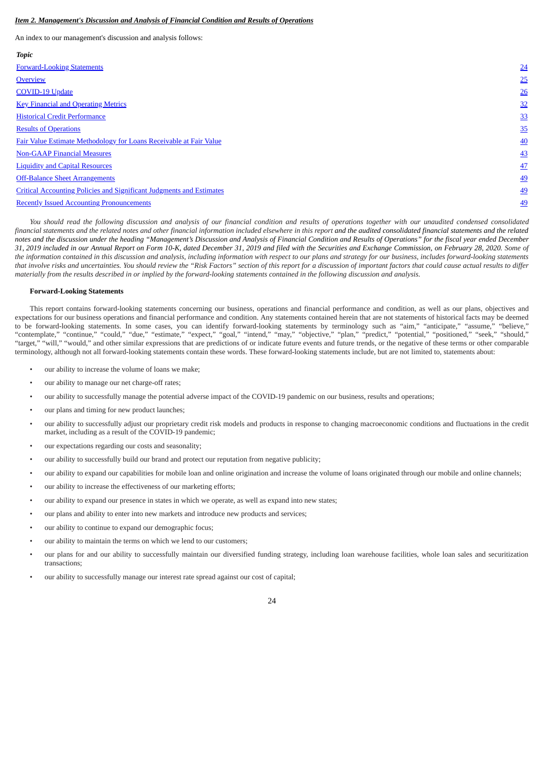### <span id="page-23-0"></span>*Item 2. Management's Discussion and Analysis of Financial Condition and Results of Operations*

An index to our management's discussion and analysis follows:

| <b>Topic</b>                                                         |                 |
|----------------------------------------------------------------------|-----------------|
| <b>Forward-Looking Statements</b>                                    | 24              |
| Overview                                                             | 25              |
| <b>COVID-19 Update</b>                                               | 26              |
| <b>Key Financial and Operating Metrics</b>                           | 32              |
| <b>Historical Credit Performance</b>                                 | 33              |
| <b>Results of Operations</b>                                         | 35              |
| Fair Value Estimate Methodology for Loans Receivable at Fair Value   | $\overline{40}$ |
| <b>Non-GAAP Financial Measures</b>                                   | 43              |
| <b>Liquidity and Capital Resources</b>                               | 47              |
| <b>Off-Balance Sheet Arrangements</b>                                | <u>49</u>       |
| Critical Accounting Policies and Significant Judgments and Estimates | <u>49</u>       |
| <b>Recently Issued Accounting Pronouncements</b>                     | <u>49</u>       |
|                                                                      |                 |

*You should read the following discussion and analysis of our financial condition and results of operations together with our unaudited condensed consolidated* financial statements and the related notes and other financial information included elsewhere in this report and the audited consolidated financial statements and the related *notes and the discussion under the heading "Management's Discussion and Analysis of Financial Condition and Results of Operations" for the fiscal year ended December 31, 2019 included in our Annual Report on Form 10-K, dated December 31, 2019 and filed with the Securities and Exchange Commission, on February 28, 2020. Some of the information contained in this discussion and analysis, including information with respect to our plans and strategy for our business, includes forward-looking statements that involve risks and uncertainties. You should review the "Risk Factors" section of this report for a discussion of important factors that could cause actual results to differ materially from the results described in or implied by the forward-looking statements contained in the following discussion and analysis.*

### <span id="page-23-1"></span>**Forward-Looking Statements**

This report contains forward-looking statements concerning our business, operations and financial performance and condition, as well as our plans, objectives and expectations for our business operations and financial performance and condition. Any statements contained herein that are not statements of historical facts may be deemed to be forward-looking statements. In some cases, you can identify forward-looking statements by terminology such as "aim," "anticipate," "assume," "believe," "contemplate," "continue," "could," "due," "estimate," "expect," "goal," "intend," "may," "objective," "plan," "predict," "potential," "positioned," "seek," "should," "target," "will," "would," and other similar expressions that are predictions of or indicate future events and future trends, or the negative of these terms or other comparable terminology, although not all forward-looking statements contain these words. These forward-looking statements include, but are not limited to, statements about:

- our ability to increase the volume of loans we make;
- our ability to manage our net charge-off rates;
- our ability to successfully manage the potential adverse impact of the COVID-19 pandemic on our business, results and operations;
- our plans and timing for new product launches;
- our ability to successfully adjust our proprietary credit risk models and products in response to changing macroeconomic conditions and fluctuations in the credit market, including as a result of the COVID-19 pandemic;
- our expectations regarding our costs and seasonality;
- our ability to successfully build our brand and protect our reputation from negative publicity;
- our ability to expand our capabilities for mobile loan and online origination and increase the volume of loans originated through our mobile and online channels;
- our ability to increase the effectiveness of our marketing efforts;
- our ability to expand our presence in states in which we operate, as well as expand into new states;
- our plans and ability to enter into new markets and introduce new products and services;
- our ability to continue to expand our demographic focus;
- our ability to maintain the terms on which we lend to our customers;
- our plans for and our ability to successfully maintain our diversified funding strategy, including loan warehouse facilities, whole loan sales and securitization transactions;
- our ability to successfully manage our interest rate spread against our cost of capital;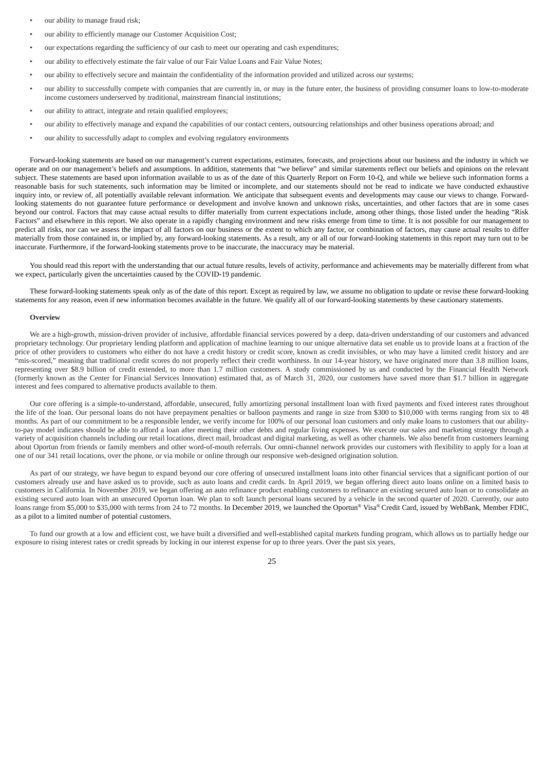- our ability to manage fraud risk;
- our ability to efficiently manage our Customer Acquisition Cost;
- our expectations regarding the sufficiency of our cash to meet our operating and cash expenditures;
- our ability to effectively estimate the fair value of our Fair Value Loans and Fair Value Notes;
- our ability to effectively secure and maintain the confidentiality of the information provided and utilized across our systems;
- our ability to successfully compete with companies that are currently in, or may in the future enter, the business of providing consumer loans to low-to-moderate income customers underserved by traditional, mainstream financial institutions;
- our ability to attract, integrate and retain qualified employees;
- our ability to effectively manage and expand the capabilities of our contact centers, outsourcing relationships and other business operations abroad; and
- our ability to successfully adapt to complex and evolving regulatory environments

Forward-looking statements are based on our management's current expectations, estimates, forecasts, and projections about our business and the industry in which we operate and on our management's beliefs and assumptions. In addition, statements that "we believe" and similar statements reflect our beliefs and opinions on the relevant subject. These statements are based upon information available to us as of the date of this Quarterly Report on Form 10-Q, and while we believe such information forms a reasonable basis for such statements, such information may be limited or incomplete, and our statements should not be read to indicate we have conducted exhaustive inquiry into, or review of, all potentially available relevant information. We anticipate that subsequent events and developments may cause our views to change. Forwardlooking statements do not guarantee future performance or development and involve known and unknown risks, uncertainties, and other factors that are in some cases beyond our control. Factors that may cause actual results to differ materially from current expectations include, among other things, those listed under the heading "Risk Factors" and elsewhere in this report. We also operate in a rapidly changing environment and new risks emerge from time to time. It is not possible for our management to predict all risks, nor can we assess the impact of all factors on our business or the extent to which any factor, or combination of factors, may cause actual results to differ materially from those contained in, or implied by, any forward-looking statements. As a result, any or all of our forward-looking statements in this report may turn out to be inaccurate. Furthermore, if the forward-looking statements prove to be inaccurate, the inaccuracy may be material.

You should read this report with the understanding that our actual future results, levels of activity, performance and achievements may be materially different from what we expect, particularly given the uncertainties caused by the COVID-19 pandemic.

These forward-looking statements speak only as of the date of this report. Except as required by law, we assume no obligation to update or revise these forward-looking statements for any reason, even if new information becomes available in the future. We qualify all of our forward-looking statements by these cautionary statements.

### <span id="page-24-0"></span>**Overview**

We are a high-growth, mission-driven provider of inclusive, affordable financial services powered by a deep, data-driven understanding of our customers and advanced proprietary technology. Our proprietary lending platform and application of machine learning to our unique alternative data set enable us to provide loans at a fraction of the price of other providers to customers who either do not have a credit history or credit score, known as credit invisibles, or who may have a limited credit history and are "mis-scored," meaning that traditional credit scores do not properly reflect their credit worthiness. In our 14-year history, we have originated more than 3.8 million loans, representing over \$8.9 billion of credit extended, to more than 1.7 million customers. A study commissioned by us and conducted by the Financial Health Network (formerly known as the Center for Financial Services Innovation) estimated that, as of March 31, 2020, our customers have saved more than \$1.7 billion in aggregate interest and fees compared to alternative products available to them.

Our core offering is a simple-to-understand, affordable, unsecured, fully amortizing personal installment loan with fixed payments and fixed interest rates throughout the life of the loan. Our personal loans do not have prepayment penalties or balloon payments and range in size from \$300 to \$10,000 with terms ranging from six to 48 months. As part of our commitment to be a responsible lender, we verify income for 100% of our personal loan customers and only make loans to customers that our abilityto-pay model indicates should be able to afford a loan after meeting their other debts and regular living expenses. We execute our sales and marketing strategy through a variety of acquisition channels including our retail locations, direct mail, broadcast and digital marketing, as well as other channels. We also benefit from customers learning about Oportun from friends or family members and other word-of-mouth referrals. Our omni-channel network provides our customers with flexibility to apply for a loan at one of our 341 retail locations, over the phone, or via mobile or online through our responsive web-designed origination solution.

As part of our strategy, we have begun to expand beyond our core offering of unsecured installment loans into other financial services that a significant portion of our customers already use and have asked us to provide, such as auto loans and credit cards. In April 2019, we began offering direct auto loans online on a limited basis to customers in California. In November 2019, we began offering an auto refinance product enabling customers to refinance an existing secured auto loan or to consolidate an existing secured auto loan with an unsecured Oportun loan. We plan to soft launch personal loans secured by a vehicle in the second quarter of 2020. Currently, our auto loans range from \$5,000 to \$35,000 with terms from 24 to 72 months. In December 2019, we launched the Oportun® Visa® Credit Card, issued by WebBank, Member FDIC, as a pilot to a limited number of potential customers.

To fund our growth at a low and efficient cost, we have built a diversified and well-established capital markets funding program, which allows us to partially hedge our exposure to rising interest rates or credit spreads by locking in our interest expense for up to three years. Over the past six years,

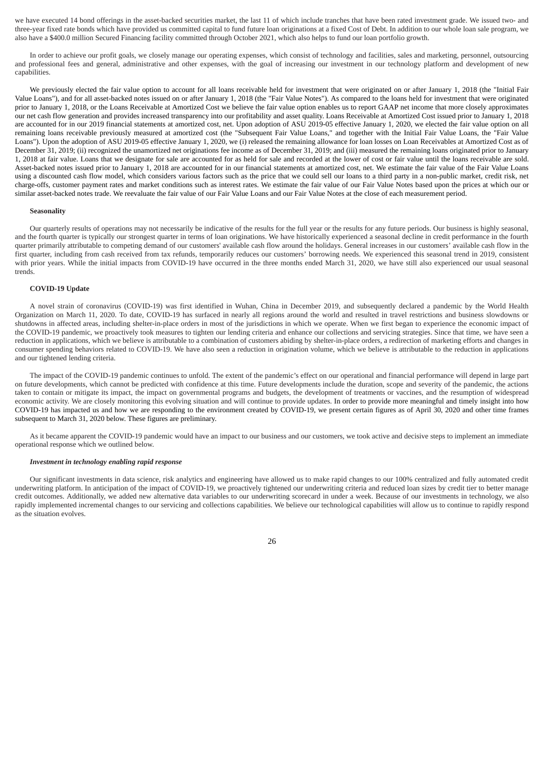we have executed 14 bond offerings in the asset-backed securities market, the last 11 of which include tranches that have been rated investment grade. We issued two- and three-year fixed rate bonds which have provided us committed capital to fund future loan originations at a fixed Cost of Debt. In addition to our whole loan sale program, we also have a \$400.0 million Secured Financing facility committed through October 2021, which also helps to fund our loan portfolio growth.

In order to achieve our profit goals, we closely manage our operating expenses, which consist of technology and facilities, sales and marketing, personnel, outsourcing and professional fees and general, administrative and other expenses, with the goal of increasing our investment in our technology platform and development of new capabilities.

We previously elected the fair value option to account for all loans receivable held for investment that were originated on or after January 1, 2018 (the "Initial Fair Value Loans"), and for all asset-backed notes issued on or after January 1, 2018 (the "Fair Value Notes"). As compared to the loans held for investment that were originated prior to January 1, 2018, or the Loans Receivable at Amortized Cost we believe the fair value option enables us to report GAAP net income that more closely approximates our net cash flow generation and provides increased transparency into our profitability and asset quality. Loans Receivable at Amortized Cost issued prior to January 1, 2018 are accounted for in our 2019 financial statements at amortized cost, net. Upon adoption of ASU 2019-05 effective January 1, 2020, we elected the fair value option on all remaining loans receivable previously measured at amortized cost (the "Subsequent Fair Value Loans," and together with the Initial Fair Value Loans, the "Fair Value Loans"). Upon the adoption of ASU 2019-05 effective January 1, 2020, we (i) released the remaining allowance for loan losses on Loan Receivables at Amortized Cost as of December 31, 2019; (ii) recognized the unamortized net originations fee income as of December 31, 2019; and (iii) measured the remaining loans originated prior to January 1, 2018 at fair value. Loans that we designate for sale are accounted for as held for sale and recorded at the lower of cost or fair value until the loans receivable are sold. Asset-backed notes issued prior to January 1, 2018 are accounted for in our financial statements at amortized cost, net. We estimate the fair value of the Fair Value Loans using a discounted cash flow model, which considers various factors such as the price that we could sell our loans to a third party in a non-public market, credit risk, net charge-offs, customer payment rates and market conditions such as interest rates. We estimate the fair value of our Fair Value Notes based upon the prices at which our or similar asset-backed notes trade. We reevaluate the fair value of our Fair Value Loans and our Fair Value Notes at the close of each measurement period.

### **Seasonality**

Our quarterly results of operations may not necessarily be indicative of the results for the full year or the results for any future periods. Our business is highly seasonal, and the fourth quarter is typically our strongest quarter in terms of loan originations. We have historically experienced a seasonal decline in credit performance in the fourth quarter primarily attributable to competing demand of our customers' available cash flow around the holidays. General increases in our customers' available cash flow in the first quarter, including from cash received from tax refunds, temporarily reduces our customers' borrowing needs. We experienced this seasonal trend in 2019, consistent with prior years. While the initial impacts from COVID-19 have occurred in the three months ended March 31, 2020, we have still also experienced our usual seasonal trends.

### <span id="page-25-0"></span>**COVID-19 Update**

A novel strain of coronavirus (COVID-19) was first identified in Wuhan, China in December 2019, and subsequently declared a pandemic by the World Health Organization on March 11, 2020. To date, COVID-19 has surfaced in nearly all regions around the world and resulted in travel restrictions and business slowdowns or shutdowns in affected areas, including shelter-in-place orders in most of the jurisdictions in which we operate. When we first began to experience the economic impact of the COVID-19 pandemic, we proactively took measures to tighten our lending criteria and enhance our collections and servicing strategies. Since that time, we have seen a reduction in applications, which we believe is attributable to a combination of customers abiding by shelter-in-place orders, a redirection of marketing efforts and changes in consumer spending behaviors related to COVID-19. We have also seen a reduction in origination volume, which we believe is attributable to the reduction in applications and our tightened lending criteria.

The impact of the COVID-19 pandemic continues to unfold. The extent of the pandemic's effect on our operational and financial performance will depend in large part on future developments, which cannot be predicted with confidence at this time. Future developments include the duration, scope and severity of the pandemic, the actions taken to contain or mitigate its impact, the impact on governmental programs and budgets, the development of treatments or vaccines, and the resumption of widespread economic activity. We are closely monitoring this evolving situation and will continue to provide updates. In order to provide more meaningful and timely insight into how COVID-19 has impacted us and how we are responding to the environment created by COVID-19, we present certain figures as of April 30, 2020 and other time frames subsequent to March 31, 2020 below. These figures are preliminary.

As it became apparent the COVID-19 pandemic would have an impact to our business and our customers, we took active and decisive steps to implement an immediate operational response which we outlined below.

#### *Investment in technology enabling rapid response*

Our significant investments in data science, risk analytics and engineering have allowed us to make rapid changes to our 100% centralized and fully automated credit underwriting platform. In anticipation of the impact of COVID-19, we proactively tightened our underwriting criteria and reduced loan sizes by credit tier to better manage credit outcomes. Additionally, we added new alternative data variables to our underwriting scorecard in under a week. Because of our investments in technology, we also rapidly implemented incremental changes to our servicing and collections capabilities. We believe our technological capabilities will allow us to continue to rapidly respond as the situation evolves.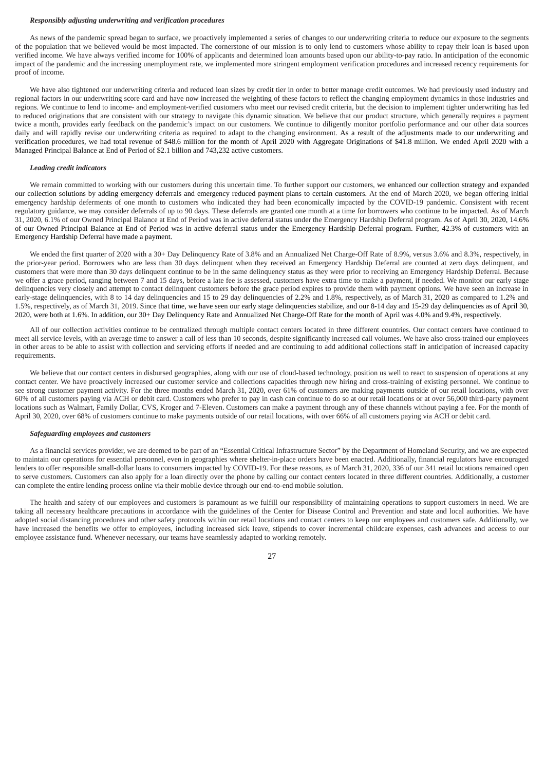### *Responsibly adjusting underwriting and verification procedures*

As news of the pandemic spread began to surface, we proactively implemented a series of changes to our underwriting criteria to reduce our exposure to the segments of the population that we believed would be most impacted. The cornerstone of our mission is to only lend to customers whose ability to repay their loan is based upon verified income. We have always verified income for 100% of applicants and determined loan amounts based upon our ability-to-pay ratio. In anticipation of the economic impact of the pandemic and the increasing unemployment rate, we implemented more stringent employment verification procedures and increased recency requirements for proof of income.

We have also tightened our underwriting criteria and reduced loan sizes by credit tier in order to better manage credit outcomes. We had previously used industry and regional factors in our underwriting score card and have now increased the weighting of these factors to reflect the changing employment dynamics in those industries and regions. We continue to lend to income- and employment-verified customers who meet our revised credit criteria, but the decision to implement tighter underwriting has led to reduced originations that are consistent with our strategy to navigate this dynamic situation. We believe that our product structure, which generally requires a payment twice a month, provides early feedback on the pandemic's impact on our customers. We continue to diligently monitor portfolio performance and our other data sources daily and will rapidly revise our underwriting criteria as required to adapt to the changing environment. As a result of the adjustments made to our underwriting and verification procedures, we had total revenue of \$48.6 million for the month of April 2020 with Aggregate Originations of \$41.8 million. We ended April 2020 with a Managed Principal Balance at End of Period of \$2.1 billion and 743,232 active customers.

### *Leading credit indicators*

We remain committed to working with our customers during this uncertain time. To further support our customers, we enhanced our collection strategy and expanded our collection solutions by adding emergency deferrals and emergency reduced payment plans to certain customers. At the end of March 2020, we began offering initial emergency hardship deferments of one month to customers who indicated they had been economically impacted by the COVID-19 pandemic. Consistent with recent regulatory guidance, we may consider deferrals of up to 90 days. These deferrals are granted one month at a time for borrowers who continue to be impacted. As of March 31, 2020, 6.1% of our Owned Principal Balance at End of Period was in active deferral status under the Emergency Hardship Deferral program. As of April 30, 2020, 14.6% of our Owned Principal Balance at End of Period was in active deferral status under the Emergency Hardship Deferral program. Further, 42.3% of customers with an Emergency Hardship Deferral have made a payment.

We ended the first quarter of 2020 with a 30+ Day Delinquency Rate of 3.8% and an Annualized Net Charge-Off Rate of 8.9%, versus 3.6% and 8.3%, respectively, in the prior-year period. Borrowers who are less than 30 days delinquent when they received an Emergency Hardship Deferral are counted at zero days delinquent, and customers that were more than 30 days delinquent continue to be in the same delinquency status as they were prior to receiving an Emergency Hardship Deferral. Because we offer a grace period, ranging between 7 and 15 days, before a late fee is assessed, customers have extra time to make a payment, if needed. We monitor our early stage delinquencies very closely and attempt to contact delinquent customers before the grace period expires to provide them with payment options. We have seen an increase in early-stage delinquencies, with 8 to 14 day delinquencies and 15 to 29 day delinquencies of 2.2% and 1.8%, respectively, as of March 31, 2020 as compared to 1.2% and 1.5%, respectively, as of March 31, 2019. Since that time, we have seen our early stage delinquencies stabilize, and our 8-14 day and 15-29 day delinquencies as of April 30, 2020, were both at 1.6%. In addition, our 30+ Day Delinquency Rate and Annualized Net Charge-Off Rate for the month of April was 4.0% and 9.4%, respectively.

All of our collection activities continue to be centralized through multiple contact centers located in three different countries. Our contact centers have continued to meet all service levels, with an average time to answer a call of less than 10 seconds, despite significantly increased call volumes. We have also cross-trained our employees in other areas to be able to assist with collection and servicing efforts if needed and are continuing to add additional collections staff in anticipation of increased capacity requirements.

We believe that our contact centers in disbursed geographies, along with our use of cloud-based technology, position us well to react to suspension of operations at any contact center. We have proactively increased our customer service and collections capacities through new hiring and cross-training of existing personnel. We continue to see strong customer payment activity. For the three months ended March 31, 2020, over 61% of customers are making payments outside of our retail locations, with over 60% of all customers paying via ACH or debit card. Customers who prefer to pay in cash can continue to do so at our retail locations or at over 56,000 third-party payment locations such as Walmart, Family Dollar, CVS, Kroger and 7-Eleven. Customers can make a payment through any of these channels without paying a fee. For the month of April 30, 2020, over 68% of customers continue to make payments outside of our retail locations, with over 66% of all customers paying via ACH or debit card.

#### *Safeguarding employees and customers*

As a financial services provider, we are deemed to be part of an "Essential Critical Infrastructure Sector" by the Department of Homeland Security, and we are expected to maintain our operations for essential personnel, even in geographies where shelter-in-place orders have been enacted. Additionally, financial regulators have encouraged lenders to offer responsible small-dollar loans to consumers impacted by COVID-19. For these reasons, as of March 31, 2020, 336 of our 341 retail locations remained open to serve customers. Customers can also apply for a loan directly over the phone by calling our contact centers located in three different countries. Additionally, a customer can complete the entire lending process online via their mobile device through our end-to-end mobile solution.

The health and safety of our employees and customers is paramount as we fulfill our responsibility of maintaining operations to support customers in need. We are taking all necessary healthcare precautions in accordance with the guidelines of the Center for Disease Control and Prevention and state and local authorities. We have adopted social distancing procedures and other safety protocols within our retail locations and contact centers to keep our employees and customers safe. Additionally, we have increased the benefits we offer to employees, including increased sick leave, stipends to cover incremental childcare expenses, cash advances and access to our employee assistance fund. Whenever necessary, our teams have seamlessly adapted to working remotely.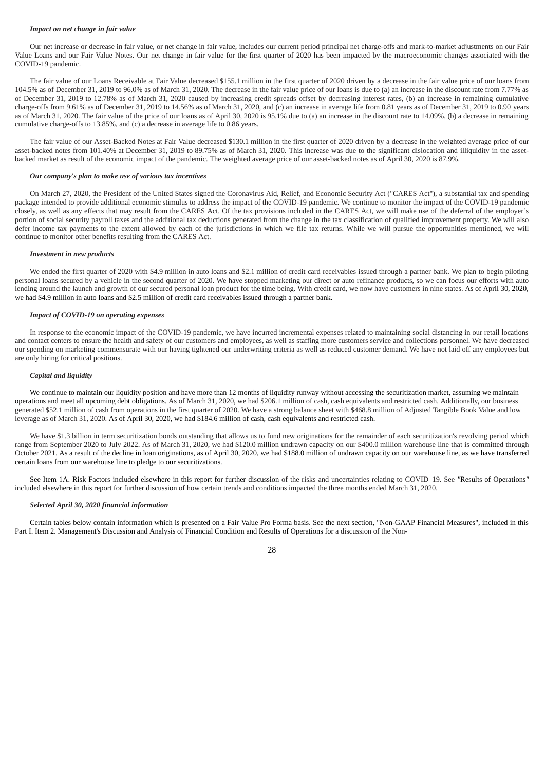# *Impact on net change in fair value*

Our net increase or decrease in fair value, or net change in fair value, includes our current period principal net charge-offs and mark-to-market adjustments on our Fair Value Loans and our Fair Value Notes. Our net change in fair value for the first quarter of 2020 has been impacted by the macroeconomic changes associated with the COVID-19 pandemic.

The fair value of our Loans Receivable at Fair Value decreased \$155.1 million in the first quarter of 2020 driven by a decrease in the fair value price of our loans from 104.5% as of December 31, 2019 to 96.0% as of March 31, 2020. The decrease in the fair value price of our loans is due to (a) an increase in the discount rate from 7.77% as of December 31, 2019 to 12.78% as of March 31, 2020 caused by increasing credit spreads offset by decreasing interest rates, (b) an increase in remaining cumulative charge-offs from 9.61% as of December 31, 2019 to 14.56% as of March 31, 2020, and (c) an increase in average life from 0.81 years as of December 31, 2019 to 0.90 years as of March 31, 2020. The fair value of the price of our loans as of April 30, 2020 is 95.1% due to (a) an increase in the discount rate to 14.09%, (b) a decrease in remaining cumulative charge-offs to 13.85%, and (c) a decrease in average life to 0.86 years.

The fair value of our Asset-Backed Notes at Fair Value decreased \$130.1 million in the first quarter of 2020 driven by a decrease in the weighted average price of our asset-backed notes from 101.40% at December 31, 2019 to 89.75% as of March 31, 2020. This increase was due to the significant dislocation and illiquidity in the assetbacked market as result of the economic impact of the pandemic. The weighted average price of our asset-backed notes as of April 30, 2020 is 87.9%.

#### *Our company's plan to make use of various tax incentives*

On March 27, 2020, the President of the United States signed the Coronavirus Aid, Relief, and Economic Security Act ("CARES Act"), a substantial tax and spending package intended to provide additional economic stimulus to address the impact of the COVID-19 pandemic. We continue to monitor the impact of the COVID-19 pandemic closely, as well as any effects that may result from the CARES Act. Of the tax provisions included in the CARES Act, we will make use of the deferral of the employer's portion of social security payroll taxes and the additional tax deductions generated from the change in the tax classification of qualified improvement property. We will also defer income tax payments to the extent allowed by each of the jurisdictions in which we file tax returns. While we will pursue the opportunities mentioned, we will continue to monitor other benefits resulting from the CARES Act.

# *Investment in new products*

We ended the first quarter of 2020 with \$4.9 million in auto loans and \$2.1 million of credit card receivables issued through a partner bank. We plan to begin piloting personal loans secured by a vehicle in the second quarter of 2020. We have stopped marketing our direct or auto refinance products, so we can focus our efforts with auto lending around the launch and growth of our secured personal loan product for the time being. With credit card, we now have customers in nine states. As of April 30, 2020, we had \$4.9 million in auto loans and \$2.5 million of credit card receivables issued through a partner bank.

# *Impact of COVID-19 on operating expenses*

In response to the economic impact of the COVID-19 pandemic, we have incurred incremental expenses related to maintaining social distancing in our retail locations and contact centers to ensure the health and safety of our customers and employees, as well as staffing more customers service and collections personnel. We have decreased our spending on marketing commensurate with our having tightened our underwriting criteria as well as reduced customer demand. We have not laid off any employees but are only hiring for critical positions.

# *Capital and liquidity*

We continue to maintain our liquidity position and have more than 12 months of liquidity runway without accessing the securitization market, assuming we maintain operations and meet all upcoming debt obligations. As of March 31, 2020, we had \$206.1 million of cash, cash equivalents and restricted cash. Additionally, our business generated \$52.1 million of cash from operations in the first quarter of 2020. We have a strong balance sheet with \$468.8 million of Adjusted Tangible Book Value and low leverage as of March 31, 2020. As of April 30, 2020, we had \$184.6 million of cash, cash equivalents and restricted cash.

We have \$1.3 billion in term securitization bonds outstanding that allows us to fund new originations for the remainder of each securitization's revolving period which range from September 2020 to July 2022. As of March 31, 2020, we had \$120.0 million undrawn capacity on our \$400.0 million warehouse line that is committed through October 2021. As a result of the decline in loan originations, as of April 30, 2020, we had \$188.0 million of undrawn capacity on our warehouse line, as we have transferred certain loans from our warehouse line to pledge to our securitizations.

See Item 1A. Risk Factors included elsewhere in this report for further discussion of the risks and uncertainties relating to COVID–19. See *"*Results of Operations*"* included elsewhere in this report for further discussion of how certain trends and conditions impacted the three months ended March 31, 2020.

### *Selected April 30, 2020 financial information*

Certain tables below contain information which is presented on a Fair Value Pro Forma basis. See the next section, "Non-GAAP Financial Measures", included in this Part I. Item 2. Management's Discussion and Analysis of Financial Condition and Results of Operations for a discussion of the Non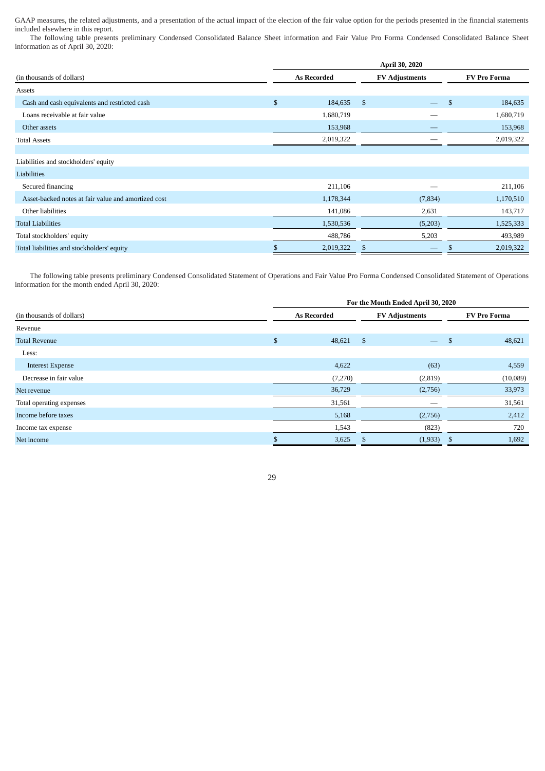GAAP measures, the related adjustments, and a presentation of the actual impact of the election of the fair value option for the periods presented in the financial statements included elsewhere in this report.

The following table presents preliminary Condensed Consolidated Balance Sheet information and Fair Value Pro Forma Condensed Consolidated Balance Sheet information as of April 30, 2020:

|                                                     | April 30, 2020     |           |                       |                          |               |                     |  |  |  |  |  |           |
|-----------------------------------------------------|--------------------|-----------|-----------------------|--------------------------|---------------|---------------------|--|--|--|--|--|-----------|
| (in thousands of dollars)                           | <b>As Recorded</b> |           | <b>FV Adjustments</b> |                          |               | <b>FV Pro Forma</b> |  |  |  |  |  |           |
| Assets                                              |                    |           |                       |                          |               |                     |  |  |  |  |  |           |
| Cash and cash equivalents and restricted cash       | $\mathbb{S}$       | 184,635   | $\mathcal{S}$         | $\overline{\phantom{m}}$ | $\mathcal{S}$ | 184,635             |  |  |  |  |  |           |
| Loans receivable at fair value                      |                    | 1,680,719 |                       |                          |               | 1,680,719           |  |  |  |  |  |           |
| Other assets                                        |                    | 153,968   |                       |                          | 153,968       |                     |  |  |  |  |  |           |
| <b>Total Assets</b>                                 |                    | 2,019,322 |                       |                          |               | 2,019,322           |  |  |  |  |  |           |
|                                                     |                    |           |                       |                          |               |                     |  |  |  |  |  |           |
| Liabilities and stockholders' equity                |                    |           |                       |                          |               |                     |  |  |  |  |  |           |
| Liabilities                                         |                    |           |                       |                          |               |                     |  |  |  |  |  |           |
| Secured financing                                   |                    | 211,106   |                       |                          |               | 211,106             |  |  |  |  |  |           |
| Asset-backed notes at fair value and amortized cost |                    | 1,178,344 |                       | (7, 834)                 |               |                     |  |  |  |  |  | 1,170,510 |
| Other liabilities                                   |                    | 141,086   |                       | 2,631                    |               | 143,717             |  |  |  |  |  |           |
| <b>Total Liabilities</b>                            |                    | 1,530,536 |                       | (5,203)                  |               | 1,525,333           |  |  |  |  |  |           |
| Total stockholders' equity                          |                    | 488,786   |                       | 5,203                    |               | 493,989             |  |  |  |  |  |           |
| Total liabilities and stockholders' equity          | Ъ                  | 2,019,322 |                       |                          |               | 2,019,322           |  |  |  |  |  |           |

The following table presents preliminary Condensed Consolidated Statement of Operations and Fair Value Pro Forma Condensed Consolidated Statement of Operations information for the month ended April 30, 2020:

|                           | For the Month Ended April 30, 2020 |                    |                       |                          |              |                     |  |
|---------------------------|------------------------------------|--------------------|-----------------------|--------------------------|--------------|---------------------|--|
| (in thousands of dollars) |                                    | <b>As Recorded</b> | <b>FV Adjustments</b> |                          |              | <b>FV Pro Forma</b> |  |
| Revenue                   |                                    |                    |                       |                          |              |                     |  |
| <b>Total Revenue</b>      | \$                                 | 48,621             | -\$                   | $\overline{\phantom{m}}$ | $\mathbf{s}$ | 48,621              |  |
| Less:                     |                                    |                    |                       |                          |              |                     |  |
| <b>Interest Expense</b>   |                                    | 4,622              |                       | (63)                     |              | 4,559               |  |
| Decrease in fair value    |                                    | (7,270)            |                       | (2,819)                  |              | (10,089)            |  |
| Net revenue               |                                    | 36,729             |                       | (2,756)                  |              | 33,973              |  |
| Total operating expenses  |                                    | 31,561             |                       |                          |              | 31,561              |  |
| Income before taxes       |                                    | 5,168              |                       | (2,756)                  |              | 2,412               |  |
| Income tax expense        |                                    | 1,543              |                       | (823)                    |              | 720                 |  |
| Net income                |                                    | 3,625              |                       | (1,933)                  | \$           | 1,692               |  |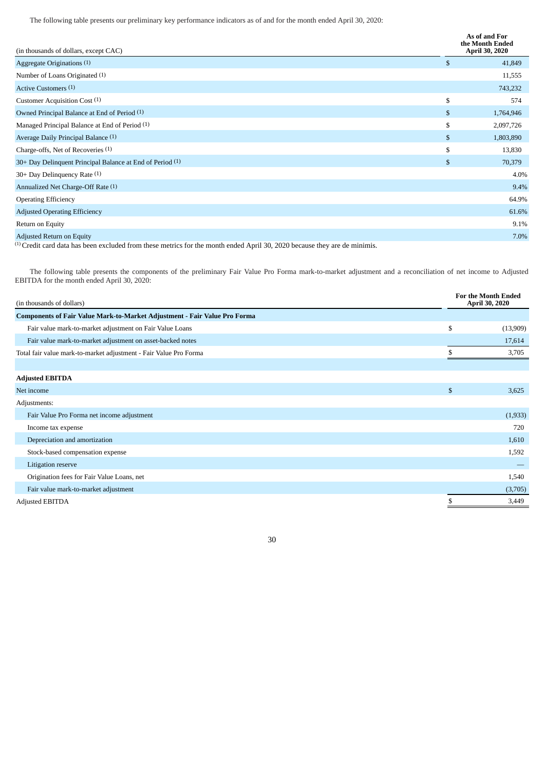The following table presents our preliminary key performance indicators as of and for the month ended April 30, 2020:

| (in thousands of dollars, except CAC)                                                                                                                                                                                                                                                                                                                                     | As of and For<br>the Month Ended<br><b>April 30, 2020</b> |
|---------------------------------------------------------------------------------------------------------------------------------------------------------------------------------------------------------------------------------------------------------------------------------------------------------------------------------------------------------------------------|-----------------------------------------------------------|
| Aggregate Originations (1)                                                                                                                                                                                                                                                                                                                                                | \$<br>41,849                                              |
| Number of Loans Originated (1)                                                                                                                                                                                                                                                                                                                                            | 11,555                                                    |
| Active Customers (1)                                                                                                                                                                                                                                                                                                                                                      | 743,232                                                   |
| Customer Acquisition Cost (1)                                                                                                                                                                                                                                                                                                                                             | \$<br>574                                                 |
| Owned Principal Balance at End of Period (1)                                                                                                                                                                                                                                                                                                                              | \$<br>1,764,946                                           |
| Managed Principal Balance at End of Period (1)                                                                                                                                                                                                                                                                                                                            | \$<br>2,097,726                                           |
| Average Daily Principal Balance (1)                                                                                                                                                                                                                                                                                                                                       | \$<br>1,803,890                                           |
| Charge-offs, Net of Recoveries (1)                                                                                                                                                                                                                                                                                                                                        | \$<br>13,830                                              |
| 30+ Day Delinquent Principal Balance at End of Period (1)                                                                                                                                                                                                                                                                                                                 | \$<br>70,379                                              |
| $30+$ Day Delinguency Rate $(1)$                                                                                                                                                                                                                                                                                                                                          | 4.0%                                                      |
| Annualized Net Charge-Off Rate (1)                                                                                                                                                                                                                                                                                                                                        | 9.4%                                                      |
| <b>Operating Efficiency</b>                                                                                                                                                                                                                                                                                                                                               | 64.9%                                                     |
| <b>Adjusted Operating Efficiency</b>                                                                                                                                                                                                                                                                                                                                      | 61.6%                                                     |
| Return on Equity                                                                                                                                                                                                                                                                                                                                                          | 9.1%                                                      |
| Adjusted Return on Equity<br>$\cdots$<br>$(1)$ and $(1)$ and $(1)$ and $(1)$ and $(1)$ and $(1)$ and $(1)$ and $(1)$ and $(1)$ and $(1)$ and $(1)$ and $(1)$ and $(1)$ and $(1)$ and $(1)$ and $(1)$ and $(1)$ and $(1)$ and $(1)$ and $(1)$ and $(1)$ and $(1)$ and<br>$\cdots$ $\cdots$<br>$1 \t1 \t1 \t1 \t1$ 200.00001<br>$\blacksquare$<br>$\cdot$ 1<br>$\mathbf{1}$ | 7.0%                                                      |

(1) Credit card data has been excluded from these metrics for the month ended April 30, 2020 because they are de minimis.

The following table presents the components of the preliminary Fair Value Pro Forma mark-to-market adjustment and a reconciliation of net income to Adjusted EBITDA for the month ended April 30, 2020:

| (in thousands of dollars)                                                        |    | <b>For the Month Ended</b><br>April 30, 2020 |  |
|----------------------------------------------------------------------------------|----|----------------------------------------------|--|
| <b>Components of Fair Value Mark-to-Market Adjustment - Fair Value Pro Forma</b> |    |                                              |  |
| Fair value mark-to-market adjustment on Fair Value Loans                         | \$ | (13,909)                                     |  |
| Fair value mark-to-market adjustment on asset-backed notes                       |    | 17,614                                       |  |
| Total fair value mark-to-market adjustment - Fair Value Pro Forma                |    | 3,705                                        |  |
|                                                                                  |    |                                              |  |
| <b>Adjusted EBITDA</b>                                                           |    |                                              |  |
| Net income                                                                       | \$ | 3,625                                        |  |
| Adjustments:                                                                     |    |                                              |  |
| Fair Value Pro Forma net income adjustment                                       |    | (1,933)                                      |  |
| Income tax expense                                                               |    | 720                                          |  |
| Depreciation and amortization                                                    |    | 1,610                                        |  |
| Stock-based compensation expense                                                 |    | 1,592                                        |  |
| Litigation reserve                                                               |    |                                              |  |
| Origination fees for Fair Value Loans, net                                       |    | 1,540                                        |  |
| Fair value mark-to-market adjustment                                             |    | (3,705)                                      |  |
| <b>Adjusted EBITDA</b>                                                           |    | 3,449                                        |  |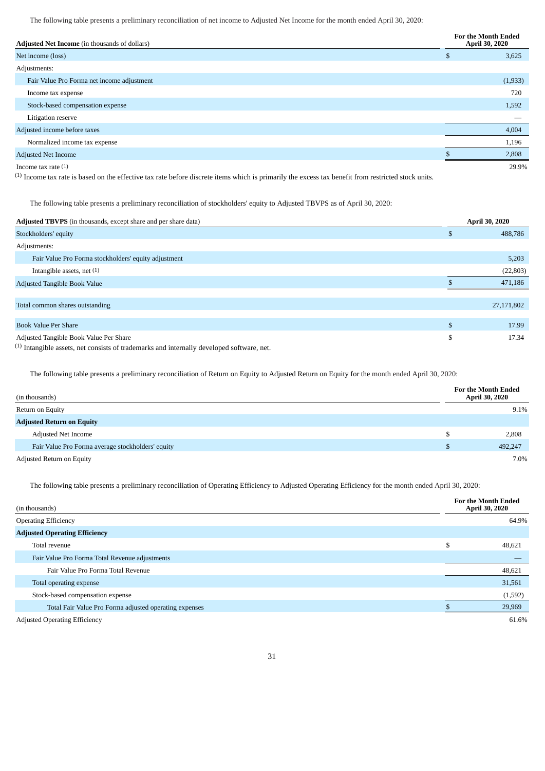The following table presents a preliminary reconciliation of net income to Adjusted Net Income for the month ended April 30, 2020:

| Adjusted Net Income (in thousands of dollars) |          | <b>For the Month Ended</b><br>April 30, 2020 |  |  |
|-----------------------------------------------|----------|----------------------------------------------|--|--|
| Net income (loss)                             | <b>D</b> | 3,625                                        |  |  |
| Adjustments:                                  |          |                                              |  |  |
| Fair Value Pro Forma net income adjustment    |          | (1,933)                                      |  |  |
| Income tax expense                            |          | 720                                          |  |  |
| Stock-based compensation expense              |          | 1,592                                        |  |  |
| Litigation reserve                            |          |                                              |  |  |
| Adjusted income before taxes                  |          | 4,004                                        |  |  |
| Normalized income tax expense                 |          | 1,196                                        |  |  |
| <b>Adjusted Net Income</b>                    |          | 2,808                                        |  |  |
| Income tax rate $(1)$                         |          | 29.9%                                        |  |  |

(1) Income tax rate is based on the effective tax rate before discrete items which is primarily the excess tax benefit from restricted stock units.

The following table presents a preliminary reconciliation of stockholders' equity to Adjusted TBVPS as of April 30, 2020:

| Adjusted TBVPS (in thousands, except share and per share data)                                       |     | <b>April 30, 2020</b> |
|------------------------------------------------------------------------------------------------------|-----|-----------------------|
| Stockholders' equity                                                                                 | л   | 488,786               |
| Adjustments:                                                                                         |     |                       |
| Fair Value Pro Forma stockholders' equity adjustment                                                 |     | 5,203                 |
| Intangible assets, net $(1)$                                                                         |     | (22, 803)             |
| Adjusted Tangible Book Value                                                                         |     | 471,186               |
|                                                                                                      |     |                       |
| Total common shares outstanding                                                                      |     | 27,171,802            |
| <b>Book Value Per Share</b>                                                                          | \$. | 17.99                 |
| Adjusted Tangible Book Value Per Share                                                               | S   | 17.34                 |
| <sup>(1)</sup> Intangible assets, net consists of trademarks and internally developed software, net. |     |                       |

The following table presents a preliminary reconciliation of Return on Equity to Adjusted Return on Equity for the month ended April 30, 2020:

| (in thousands)                                    | <b>For the Month Ended</b><br><b>April 30, 2020</b> |
|---------------------------------------------------|-----------------------------------------------------|
| Return on Equity                                  | 9.1%                                                |
| <b>Adjusted Return on Equity</b>                  |                                                     |
| <b>Adjusted Net Income</b>                        | 2,808                                               |
| Fair Value Pro Forma average stockholders' equity | 492,247                                             |
| Adjusted Return on Equity                         | 7.0%                                                |

The following table presents a preliminary reconciliation of Operating Efficiency to Adjusted Operating Efficiency for the month ended April 30, 2020:

| (in thousands)                                         | <b>For the Month Ended</b><br>April 30, 2020 |
|--------------------------------------------------------|----------------------------------------------|
| <b>Operating Efficiency</b>                            | 64.9%                                        |
| <b>Adjusted Operating Efficiency</b>                   |                                              |
| Total revenue                                          | \$<br>48,621                                 |
| Fair Value Pro Forma Total Revenue adjustments         |                                              |
| Fair Value Pro Forma Total Revenue                     | 48,621                                       |
| Total operating expense                                | 31,561                                       |
| Stock-based compensation expense                       | (1,592)                                      |
| Total Fair Value Pro Forma adjusted operating expenses | 29,969                                       |
| <b>Adjusted Operating Efficiency</b>                   | 61.6%                                        |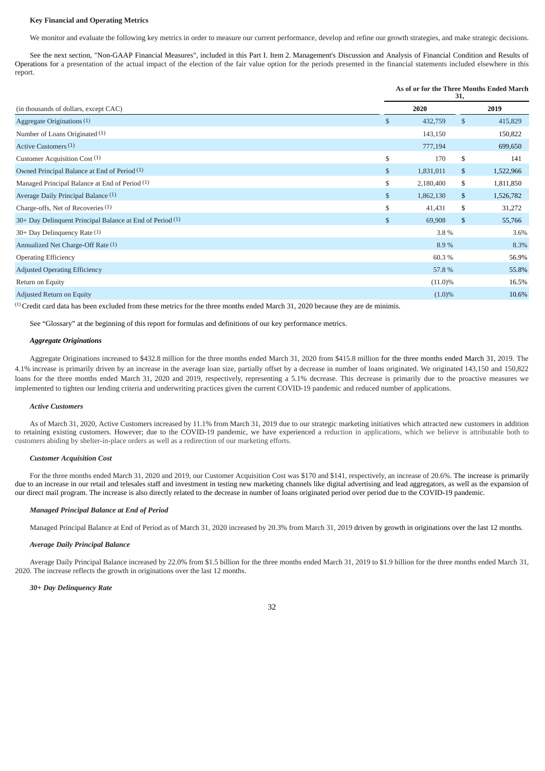#### <span id="page-31-0"></span>**Key Financial and Operating Metrics**

We monitor and evaluate the following key metrics in order to measure our current performance, develop and refine our growth strategies, and make strategic decisions.

See the next section, "Non-GAAP Financial Measures", included in this Part I. Item 2. Management's Discussion and Analysis of Financial Condition and Results of Operations for a presentation of the actual impact of the election of the fair value option for the periods presented in the financial statements included elsewhere in this report.

# **As of or for the Three Months Ended March**

| (in thousands of dollars, except CAC)                     |    | 2020       |    | 2019      |
|-----------------------------------------------------------|----|------------|----|-----------|
| Aggregate Originations (1)                                | \$ | 432,759    | \$ | 415,829   |
| Number of Loans Originated (1)                            |    | 143,150    |    | 150,822   |
| Active Customers (1)                                      |    | 777,194    |    | 699,650   |
| Customer Acquisition Cost (1)                             | \$ | 170        | \$ | 141       |
| Owned Principal Balance at End of Period (1)              | \$ | 1,831,011  | \$ | 1,522,966 |
| Managed Principal Balance at End of Period (1)            | \$ | 2,180,400  | \$ | 1,811,850 |
| Average Daily Principal Balance (1)                       | \$ | 1,862,130  | \$ | 1,526,782 |
| Charge-offs, Net of Recoveries (1)                        | \$ | 41,431     | \$ | 31,272    |
| 30+ Day Delinquent Principal Balance at End of Period (1) | \$ | 69,908     | \$ | 55,766    |
| $30+$ Day Delinquency Rate $(1)$                          |    | 3.8%       |    | 3.6%      |
| Annualized Net Charge-Off Rate (1)                        |    | 8.9%       |    | 8.3%      |
| <b>Operating Efficiency</b>                               |    | 60.3%      |    | 56.9%     |
| <b>Adjusted Operating Efficiency</b>                      |    | 57.8%      |    | 55.8%     |
| Return on Equity                                          |    | $(11.0)\%$ |    | 16.5%     |
| Adjusted Return on Equity                                 |    | $(1.0)\%$  |    | 10.6%     |

(1) Credit card data has been excluded from these metrics for the three months ended March 31, 2020 because they are de minimis.

See "Glossary" at the beginning of this report for formulas and definitions of our key performance metrics.

#### *Aggregate Originations*

Aggregate Originations increased to \$432.8 million for the three months ended March 31, 2020 from \$415.8 million for the three months ended March 31, 2019. The 4.1% increase is primarily driven by an increase in the average loan size, partially offset by a decrease in number of loans originated. We originated 143,150 and 150,822 loans for the three months ended March 31, 2020 and 2019, respectively, representing a 5.1% decrease. This decrease is primarily due to the proactive measures we implemented to tighten our lending criteria and underwriting practices given the current COVID-19 pandemic and reduced number of applications.

# *Active Customers*

As of March 31, 2020, Active Customers increased by 11.1% from March 31, 2019 due to our strategic marketing initiatives which attracted new customers in addition to retaining existing customers. However; due to the COVID-19 pandemic, we have experienced a reduction in applications, which we believe is attributable both to customers abiding by shelter-in-place orders as well as a redirection of our marketing efforts.

# *Customer Acquisition Cost*

For the three months ended March 31, 2020 and 2019, our Customer Acquisition Cost was \$170 and \$141, respectively, an increase of 20.6%. The increase is primarily due to an increase in our retail and telesales staff and investment in testing new marketing channels like digital advertising and lead aggregators, as well as the expansion of our direct mail program. The increase is also directly related to the decrease in number of loans originated period over period due to the COVID-19 pandemic.

# *Managed Principal Balance at End of Period*

Managed Principal Balance at End of Period as of March 31, 2020 increased by 20.3% from March 31, 2019 driven by growth in originations over the last 12 months.

# *Average Daily Principal Balance*

Average Daily Principal Balance increased by 22.0% from \$1.5 billion for the three months ended March 31, 2019 to \$1.9 billion for the three months ended March 31, 2020. The increase reflects the growth in originations over the last 12 months.

### *30+ Day Delinquency Rate*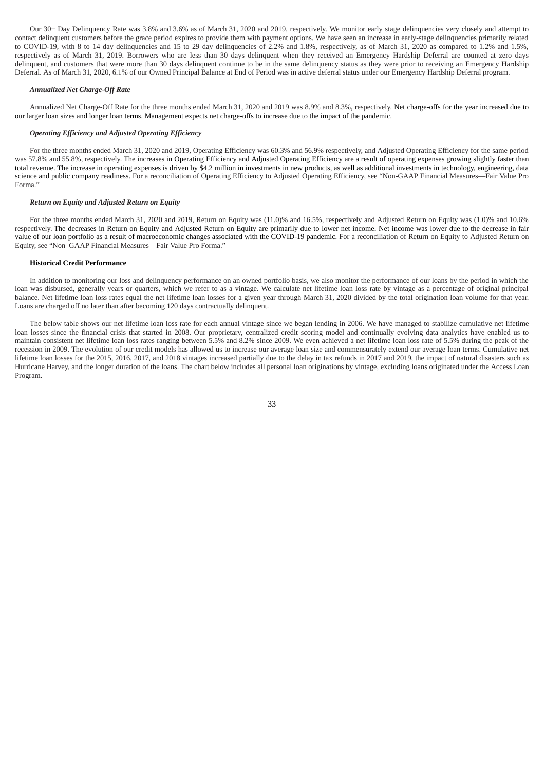Our 30+ Day Delinquency Rate was 3.8% and 3.6% as of March 31, 2020 and 2019, respectively. We monitor early stage delinquencies very closely and attempt to contact delinquent customers before the grace period expires to provide them with payment options. We have seen an increase in early-stage delinquencies primarily related to COVID-19, with 8 to 14 day delinquencies and 15 to 29 day delinquencies of 2.2% and 1.8%, respectively, as of March 31, 2020 as compared to 1.2% and 1.5%, respectively as of March 31, 2019. Borrowers who are less than 30 days delinquent when they received an Emergency Hardship Deferral are counted at zero days delinquent, and customers that were more than 30 days delinquent continue to be in the same delinquency status as they were prior to receiving an Emergency Hardship Deferral. As of March 31, 2020, 6.1% of our Owned Principal Balance at End of Period was in active deferral status under our Emergency Hardship Deferral program.

# *Annualized Net Charge-Off Rate*

Annualized Net Charge-Off Rate for the three months ended March 31, 2020 and 2019 was 8.9% and 8.3%, respectively. Net charge-offs for the year increased due to our larger loan sizes and longer loan terms. Management expects net charge-offs to increase due to the impact of the pandemic.

# *Operating Efficiency and Adjusted Operating Efficiency*

For the three months ended March 31, 2020 and 2019, Operating Efficiency was 60.3% and 56.9% respectively, and Adjusted Operating Efficiency for the same period was 57.8% and 55.8%, respectively. The increases in Operating Efficiency and Adjusted Operating Efficiency are a result of operating expenses growing slightly faster than total revenue. The increase in operating expenses is driven by \$4.2 million in investments in new products, as well as additional investments in technology, engineering, data science and public company readiness. For a reconciliation of Operating Efficiency to Adjusted Operating Efficiency, see "Non-GAAP Financial Measures—Fair Value Pro Forma."

#### *Return on Equity and Adjusted Return on Equity*

For the three months ended March 31, 2020 and 2019, Return on Equity was (11.0)% and 16.5%, respectively and Adjusted Return on Equity was (1.0)% and 10.6% respectively. The decreases in Return on Equity and Adjusted Return on Equity are primarily due to lower net income. Net income was lower due to the decrease in fair value of our loan portfolio as a result of macroeconomic changes associated with the COVID-19 pandemic. For a reconciliation of Return on Equity to Adjusted Return on Equity, see "Non–GAAP Financial Measures—Fair Value Pro Forma."

#### <span id="page-32-0"></span>**Historical Credit Performance**

In addition to monitoring our loss and delinquency performance on an owned portfolio basis, we also monitor the performance of our loans by the period in which the loan was disbursed, generally years or quarters, which we refer to as a vintage. We calculate net lifetime loan loss rate by vintage as a percentage of original principal balance. Net lifetime loan loss rates equal the net lifetime loan losses for a given year through March 31, 2020 divided by the total origination loan volume for that year. Loans are charged off no later than after becoming 120 days contractually delinquent.

The below table shows our net lifetime loan loss rate for each annual vintage since we began lending in 2006. We have managed to stabilize cumulative net lifetime loan losses since the financial crisis that started in 2008. Our proprietary, centralized credit scoring model and continually evolving data analytics have enabled us to maintain consistent net lifetime loan loss rates ranging between 5.5% and 8.2% since 2009. We even achieved a net lifetime loan loss rate of 5.5% during the peak of the recession in 2009. The evolution of our credit models has allowed us to increase our average loan size and commensurately extend our average loan terms. Cumulative net lifetime loan losses for the 2015, 2016, 2017, and 2018 vintages increased partially due to the delay in tax refunds in 2017 and 2019, the impact of natural disasters such as Hurricane Harvey, and the longer duration of the loans. The chart below includes all personal loan originations by vintage, excluding loans originated under the Access Loan Program.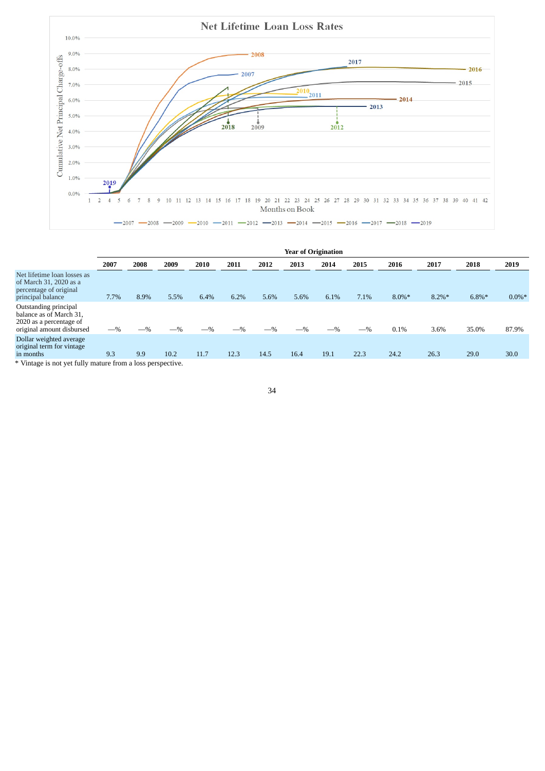

|                                                                                                                                 | <b>Year of Origination</b> |       |       |       |       |       |       |       |       |           |           |          |           |
|---------------------------------------------------------------------------------------------------------------------------------|----------------------------|-------|-------|-------|-------|-------|-------|-------|-------|-----------|-----------|----------|-----------|
|                                                                                                                                 | 2007                       | 2008  | 2009  | 2010  | 2011  | 2012  | 2013  | 2014  | 2015  | 2016      | 2017      | 2018     | 2019      |
| Net lifetime loan losses as<br>of March 31, 2020 as a<br>percentage of original<br>principal balance                            | 7.7%                       | 8.9%  | 5.5%  | 6.4%  | 6.2%  | 5.6%  | 5.6%  | 6.1%  | 7.1%  | $8.0\%$ * | $8.2\%$ * | $6.8\%*$ | $0.0\%$ * |
| Outstanding principal<br>balance as of March 31,<br>2020 as a percentage of<br>original amount disbursed                        | $-$ %                      | $-$ % | $-$ % | $-$ % | $-$ % | $-$ % | $-$ % | $-$ % | $-$ % | 0.1%      | 3.6%      | 35.0%    | 87.9%     |
| Dollar weighted average<br>original term for vintage<br>in months<br>$*$ Untage is not ust fully mature from a loss neropeotive | 9.3                        | 9.9   | 10.2  | 11.7  | 12.3  | 14.5  | 16.4  | 19.1  | 22.3  | 24.2      | 26.3      | 29.0     | 30.0      |

Vintage is not yet fully mature from a loss perspective.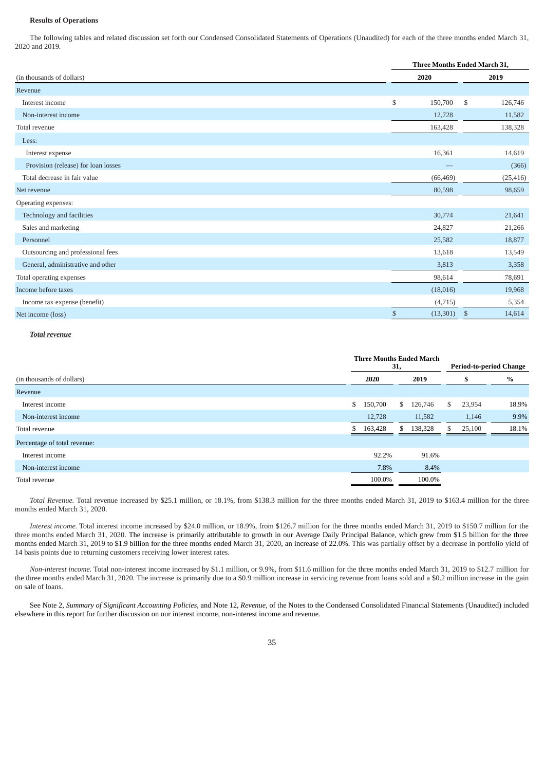# <span id="page-34-0"></span>**Results of Operations**

The following tables and related discussion set forth our Condensed Consolidated Statements of Operations (Unaudited) for each of the three months ended March 31, 2020 and 2019.

|                                     | <b>Three Months Ended March 31,</b> |           |              |           |  |
|-------------------------------------|-------------------------------------|-----------|--------------|-----------|--|
| (in thousands of dollars)           |                                     | 2020      |              | 2019      |  |
| Revenue                             |                                     |           |              |           |  |
| Interest income                     | \$                                  | 150,700   | $\mathbb{S}$ | 126,746   |  |
| Non-interest income                 |                                     | 12,728    |              | 11,582    |  |
| Total revenue                       |                                     | 163,428   |              | 138,328   |  |
| Less:                               |                                     |           |              |           |  |
| Interest expense                    |                                     | 16,361    |              | 14,619    |  |
| Provision (release) for loan losses |                                     |           |              | (366)     |  |
| Total decrease in fair value        |                                     | (66, 469) |              | (25, 416) |  |
| Net revenue                         |                                     | 80,598    |              | 98,659    |  |
| Operating expenses:                 |                                     |           |              |           |  |
| Technology and facilities           |                                     | 30,774    |              | 21,641    |  |
| Sales and marketing                 |                                     | 24,827    |              | 21,266    |  |
| Personnel                           |                                     | 25,582    |              | 18,877    |  |
| Outsourcing and professional fees   |                                     | 13,618    |              | 13,549    |  |
| General, administrative and other   |                                     | 3,813     |              | 3,358     |  |
| Total operating expenses            |                                     | 98,614    |              | 78,691    |  |
| Income before taxes                 |                                     | (18,016)  |              | 19,968    |  |
| Income tax expense (benefit)        |                                     | (4, 715)  |              | 5,354     |  |
| Net income (loss)                   | $\$$                                | (13,301)  | $\mathbb{S}$ | 14,614    |  |

# *Total revenue*

|                              |    |         | <b>Three Months Ended March</b><br>31, | <b>Period-to-period Change</b> |               |       |
|------------------------------|----|---------|----------------------------------------|--------------------------------|---------------|-------|
| (in thousands of dollars)    |    | 2020    | 2019                                   |                                |               | $\%$  |
| Revenue                      |    |         |                                        |                                |               |       |
| Interest income              | \$ | 150,700 | $\mathbb{S}$<br>126,746                |                                | 23,954<br>S   | 18.9% |
| Non-interest income          |    | 12,728  | 11,582                                 |                                | 1,146         | 9.9%  |
| Total revenue                | \$ | 163,428 | 138,328<br>\$.                         |                                | 25,100<br>\$. | 18.1% |
| Percentage of total revenue: |    |         |                                        |                                |               |       |
| Interest income              |    | 92.2%   | 91.6%                                  |                                |               |       |
| Non-interest income          |    | 7.8%    | 8.4%                                   |                                |               |       |
| Total revenue                |    | 100.0%  | 100.0%                                 |                                |               |       |

*Total Revenue.* Total revenue increased by \$25.1 million, or 18.1%, from \$138.3 million for the three months ended March 31, 2019 to \$163.4 million for the three months ended March 31, 2020.

*Interest income.* Total interest income increased by \$24.0 million, or 18.9%, from \$126.7 million for the three months ended March 31, 2019 to \$150.7 million for the three months ended March 31, 2020. The increase is primarily attributable to growth in our Average Daily Principal Balance, which grew from \$1.5 billion for the three months ended March 31, 2019 to \$1.9 billion for the three months ended March 31, 2020, an increase of 22.0%. This was partially offset by a decrease in portfolio yield of 14 basis points due to returning customers receiving lower interest rates.

*Non-interest income.* Total non-interest income increased by \$1.1 million, or 9.9%, from \$11.6 million for the three months ended March 31, 2019 to \$12.7 million for the three months ended March 31, 2020. The increase is primarily due to a \$0.9 million increase in servicing revenue from loans sold and a \$0.2 million increase in the gain on sale of loans.

See Note 2, *Summary of Significant Accounting Policies*, and Note 12, *Revenue*, of the Notes to the Condensed Consolidated Financial Statements (Unaudited) included elsewhere in this report for further discussion on our interest income, non-interest income and revenue.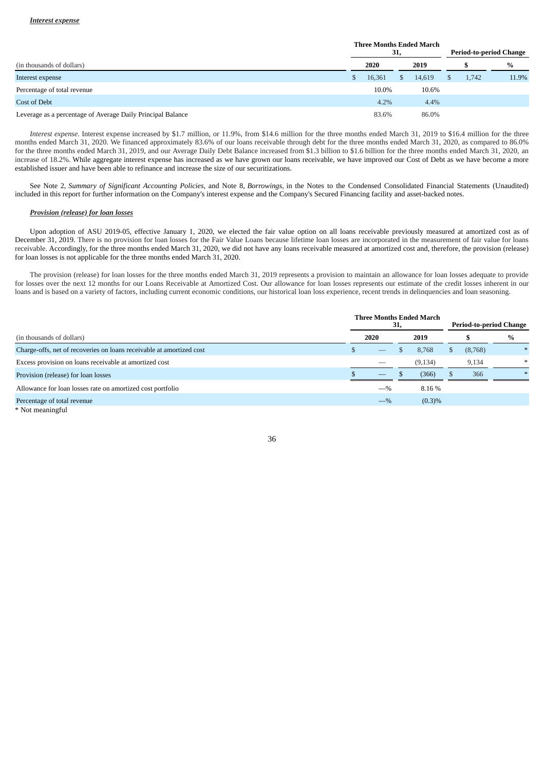| (in thousands of dollars)                                   |  | <b>Three Months Ended March</b><br>31, |    |        |  | <b>Period-to-period Change</b> |       |  |
|-------------------------------------------------------------|--|----------------------------------------|----|--------|--|--------------------------------|-------|--|
|                                                             |  | 2020                                   |    | 2019   |  |                                | $\%$  |  |
| Interest expense                                            |  | 16,361                                 | S. | 14.619 |  | 1.742                          | 11.9% |  |
| Percentage of total revenue                                 |  | 10.0%                                  |    | 10.6%  |  |                                |       |  |
| Cost of Debt                                                |  | $4.2\%$                                |    | 4.4%   |  |                                |       |  |
| Leverage as a percentage of Average Daily Principal Balance |  | 83.6%                                  |    | 86.0%  |  |                                |       |  |

*Interest expense.* Interest expense increased by \$1.7 million, or 11.9%, from \$14.6 million for the three months ended March 31, 2019 to \$16.4 million for the three months ended March 31, 2020. We financed approximately 83.6% of our loans receivable through debt for the three months ended March 31, 2020, as compared to 86.0% for the three months ended March 31, 2019, and our Average Daily Debt Balance increased from \$1.3 billion to \$1.6 billion for the three months ended March 31, 2020, an increase of 18.2%. While aggregate interest expense has increased as we have grown our loans receivable, we have improved our Cost of Debt as we have become a more established issuer and have been able to refinance and increase the size of our securitizations.

See Note 2, *Summary of Significant Accounting Policies*, and Note 8, *Borrowings,* in the Notes to the Condensed Consolidated Financial Statements (Unaudited) included in this report for further information on the Company's interest expense and the Company's Secured Financing facility and asset-backed notes.

# *Provision (release) for loan losses*

Upon adoption of ASU 2019-05, effective January 1, 2020, we elected the fair value option on all loans receivable previously measured at amortized cost as of December 31, 2019. There is no provision for loan losses for the Fair Value Loans because lifetime loan losses are incorporated in the measurement of fair value for loans receivable. Accordingly, for the three months ended March 31, 2020, we did not have any loans receivable measured at amortized cost and, therefore, the provision (release) for loan losses is not applicable for the three months ended March 31, 2020.

The provision (release) for loan losses for the three months ended March 31, 2019 represents a provision to maintain an allowance for loan losses adequate to provide for losses over the next 12 months for our Loans Receivable at Amortized Cost. Our allowance for loan losses represents our estimate of the credit losses inherent in our loans and is based on a variety of factors, including current economic conditions, our historical loan loss experience, recent trends in delinquencies and loan seasoning.

|                                                                      | <b>Three Months Ended March</b><br>31, |       |  |          | <b>Period-to-period Change</b> |         |      |
|----------------------------------------------------------------------|----------------------------------------|-------|--|----------|--------------------------------|---------|------|
| (in thousands of dollars)                                            |                                        | 2020  |  | 2019     |                                |         | $\%$ |
| Charge-offs, net of recoveries on loans receivable at amortized cost |                                        |       |  | 8.768    |                                | (8,768) |      |
| Excess provision on loans receivable at amortized cost               |                                        |       |  | (9, 134) |                                | 9,134   |      |
| Provision (release) for loan losses                                  |                                        | _     |  | (366)    |                                | 366     |      |
| Allowance for loan losses rate on amortized cost portfolio           |                                        | $-$ % |  | 8.16%    |                                |         |      |
| Percentage of total revenue                                          |                                        | $-$ % |  | (0.3)%   |                                |         |      |

\* Not meaningful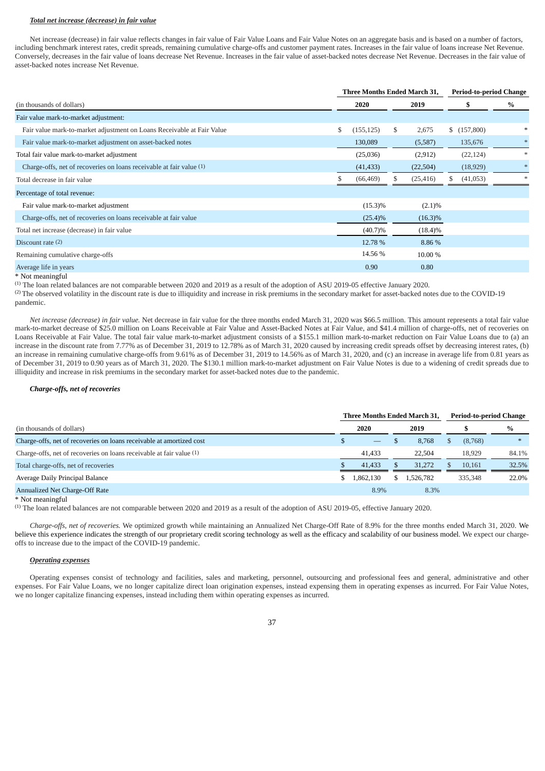# *Total net increase (decrease) in fair value*

Net increase (decrease) in fair value reflects changes in fair value of Fair Value Loans and Fair Value Notes on an aggregate basis and is based on a number of factors, including benchmark interest rates, credit spreads, remaining cumulative charge-offs and customer payment rates. Increases in the fair value of loans increase Net Revenue. Conversely, decreases in the fair value of loans decrease Net Revenue. Increases in the fair value of asset-backed notes decrease Net Revenue. Decreases in the fair value of asset-backed notes increase Net Revenue.

|                                                                        | Three Months Ended March 31, |    | <b>Period-to-period Change</b> |   |             |        |
|------------------------------------------------------------------------|------------------------------|----|--------------------------------|---|-------------|--------|
| (in thousands of dollars)                                              | 2020                         |    | 2019                           |   | Y.          | %      |
| Fair value mark-to-market adjustment:                                  |                              |    |                                |   |             |        |
| Fair value mark-to-market adjustment on Loans Receivable at Fair Value | \$<br>(155, 125)             | \$ | 2,675                          |   | \$(157,800) | $\ast$ |
| Fair value mark-to-market adjustment on asset-backed notes             | 130,089                      |    | (5,587)                        |   | 135,676     | $*$    |
| Total fair value mark-to-market adjustment                             | (25,036)                     |    | (2,912)                        |   | (22, 124)   | $*$    |
| Charge-offs, net of recoveries on loans receivable at fair value (1)   | (41, 433)                    |    | (22, 504)                      |   | (18,929)    | $\ast$ |
| Total decrease in fair value                                           | (66, 469)                    |    | (25, 416)                      | S | (41,053)    | $\ast$ |
| Percentage of total revenue:                                           |                              |    |                                |   |             |        |
| Fair value mark-to-market adjustment                                   | $(15.3)\%$                   |    | $(2.1)\%$                      |   |             |        |
| Charge-offs, net of recoveries on loans receivable at fair value       | $(25.4)\%$                   |    | $(16.3)\%$                     |   |             |        |
| Total net increase (decrease) in fair value                            | $(40.7)\%$                   |    | $(18.4)\%$                     |   |             |        |
| Discount rate $(2)$                                                    | 12.78 %                      |    | 8.86 %                         |   |             |        |
| Remaining cumulative charge-offs                                       | 14.56 %                      |    | 10.00 %                        |   |             |        |
| Average life in years                                                  | 0.90                         |    | 0.80                           |   |             |        |

# \* Not meaningful

(1) The loan related balances are not comparable between 2020 and 2019 as a result of the adoption of ASU 2019-05 effective January 2020.

(2) The observed volatility in the discount rate is due to illiquidity and increase in risk premiums in the secondary market for asset-backed notes due to the COVID-19 pandemic.

*Net increase (decrease) in fair value.* Net decrease in fair value for the three months ended March 31, 2020 was \$66.5 million. This amount represents a total fair value mark-to-market decrease of \$25.0 million on Loans Receivable at Fair Value and Asset-Backed Notes at Fair Value, and \$41.4 million of charge-offs, net of recoveries on Loans Receivable at Fair Value. The total fair value mark-to-market adjustment consists of a \$155.1 million mark-to-market reduction on Fair Value Loans due to (a) an increase in the discount rate from 7.77% as of December 31, 2019 to 12.78% as of March 31, 2020 caused by increasing credit spreads offset by decreasing interest rates, (b) an increase in remaining cumulative charge-offs from 9.61% as of December 31, 2019 to 14.56% as of March 31, 2020, and (c) an increase in average life from 0.81 years as of December 31, 2019 to 0.90 years as of March 31, 2020. The \$130.1 million mark-to-market adjustment on Fair Value Notes is due to a widening of credit spreads due to illiquidity and increase in risk premiums in the secondary market for asset-backed notes due to the pandemic.

### *Charge-offs, net of recoveries*

|                                                                      | Three Months Ended March 31. | <b>Period-to-period Change</b> |           |  |         |        |
|----------------------------------------------------------------------|------------------------------|--------------------------------|-----------|--|---------|--------|
| (in thousands of dollars)                                            | 2020                         |                                | 2019      |  |         | $\%$   |
| Charge-offs, net of recoveries on loans receivable at amortized cost | $\qquad \qquad - \qquad$     |                                | 8.768     |  | (8,768) | $\ast$ |
| Charge-offs, net of recoveries on loans receivable at fair value (1) | 41.433                       |                                | 22,504    |  | 18.929  | 84.1%  |
| Total charge-offs, net of recoveries                                 | 41,433                       |                                | 31,272    |  | 10.161  | 32.5%  |
| Average Daily Principal Balance                                      | 1,862,130                    | S.                             | 1.526.782 |  | 335,348 | 22.0%  |
| Annualized Net Charge-Off Rate                                       | 8.9%                         |                                | 8.3%      |  |         |        |

#### \* Not meaningful

(1) The loan related balances are not comparable between 2020 and 2019 as a result of the adoption of ASU 2019-05, effective January 2020.

*Charge-offs, net of recoveries.* We optimized growth while maintaining an Annualized Net Charge-Off Rate of 8.9% for the three months ended March 31, 2020. We believe this experience indicates the strength of our proprietary credit scoring technology as well as the efficacy and scalability of our business model. We expect our chargeoffs to increase due to the impact of the COVID-19 pandemic.

### *Operating expenses*

Operating expenses consist of technology and facilities, sales and marketing, personnel, outsourcing and professional fees and general, administrative and other expenses. For Fair Value Loans, we no longer capitalize direct loan origination expenses, instead expensing them in operating expenses as incurred. For Fair Value Notes, we no longer capitalize financing expenses, instead including them within operating expenses as incurred.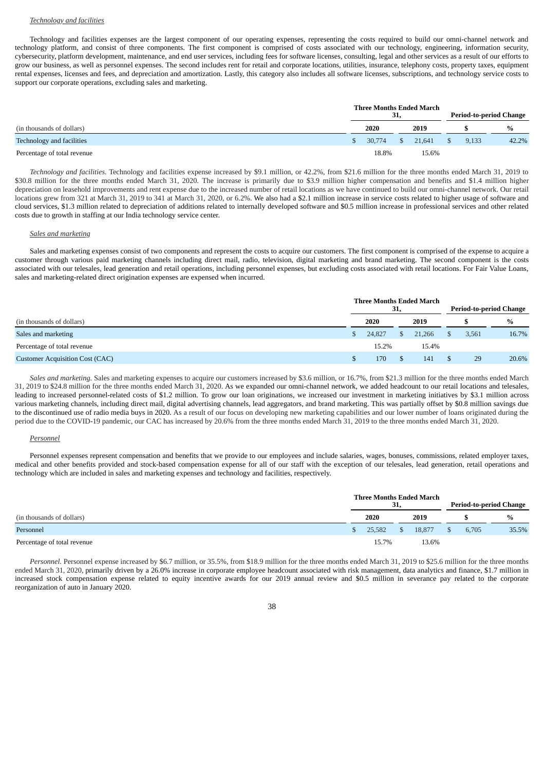## *Technology and facilities*

Technology and facilities expenses are the largest component of our operating expenses, representing the costs required to build our omni-channel network and technology platform, and consist of three components. The first component is comprised of costs associated with our technology, engineering, information security, cybersecurity, platform development, maintenance, and end user services, including fees for software licenses, consulting, legal and other services as a result of our efforts to grow our business, as well as personnel expenses. The second includes rent for retail and corporate locations, utilities, insurance, telephony costs, property taxes, equipment rental expenses, licenses and fees, and depreciation and amortization. Lastly, this category also includes all software licenses, subscriptions, and technology service costs to support our corporate operations, excluding sales and marketing.

|                                  | <b>Three Months Ended March</b> | 31,        |        | <b>Period-to-period Change</b> |       |       |  |
|----------------------------------|---------------------------------|------------|--------|--------------------------------|-------|-------|--|
| (in thousands of dollars)        | 2020                            |            | 2019   |                                |       | %     |  |
| <b>Technology and facilities</b> | 30,774                          | $^{\circ}$ | 21.641 |                                | 9,133 | 42.2% |  |
| Percentage of total revenue      | 18.8%                           |            | 15.6%  |                                |       |       |  |

*Technology and facilities.* Technology and facilities expense increased by \$9.1 million, or 42.2%, from \$21.6 million for the three months ended March 31, 2019 to \$30.8 million for the three months ended March 31, 2020. The increase is primarily due to \$3.9 million higher compensation and benefits and \$1.4 million higher depreciation on leasehold improvements and rent expense due to the increased number of retail locations as we have continued to build our omni-channel network. Our retail locations grew from 321 at March 31, 2019 to 341 at March 31, 2020, or 6.2%. We also had a \$2.1 million increase in service costs related to higher usage of software and cloud services, \$1.3 million related to depreciation of additions related to internally developed software and \$0.5 million increase in professional services and other related costs due to growth in staffing at our India technology service center.

## *Sales and marketing*

Sales and marketing expenses consist of two components and represent the costs to acquire our customers. The first component is comprised of the expense to acquire a customer through various paid marketing channels including direct mail, radio, television, digital marketing and brand marketing. The second component is the costs associated with our telesales, lead generation and retail operations, including personnel expenses, but excluding costs associated with retail locations. For Fair Value Loans, sales and marketing-related direct origination expenses are expensed when incurred.

|                                        |  |        | 31, | <b>Three Months Ended March</b> | <b>Period-to-period Change</b> |       |       |
|----------------------------------------|--|--------|-----|---------------------------------|--------------------------------|-------|-------|
| (in thousands of dollars)              |  | 2020   |     | 2019                            |                                |       | $\%$  |
| Sales and marketing                    |  | 24,827 | S.  | 21.266                          |                                | 3,561 | 16.7% |
| Percentage of total revenue            |  | 15.2%  |     | 15.4%                           |                                |       |       |
| <b>Customer Acquisition Cost (CAC)</b> |  | 170.   |     | 141                             |                                | 29    | 20.6% |

*Sales and marketing.* Sales and marketing expenses to acquire our customers increased by \$3.6 million, or 16.7%, from \$21.3 million for the three months ended March 31, 2019 to \$24.8 million for the three months ended March 31, 2020. As we expanded our omni-channel network, we added headcount to our retail locations and telesales, leading to increased personnel-related costs of \$1.2 million. To grow our loan originations, we increased our investment in marketing initiatives by \$3.1 million across various marketing channels, including direct mail, digital advertising channels, lead aggregators, and brand marketing. This was partially offset by \$0.8 million savings due to the discontinued use of radio media buys in 2020. As a result of our focus on developing new marketing capabilities and our lower number of loans originated during the period due to the COVID-19 pandemic, our CAC has increased by 20.6% from the three months ended March 31, 2019 to the three months ended March 31, 2020.

### *Personnel*

Personnel expenses represent compensation and benefits that we provide to our employees and include salaries, wages, bonuses, commissions, related employer taxes, medical and other benefits provided and stock-based compensation expense for all of our staff with the exception of our telesales, lead generation, retail operations and technology which are included in sales and marketing expenses and technology and facilities, respectively.

|                             | <b>Three Months Ended March</b> | 31,           |        | <b>Period-to-period Change</b> |       |  |
|-----------------------------|---------------------------------|---------------|--------|--------------------------------|-------|--|
| (in thousands of dollars)   | 2020                            |               | 2019   |                                | $\%$  |  |
| Personnel                   | 25,582                          | <sup>\$</sup> | 18,877 | 6.705                          | 35.5% |  |
| Percentage of total revenue | 15.7%                           |               | 13.6%  |                                |       |  |

*Personnel.* Personnel expense increased by \$6.7 million, or 35.5%, from \$18.9 million for the three months ended March 31, 2019 to \$25.6 million for the three months ended March 31, 2020, primarily driven by a 26.0% increase in corporate employee headcount associated with risk management, data analytics and finance, \$1.7 million in increased stock compensation expense related to equity incentive awards for our 2019 annual review and \$0.5 million in severance pay related to the corporate reorganization of auto in January 2020.

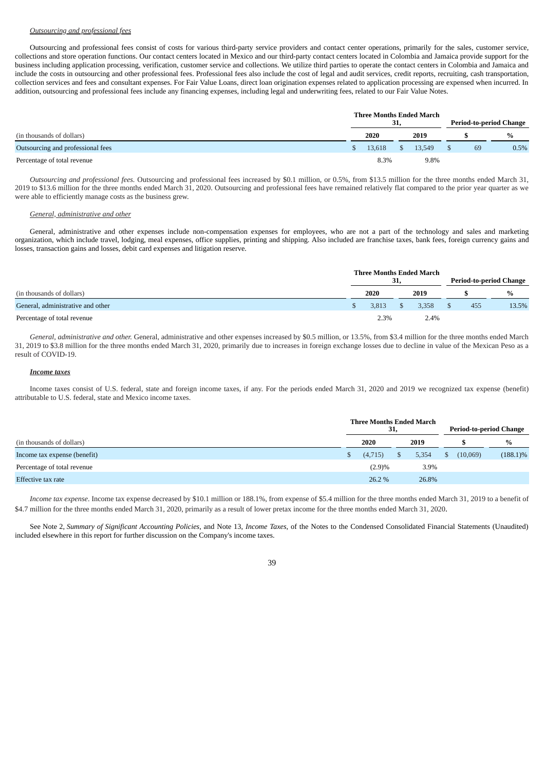# *Outsourcing and professional fees*

Outsourcing and professional fees consist of costs for various third-party service providers and contact center operations, primarily for the sales, customer service, collections and store operation functions. Our contact centers located in Mexico and our third-party contact centers located in Colombia and Jamaica provide support for the business including application processing, verification, customer service and collections. We utilize third parties to operate the contact centers in Colombia and Jamaica and include the costs in outsourcing and other professional fees. Professional fees also include the cost of legal and audit services, credit reports, recruiting, cash transportation, collection services and fees and consultant expenses. For Fair Value Loans, direct loan origination expenses related to application processing are expensed when incurred. In addition, outsourcing and professional fees include any financing expenses, including legal and underwriting fees, related to our Fair Value Notes.

|                                   |     |        | 31,          | <b>Three Months Ended March</b> | <b>Period-to-period Change</b> |      |  |
|-----------------------------------|-----|--------|--------------|---------------------------------|--------------------------------|------|--|
| (in thousands of dollars)         |     | 2020   |              | 2019                            |                                | $\%$ |  |
| Outsourcing and professional fees | SS. | 13.618 | <sup>S</sup> | 13.549                          | 69                             | 0.5% |  |
| Percentage of total revenue       |     | 8.3%   |              | 9.8%                            |                                |      |  |

*Outsourcing and professional fees.* Outsourcing and professional fees increased by \$0.1 million, or 0.5%, from \$13.5 million for the three months ended March 31, 2019 to \$13.6 million for the three months ended March 31, 2020. Outsourcing and professional fees have remained relatively flat compared to the prior year quarter as we were able to efficiently manage costs as the business grew.

### *General, administrative and other*

General, administrative and other expenses include non-compensation expenses for employees, who are not a part of the technology and sales and marketing organization, which include travel, lodging, meal expenses, office supplies, printing and shipping. Also included are franchise taxes, bank fees, foreign currency gains and losses, transaction gains and losses, debit card expenses and litigation reserve.

|                                   | <b>Three Months Ended March</b> | 31, |       | <b>Period-to-period Change</b> |       |  |
|-----------------------------------|---------------------------------|-----|-------|--------------------------------|-------|--|
| (in thousands of dollars)         | 2020                            |     | 2019  |                                | $\%$  |  |
| General, administrative and other | 3.813                           |     | 3.358 | 455                            | 13.5% |  |
| Percentage of total revenue       | 2.3%                            |     | 2.4%  |                                |       |  |

*General, administrative and other.* General, administrative and other expenses increased by \$0.5 million, or 13.5%, from \$3.4 million for the three months ended March 31, 2019 to \$3.8 million for the three months ended March 31, 2020, primarily due to increases in foreign exchange losses due to decline in value of the Mexican Peso as a result of COVID-19.

## *Income taxes*

Income taxes consist of U.S. federal, state and foreign income taxes, if any. For the periods ended March 31, 2020 and 2019 we recognized tax expense (benefit) attributable to U.S. federal, state and Mexico income taxes.

|                              |  |         |  | <b>Three Months Ended March</b> | <b>Period-to-period Change</b> |          |             |
|------------------------------|--|---------|--|---------------------------------|--------------------------------|----------|-------------|
| (in thousands of dollars)    |  | 2020    |  | 2019                            |                                |          | $\%$        |
| Income tax expense (benefit) |  | (4,715) |  | 5,354                           |                                | (10,069) | $(188.1)\%$ |
| Percentage of total revenue  |  | (2.9)%  |  | 3.9%                            |                                |          |             |
| Effective tax rate           |  | 26.2 %  |  | 26.8%                           |                                |          |             |

*Income tax expense*. Income tax expense decreased by \$10.1 million or 188.1%, from expense of \$5.4 million for the three months ended March 31, 2019 to a benefit of \$4.7 million for the three months ended March 31, 2020, primarily as a result of lower pretax income for the three months ended March 31, 2020.

See Note 2, *Summary of Significant Accounting Policies*, and Note 13, *Income Taxes*, of the Notes to the Condensed Consolidated Financial Statements (Unaudited) included elsewhere in this report for further discussion on the Company's income taxes.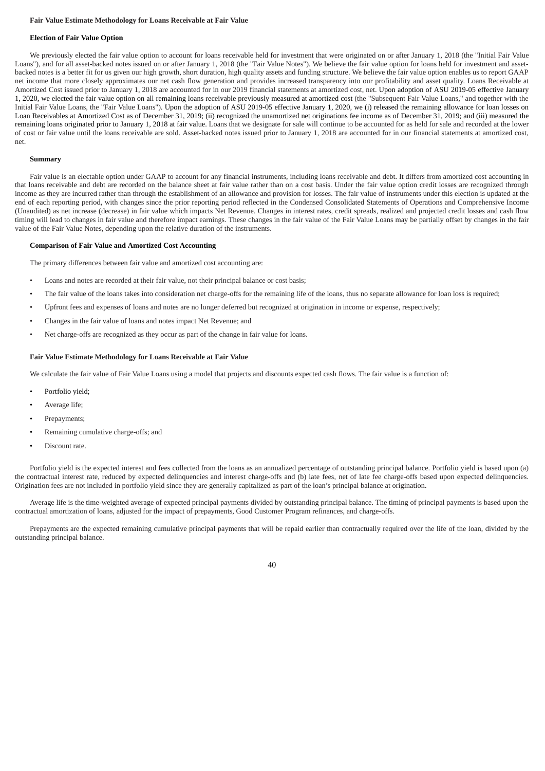### **Fair Value Estimate Methodology for Loans Receivable at Fair Value**

## **Election of Fair Value Option**

We previously elected the fair value option to account for loans receivable held for investment that were originated on or after January 1, 2018 (the "Initial Fair Value Loans"), and for all asset-backed notes issued on or after January 1, 2018 (the "Fair Value Notes"). We believe the fair value option for loans held for investment and assetbacked notes is a better fit for us given our high growth, short duration, high quality assets and funding structure. We believe the fair value option enables us to report GAAP net income that more closely approximates our net cash flow generation and provides increased transparency into our profitability and asset quality. Loans Receivable at Amortized Cost issued prior to January 1, 2018 are accounted for in our 2019 financial statements at amortized cost, net. Upon adoption of ASU 2019-05 effective January 1, 2020, we elected the fair value option on all remaining loans receivable previously measured at amortized cost (the "Subsequent Fair Value Loans," and together with the Initial Fair Value Loans, the "Fair Value Loans"). Upon the adoption of ASU 2019-05 effective January 1, 2020, we (i) released the remaining allowance for loan losses on Loan Receivables at Amortized Cost as of December 31, 2019; (ii) recognized the unamortized net originations fee income as of December 31, 2019; and (iii) measured the remaining loans originated prior to January 1, 2018 at fair value. Loans that we designate for sale will continue to be accounted for as held for sale and recorded at the lower of cost or fair value until the loans receivable are sold. Asset-backed notes issued prior to January 1, 2018 are accounted for in our financial statements at amortized cost, net.

### **Summary**

Fair value is an electable option under GAAP to account for any financial instruments, including loans receivable and debt. It differs from amortized cost accounting in that loans receivable and debt are recorded on the balance sheet at fair value rather than on a cost basis. Under the fair value option credit losses are recognized through income as they are incurred rather than through the establishment of an allowance and provision for losses. The fair value of instruments under this election is updated at the end of each reporting period, with changes since the prior reporting period reflected in the Condensed Consolidated Statements of Operations and Comprehensive Income (Unaudited) as net increase (decrease) in fair value which impacts Net Revenue. Changes in interest rates, credit spreads, realized and projected credit losses and cash flow timing will lead to changes in fair value and therefore impact earnings. These changes in the fair value of the Fair Value Loans may be partially offset by changes in the fair value of the Fair Value Notes, depending upon the relative duration of the instruments.

# **Comparison of Fair Value and Amortized Cost Accounting**

The primary differences between fair value and amortized cost accounting are:

- Loans and notes are recorded at their fair value, not their principal balance or cost basis;
- The fair value of the loans takes into consideration net charge-offs for the remaining life of the loans, thus no separate allowance for loan loss is required;
- Upfront fees and expenses of loans and notes are no longer deferred but recognized at origination in income or expense, respectively;
- Changes in the fair value of loans and notes impact Net Revenue; and
- Net charge-offs are recognized as they occur as part of the change in fair value for loans.

## **Fair Value Estimate Methodology for Loans Receivable at Fair Value**

We calculate the fair value of Fair Value Loans using a model that projects and discounts expected cash flows. The fair value is a function of:

- Portfolio yield;
- Average life;
- Prepayments;
- Remaining cumulative charge-offs; and
- Discount rate.

Portfolio yield is the expected interest and fees collected from the loans as an annualized percentage of outstanding principal balance. Portfolio yield is based upon (a) the contractual interest rate, reduced by expected delinquencies and interest charge-offs and (b) late fees, net of late fee charge-offs based upon expected delinquencies. Origination fees are not included in portfolio yield since they are generally capitalized as part of the loan's principal balance at origination.

Average life is the time-weighted average of expected principal payments divided by outstanding principal balance. The timing of principal payments is based upon the contractual amortization of loans, adjusted for the impact of prepayments, Good Customer Program refinances, and charge-offs.

Prepayments are the expected remaining cumulative principal payments that will be repaid earlier than contractually required over the life of the loan, divided by the outstanding principal balance.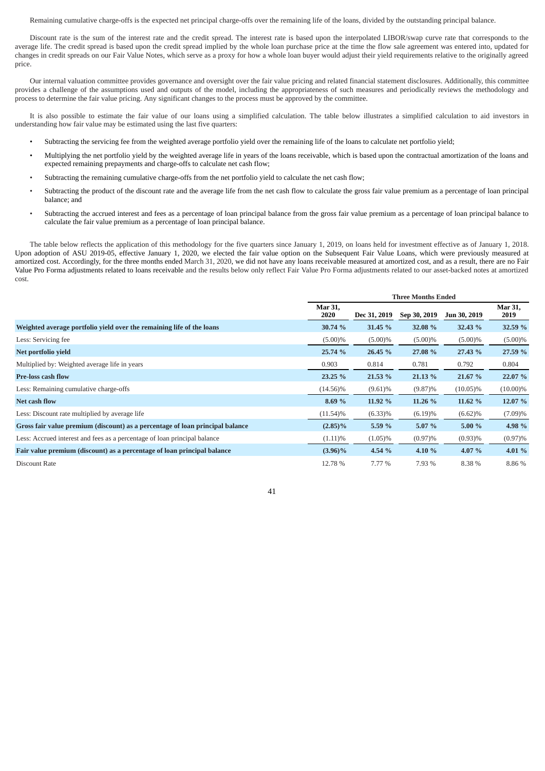Remaining cumulative charge-offs is the expected net principal charge-offs over the remaining life of the loans, divided by the outstanding principal balance.

Discount rate is the sum of the interest rate and the credit spread. The interest rate is based upon the interpolated LIBOR/swap curve rate that corresponds to the average life. The credit spread is based upon the credit spread implied by the whole loan purchase price at the time the flow sale agreement was entered into, updated for changes in credit spreads on our Fair Value Notes, which serve as a proxy for how a whole loan buyer would adjust their yield requirements relative to the originally agreed price.

Our internal valuation committee provides governance and oversight over the fair value pricing and related financial statement disclosures. Additionally, this committee provides a challenge of the assumptions used and outputs of the model, including the appropriateness of such measures and periodically reviews the methodology and process to determine the fair value pricing. Any significant changes to the process must be approved by the committee.

It is also possible to estimate the fair value of our loans using a simplified calculation. The table below illustrates a simplified calculation to aid investors in understanding how fair value may be estimated using the last five quarters:

- Subtracting the servicing fee from the weighted average portfolio yield over the remaining life of the loans to calculate net portfolio yield;
- Multiplying the net portfolio yield by the weighted average life in years of the loans receivable, which is based upon the contractual amortization of the loans and expected remaining prepayments and charge-offs to calculate net cash flow;
- Subtracting the remaining cumulative charge-offs from the net portfolio yield to calculate the net cash flow;
- Subtracting the product of the discount rate and the average life from the net cash flow to calculate the gross fair value premium as a percentage of loan principal balance; and
- Subtracting the accrued interest and fees as a percentage of loan principal balance from the gross fair value premium as a percentage of loan principal balance to calculate the fair value premium as a percentage of loan principal balance.

The table below reflects the application of this methodology for the five quarters since January 1, 2019, on loans held for investment effective as of January 1, 2018. Upon adoption of ASU 2019-05, effective January 1, 2020, we elected the fair value option on the Subsequent Fair Value Loans, which were previously measured at amortized cost. Accordingly, for the three months ended March 31, 2020, we did not have any loans receivable measured at amortized cost, and as a result, there are no Fair Value Pro Forma adjustments related to loans receivable and the results below only reflect Fair Value Pro Forma adjustments related to our asset-backed notes at amortized cost.

|                                                                               | <b>Three Months Ended</b> |              |              |              |                        |  |  |  |  |
|-------------------------------------------------------------------------------|---------------------------|--------------|--------------|--------------|------------------------|--|--|--|--|
|                                                                               | <b>Mar 31,</b><br>2020    | Dec 31, 2019 | Sep 30, 2019 | Jun 30, 2019 | <b>Mar 31,</b><br>2019 |  |  |  |  |
| Weighted average portfolio yield over the remaining life of the loans         | 30.74 %                   | 31.45 %      | 32.08 %      | 32.43 %      | 32.59 %                |  |  |  |  |
| Less: Servicing fee                                                           | $(5.00)\%$                | $(5.00)\%$   | $(5.00)\%$   | $(5.00)\%$   | $(5.00)\%$             |  |  |  |  |
| Net portfolio vield                                                           | 25.74 %                   | 26.45 %      | 27.08 %      | 27.43 %      | 27.59 %                |  |  |  |  |
| Multiplied by: Weighted average life in years                                 | 0.903                     | 0.814        | 0.781        | 0.792        | 0.804                  |  |  |  |  |
| <b>Pre-loss cash flow</b>                                                     | 23.25 %                   | 21.53 %      | 21.13 %      | 21.67 %      | 22.07 %                |  |  |  |  |
| Less: Remaining cumulative charge-offs                                        | (14.56)%                  | (9.61)%      | $(9.87)\%$   | $(10.05)\%$  | $(10.00)\%$            |  |  |  |  |
| Net cash flow                                                                 | 8.69 %                    | 11.92 %      | 11.26 %      | 11.62 %      | 12.07 %                |  |  |  |  |
| Less: Discount rate multiplied by average life                                | $(11.54)\%$               | $(6.33)\%$   | $(6.19)\%$   | $(6.62)\%$   | $(7.09)\%$             |  |  |  |  |
| Gross fair value premium (discount) as a percentage of loan principal balance | $(2.85)\%$                | 5.59 %       | 5.07 %       | 5.00 %       | 4.98 %                 |  |  |  |  |
| Less: Accrued interest and fees as a percentage of loan principal balance     | $(1.11)\%$                | $(1.05)\%$   | $(0.97)\%$   | $(0.93)\%$   | $(0.97)\%$             |  |  |  |  |
| Fair value premium (discount) as a percentage of loan principal balance       | $(3.96)\%$                | 4.54 %       | 4.10 %       | 4.07 %       | 4.01 $%$               |  |  |  |  |
| Discount Rate                                                                 | 12.78 %                   | 7.77 %       | 7.93 %       | 8.38 %       | 8.86 %                 |  |  |  |  |

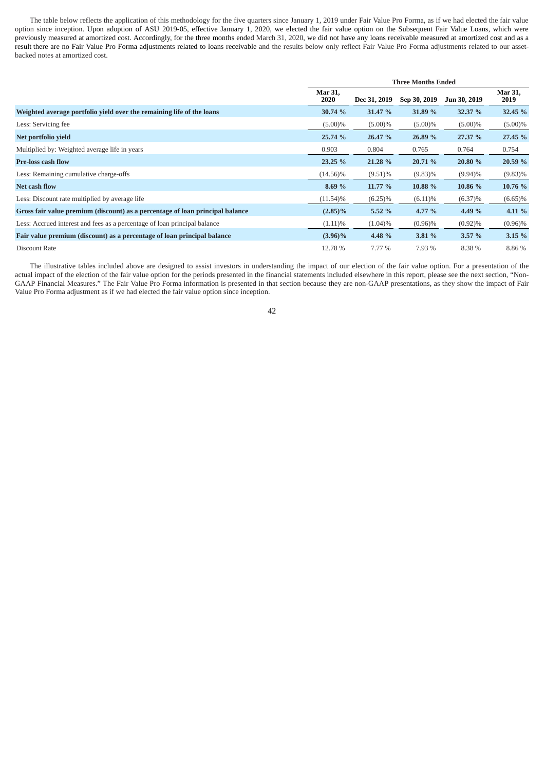The table below reflects the application of this methodology for the five quarters since January 1, 2019 under Fair Value Pro Forma, as if we had elected the fair value option since inception. Upon adoption of ASU 2019-05, effective January 1, 2020, we elected the fair value option on the Subsequent Fair Value Loans, which were previously measured at amortized cost. Accordingly, for the three months ended March 31, 2020, we did not have any loans receivable measured at amortized cost and as a result there are no Fair Value Pro Forma adjustments related to loans receivable and the results below only reflect Fair Value Pro Forma adjustments related to our assetbacked notes at amortized cost.

|                                                                               |                        |              | <b>Three Months Ended</b> |              |                 |
|-------------------------------------------------------------------------------|------------------------|--------------|---------------------------|--------------|-----------------|
|                                                                               | <b>Mar 31,</b><br>2020 | Dec 31, 2019 | Sep 30, 2019              | Jun 30, 2019 | Mar 31,<br>2019 |
| Weighted average portfolio yield over the remaining life of the loans         | 30.74%                 | 31.47 %      | 31.89 %                   | 32.37 %      | 32.45 %         |
| Less: Servicing fee                                                           | $(5.00)\%$             | $(5.00)\%$   | $(5.00)\%$                | $(5.00)\%$   | $(5.00)\%$      |
| Net portfolio yield                                                           | 25.74 %                | 26.47 %      | 26.89 %                   | 27.37 %      | 27.45 %         |
| Multiplied by: Weighted average life in years                                 | 0.903                  | 0.804        | 0.765                     | 0.764        | 0.754           |
| <b>Pre-loss cash flow</b>                                                     | 23.25 %                | 21.28 %      | 20.71 %                   | 20.80 %      | 20.59 %         |
| Less: Remaining cumulative charge-offs                                        | (14.56)%               | $(9.51)\%$   | $(9.83)\%$                | $(9.94)\%$   | $(9.83)\%$      |
| Net cash flow                                                                 | 8.69 %                 | 11.77 %      | 10.88 %                   | 10.86 %      | 10.76 %         |
| Less: Discount rate multiplied by average life                                | $(11.54)\%$            | $(6.25)\%$   | $(6.11)\%$                | $(6.37)\%$   | $(6.65)\%$      |
| Gross fair value premium (discount) as a percentage of loan principal balance | $(2.85)\%$             | 5.52 %       | 4.77 %                    | 4.49 %       | 4.11%           |
| Less: Accrued interest and fees as a percentage of loan principal balance     | $(1.11)\%$             | $(1.04)\%$   | $(0.96)\%$                | $(0.92)\%$   | $(0.96)\%$      |
| Fair value premium (discount) as a percentage of loan principal balance       | $(3.96)\%$             | 4.48 %       | 3.81 %                    | 3.57%        | 3.15%           |
| Discount Rate                                                                 | 12.78 %                | 7.77 %       | 7.93 %                    | 8.38 %       | 8.86 %          |

The illustrative tables included above are designed to assist investors in understanding the impact of our election of the fair value option. For a presentation of the actual impact of the election of the fair value option for the periods presented in the financial statements included elsewhere in this report, please see the next section, "Non-GAAP Financial Measures." The Fair Value Pro Forma information is presented in that section because they are non-GAAP presentations, as they show the impact of Fair Value Pro Forma adjustment as if we had elected the fair value option since inception.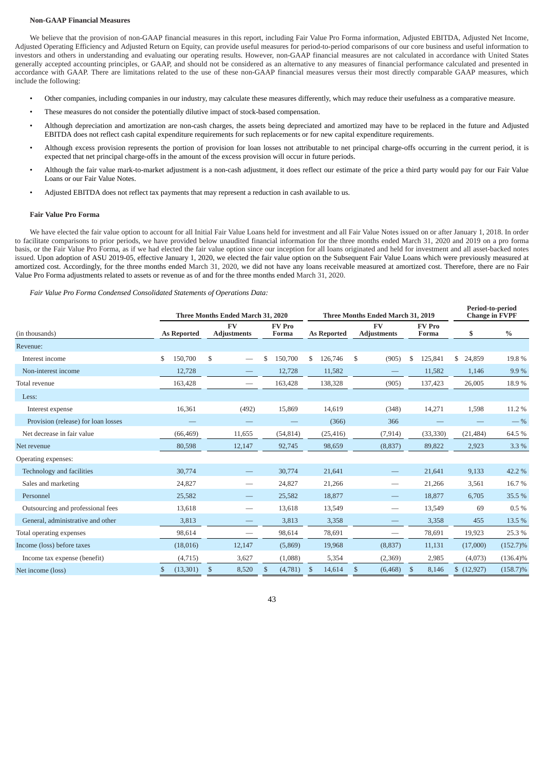### **Non-GAAP Financial Measures**

We believe that the provision of non-GAAP financial measures in this report, including Fair Value Pro Forma information, Adjusted EBITDA, Adjusted Net Income, Adjusted Operating Efficiency and Adjusted Return on Equity, can provide useful measures for period-to-period comparisons of our core business and useful information to investors and others in understanding and evaluating our operating results. However, non-GAAP financial measures are not calculated in accordance with United States generally accepted accounting principles, or GAAP, and should not be considered as an alternative to any measures of financial performance calculated and presented in accordance with GAAP. There are limitations related to the use of these non-GAAP financial measures versus their most directly comparable GAAP measures, which include the following:

- Other companies, including companies in our industry, may calculate these measures differently, which may reduce their usefulness as a comparative measure.
- These measures do not consider the potentially dilutive impact of stock-based compensation.
- Although depreciation and amortization are non-cash charges, the assets being depreciated and amortized may have to be replaced in the future and Adjusted EBITDA does not reflect cash capital expenditure requirements for such replacements or for new capital expenditure requirements.
- Although excess provision represents the portion of provision for loan losses not attributable to net principal charge-offs occurring in the current period, it is expected that net principal charge-offs in the amount of the excess provision will occur in future periods.
- Although the fair value mark-to-market adjustment is a non-cash adjustment, it does reflect our estimate of the price a third party would pay for our Fair Value Loans or our Fair Value Notes.
- Adjusted EBITDA does not reflect tax payments that may represent a reduction in cash available to us.

## **Fair Value Pro Forma**

We have elected the fair value option to account for all Initial Fair Value Loans held for investment and all Fair Value Notes issued on or after January 1, 2018. In order to facilitate comparisons to prior periods, we have provided below unaudited financial information for the three months ended March 31, 2020 and 2019 on a pro forma basis, or the Fair Value Pro Forma, as if we had elected the fair value option since our inception for all loans originated and held for investment and all asset-backed notes issued. Upon adoption of ASU 2019-05, effective January 1, 2020, we elected the fair value option on the Subsequent Fair Value Loans which were previously measured at amortized cost. Accordingly, for the three months ended March 31, 2020, we did not have any loans receivable measured at amortized cost. Therefore, there are no Fair Value Pro Forma adjustments related to assets or revenue as of and for the three months ended March 31, 2020.

*Fair Value Pro Forma Condensed Consolidated Statements of Operations Data:*

|                                     |                 | Three Months Ended March 31, 2020 |                        |                    | Three Months Ended March 31, 2019 | Period-to-period<br><b>Change in FVPF</b> |               |             |
|-------------------------------------|-----------------|-----------------------------------|------------------------|--------------------|-----------------------------------|-------------------------------------------|---------------|-------------|
| (in thousands)                      | As Reported     | <b>FV</b><br><b>Adjustments</b>   | <b>FV</b> Pro<br>Forma | <b>As Reported</b> | FV<br><b>Adjustments</b>          | <b>FV</b> Pro<br>Forma                    | \$            | $\%$        |
| Revenue:                            |                 |                                   |                        |                    |                                   |                                           |               |             |
| Interest income                     | \$<br>150,700   | \$                                | \$<br>150,700          | 126,746<br>\$      | \$<br>(905)                       | 125,841<br>\$                             | \$.<br>24,859 | 19.8%       |
| Non-interest income                 | 12,728          |                                   | 12,728                 | 11,582             |                                   | 11,582                                    | 1,146         | 9.9%        |
| Total revenue                       | 163,428         | $\overline{\phantom{0}}$          | 163,428                | 138,328            | (905)                             | 137,423                                   | 26,005        | 18.9%       |
| Less:                               |                 |                                   |                        |                    |                                   |                                           |               |             |
| Interest expense                    | 16,361          | (492)                             | 15,869                 | 14,619             | (348)                             | 14,271                                    | 1,598         | 11.2 %      |
| Provision (release) for loan losses |                 |                                   |                        | (366)              | 366                               |                                           |               | $-$ %       |
| Net decrease in fair value          | (66, 469)       | 11,655                            | (54, 814)              | (25, 416)          | (7, 914)                          | (33, 330)                                 | (21, 484)     | 64.5%       |
| Net revenue                         | 80,598          | 12,147                            | 92,745                 | 98,659             | (8,837)                           | 89,822                                    | 2,923         | 3.3 %       |
| Operating expenses:                 |                 |                                   |                        |                    |                                   |                                           |               |             |
| Technology and facilities           | 30,774          |                                   | 30,774                 | 21,641             |                                   | 21,641                                    | 9,133         | 42.2 %      |
| Sales and marketing                 | 24,827          | $\overline{\phantom{0}}$          | 24,827                 | 21,266             | $\overline{\phantom{0}}$          | 21,266                                    | 3,561         | 16.7%       |
| Personnel                           | 25,582          |                                   | 25,582                 | 18,877             |                                   | 18,877                                    | 6,705         | 35.5 %      |
| Outsourcing and professional fees   | 13,618          | $\overline{\phantom{0}}$          | 13,618                 | 13,549             | —                                 | 13,549                                    | 69            | $0.5\%$     |
| General, administrative and other   | 3,813           |                                   | 3,813                  | 3,358              |                                   | 3,358                                     | 455           | 13.5 %      |
| Total operating expenses            | 98,614          |                                   | 98,614                 | 78,691             |                                   | 78,691                                    | 19,923        | 25.3%       |
| Income (loss) before taxes          | (18,016)        | 12,147                            | (5,869)                | 19,968             | (8,837)                           | 11,131                                    | (17,000)      | $(152.7)\%$ |
| Income tax expense (benefit)        | (4, 715)        | 3,627                             | (1,088)                | 5,354              | (2,369)                           | 2,985                                     | (4,073)       | $(136.4)\%$ |
| Net income (loss)                   | (13, 301)<br>\$ | 8,520<br>\$                       | \$<br>(4,781)          | 14,614<br>\$       | $\mathbb{S}$<br>(6, 468)          | $\mathbb{S}$<br>8,146                     | \$(12,927)    | $(158.7)\%$ |

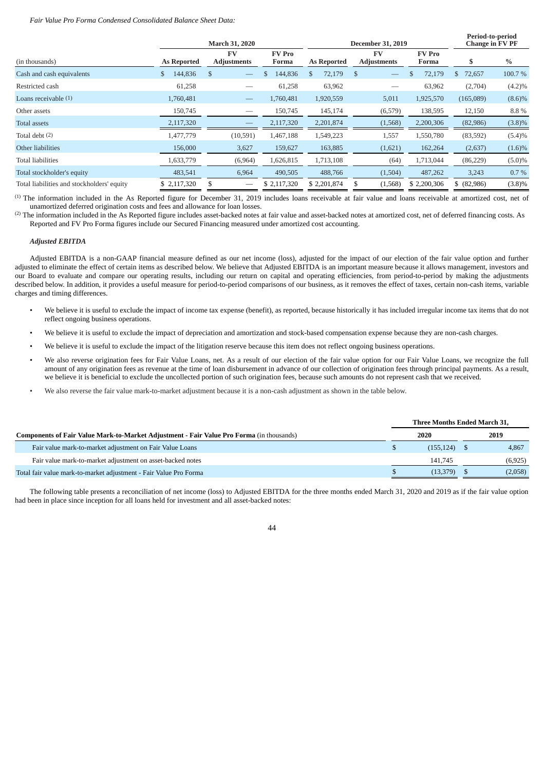### *Fair Value Pro Forma Condensed Consolidated Balance Sheet Data:*

|                                            |               | March 31, 2020                  |                        |                         | <b>December 31, 2019</b>        | Period-to-period<br><b>Change in FV PF</b> |              |           |
|--------------------------------------------|---------------|---------------------------------|------------------------|-------------------------|---------------------------------|--------------------------------------------|--------------|-----------|
| (in thousands)                             | As Reported   | FV<br><b>Adjustments</b>        | <b>FV</b> Pro<br>Forma | As Reported             | <b>FV</b><br><b>Adjustments</b> | <b>FV</b> Pro<br>Forma                     | S.           | $\%$      |
| Cash and cash equivalents                  | 144,836<br>\$ | <sup>\$</sup>                   | 144,836<br>\$          | 72,179<br><sup>\$</sup> | \$                              | 72,179                                     | 72,657<br>\$ | 100.7%    |
| Restricted cash                            | 61,258        | –                               | 61,258                 | 63,962                  |                                 | 63,962                                     | (2,704)      | $(4.2)\%$ |
| Loans receivable (1)                       | 1,760,481     | $\hspace{0.1mm}-\hspace{0.1mm}$ | 1,760,481              | 1,920,559               | 5,011                           | 1,925,570                                  | (165,089)    | $(8.6)\%$ |
| Other assets                               | 150,745       |                                 | 150,745                | 145,174                 | (6,579)                         | 138,595                                    | 12,150       | 8.8%      |
| Total assets                               | 2,117,320     |                                 | 2,117,320              | 2,201,874               | (1,568)                         | 2,200,306                                  | (82,986)     | $(3.8)\%$ |
| Total debt (2)                             | 1,477,779     | (10,591)                        | 1,467,188              | 1,549,223               | 1,557                           | 1,550,780                                  | (83,592)     | (5.4)%    |
| Other liabilities                          | 156,000       | 3,627                           | 159,627                | 163,885                 | (1,621)                         | 162,264                                    | (2,637)      | $(1.6)\%$ |
| <b>Total liabilities</b>                   | 1,633,779     | (6,964)                         | 1,626,815              | 1,713,108               | (64)                            | 1,713,044                                  | (86, 229)    | $(5.0)\%$ |
| Total stockholder's equity                 | 483,541       | 6,964                           | 490,505                | 488,766                 | (1,504)                         | 487,262                                    | 3,243        | 0.7%      |
| Total liabilities and stockholders' equity | \$2,117,320   | \$                              | \$ 2,117,320           | \$2,201,874             | \$<br>(1,568)                   | \$2,200,306                                | \$ (82,986)  | $(3.8)\%$ |

(1) The information included in the As Reported figure for December 31, 2019 includes loans receivable at fair value and loans receivable at amortized cost, net of unamortized deferred origination costs and fees and allowance for loan losses.

 $^{(2)}$  The information included in the As Reported figure includes asset-backed notes at fair value and asset-backed notes at amortized cost, net of deferred financing costs. As Reported and FV Pro Forma figures include our Secured Financing measured under amortized cost accounting.

### *Adjusted EBITDA*

Adjusted EBITDA is a non-GAAP financial measure defined as our net income (loss), adjusted for the impact of our election of the fair value option and further adjusted to eliminate the effect of certain items as described below. We believe that Adjusted EBITDA is an important measure because it allows management, investors and our Board to evaluate and compare our operating results, including our return on capital and operating efficiencies, from period-to-period by making the adjustments described below. In addition, it provides a useful measure for period-to-period comparisons of our business, as it removes the effect of taxes, certain non-cash items, variable charges and timing differences.

- We believe it is useful to exclude the impact of income tax expense (benefit), as reported, because historically it has included irregular income tax items that do not reflect ongoing business operations.
- We believe it is useful to exclude the impact of depreciation and amortization and stock-based compensation expense because they are non-cash charges.
- We believe it is useful to exclude the impact of the litigation reserve because this item does not reflect ongoing business operations.
- We also reverse origination fees for Fair Value Loans, net. As a result of our election of the fair value option for our Fair Value Loans, we recognize the full amount of any origination fees as revenue at the time of loan disbursement in advance of our collection of origination fees through principal payments. As a result, we believe it is beneficial to exclude the uncollected portion of such origination fees, because such amounts do not represent cash that we received.
- We also reverse the fair value mark-to-market adjustment because it is a non-cash adjustment as shown in the table below.

|                                                                                                 | Three Months Ended March 31, |            |  |          |
|-------------------------------------------------------------------------------------------------|------------------------------|------------|--|----------|
| <b>Components of Fair Value Mark-to-Market Adjustment - Fair Value Pro Forma</b> (in thousands) |                              | 2020       |  | 2019     |
| Fair value mark-to-market adjustment on Fair Value Loans                                        |                              | (155, 124) |  | 4,867    |
| Fair value mark-to-market adjustment on asset-backed notes                                      |                              | 141.745    |  | (6, 925) |
| Total fair value mark-to-market adjustment - Fair Value Pro Forma                               |                              | (13.379)   |  | (2,058)  |
|                                                                                                 |                              |            |  |          |

The following table presents a reconciliation of net income (loss) to Adjusted EBITDA for the three months ended March 31, 2020 and 2019 as if the fair value option had been in place since inception for all loans held for investment and all asset-backed notes: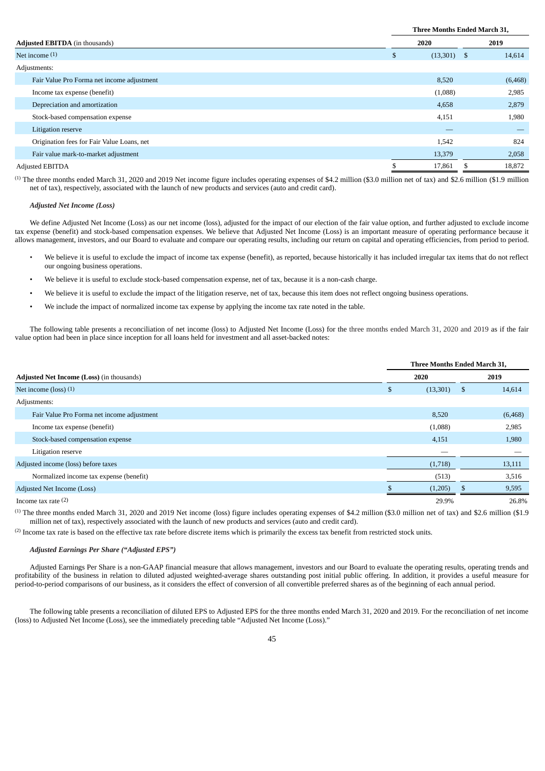|                                            | Three Months Ended March 31, |                |  |
|--------------------------------------------|------------------------------|----------------|--|
| <b>Adjusted EBITDA</b> (in thousands)      | 2020                         | 2019           |  |
| Net income $(1)$                           | (13,301)<br>S                | 14,614<br>- \$ |  |
| Adjustments:                               |                              |                |  |
| Fair Value Pro Forma net income adjustment | 8,520                        | (6, 468)       |  |
| Income tax expense (benefit)               | (1,088)                      | 2,985          |  |
| Depreciation and amortization              | 4,658                        | 2,879          |  |
| Stock-based compensation expense           | 4,151                        | 1,980          |  |
| Litigation reserve                         |                              |                |  |
| Origination fees for Fair Value Loans, net | 1,542                        | 824            |  |
| Fair value mark-to-market adjustment       | 13,379                       | 2,058          |  |
| Adjusted EBITDA                            | 17,861                       | 18,872         |  |

(1) The three months ended March 31, 2020 and 2019 Net income figure includes operating expenses of \$4.2 million (\$3.0 million net of tax) and \$2.6 million (\$1.9 million net of tax), respectively, associated with the launch of new products and services (auto and credit card).

## *Adjusted Net Income (Loss)*

We define Adjusted Net Income (Loss) as our net income (loss), adjusted for the impact of our election of the fair value option, and further adjusted to exclude income tax expense (benefit) and stock-based compensation expenses. We believe that Adjusted Net Income (Loss) is an important measure of operating performance because it allows management, investors, and our Board to evaluate and compare our operating results, including our return on capital and operating efficiencies, from period to period.

- We believe it is useful to exclude the impact of income tax expense (benefit), as reported, because historically it has included irregular tax items that do not reflect our ongoing business operations.
- We believe it is useful to exclude stock-based compensation expense, net of tax, because it is a non-cash charge.
- We believe it is useful to exclude the impact of the litigation reserve, net of tax, because this item does not reflect ongoing business operations.
- We include the impact of normalized income tax expense by applying the income tax rate noted in the table.

The following table presents a reconciliation of net income (loss) to Adjusted Net Income (Loss) for the three months ended March 31, 2020 and 2019 as if the fair value option had been in place since inception for all loans held for investment and all asset-backed notes:

|                                            | Three Months Ended March 31, |              |
|--------------------------------------------|------------------------------|--------------|
| Adjusted Net Income (Loss) (in thousands)  | 2020                         | 2019         |
| Net income $($ loss $)$ $(1)$              | \$<br>(13,301)               | \$<br>14,614 |
| Adjustments:                               |                              |              |
| Fair Value Pro Forma net income adjustment | 8,520                        | (6, 468)     |
| Income tax expense (benefit)               | (1,088)                      | 2,985        |
| Stock-based compensation expense           | 4,151                        | 1,980        |
| Litigation reserve                         |                              |              |
| Adjusted income (loss) before taxes        | (1,718)                      | 13,111       |
| Normalized income tax expense (benefit)    | (513)                        | 3,516        |
| Adjusted Net Income (Loss)                 | (1,205)                      | 9,595        |
| Income tax rate $(2)$                      | 29.9%                        | 26.8%        |

<sup>(1)</sup> The three months ended March 31, 2020 and 2019 Net income (loss) figure includes operating expenses of \$4.2 million (\$3.0 million net of tax) and \$2.6 million (\$1.9 million net of tax), respectively associated with the launch of new products and services (auto and credit card).

 $<sup>(2)</sup>$  Income tax rate is based on the effective tax rate before discrete items which is primarily the excess tax benefit from restricted stock units.</sup>

# *Adjusted Earnings Per Share ("Adjusted EPS")*

Adjusted Earnings Per Share is a non-GAAP financial measure that allows management, investors and our Board to evaluate the operating results, operating trends and profitability of the business in relation to diluted adjusted weighted-average shares outstanding post initial public offering. In addition, it provides a useful measure for period-to-period comparisons of our business, as it considers the effect of conversion of all convertible preferred shares as of the beginning of each annual period.

The following table presents a reconciliation of diluted EPS to Adjusted EPS for the three months ended March 31, 2020 and 2019. For the reconciliation of net income (loss) to Adjusted Net Income (Loss), see the immediately preceding table "Adjusted Net Income (Loss)."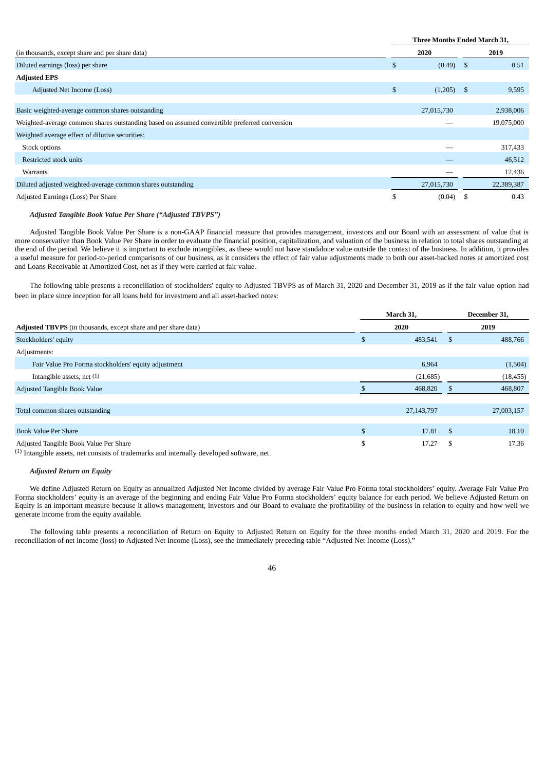|                                                                                              | <b>Three Months Ended March 31,</b> |              |      |            |
|----------------------------------------------------------------------------------------------|-------------------------------------|--------------|------|------------|
| (in thousands, except share and per share data)                                              | 2020                                |              | 2019 |            |
| Diluted earnings (loss) per share                                                            | \$                                  | (0.49)       | -S   | 0.51       |
| <b>Adjusted EPS</b>                                                                          |                                     |              |      |            |
| Adjusted Net Income (Loss)                                                                   | \$                                  | $(1,205)$ \$ |      | 9,595      |
|                                                                                              |                                     |              |      |            |
| Basic weighted-average common shares outstanding                                             |                                     | 27,015,730   |      | 2,938,006  |
| Weighted-average common shares outstanding based on assumed convertible preferred conversion |                                     |              |      | 19,075,000 |
| Weighted average effect of dilutive securities:                                              |                                     |              |      |            |
| Stock options                                                                                |                                     |              |      | 317,433    |
| Restricted stock units                                                                       |                                     |              |      | 46,512     |
| Warrants                                                                                     |                                     |              |      | 12,436     |
| Diluted adjusted weighted-average common shares outstanding                                  |                                     | 27,015,730   |      | 22,389,387 |
| Adjusted Earnings (Loss) Per Share                                                           | \$                                  | (0.04)       | -S   | 0.43       |

# *Adjusted Tangible Book Value Per Share ("Adjusted TBVPS")*

Adjusted Tangible Book Value Per Share is a non-GAAP financial measure that provides management, investors and our Board with an assessment of value that is more conservative than Book Value Per Share in order to evaluate the financial position, capitalization, and valuation of the business in relation to total shares outstanding at the end of the period. We believe it is important to exclude intangibles, as these would not have standalone value outside the context of the business. In addition, it provides a useful measure for period-to-period comparisons of our business, as it considers the effect of fair value adjustments made to both our asset-backed notes at amortized cost and Loans Receivable at Amortized Cost, net as if they were carried at fair value.

The following table presents a reconciliation of stockholders' equity to Adjusted TBVPS as of March 31, 2020 and December 31, 2019 as if the fair value option had been in place since inception for all loans held for investment and all asset-backed notes:

|                                                                       | March 31,<br>2020  |              | December 31,<br>2019 |            |
|-----------------------------------------------------------------------|--------------------|--------------|----------------------|------------|
| <b>Adjusted TBVPS</b> (in thousands, except share and per share data) |                    |              |                      |            |
| Stockholders' equity                                                  | \$                 | 483,541      | \$                   | 488,766    |
| Adjustments:                                                          |                    |              |                      |            |
| Fair Value Pro Forma stockholders' equity adjustment                  |                    | 6,964        |                      | (1,504)    |
| Intangible assets, net $(1)$                                          |                    | (21, 685)    |                      | (18, 455)  |
| Adjusted Tangible Book Value                                          |                    | 468,820      |                      | 468,807    |
|                                                                       |                    |              |                      |            |
| Total common shares outstanding                                       |                    | 27, 143, 797 |                      | 27,003,157 |
|                                                                       |                    |              |                      |            |
| <b>Book Value Per Share</b>                                           | $\mathbf{\hat{S}}$ | 17.81        | $\mathbf{s}$         | 18.10      |
| Adjusted Tangible Book Value Per Share                                | \$                 | 17.27        | S                    | 17.36      |

(1) Intangible assets, net consists of trademarks and internally developed software, net.

# *Adjusted Return on Equity*

We define Adjusted Return on Equity as annualized Adjusted Net Income divided by average Fair Value Pro Forma total stockholders' equity. Average Fair Value Pro Forma stockholders' equity is an average of the beginning and ending Fair Value Pro Forma stockholders' equity balance for each period. We believe Adjusted Return on Equity is an important measure because it allows management, investors and our Board to evaluate the profitability of the business in relation to equity and how well we generate income from the equity available.

The following table presents a reconciliation of Return on Equity to Adjusted Return on Equity for the three months ended March 31, 2020 and 2019. For the reconciliation of net income (loss) to Adjusted Net Income (Loss), see the immediately preceding table "Adjusted Net Income (Loss)."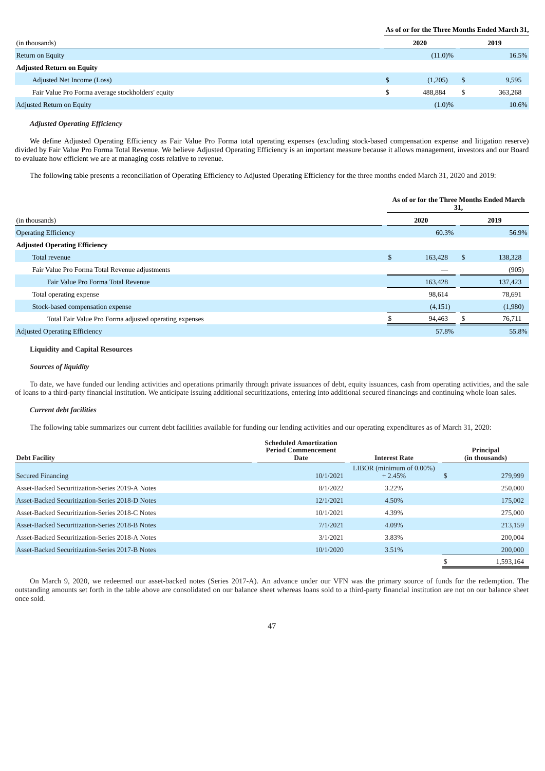# **As of or for the Three Months Ended March 31,**

| (in thousands)                                    | 2020       |   | 2019    |
|---------------------------------------------------|------------|---|---------|
| Return on Equity                                  | $(11.0)\%$ |   | 16.5%   |
| <b>Adjusted Return on Equity</b>                  |            |   |         |
| Adjusted Net Income (Loss)                        | (1,205)    | D | 9,595   |
| Fair Value Pro Forma average stockholders' equity | 488.884    |   | 363,268 |
| Adjusted Return on Equity                         | $(1.0)\%$  |   | 10.6%   |

# *Adjusted Operating Efficiency*

We define Adjusted Operating Efficiency as Fair Value Pro Forma total operating expenses (excluding stock-based compensation expense and litigation reserve) divided by Fair Value Pro Forma Total Revenue. We believe Adjusted Operating Efficiency is an important measure because it allows management, investors and our Board to evaluate how efficient we are at managing costs relative to revenue.

The following table presents a reconciliation of Operating Efficiency to Adjusted Operating Efficiency for the three months ended March 31, 2020 and 2019:

|                                                        | As of or for the Three Months Ended March<br>31, |         |    |         |
|--------------------------------------------------------|--------------------------------------------------|---------|----|---------|
| (in thousands)                                         |                                                  | 2020    |    | 2019    |
| <b>Operating Efficiency</b>                            |                                                  | 60.3%   |    | 56.9%   |
| <b>Adjusted Operating Efficiency</b>                   |                                                  |         |    |         |
| Total revenue                                          | \$                                               | 163,428 | S. | 138,328 |
| Fair Value Pro Forma Total Revenue adjustments         |                                                  | _       |    | (905)   |
| Fair Value Pro Forma Total Revenue                     |                                                  | 163,428 |    | 137,423 |
| Total operating expense                                |                                                  | 98,614  |    | 78,691  |
| Stock-based compensation expense                       |                                                  | (4,151) |    | (1,980) |
| Total Fair Value Pro Forma adjusted operating expenses |                                                  | 94,463  |    | 76,711  |
| <b>Adjusted Operating Efficiency</b>                   |                                                  | 57.8%   |    | 55.8%   |

# **Liquidity and Capital Resources**

## *Sources of liquidity*

To date, we have funded our lending activities and operations primarily through private issuances of debt, equity issuances, cash from operating activities, and the sale of loans to a third-party financial institution. We anticipate issuing additional securitizations, entering into additional secured financings and continuing whole loan sales.

### *Current debt facilities*

The following table summarizes our current debt facilities available for funding our lending activities and our operating expenditures as of March 31, 2020:

| <b>Debt Facility</b>                            | <b>Scheduled Amortization</b><br><b>Period Commencement</b><br>Date | <b>Interest Rate</b>                     | Principal<br>(in thousands) |
|-------------------------------------------------|---------------------------------------------------------------------|------------------------------------------|-----------------------------|
| <b>Secured Financing</b>                        | 10/1/2021                                                           | LIBOR (minimum of $0.00\%$ )<br>$+2.45%$ | 279,999                     |
| Asset-Backed Securitization-Series 2019-A Notes | 8/1/2022                                                            | 3.22%                                    | 250,000                     |
| Asset-Backed Securitization-Series 2018-D Notes | 12/1/2021                                                           | 4.50%                                    | 175,002                     |
| Asset-Backed Securitization-Series 2018-C Notes | 10/1/2021                                                           | 4.39%                                    | 275,000                     |
| Asset-Backed Securitization-Series 2018-B Notes | 7/1/2021                                                            | 4.09%                                    | 213,159                     |
| Asset-Backed Securitization-Series 2018-A Notes | 3/1/2021                                                            | 3.83%                                    | 200.004                     |
| Asset-Backed Securitization-Series 2017-B Notes | 10/1/2020                                                           | 3.51%                                    | 200,000                     |
|                                                 |                                                                     |                                          | 1.593.164                   |

On March 9, 2020, we redeemed our asset-backed notes (Series 2017-A). An advance under our VFN was the primary source of funds for the redemption. The outstanding amounts set forth in the table above are consolidated on our balance sheet whereas loans sold to a third-party financial institution are not on our balance sheet once sold.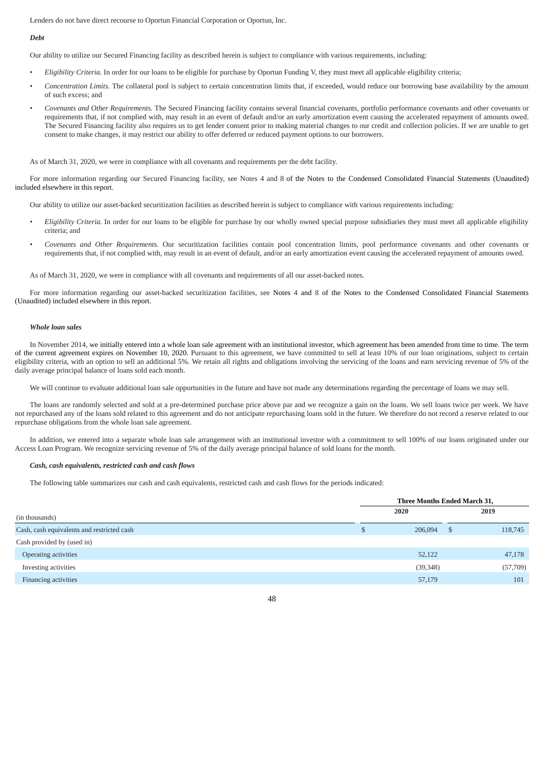Lenders do not have direct recourse to Oportun Financial Corporation or Oportun, Inc.

### *Debt*

Our ability to utilize our Secured Financing facility as described herein is subject to compliance with various requirements, including:

- *• Eligibility Criteria.* In order for our loans to be eligible for purchase by Oportun Funding V, they must meet all applicable eligibility criteria;
- *• Concentration Limits.* The collateral pool is subject to certain concentration limits that, if exceeded, would reduce our borrowing base availability by the amount of such excess; and
- *• Covenants and Other Requirements.* The Secured Financing facility contains several financial covenants, portfolio performance covenants and other covenants or requirements that, if not complied with, may result in an event of default and/or an early amortization event causing the accelerated repayment of amounts owed. The Secured Financing facility also requires us to get lender consent prior to making material changes to our credit and collection policies. If we are unable to get consent to make changes, it may restrict our ability to offer deferred or reduced payment options to our borrowers.

As of March 31, 2020, we were in compliance with all covenants and requirements per the debt facility.

For more information regarding our Secured Financing facility, see Notes 4 and 8 of the Notes to the Condensed Consolidated Financial Statements (Unaudited) included elsewhere in this report.

Our ability to utilize our asset-backed securitization facilities as described herein is subject to compliance with various requirements including:

- *• Eligibility Criteria.* In order for our loans to be eligible for purchase by our wholly owned special purpose subsidiaries they must meet all applicable eligibility criteria; and
- *• Covenants and Other Requirements.* Our securitization facilities contain pool concentration limits, pool performance covenants and other covenants or requirements that, if not complied with, may result in an event of default, and/or an early amortization event causing the accelerated repayment of amounts owed.

As of March 31, 2020, we were in compliance with all covenants and requirements of all our asset-backed notes.

For more information regarding our asset-backed securitization facilities, see Notes 4 and 8 of the Notes to the Condensed Consolidated Financial Statements (Unaudited) included elsewhere in this report.

## *Whole loan sales*

In November 2014, we initially entered into a whole loan sale agreement with an institutional investor, which agreement has been amended from time to time. The term of the current agreement expires on November 10, 2020. Pursuant to this agreement, we have committed to sell at least 10% of our loan originations, subject to certain eligibility criteria, with an option to sell an additional 5%. We retain all rights and obligations involving the servicing of the loans and earn servicing revenue of 5% of the daily average principal balance of loans sold each month.

We will continue to evaluate additional loan sale opportunities in the future and have not made any determinations regarding the percentage of loans we may sell.

The loans are randomly selected and sold at a pre-determined purchase price above par and we recognize a gain on the loans. We sell loans twice per week. We have not repurchased any of the loans sold related to this agreement and do not anticipate repurchasing loans sold in the future. We therefore do not record a reserve related to our repurchase obligations from the whole loan sale agreement.

In addition, we entered into a separate whole loan sale arrangement with an institutional investor with a commitment to sell 100% of our loans originated under our Access Loan Program. We recognize servicing revenue of 5% of the daily average principal balance of sold loans for the month.

## *Cash, cash equivalents, restricted cash and cash flows*

The following table summarizes our cash and cash equivalents, restricted cash and cash flows for the periods indicated:

|                                            | Three Months Ended March 31, |           |    |          |
|--------------------------------------------|------------------------------|-----------|----|----------|
| (in thousands)                             |                              | 2020      |    | 2019     |
| Cash, cash equivalents and restricted cash | Ð                            | 206,094   | S. | 118,745  |
| Cash provided by (used in)                 |                              |           |    |          |
| Operating activities                       |                              | 52,122    |    | 47,178   |
| Investing activities                       |                              | (39, 348) |    | (57,709) |
| Financing activities                       |                              | 57,179    |    | 101      |
|                                            |                              |           |    |          |

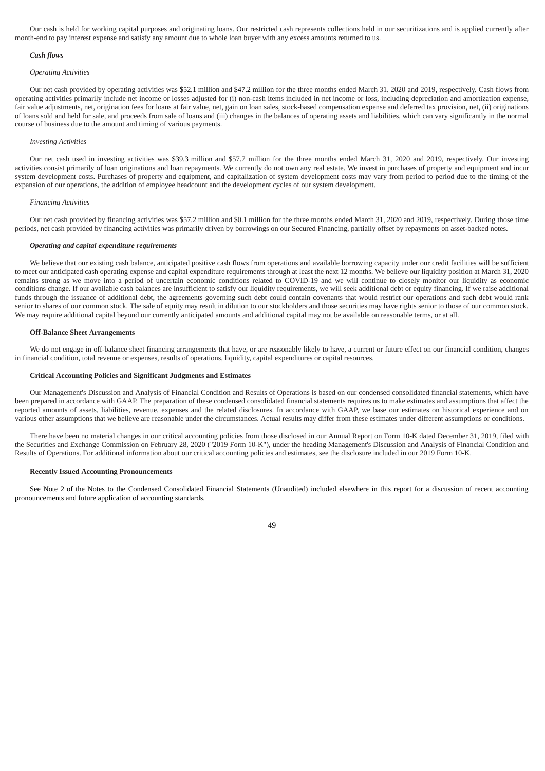Our cash is held for working capital purposes and originating loans. Our restricted cash represents collections held in our securitizations and is applied currently after month-end to pay interest expense and satisfy any amount due to whole loan buyer with any excess amounts returned to us.

## *Cash flows*

### *Operating Activities*

Our net cash provided by operating activities was \$52.1 million and \$47.2 million for the three months ended March 31, 2020 and 2019, respectively. Cash flows from operating activities primarily include net income or losses adjusted for (i) non-cash items included in net income or loss, including depreciation and amortization expense, fair value adjustments, net, origination fees for loans at fair value, net, gain on loan sales, stock-based compensation expense and deferred tax provision, net, (ii) originations of loans sold and held for sale, and proceeds from sale of loans and (iii) changes in the balances of operating assets and liabilities, which can vary significantly in the normal course of business due to the amount and timing of various payments.

### *Investing Activities*

Our net cash used in investing activities was \$39.3 million and \$57.7 million for the three months ended March 31, 2020 and 2019, respectively. Our investing activities consist primarily of loan originations and loan repayments. We currently do not own any real estate. We invest in purchases of property and equipment and incur system development costs. Purchases of property and equipment, and capitalization of system development costs may vary from period to period due to the timing of the expansion of our operations, the addition of employee headcount and the development cycles of our system development.

#### *Financing Activities*

Our net cash provided by financing activities was \$57.2 million and \$0.1 million for the three months ended March 31, 2020 and 2019, respectively. During those time periods, net cash provided by financing activities was primarily driven by borrowings on our Secured Financing, partially offset by repayments on asset-backed notes.

# *Operating and capital expenditure requirements*

We believe that our existing cash balance, anticipated positive cash flows from operations and available borrowing capacity under our credit facilities will be sufficient to meet our anticipated cash operating expense and capital expenditure requirements through at least the next 12 months. We believe our liquidity position at March 31, 2020 remains strong as we move into a period of uncertain economic conditions related to COVID-19 and we will continue to closely monitor our liquidity as economic conditions change. If our available cash balances are insufficient to satisfy our liquidity requirements, we will seek additional debt or equity financing. If we raise additional funds through the issuance of additional debt, the agreements governing such debt could contain covenants that would restrict our operations and such debt would rank senior to shares of our common stock. The sale of equity may result in dilution to our stockholders and those securities may have rights senior to those of our common stock. We may require additional capital beyond our currently anticipated amounts and additional capital may not be available on reasonable terms, or at all.

## **Off-Balance Sheet Arrangements**

We do not engage in off-balance sheet financing arrangements that have, or are reasonably likely to have, a current or future effect on our financial condition, changes in financial condition, total revenue or expenses, results of operations, liquidity, capital expenditures or capital resources.

## **Critical Accounting Policies and Significant Judgments and Estimates**

Our Management's Discussion and Analysis of Financial Condition and Results of Operations is based on our condensed consolidated financial statements, which have been prepared in accordance with GAAP. The preparation of these condensed consolidated financial statements requires us to make estimates and assumptions that affect the reported amounts of assets, liabilities, revenue, expenses and the related disclosures. In accordance with GAAP, we base our estimates on historical experience and on various other assumptions that we believe are reasonable under the circumstances. Actual results may differ from these estimates under different assumptions or conditions.

There have been no material changes in our critical accounting policies from those disclosed in our Annual Report on Form 10-K dated December 31, 2019, filed with the Securities and Exchange Commission on February 28, 2020 ("2019 Form 10-K"), under the heading Management's Discussion and Analysis of Financial Condition and Results of Operations. For additional information about our critical accounting policies and estimates, see the disclosure included in our 2019 Form 10-K.

#### **Recently Issued Accounting Pronouncements**

See Note 2 of the Notes to the Condensed Consolidated Financial Statements (Unaudited) included elsewhere in this report for a discussion of recent accounting pronouncements and future application of accounting standards.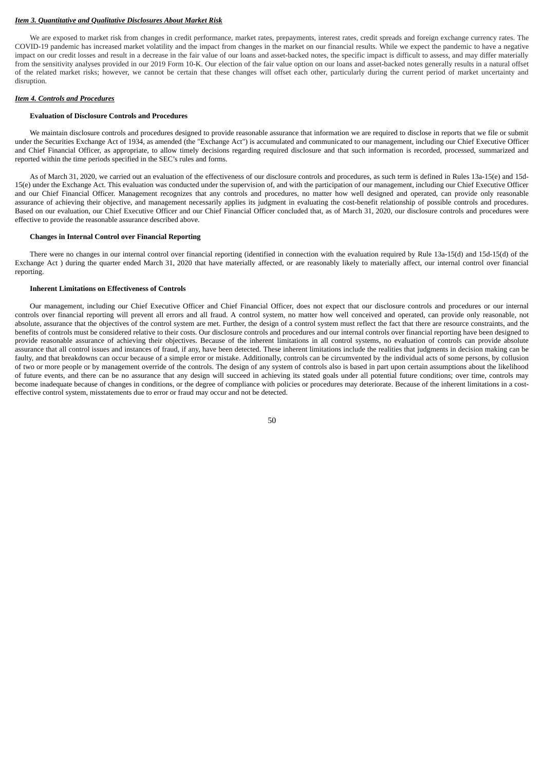## *Item 3. Quantitative and Qualitative Disclosures About Market Risk*

We are exposed to market risk from changes in credit performance, market rates, prepayments, interest rates, credit spreads and foreign exchange currency rates. The COVID-19 pandemic has increased market volatility and the impact from changes in the market on our financial results. While we expect the pandemic to have a negative impact on our credit losses and result in a decrease in the fair value of our loans and asset-backed notes, the specific impact is difficult to assess, and may differ materially from the sensitivity analyses provided in our 2019 Form 10-K. Our election of the fair value option on our loans and asset-backed notes generally results in a natural offset of the related market risks; however, we cannot be certain that these changes will offset each other, particularly during the current period of market uncertainty and disruption.

### *Item 4. Controls and Procedures*

## **Evaluation of Disclosure Controls and Procedures**

We maintain disclosure controls and procedures designed to provide reasonable assurance that information we are required to disclose in reports that we file or submit under the Securities Exchange Act of 1934, as amended (the "Exchange Act") is accumulated and communicated to our management, including our Chief Executive Officer and Chief Financial Officer, as appropriate, to allow timely decisions regarding required disclosure and that such information is recorded, processed, summarized and reported within the time periods specified in the SEC's rules and forms.

As of March 31, 2020, we carried out an evaluation of the effectiveness of our disclosure controls and procedures, as such term is defined in Rules 13a-15(e) and 15d-15(e) under the Exchange Act. This evaluation was conducted under the supervision of, and with the participation of our management, including our Chief Executive Officer and our Chief Financial Officer. Management recognizes that any controls and procedures, no matter how well designed and operated, can provide only reasonable assurance of achieving their objective, and management necessarily applies its judgment in evaluating the cost-benefit relationship of possible controls and procedures. Based on our evaluation, our Chief Executive Officer and our Chief Financial Officer concluded that, as of March 31, 2020, our disclosure controls and procedures were effective to provide the reasonable assurance described above.

### **Changes in Internal Control over Financial Reporting**

There were no changes in our internal control over financial reporting (identified in connection with the evaluation required by Rule 13a-15(d) and 15d-15(d) of the Exchange Act ) during the quarter ended March 31, 2020 that have materially affected, or are reasonably likely to materially affect, our internal control over financial reporting.

# **Inherent Limitations on Effectiveness of Controls**

Our management, including our Chief Executive Officer and Chief Financial Officer, does not expect that our disclosure controls and procedures or our internal controls over financial reporting will prevent all errors and all fraud. A control system, no matter how well conceived and operated, can provide only reasonable, not absolute, assurance that the objectives of the control system are met. Further, the design of a control system must reflect the fact that there are resource constraints, and the benefits of controls must be considered relative to their costs. Our disclosure controls and procedures and our internal controls over financial reporting have been designed to provide reasonable assurance of achieving their objectives. Because of the inherent limitations in all control systems, no evaluation of controls can provide absolute assurance that all control issues and instances of fraud, if any, have been detected. These inherent limitations include the realities that judgments in decision making can be faulty, and that breakdowns can occur because of a simple error or mistake. Additionally, controls can be circumvented by the individual acts of some persons, by collusion of two or more people or by management override of the controls. The design of any system of controls also is based in part upon certain assumptions about the likelihood of future events, and there can be no assurance that any design will succeed in achieving its stated goals under all potential future conditions; over time, controls may become inadequate because of changes in conditions, or the degree of compliance with policies or procedures may deteriorate. Because of the inherent limitations in a costeffective control system, misstatements due to error or fraud may occur and not be detected.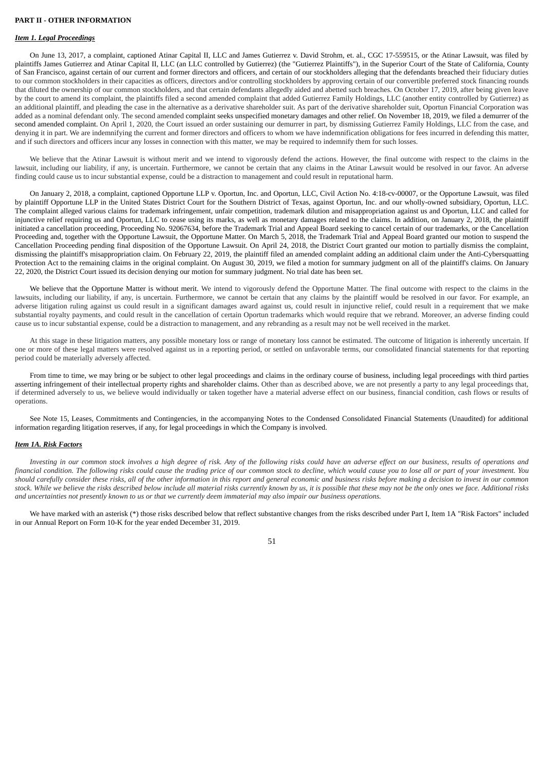### **PART II ‑ OTHER INFORMATION**

## *Item 1. Legal Proceedings*

On June 13, 2017, a complaint, captioned Atinar Capital II, LLC and James Gutierrez v. David Strohm, et. al., CGC 17-559515, or the Atinar Lawsuit, was filed by plaintiffs James Gutierrez and Atinar Capital II, LLC (an LLC controlled by Gutierrez) (the "Gutierrez Plaintiffs"), in the Superior Court of the State of California, County of San Francisco, against certain of our current and former directors and officers, and certain of our stockholders alleging that the defendants breached their fiduciary duties to our common stockholders in their capacities as officers, directors and/or controlling stockholders by approving certain of our convertible preferred stock financing rounds that diluted the ownership of our common stockholders, and that certain defendants allegedly aided and abetted such breaches. On October 17, 2019, after being given leave by the court to amend its complaint, the plaintiffs filed a second amended complaint that added Gutierrez Family Holdings, LLC (another entity controlled by Gutierrez) as an additional plaintiff, and pleading the case in the alternative as a derivative shareholder suit. As part of the derivative shareholder suit, Oportun Financial Corporation was added as a nominal defendant only. The second amended complaint seeks unspecified monetary damages and other relief. On November 18, 2019, we filed a demurrer of the second amended complaint. On April 1, 2020, the Court issued an order sustaining our demurrer in part, by dismissing Gutierrez Family Holdings, LLC from the case, and denying it in part. We are indemnifying the current and former directors and officers to whom we have indemnification obligations for fees incurred in defending this matter, and if such directors and officers incur any losses in connection with this matter, we may be required to indemnify them for such losses.

We believe that the Atinar Lawsuit is without merit and we intend to vigorously defend the actions. However, the final outcome with respect to the claims in the lawsuit, including our liability, if any is uncertain. Furthermore, we cannot be certain that any claims in the Atinar Lawsuit would be resolved in our favor. An adverse finding could cause us to incur substantial expense, could be a distraction to management and could result in reputational harm.

On January 2, 2018, a complaint, captioned Opportune LLP v. Oportun, Inc. and Oportun, LLC, Civil Action No. 4:18-cv-00007, or the Opportune Lawsuit, was filed by plaintiff Opportune LLP in the United States District Court for the Southern District of Texas, against Oportun, Inc. and our wholly-owned subsidiary, Oportun, LLC. The complaint alleged various claims for trademark infringement, unfair competition, trademark dilution and misappropriation against us and Oportun, LLC and called for injunctive relief requiring us and Oportun, LLC to cease using its marks, as well as monetary damages related to the claims. In addition, on January 2, 2018, the plaintiff initiated a cancellation proceeding, Proceeding No. 92067634, before the Trademark Trial and Appeal Board seeking to cancel certain of our trademarks, or the Cancellation Proceeding and, together with the Opportune Lawsuit, the Opportune Matter. On March 5, 2018, the Trademark Trial and Appeal Board granted our motion to suspend the Cancellation Proceeding pending final disposition of the Opportune Lawsuit. On April 24, 2018, the District Court granted our motion to partially dismiss the complaint, dismissing the plaintiff's misappropriation claim. On February 22, 2019, the plaintiff filed an amended complaint adding an additional claim under the Anti-Cybersquatting Protection Act to the remaining claims in the original complaint. On August 30, 2019, we filed a motion for summary judgment on all of the plaintiff's claims. On January 22, 2020, the District Court issued its decision denying our motion for summary judgment. No trial date has been set.

We believe that the Opportune Matter is without merit. We intend to vigorously defend the Opportune Matter. The final outcome with respect to the claims in the lawsuits, including our liability, if any, is uncertain. Furthermore, we cannot be certain that any claims by the plaintiff would be resolved in our favor. For example, an adverse litigation ruling against us could result in a significant damages award against us, could result in injunctive relief, could result in a requirement that we make substantial royalty payments, and could result in the cancellation of certain Oportun trademarks which would require that we rebrand. Moreover, an adverse finding could cause us to incur substantial expense, could be a distraction to management, and any rebranding as a result may not be well received in the market.

At this stage in these litigation matters, any possible monetary loss or range of monetary loss cannot be estimated. The outcome of litigation is inherently uncertain. If one or more of these legal matters were resolved against us in a reporting period, or settled on unfavorable terms, our consolidated financial statements for that reporting period could be materially adversely affected.

From time to time, we may bring or be subject to other legal proceedings and claims in the ordinary course of business, including legal proceedings with third parties asserting infringement of their intellectual property rights and shareholder claims. Other than as described above, we are not presently a party to any legal proceedings that, if determined adversely to us, we believe would individually or taken together have a material adverse effect on our business, financial condition, cash flows or results of operations.

See Note 15, Leases, Commitments and Contingencies, in the accompanying Notes to the Condensed Consolidated Financial Statements (Unaudited) for additional information regarding litigation reserves, if any, for legal proceedings in which the Company is involved.

# *Item 1A. Risk Factors*

*Investing in our common stock involves a high degree of risk. Any of the following risks could have an adverse effect on our business, results of operations and financial condition. The following risks could cause the trading price of our common stock to decline, which would cause you to lose all or part of your investment. You should carefully consider these risks, all of the other information in this report and general economic and business risks before making a decision to invest in our common stock. While we believe the risks described below include all material risks currently known by us, it is possible that these may not be the only ones we face. Additional risks and uncertainties not presently known to us or that we currently deem immaterial may also impair our business operations.*

We have marked with an asterisk (\*) those risks described below that reflect substantive changes from the risks described under Part I, Item 1A "Risk Factors" included in our Annual Report on Form 10-K for the year ended December 31, 2019.

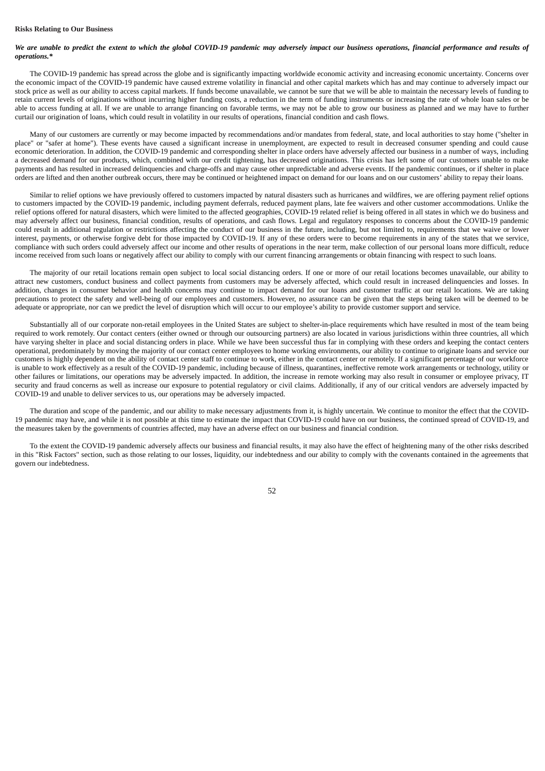### **Risks Relating to Our Business**

# *We are unable to predict the extent to which the global COVID-19 pandemic may adversely impact our business operations, financial performance and results of operations.\**

The COVID-19 pandemic has spread across the globe and is significantly impacting worldwide economic activity and increasing economic uncertainty. Concerns over the economic impact of the COVID-19 pandemic have caused extreme volatility in financial and other capital markets which has and may continue to adversely impact our stock price as well as our ability to access capital markets. If funds become unavailable, we cannot be sure that we will be able to maintain the necessary levels of funding to retain current levels of originations without incurring higher funding costs, a reduction in the term of funding instruments or increasing the rate of whole loan sales or be able to access funding at all. If we are unable to arrange financing on favorable terms, we may not be able to grow our business as planned and we may have to further curtail our origination of loans, which could result in volatility in our results of operations, financial condition and cash flows.

Many of our customers are currently or may become impacted by recommendations and/or mandates from federal, state, and local authorities to stay home ("shelter in place" or "safer at home"). These events have caused a significant increase in unemployment, are expected to result in decreased consumer spending and could cause economic deterioration. In addition, the COVID-19 pandemic and corresponding shelter in place orders have adversely affected our business in a number of ways, including a decreased demand for our products, which, combined with our credit tightening, has decreased originations. This crisis has left some of our customers unable to make payments and has resulted in increased delinquencies and charge-offs and may cause other unpredictable and adverse events. If the pandemic continues, or if shelter in place orders are lifted and then another outbreak occurs, there may be continued or heightened impact on demand for our loans and on our customers' ability to repay their loans.

Similar to relief options we have previously offered to customers impacted by natural disasters such as hurricanes and wildfires, we are offering payment relief options to customers impacted by the COVID-19 pandemic, including payment deferrals, reduced payment plans, late fee waivers and other customer accommodations. Unlike the relief options offered for natural disasters, which were limited to the affected geographies, COVID-19 related relief is being offered in all states in which we do business and may adversely affect our business, financial condition, results of operations, and cash flows. Legal and regulatory responses to concerns about the COVID-19 pandemic could result in additional regulation or restrictions affecting the conduct of our business in the future, including, but not limited to, requirements that we waive or lower interest, payments, or otherwise forgive debt for those impacted by COVID-19. If any of these orders were to become requirements in any of the states that we service, compliance with such orders could adversely affect our income and other results of operations in the near term, make collection of our personal loans more difficult, reduce income received from such loans or negatively affect our ability to comply with our current financing arrangements or obtain financing with respect to such loans.

The majority of our retail locations remain open subject to local social distancing orders. If one or more of our retail locations becomes unavailable, our ability to attract new customers, conduct business and collect payments from customers may be adversely affected, which could result in increased delinquencies and losses. In addition, changes in consumer behavior and health concerns may continue to impact demand for our loans and customer traffic at our retail locations. We are taking precautions to protect the safety and well-being of our employees and customers. However, no assurance can be given that the steps being taken will be deemed to be adequate or appropriate, nor can we predict the level of disruption which will occur to our employee's ability to provide customer support and service.

Substantially all of our corporate non-retail employees in the United States are subject to shelter-in-place requirements which have resulted in most of the team being required to work remotely. Our contact centers (either owned or through our outsourcing partners) are also located in various jurisdictions within three countries, all which have varying shelter in place and social distancing orders in place. While we have been successful thus far in complying with these orders and keeping the contact centers operational, predominately by moving the majority of our contact center employees to home working environments, our ability to continue to originate loans and service our customers is highly dependent on the ability of contact center staff to continue to work, either in the contact center or remotely. If a significant percentage of our workforce is unable to work effectively as a result of the COVID-19 pandemic, including because of illness, quarantines, ineffective remote work arrangements or technology, utility or other failures or limitations, our operations may be adversely impacted. In addition, the increase in remote working may also result in consumer or employee privacy, IT security and fraud concerns as well as increase our exposure to potential regulatory or civil claims. Additionally, if any of our critical vendors are adversely impacted by COVID-19 and unable to deliver services to us, our operations may be adversely impacted.

The duration and scope of the pandemic, and our ability to make necessary adjustments from it, is highly uncertain. We continue to monitor the effect that the COVID-19 pandemic may have, and while it is not possible at this time to estimate the impact that COVID-19 could have on our business, the continued spread of COVID-19, and the measures taken by the governments of countries affected, may have an adverse effect on our business and financial condition.

To the extent the COVID-19 pandemic adversely affects our business and financial results, it may also have the effect of heightening many of the other risks described in this "Risk Factors" section, such as those relating to our losses, liquidity, our indebtedness and our ability to comply with the covenants contained in the agreements that govern our indebtedness.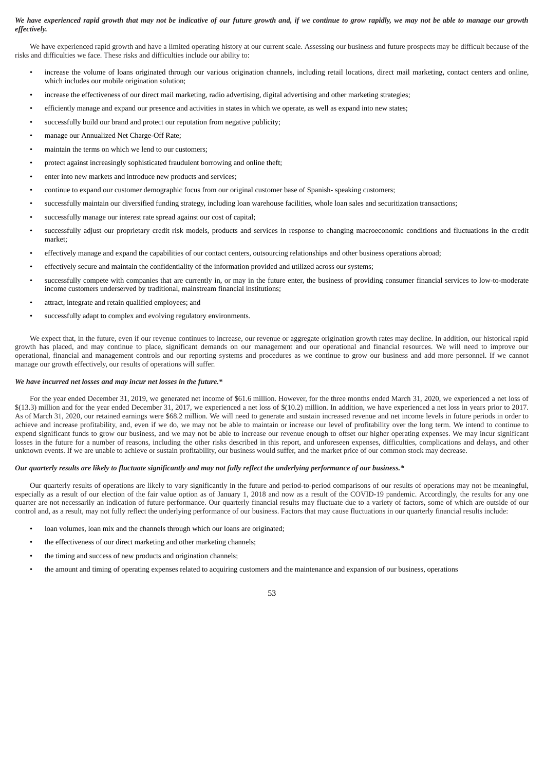# *We have experienced rapid growth that may not be indicative of our future growth and, if we continue to grow rapidly, we may not be able to manage our growth effectively.*

We have experienced rapid growth and have a limited operating history at our current scale. Assessing our business and future prospects may be difficult because of the risks and difficulties we face. These risks and difficulties include our ability to:

- increase the volume of loans originated through our various origination channels, including retail locations, direct mail marketing, contact centers and online, which includes our mobile origination solution;
- increase the effectiveness of our direct mail marketing, radio advertising, digital advertising and other marketing strategies;
- efficiently manage and expand our presence and activities in states in which we operate, as well as expand into new states;
- successfully build our brand and protect our reputation from negative publicity;
- manage our Annualized Net Charge-Off Rate;
- maintain the terms on which we lend to our customers;
- protect against increasingly sophisticated fraudulent borrowing and online theft;
- enter into new markets and introduce new products and services;
- continue to expand our customer demographic focus from our original customer base of Spanish- speaking customers;
- successfully maintain our diversified funding strategy, including loan warehouse facilities, whole loan sales and securitization transactions;
- successfully manage our interest rate spread against our cost of capital;
- successfully adjust our proprietary credit risk models, products and services in response to changing macroeconomic conditions and fluctuations in the credit market;
- effectively manage and expand the capabilities of our contact centers, outsourcing relationships and other business operations abroad;
- effectively secure and maintain the confidentiality of the information provided and utilized across our systems;
- successfully compete with companies that are currently in, or may in the future enter, the business of providing consumer financial services to low-to-moderate income customers underserved by traditional, mainstream financial institutions;
- attract, integrate and retain qualified employees; and
- successfully adapt to complex and evolving regulatory environments.

We expect that, in the future, even if our revenue continues to increase, our revenue or aggregate origination growth rates may decline. In addition, our historical rapid growth has placed, and may continue to place, significant demands on our management and our operational and financial resources. We will need to improve our operational, financial and management controls and our reporting systems and procedures as we continue to grow our business and add more personnel. If we cannot manage our growth effectively, our results of operations will suffer.

#### *We have incurred net losses and may incur net losses in the future.\**

For the year ended December 31, 2019, we generated net income of \$61.6 million. However, for the three months ended March 31, 2020, we experienced a net loss of \$(13.3) million and for the year ended December 31, 2017, we experienced a net loss of \$(10.2) million. In addition, we have experienced a net loss in years prior to 2017. As of March 31, 2020, our retained earnings were \$68.2 million. We will need to generate and sustain increased revenue and net income levels in future periods in order to achieve and increase profitability, and, even if we do, we may not be able to maintain or increase our level of profitability over the long term. We intend to continue to expend significant funds to grow our business, and we may not be able to increase our revenue enough to offset our higher operating expenses. We may incur significant losses in the future for a number of reasons, including the other risks described in this report, and unforeseen expenses, difficulties, complications and delays, and other unknown events. If we are unable to achieve or sustain profitability, our business would suffer, and the market price of our common stock may decrease.

# *Our quarterly results are likely to fluctuate significantly and may not fully reflect the underlying performance of our business.\**

Our quarterly results of operations are likely to vary significantly in the future and period-to-period comparisons of our results of operations may not be meaningful, especially as a result of our election of the fair value option as of January 1, 2018 and now as a result of the COVID-19 pandemic. Accordingly, the results for any one quarter are not necessarily an indication of future performance. Our quarterly financial results may fluctuate due to a variety of factors, some of which are outside of our control and, as a result, may not fully reflect the underlying performance of our business. Factors that may cause fluctuations in our quarterly financial results include:

- loan volumes, loan mix and the channels through which our loans are originated;
- the effectiveness of our direct marketing and other marketing channels;
- the timing and success of new products and origination channels;
- the amount and timing of operating expenses related to acquiring customers and the maintenance and expansion of our business, operations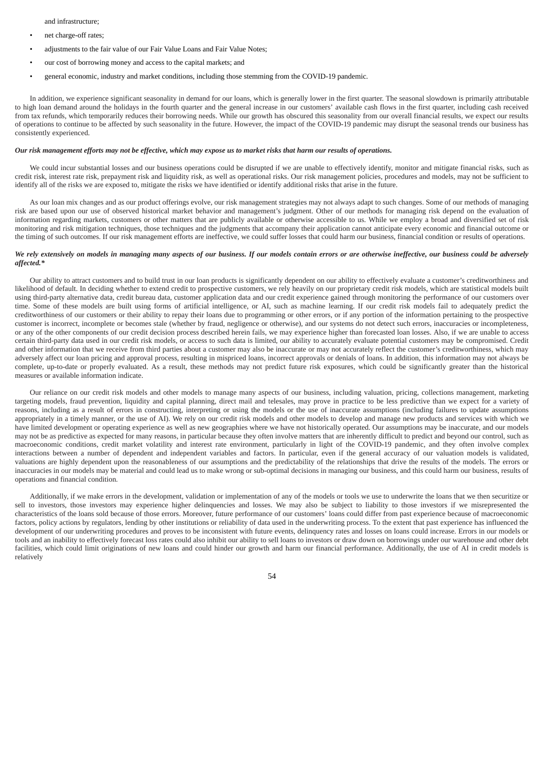and infrastructure;

- net charge-off rates;
- adjustments to the fair value of our Fair Value Loans and Fair Value Notes;
- our cost of borrowing money and access to the capital markets; and
- general economic, industry and market conditions, including those stemming from the COVID-19 pandemic.

In addition, we experience significant seasonality in demand for our loans, which is generally lower in the first quarter. The seasonal slowdown is primarily attributable to high loan demand around the holidays in the fourth quarter and the general increase in our customers' available cash flows in the first quarter, including cash received from tax refunds, which temporarily reduces their borrowing needs. While our growth has obscured this seasonality from our overall financial results, we expect our results of operations to continue to be affected by such seasonality in the future. However, the impact of the COVID-19 pandemic may disrupt the seasonal trends our business has consistently experienced.

## *Our risk management efforts may not be effective, which may expose us to market risks that harm our results of operations.*

We could incur substantial losses and our business operations could be disrupted if we are unable to effectively identify, monitor and mitigate financial risks, such as credit risk, interest rate risk, prepayment risk and liquidity risk, as well as operational risks. Our risk management policies, procedures and models, may not be sufficient to identify all of the risks we are exposed to, mitigate the risks we have identified or identify additional risks that arise in the future.

As our loan mix changes and as our product offerings evolve, our risk management strategies may not always adapt to such changes. Some of our methods of managing risk are based upon our use of observed historical market behavior and management's judgment. Other of our methods for managing risk depend on the evaluation of information regarding markets, customers or other matters that are publicly available or otherwise accessible to us. While we employ a broad and diversified set of risk monitoring and risk mitigation techniques, those techniques and the judgments that accompany their application cannot anticipate every economic and financial outcome or the timing of such outcomes. If our risk management efforts are ineffective, we could suffer losses that could harm our business, financial condition or results of operations.

# *We rely extensively on models in managing many aspects of our business. If our models contain errors or are otherwise ineffective, our business could be adversely affected.\**

Our ability to attract customers and to build trust in our loan products is significantly dependent on our ability to effectively evaluate a customer's creditworthiness and likelihood of default. In deciding whether to extend credit to prospective customers, we rely heavily on our proprietary credit risk models, which are statistical models built using third-party alternative data, credit bureau data, customer application data and our credit experience gained through monitoring the performance of our customers over time. Some of these models are built using forms of artificial intelligence, or AI, such as machine learning. If our credit risk models fail to adequately predict the creditworthiness of our customers or their ability to repay their loans due to programming or other errors, or if any portion of the information pertaining to the prospective customer is incorrect, incomplete or becomes stale (whether by fraud, negligence or otherwise), and our systems do not detect such errors, inaccuracies or incompleteness, or any of the other components of our credit decision process described herein fails, we may experience higher than forecasted loan losses. Also, if we are unable to access certain third-party data used in our credit risk models, or access to such data is limited, our ability to accurately evaluate potential customers may be compromised. Credit and other information that we receive from third parties about a customer may also be inaccurate or may not accurately reflect the customer's creditworthiness, which may adversely affect our loan pricing and approval process, resulting in mispriced loans, incorrect approvals or denials of loans. In addition, this information may not always be complete, up-to-date or properly evaluated. As a result, these methods may not predict future risk exposures, which could be significantly greater than the historical measures or available information indicate.

Our reliance on our credit risk models and other models to manage many aspects of our business, including valuation, pricing, collections management, marketing targeting models, fraud prevention, liquidity and capital planning, direct mail and telesales, may prove in practice to be less predictive than we expect for a variety of reasons, including as a result of errors in constructing, interpreting or using the models or the use of inaccurate assumptions (including failures to update assumptions appropriately in a timely manner, or the use of AI). We rely on our credit risk models and other models to develop and manage new products and services with which we have limited development or operating experience as well as new geographies where we have not historically operated. Our assumptions may be inaccurate, and our models may not be as predictive as expected for many reasons, in particular because they often involve matters that are inherently difficult to predict and beyond our control, such as macroeconomic conditions, credit market volatility and interest rate environment, particularly in light of the COVID-19 pandemic, and they often involve complex interactions between a number of dependent and independent variables and factors. In particular, even if the general accuracy of our valuation models is validated, valuations are highly dependent upon the reasonableness of our assumptions and the predictability of the relationships that drive the results of the models. The errors or inaccuracies in our models may be material and could lead us to make wrong or sub-optimal decisions in managing our business, and this could harm our business, results of operations and financial condition.

Additionally, if we make errors in the development, validation or implementation of any of the models or tools we use to underwrite the loans that we then securitize or sell to investors, those investors may experience higher delinquencies and losses. We may also be subject to liability to those investors if we misrepresented the characteristics of the loans sold because of those errors. Moreover, future performance of our customers' loans could differ from past experience because of macroeconomic factors, policy actions by regulators, lending by other institutions or reliability of data used in the underwriting process. To the extent that past experience has influenced the development of our underwriting procedures and proves to be inconsistent with future events, delinquency rates and losses on loans could increase. Errors in our models or tools and an inability to effectively forecast loss rates could also inhibit our ability to sell loans to investors or draw down on borrowings under our warehouse and other debt facilities, which could limit originations of new loans and could hinder our growth and harm our financial performance. Additionally, the use of AI in credit models is relatively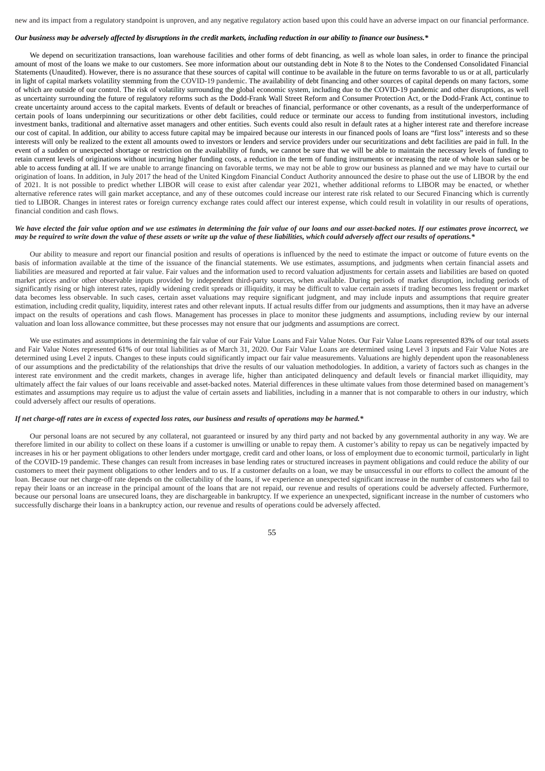new and its impact from a regulatory standpoint is unproven, and any negative regulatory action based upon this could have an adverse impact on our financial performance.

## *Our business may be adversely affected by disruptions in the credit markets, including reduction in our ability to finance our business.\**

We depend on securitization transactions, loan warehouse facilities and other forms of debt financing, as well as whole loan sales, in order to finance the principal amount of most of the loans we make to our customers. See more information about our outstanding debt in Note 8 to the Notes to the Condensed Consolidated Financial Statements (Unaudited). However, there is no assurance that these sources of capital will continue to be available in the future on terms favorable to us or at all, particularly in light of capital markets volatility stemming from the COVID-19 pandemic. The availability of debt financing and other sources of capital depends on many factors, some of which are outside of our control. The risk of volatility surrounding the global economic system, including due to the COVID-19 pandemic and other disruptions, as well as uncertainty surrounding the future of regulatory reforms such as the Dodd-Frank Wall Street Reform and Consumer Protection Act, or the Dodd-Frank Act, continue to create uncertainty around access to the capital markets. Events of default or breaches of financial, performance or other covenants, as a result of the underperformance of certain pools of loans underpinning our securitizations or other debt facilities, could reduce or terminate our access to funding from institutional investors, including investment banks, traditional and alternative asset managers and other entities. Such events could also result in default rates at a higher interest rate and therefore increase our cost of capital. In addition, our ability to access future capital may be impaired because our interests in our financed pools of loans are "first loss" interests and so these interests will only be realized to the extent all amounts owed to investors or lenders and service providers under our securitizations and debt facilities are paid in full. In the event of a sudden or unexpected shortage or restriction on the availability of funds, we cannot be sure that we will be able to maintain the necessary levels of funding to retain current levels of originations without incurring higher funding costs, a reduction in the term of funding instruments or increasing the rate of whole loan sales or be able to access funding at all. If we are unable to arrange financing on favorable terms, we may not be able to grow our business as planned and we may have to curtail our origination of loans. In addition, in July 2017 the head of the United Kingdom Financial Conduct Authority announced the desire to phase out the use of LIBOR by the end of 2021. It is not possible to predict whether LIBOR will cease to exist after calendar year 2021, whether additional reforms to LIBOR may be enacted, or whether alternative reference rates will gain market acceptance, and any of these outcomes could increase our interest rate risk related to our Secured Financing which is currently tied to LIBOR. Changes in interest rates or foreign currency exchange rates could affect our interest expense, which could result in volatility in our results of operations, financial condition and cash flows.

## *We have elected the fair value option and we use estimates in determining the fair value of our loans and our asset-backed notes. If our estimates prove incorrect, we may be required to write down the value of these assets or write up the value of these liabilities, which could adversely affect our results of operations.\**

Our ability to measure and report our financial position and results of operations is influenced by the need to estimate the impact or outcome of future events on the basis of information available at the time of the issuance of the financial statements. We use estimates, assumptions, and judgments when certain financial assets and liabilities are measured and reported at fair value. Fair values and the information used to record valuation adjustments for certain assets and liabilities are based on quoted market prices and/or other observable inputs provided by independent third-party sources, when available. During periods of market disruption, including periods of significantly rising or high interest rates, rapidly widening credit spreads or illiquidity, it may be difficult to value certain assets if trading becomes less frequent or market data becomes less observable. In such cases, certain asset valuations may require significant judgment, and may include inputs and assumptions that require greater estimation, including credit quality, liquidity, interest rates and other relevant inputs. If actual results differ from our judgments and assumptions, then it may have an adverse impact on the results of operations and cash flows. Management has processes in place to monitor these judgments and assumptions, including review by our internal valuation and loan loss allowance committee, but these processes may not ensure that our judgments and assumptions are correct.

We use estimates and assumptions in determining the fair value of our Fair Value Loans and Fair Value Notes. Our Fair Value Loans represented 83% of our total assets and Fair Value Notes represented 61% of our total liabilities as of March 31, 2020. Our Fair Value Loans are determined using Level 3 inputs and Fair Value Notes are determined using Level 2 inputs. Changes to these inputs could significantly impact our fair value measurements. Valuations are highly dependent upon the reasonableness of our assumptions and the predictability of the relationships that drive the results of our valuation methodologies. In addition, a variety of factors such as changes in the interest rate environment and the credit markets, changes in average life, higher than anticipated delinquency and default levels or financial market illiquidity, may ultimately affect the fair values of our loans receivable and asset-backed notes. Material differences in these ultimate values from those determined based on management's estimates and assumptions may require us to adjust the value of certain assets and liabilities, including in a manner that is not comparable to others in our industry, which could adversely affect our results of operations.

### *If net charge-off rates are in excess of expected loss rates, our business and results of operations may be harmed.\**

Our personal loans are not secured by any collateral, not guaranteed or insured by any third party and not backed by any governmental authority in any way. We are therefore limited in our ability to collect on these loans if a customer is unwilling or unable to repay them. A customer's ability to repay us can be negatively impacted by increases in his or her payment obligations to other lenders under mortgage, credit card and other loans, or loss of employment due to economic turmoil, particularly in light of the COVID-19 pandemic. These changes can result from increases in base lending rates or structured increases in payment obligations and could reduce the ability of our customers to meet their payment obligations to other lenders and to us. If a customer defaults on a loan, we may be unsuccessful in our efforts to collect the amount of the loan. Because our net charge-off rate depends on the collectability of the loans, if we experience an unexpected significant increase in the number of customers who fail to repay their loans or an increase in the principal amount of the loans that are not repaid, our revenue and results of operations could be adversely affected. Furthermore, because our personal loans are unsecured loans, they are dischargeable in bankruptcy. If we experience an unexpected, significant increase in the number of customers who successfully discharge their loans in a bankruptcy action, our revenue and results of operations could be adversely affected.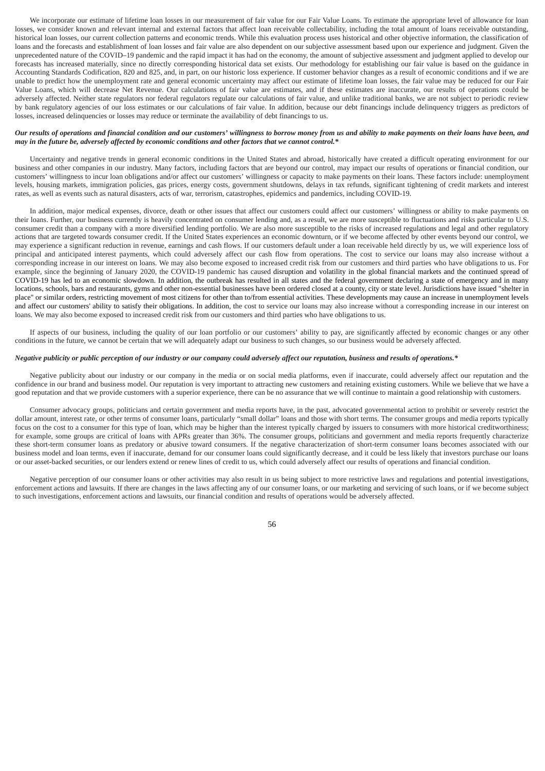We incorporate our estimate of lifetime loan losses in our measurement of fair value for our Fair Value Loans. To estimate the appropriate level of allowance for loan losses, we consider known and relevant internal and external factors that affect loan receivable collectability, including the total amount of loans receivable outstanding, historical loan losses, our current collection patterns and economic trends. While this evaluation process uses historical and other objective information, the classification of loans and the forecasts and establishment of loan losses and fair value are also dependent on our subjective assessment based upon our experience and judgment. Given the unprecedented nature of the COVID–19 pandemic and the rapid impact it has had on the economy, the amount of subjective assessment and judgment applied to develop our forecasts has increased materially, since no directly corresponding historical data set exists. Our methodology for establishing our fair value is based on the guidance in Accounting Standards Codification, 820 and 825, and, in part, on our historic loss experience. If customer behavior changes as a result of economic conditions and if we are unable to predict how the unemployment rate and general economic uncertainty may affect our estimate of lifetime loan losses, the fair value may be reduced for our Fair Value Loans, which will decrease Net Revenue. Our calculations of fair value are estimates, and if these estimates are inaccurate, our results of operations could be adversely affected. Neither state regulators nor federal regulators regulate our calculations of fair value, and unlike traditional banks, we are not subject to periodic review by bank regulatory agencies of our loss estimates or our calculations of fair value. In addition, because our debt financings include delinquency triggers as predictors of losses, increased delinquencies or losses may reduce or terminate the availability of debt financings to us.

### *Our results of operations and financial condition and our customers' willingness to borrow money from us and ability to make payments on their loans have been, and may in the future be, adversely affected by economic conditions and other factors that we cannot control.\**

Uncertainty and negative trends in general economic conditions in the United States and abroad, historically have created a difficult operating environment for our business and other companies in our industry. Many factors, including factors that are beyond our control, may impact our results of operations or financial condition, our customers' willingness to incur loan obligations and/or affect our customers' willingness or capacity to make payments on their loans. These factors include: unemployment levels, housing markets, immigration policies, gas prices, energy costs, government shutdowns, delays in tax refunds, significant tightening of credit markets and interest rates, as well as events such as natural disasters, acts of war, terrorism, catastrophes, epidemics and pandemics, including COVID-19.

In addition, major medical expenses, divorce, death or other issues that affect our customers could affect our customers' willingness or ability to make payments on their loans. Further, our business currently is heavily concentrated on consumer lending and, as a result, we are more susceptible to fluctuations and risks particular to U.S. consumer credit than a company with a more diversified lending portfolio. We are also more susceptible to the risks of increased regulations and legal and other regulatory actions that are targeted towards consumer credit. If the United States experiences an economic downturn, or if we become affected by other events beyond our control, we may experience a significant reduction in revenue, earnings and cash flows. If our customers default under a loan receivable held directly by us, we will experience loss of principal and anticipated interest payments, which could adversely affect our cash flow from operations. The cost to service our loans may also increase without a corresponding increase in our interest on loans. We may also become exposed to increased credit risk from our customers and third parties who have obligations to us. For example, since the beginning of January 2020, the COVID-19 pandemic has caused disruption and volatility in the global financial markets and the continued spread of COVID-19 has led to an economic slowdown. In addition, the outbreak has resulted in all states and the federal government declaring a state of emergency and in many locations, schools, bars and restaurants, gyms and other non-essential businesses have been ordered closed at a county, city or state level. Jurisdictions have issued "shelter in place" or similar orders, restricting movement of most citizens for other than to/from essential activities. These developments may cause an increase in unemployment levels and affect our customers' ability to satisfy their obligations. In addition, the cost to service our loans may also increase without a corresponding increase in our interest on loans. We may also become exposed to increased credit risk from our customers and third parties who have obligations to us.

If aspects of our business, including the quality of our loan portfolio or our customers' ability to pay, are significantly affected by economic changes or any other conditions in the future, we cannot be certain that we will adequately adapt our business to such changes, so our business would be adversely affected.

## *Negative publicity or public perception of our industry or our company could adversely affect our reputation, business and results of operations.\**

Negative publicity about our industry or our company in the media or on social media platforms, even if inaccurate, could adversely affect our reputation and the confidence in our brand and business model. Our reputation is very important to attracting new customers and retaining existing customers. While we believe that we have a good reputation and that we provide customers with a superior experience, there can be no assurance that we will continue to maintain a good relationship with customers.

Consumer advocacy groups, politicians and certain government and media reports have, in the past, advocated governmental action to prohibit or severely restrict the dollar amount, interest rate, or other terms of consumer loans, particularly "small dollar" loans and those with short terms. The consumer groups and media reports typically focus on the cost to a consumer for this type of loan, which may be higher than the interest typically charged by issuers to consumers with more historical creditworthiness; for example, some groups are critical of loans with APRs greater than 36%. The consumer groups, politicians and government and media reports frequently characterize these short-term consumer loans as predatory or abusive toward consumers. If the negative characterization of short-term consumer loans becomes associated with our business model and loan terms, even if inaccurate, demand for our consumer loans could significantly decrease, and it could be less likely that investors purchase our loans or our asset-backed securities, or our lenders extend or renew lines of credit to us, which could adversely affect our results of operations and financial condition.

Negative perception of our consumer loans or other activities may also result in us being subject to more restrictive laws and regulations and potential investigations, enforcement actions and lawsuits. If there are changes in the laws affecting any of our consumer loans, or our marketing and servicing of such loans, or if we become subject to such investigations, enforcement actions and lawsuits, our financial condition and results of operations would be adversely affected.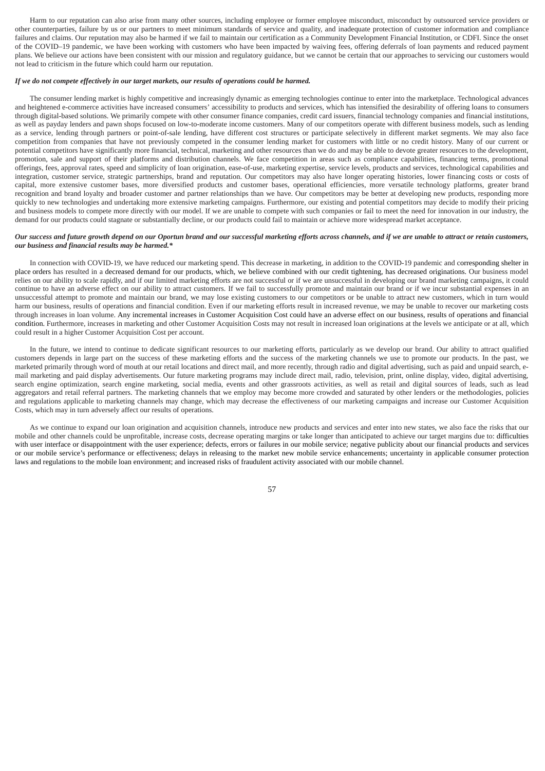Harm to our reputation can also arise from many other sources, including employee or former employee misconduct, misconduct by outsourced service providers or other counterparties, failure by us or our partners to meet minimum standards of service and quality, and inadequate protection of customer information and compliance failures and claims. Our reputation may also be harmed if we fail to maintain our certification as a Community Development Financial Institution, or CDFI. Since the onset of the COVID–19 pandemic, we have been working with customers who have been impacted by waiving fees, offering deferrals of loan payments and reduced payment plans. We believe our actions have been consistent with our mission and regulatory guidance, but we cannot be certain that our approaches to servicing our customers would not lead to criticism in the future which could harm our reputation.

### *If we do not compete effectively in our target markets, our results of operations could be harmed.*

The consumer lending market is highly competitive and increasingly dynamic as emerging technologies continue to enter into the marketplace. Technological advances and heightened e-commerce activities have increased consumers' accessibility to products and services, which has intensified the desirability of offering loans to consumers through digital-based solutions. We primarily compete with other consumer finance companies, credit card issuers, financial technology companies and financial institutions, as well as payday lenders and pawn shops focused on low-to-moderate income customers. Many of our competitors operate with different business models, such as lending as a service, lending through partners or point-of-sale lending, have different cost structures or participate selectively in different market segments. We may also face competition from companies that have not previously competed in the consumer lending market for customers with little or no credit history. Many of our current or potential competitors have significantly more financial, technical, marketing and other resources than we do and may be able to devote greater resources to the development, promotion, sale and support of their platforms and distribution channels. We face competition in areas such as compliance capabilities, financing terms, promotional offerings, fees, approval rates, speed and simplicity of loan origination, ease-of-use, marketing expertise, service levels, products and services, technological capabilities and integration, customer service, strategic partnerships, brand and reputation. Our competitors may also have longer operating histories, lower financing costs or costs of capital, more extensive customer bases, more diversified products and customer bases, operational efficiencies, more versatile technology platforms, greater brand recognition and brand loyalty and broader customer and partner relationships than we have. Our competitors may be better at developing new products, responding more quickly to new technologies and undertaking more extensive marketing campaigns. Furthermore, our existing and potential competitors may decide to modify their pricing and business models to compete more directly with our model. If we are unable to compete with such companies or fail to meet the need for innovation in our industry, the demand for our products could stagnate or substantially decline, or our products could fail to maintain or achieve more widespread market acceptance.

## *Our success and future growth depend on our Oportun brand and our successful marketing efforts across channels, and if we are unable to attract or retain customers, our business and financial results may be harmed.\**

In connection with COVID-19, we have reduced our marketing spend. This decrease in marketing, in addition to the COVID-19 pandemic and corresponding shelter in place orders has resulted in a decreased demand for our products, which, we believe combined with our credit tightening, has decreased originations. Our business model relies on our ability to scale rapidly, and if our limited marketing efforts are not successful or if we are unsuccessful in developing our brand marketing campaigns, it could continue to have an adverse effect on our ability to attract customers. If we fail to successfully promote and maintain our brand or if we incur substantial expenses in an unsuccessful attempt to promote and maintain our brand, we may lose existing customers to our competitors or be unable to attract new customers, which in turn would harm our business, results of operations and financial condition. Even if our marketing efforts result in increased revenue, we may be unable to recover our marketing costs through increases in loan volume. Any incremental increases in Customer Acquisition Cost could have an adverse effect on our business, results of operations and financial condition. Furthermore, increases in marketing and other Customer Acquisition Costs may not result in increased loan originations at the levels we anticipate or at all, which could result in a higher Customer Acquisition Cost per account.

In the future, we intend to continue to dedicate significant resources to our marketing efforts, particularly as we develop our brand. Our ability to attract qualified customers depends in large part on the success of these marketing efforts and the success of the marketing channels we use to promote our products. In the past, we marketed primarily through word of mouth at our retail locations and direct mail, and more recently, through radio and digital advertising, such as paid and unpaid search, email marketing and paid display advertisements. Our future marketing programs may include direct mail, radio, television, print, online display, video, digital advertising, search engine optimization, search engine marketing, social media, events and other grassroots activities, as well as retail and digital sources of leads, such as lead aggregators and retail referral partners. The marketing channels that we employ may become more crowded and saturated by other lenders or the methodologies, policies and regulations applicable to marketing channels may change, which may decrease the effectiveness of our marketing campaigns and increase our Customer Acquisition Costs, which may in turn adversely affect our results of operations.

As we continue to expand our loan origination and acquisition channels, introduce new products and services and enter into new states, we also face the risks that our mobile and other channels could be unprofitable, increase costs, decrease operating margins or take longer than anticipated to achieve our target margins due to: difficulties with user interface or disappointment with the user experience; defects, errors or failures in our mobile service; negative publicity about our financial products and services or our mobile service's performance or effectiveness; delays in releasing to the market new mobile service enhancements; uncertainty in applicable consumer protection laws and regulations to the mobile loan environment; and increased risks of fraudulent activity associated with our mobile channel.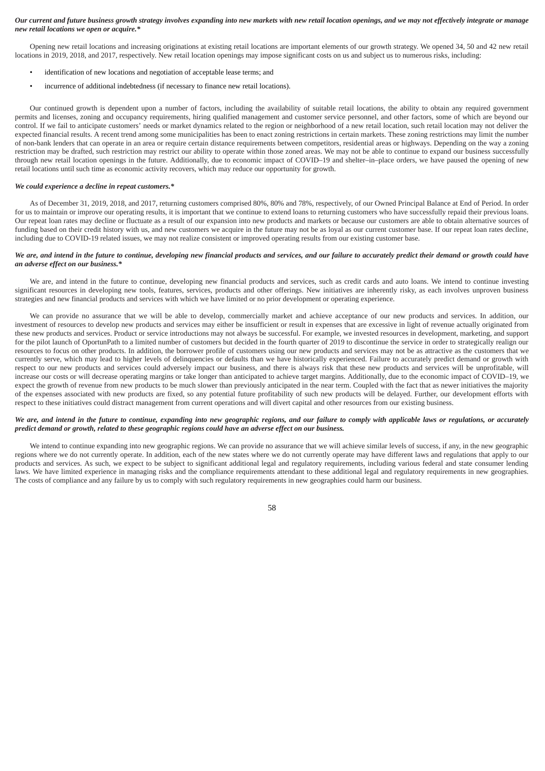## *Our current and future business growth strategy involves expanding into new markets with new retail location openings, and we may not effectively integrate or manage new retail locations we open or acquire.\**

Opening new retail locations and increasing originations at existing retail locations are important elements of our growth strategy. We opened 34, 50 and 42 new retail locations in 2019, 2018, and 2017, respectively. New retail location openings may impose significant costs on us and subject us to numerous risks, including:

- identification of new locations and negotiation of acceptable lease terms; and
- incurrence of additional indebtedness (if necessary to finance new retail locations).

Our continued growth is dependent upon a number of factors, including the availability of suitable retail locations, the ability to obtain any required government permits and licenses, zoning and occupancy requirements, hiring qualified management and customer service personnel, and other factors, some of which are beyond our control. If we fail to anticipate customers' needs or market dynamics related to the region or neighborhood of a new retail location, such retail location may not deliver the expected financial results. A recent trend among some municipalities has been to enact zoning restrictions in certain markets. These zoning restrictions may limit the number of non-bank lenders that can operate in an area or require certain distance requirements between competitors, residential areas or highways. Depending on the way a zoning restriction may be drafted, such restriction may restrict our ability to operate within those zoned areas. We may not be able to continue to expand our business successfully through new retail location openings in the future. Additionally, due to economic impact of COVID–19 and shelter–in–place orders, we have paused the opening of new retail locations until such time as economic activity recovers, which may reduce our opportunity for growth.

#### *We could experience a decline in repeat customers.\**

As of December 31, 2019, 2018, and 2017, returning customers comprised 80%, 80% and 78%, respectively, of our Owned Principal Balance at End of Period. In order for us to maintain or improve our operating results, it is important that we continue to extend loans to returning customers who have successfully repaid their previous loans. Our repeat loan rates may decline or fluctuate as a result of our expansion into new products and markets or because our customers are able to obtain alternative sources of funding based on their credit history with us, and new customers we acquire in the future may not be as loyal as our current customer base. If our repeat loan rates decline, including due to COVID-19 related issues, we may not realize consistent or improved operating results from our existing customer base.

## *We are, and intend in the future to continue, developing new financial products and services, and our failure to accurately predict their demand or growth could have an adverse effect on our business.\**

We are, and intend in the future to continue, developing new financial products and services, such as credit cards and auto loans. We intend to continue investing significant resources in developing new tools, features, services, products and other offerings. New initiatives are inherently risky, as each involves unproven business strategies and new financial products and services with which we have limited or no prior development or operating experience.

We can provide no assurance that we will be able to develop, commercially market and achieve acceptance of our new products and services. In addition, our investment of resources to develop new products and services may either be insufficient or result in expenses that are excessive in light of revenue actually originated from these new products and services. Product or service introductions may not always be successful. For example, we invested resources in development, marketing, and support for the pilot launch of OportunPath to a limited number of customers but decided in the fourth quarter of 2019 to discontinue the service in order to strategically realign our resources to focus on other products. In addition, the borrower profile of customers using our new products and services may not be as attractive as the customers that we currently serve, which may lead to higher levels of delinquencies or defaults than we have historically experienced. Failure to accurately predict demand or growth with respect to our new products and services could adversely impact our business, and there is always risk that these new products and services will be unprofitable, will increase our costs or will decrease operating margins or take longer than anticipated to achieve target margins. Additionally, due to the economic impact of COVID–19, we expect the growth of revenue from new products to be much slower than previously anticipated in the near term. Coupled with the fact that as newer initiatives the majority of the expenses associated with new products are fixed, so any potential future profitability of such new products will be delayed. Further, our development efforts with respect to these initiatives could distract management from current operations and will divert capital and other resources from our existing business.

# *We are, and intend in the future to continue, expanding into new geographic regions, and our failure to comply with applicable laws or regulations, or accurately predict demand or growth, related to these geographic regions could have an adverse effect on our business.*

We intend to continue expanding into new geographic regions. We can provide no assurance that we will achieve similar levels of success, if any, in the new geographic regions where we do not currently operate. In addition, each of the new states where we do not currently operate may have different laws and regulations that apply to our products and services. As such, we expect to be subject to significant additional legal and regulatory requirements, including various federal and state consumer lending laws. We have limited experience in managing risks and the compliance requirements attendant to these additional legal and regulatory requirements in new geographies. The costs of compliance and any failure by us to comply with such regulatory requirements in new geographies could harm our business.

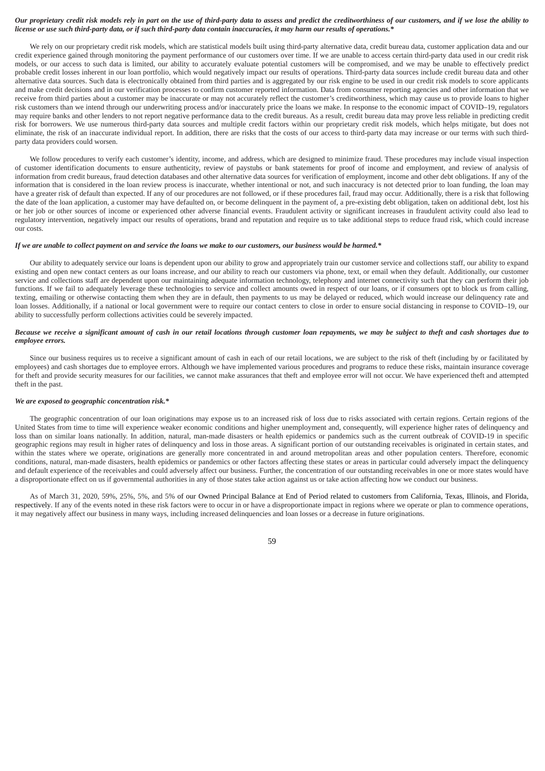## *Our proprietary credit risk models rely in part on the use of third-party data to assess and predict the creditworthiness of our customers, and if we lose the ability to license or use such third-party data, or if such third-party data contain inaccuracies, it may harm our results of operations.\**

We rely on our proprietary credit risk models, which are statistical models built using third-party alternative data, credit bureau data, customer application data and our credit experience gained through monitoring the payment performance of our customers over time. If we are unable to access certain third-party data used in our credit risk models, or our access to such data is limited, our ability to accurately evaluate potential customers will be compromised, and we may be unable to effectively predict probable credit losses inherent in our loan portfolio, which would negatively impact our results of operations. Third-party data sources include credit bureau data and other alternative data sources. Such data is electronically obtained from third parties and is aggregated by our risk engine to be used in our credit risk models to score applicants and make credit decisions and in our verification processes to confirm customer reported information. Data from consumer reporting agencies and other information that we receive from third parties about a customer may be inaccurate or may not accurately reflect the customer's creditworthiness, which may cause us to provide loans to higher risk customers than we intend through our underwriting process and/or inaccurately price the loans we make. In response to the economic impact of COVID–19, regulators may require banks and other lenders to not report negative performance data to the credit bureaus. As a result, credit bureau data may prove less reliable in predicting credit risk for borrowers. We use numerous third-party data sources and multiple credit factors within our proprietary credit risk models, which helps mitigate, but does not eliminate, the risk of an inaccurate individual report. In addition, there are risks that the costs of our access to third-party data may increase or our terms with such thirdparty data providers could worsen.

We follow procedures to verify each customer's identity, income, and address, which are designed to minimize fraud. These procedures may include visual inspection of customer identification documents to ensure authenticity, review of paystubs or bank statements for proof of income and employment, and review of analysis of information from credit bureaus, fraud detection databases and other alternative data sources for verification of employment, income and other debt obligations. If any of the information that is considered in the loan review process is inaccurate, whether intentional or not, and such inaccuracy is not detected prior to loan funding, the loan may have a greater risk of default than expected. If any of our procedures are not followed, or if these procedures fail, fraud may occur. Additionally, there is a risk that following the date of the loan application, a customer may have defaulted on, or become delinquent in the payment of, a pre-existing debt obligation, taken on additional debt, lost his or her job or other sources of income or experienced other adverse financial events. Fraudulent activity or significant increases in fraudulent activity could also lead to regulatory intervention, negatively impact our results of operations, brand and reputation and require us to take additional steps to reduce fraud risk, which could increase our costs.

## *If we are unable to collect payment on and service the loans we make to our customers, our business would be harmed.\**

Our ability to adequately service our loans is dependent upon our ability to grow and appropriately train our customer service and collections staff, our ability to expand existing and open new contact centers as our loans increase, and our ability to reach our customers via phone, text, or email when they default. Additionally, our customer service and collections staff are dependent upon our maintaining adequate information technology, telephony and internet connectivity such that they can perform their job functions. If we fail to adequately leverage these technologies to service and collect amounts owed in respect of our loans, or if consumers opt to block us from calling, texting, emailing or otherwise contacting them when they are in default, then payments to us may be delayed or reduced, which would increase our delinquency rate and loan losses. Additionally, if a national or local government were to require our contact centers to close in order to ensure social distancing in response to COVID–19, our ability to successfully perform collections activities could be severely impacted.

## *Because we receive a significant amount of cash in our retail locations through customer loan repayments, we may be subject to theft and cash shortages due to employee errors.*

Since our business requires us to receive a significant amount of cash in each of our retail locations, we are subject to the risk of theft (including by or facilitated by employees) and cash shortages due to employee errors. Although we have implemented various procedures and programs to reduce these risks, maintain insurance coverage for theft and provide security measures for our facilities, we cannot make assurances that theft and employee error will not occur. We have experienced theft and attempted theft in the past.

### *We are exposed to geographic concentration risk.\**

The geographic concentration of our loan originations may expose us to an increased risk of loss due to risks associated with certain regions. Certain regions of the United States from time to time will experience weaker economic conditions and higher unemployment and, consequently, will experience higher rates of delinquency and loss than on similar loans nationally. In addition, natural, man-made disasters or health epidemics or pandemics such as the current outbreak of COVID-19 in specific geographic regions may result in higher rates of delinquency and loss in those areas. A significant portion of our outstanding receivables is originated in certain states, and within the states where we operate, originations are generally more concentrated in and around metropolitan areas and other population centers. Therefore, economic conditions, natural, man-made disasters, health epidemics or pandemics or other factors affecting these states or areas in particular could adversely impact the delinquency and default experience of the receivables and could adversely affect our business. Further, the concentration of our outstanding receivables in one or more states would have a disproportionate effect on us if governmental authorities in any of those states take action against us or take action affecting how we conduct our business.

As of March 31, 2020, 59%, 25%, 5%, and 5% of our Owned Principal Balance at End of Period related to customers from California, Texas, Illinois, and Florida, respectively. If any of the events noted in these risk factors were to occur in or have a disproportionate impact in regions where we operate or plan to commence operations, it may negatively affect our business in many ways, including increased delinquencies and loan losses or a decrease in future originations.

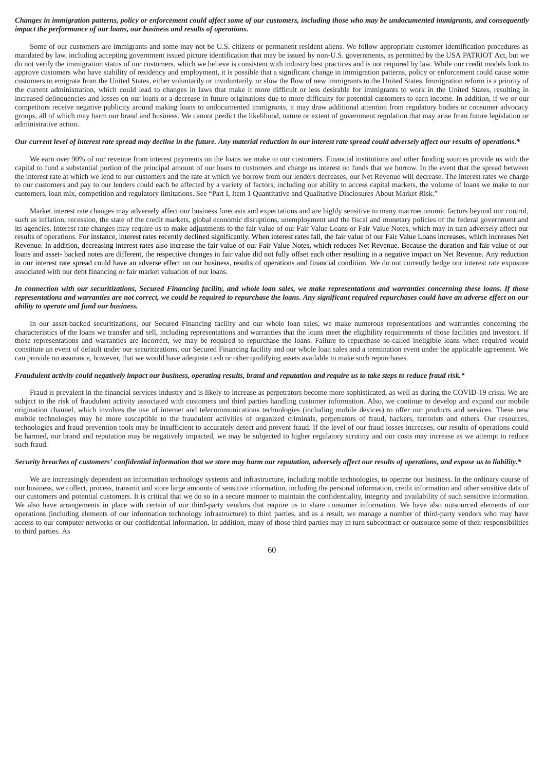### *Changes in immigration patterns, policy or enforcement could affect some of our customers, including those who may be undocumented immigrants, and consequently impact the performance of our loans, our business and results of operations.*

Some of our customers are immigrants and some may not be U.S. citizens or permanent resident aliens. We follow appropriate customer identification procedures as mandated by law, including accepting government issued picture identification that may be issued by non-U.S. governments, as permitted by the USA PATRIOT Act, but we do not verify the immigration status of our customers, which we believe is consistent with industry best practices and is not required by law. While our credit models look to approve customers who have stability of residency and employment, it is possible that a significant change in immigration patterns, policy or enforcement could cause some customers to emigrate from the United States, either voluntarily or involuntarily, or slow the flow of new immigrants to the United States. Immigration reform is a priority of the current administration, which could lead to changes in laws that make it more difficult or less desirable for immigrants to work in the United States, resulting in increased delinquencies and losses on our loans or a decrease in future originations due to more difficulty for potential customers to earn income. In addition, if we or our competitors receive negative publicity around making loans to undocumented immigrants, it may draw additional attention from regulatory bodies or consumer advocacy groups, all of which may harm our brand and business. We cannot predict the likelihood, nature or extent of government regulation that may arise from future legislation or administrative action.

## *Our current level of interest rate spread may decline in the future. Any material reduction in our interest rate spread could adversely affect our results of operations.\**

We earn over 90% of our revenue from interest payments on the loans we make to our customers. Financial institutions and other funding sources provide us with the capital to fund a substantial portion of the principal amount of our loans to customers and charge us interest on funds that we borrow. In the event that the spread between the interest rate at which we lend to our customers and the rate at which we borrow from our lenders decreases, our Net Revenue will decrease. The interest rates we charge to our customers and pay to our lenders could each be affected by a variety of factors, including our ability to access capital markets, the volume of loans we make to our customers, loan mix, competition and regulatory limitations. See "Part I, Item 1 Quantitative and Qualitative Disclosures About Market Risk."

Market interest rate changes may adversely affect our business forecasts and expectations and are highly sensitive to many macroeconomic factors beyond our control, such as inflation, recession, the state of the credit markets, global economic disruptions, unemployment and the fiscal and monetary policies of the federal government and its agencies. Interest rate changes may require us to make adjustments to the fair value of our Fair Value Loans or Fair Value Notes, which may in turn adversely affect our results of operations. For instance, interest rates recently declined significantly. When interest rates fall, the fair value of our Fair Value Loans increases, which increases Net Revenue. In addition, decreasing interest rates also increase the fair value of our Fair Value Notes, which reduces Net Revenue. Because the duration and fair value of our loans and asset- backed notes are different, the respective changes in fair value did not fully offset each other resulting in a negative impact on Net Revenue. Any reduction in our interest rate spread could have an adverse effect on our business, results of operations and financial condition. We do not currently hedge our interest rate exposure associated with our debt financing or fair market valuation of our loans.

# *In connection with our securitizations, Secured Financing facility, and whole loan sales, we make representations and warranties concerning these loans. If those representations and warranties are not correct, we could be required to repurchase the loans. Any significant required repurchases could have an adverse effect on our ability to operate and fund our business.*

In our asset-backed securitizations, our Secured Financing facility and our whole loan sales, we make numerous representations and warranties concerning the characteristics of the loans we transfer and sell, including representations and warranties that the loans meet the eligibility requirements of those facilities and investors. If those representations and warranties are incorrect, we may be required to repurchase the loans. Failure to repurchase so-called ineligible loans when required would constitute an event of default under our securitizations, our Secured Financing facility and our whole loan sales and a termination event under the applicable agreement. We can provide no assurance, however, that we would have adequate cash or other qualifying assets available to make such repurchases.

# *Fraudulent activity could negatively impact our business, operating results, brand and reputation and require us to take steps to reduce fraud risk.\**

Fraud is prevalent in the financial services industry and is likely to increase as perpetrators become more sophisticated, as well as during the COVID-19 crisis. We are subject to the risk of fraudulent activity associated with customers and third parties handling customer information. Also, we continue to develop and expand our mobile origination channel, which involves the use of internet and telecommunications technologies (including mobile devices) to offer our products and services. These new mobile technologies may be more susceptible to the fraudulent activities of organized criminals, perpetrators of fraud, hackers, terrorists and others. Our resources, technologies and fraud prevention tools may be insufficient to accurately detect and prevent fraud. If the level of our fraud losses increases, our results of operations could be harmed, our brand and reputation may be negatively impacted, we may be subjected to higher regulatory scrutiny and our costs may increase as we attempt to reduce such fraud.

## *Security breaches of customers' confidential information that we store may harm our reputation, adversely affect our results of operations, and expose us to liability.\**

We are increasingly dependent on information technology systems and infrastructure, including mobile technologies, to operate our business. In the ordinary course of our business, we collect, process, transmit and store large amounts of sensitive information, including the personal information, credit information and other sensitive data of our customers and potential customers. It is critical that we do so in a secure manner to maintain the confidentiality, integrity and availability of such sensitive information. We also have arrangements in place with certain of our third-party vendors that require us to share consumer information. We have also outsourced elements of our operations (including elements of our information technology infrastructure) to third parties, and as a result, we manage a number of third-party vendors who may have access to our computer networks or our confidential information. In addition, many of those third parties may in turn subcontract or outsource some of their responsibilities to third parties. As

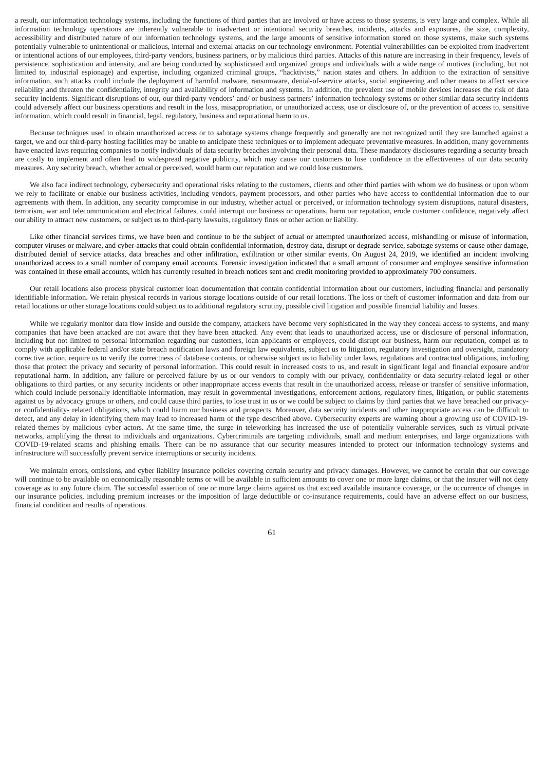a result, our information technology systems, including the functions of third parties that are involved or have access to those systems, is very large and complex. While all information technology operations are inherently vulnerable to inadvertent or intentional security breaches, incidents, attacks and exposures, the size, complexity, accessibility and distributed nature of our information technology systems, and the large amounts of sensitive information stored on those systems, make such systems potentially vulnerable to unintentional or malicious, internal and external attacks on our technology environment. Potential vulnerabilities can be exploited from inadvertent or intentional actions of our employees, third-party vendors, business partners, or by malicious third parties. Attacks of this nature are increasing in their frequency, levels of persistence, sophistication and intensity, and are being conducted by sophisticated and organized groups and individuals with a wide range of motives (including, but not limited to, industrial espionage) and expertise, including organized criminal groups, "hacktivists," nation states and others. In addition to the extraction of sensitive information, such attacks could include the deployment of harmful malware, ransomware, denial-of-service attacks, social engineering and other means to affect service reliability and threaten the confidentiality, integrity and availability of information and systems. In addition, the prevalent use of mobile devices increases the risk of data security incidents. Significant disruptions of our, our third-party vendors' and/ or business partners' information technology systems or other similar data security incidents could adversely affect our business operations and result in the loss, misappropriation, or unauthorized access, use or disclosure of, or the prevention of access to, sensitive information, which could result in financial, legal, regulatory, business and reputational harm to us.

Because techniques used to obtain unauthorized access or to sabotage systems change frequently and generally are not recognized until they are launched against a target, we and our third-party hosting facilities may be unable to anticipate these techniques or to implement adequate preventative measures. In addition, many governments have enacted laws requiring companies to notify individuals of data security breaches involving their personal data. These mandatory disclosures regarding a security breach are costly to implement and often lead to widespread negative publicity, which may cause our customers to lose confidence in the effectiveness of our data security measures. Any security breach, whether actual or perceived, would harm our reputation and we could lose customers.

We also face indirect technology, cybersecurity and operational risks relating to the customers, clients and other third parties with whom we do business or upon whom we rely to facilitate or enable our business activities, including vendors, payment processors, and other parties who have access to confidential information due to our agreements with them. In addition, any security compromise in our industry, whether actual or perceived, or information technology system disruptions, natural disasters, terrorism, war and telecommunication and electrical failures, could interrupt our business or operations, harm our reputation, erode customer confidence, negatively affect our ability to attract new customers, or subject us to third-party lawsuits, regulatory fines or other action or liability.

Like other financial services firms, we have been and continue to be the subject of actual or attempted unauthorized access, mishandling or misuse of information, computer viruses or malware, and cyber-attacks that could obtain confidential information, destroy data, disrupt or degrade service, sabotage systems or cause other damage, distributed denial of service attacks, data breaches and other infiltration, exfiltration or other similar events. On August 24, 2019, we identified an incident involving unauthorized access to a small number of company email accounts. Forensic investigation indicated that a small amount of consumer and employee sensitive information was contained in these email accounts, which has currently resulted in breach notices sent and credit monitoring provided to approximately 700 consumers.

Our retail locations also process physical customer loan documentation that contain confidential information about our customers, including financial and personally identifiable information. We retain physical records in various storage locations outside of our retail locations. The loss or theft of customer information and data from our retail locations or other storage locations could subject us to additional regulatory scrutiny, possible civil litigation and possible financial liability and losses.

While we regularly monitor data flow inside and outside the company, attackers have become very sophisticated in the way they conceal access to systems, and many companies that have been attacked are not aware that they have been attacked. Any event that leads to unauthorized access, use or disclosure of personal information, including but not limited to personal information regarding our customers, loan applicants or employees, could disrupt our business, harm our reputation, compel us to comply with applicable federal and/or state breach notification laws and foreign law equivalents, subject us to litigation, regulatory investigation and oversight, mandatory corrective action, require us to verify the correctness of database contents, or otherwise subject us to liability under laws, regulations and contractual obligations, including those that protect the privacy and security of personal information. This could result in increased costs to us, and result in significant legal and financial exposure and/or reputational harm. In addition, any failure or perceived failure by us or our vendors to comply with our privacy, confidentiality or data security-related legal or other obligations to third parties, or any security incidents or other inappropriate access events that result in the unauthorized access, release or transfer of sensitive information, which could include personally identifiable information, may result in governmental investigations, enforcement actions, regulatory fines, litigation, or public statements against us by advocacy groups or others, and could cause third parties, to lose trust in us or we could be subject to claims by third parties that we have breached our privacyor confidentiality- related obligations, which could harm our business and prospects. Moreover, data security incidents and other inappropriate access can be difficult to detect, and any delay in identifying them may lead to increased harm of the type described above. Cybersecurity experts are warning about a growing use of COVID-19 related themes by malicious cyber actors. At the same time, the surge in teleworking has increased the use of potentially vulnerable services, such as virtual private networks, amplifying the threat to individuals and organizations. Cybercriminals are targeting individuals, small and medium enterprises, and large organizations with COVID-19-related scams and phishing emails. There can be no assurance that our security measures intended to protect our information technology systems and infrastructure will successfully prevent service interruptions or security incidents.

We maintain errors, omissions, and cyber liability insurance policies covering certain security and privacy damages. However, we cannot be certain that our coverage will continue to be available on economically reasonable terms or will be available in sufficient amounts to cover one or more large claims, or that the insurer will not deny coverage as to any future claim. The successful assertion of one or more large claims against us that exceed available insurance coverage, or the occurrence of changes in our insurance policies, including premium increases or the imposition of large deductible or co-insurance requirements, could have an adverse effect on our business, financial condition and results of operations.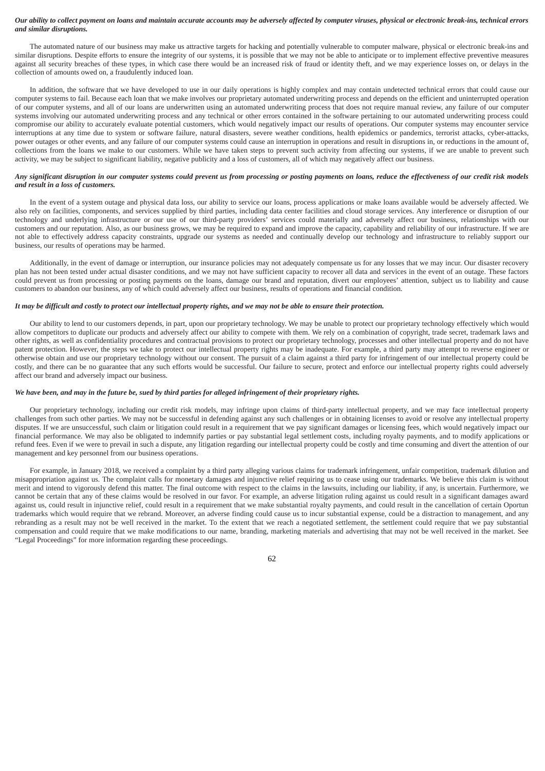## *Our ability to collect payment on loans and maintain accurate accounts may be adversely affected by computer viruses, physical or electronic break-ins, technical errors and similar disruptions.*

The automated nature of our business may make us attractive targets for hacking and potentially vulnerable to computer malware, physical or electronic break-ins and similar disruptions. Despite efforts to ensure the integrity of our systems, it is possible that we may not be able to anticipate or to implement effective preventive measures against all security breaches of these types, in which case there would be an increased risk of fraud or identity theft, and we may experience losses on, or delays in the collection of amounts owed on, a fraudulently induced loan.

In addition, the software that we have developed to use in our daily operations is highly complex and may contain undetected technical errors that could cause our computer systems to fail. Because each loan that we make involves our proprietary automated underwriting process and depends on the efficient and uninterrupted operation of our computer systems, and all of our loans are underwritten using an automated underwriting process that does not require manual review, any failure of our computer systems involving our automated underwriting process and any technical or other errors contained in the software pertaining to our automated underwriting process could compromise our ability to accurately evaluate potential customers, which would negatively impact our results of operations. Our computer systems may encounter service interruptions at any time due to system or software failure, natural disasters, severe weather conditions, health epidemics or pandemics, terrorist attacks, cyber-attacks, power outages or other events, and any failure of our computer systems could cause an interruption in operations and result in disruptions in, or reductions in the amount of, collections from the loans we make to our customers. While we have taken steps to prevent such activity from affecting our systems, if we are unable to prevent such activity, we may be subject to significant liability, negative publicity and a loss of customers, all of which may negatively affect our business.

## *Any significant disruption in our computer systems could prevent us from processing or posting payments on loans, reduce the effectiveness of our credit risk models and result in a loss of customers.*

In the event of a system outage and physical data loss, our ability to service our loans, process applications or make loans available would be adversely affected. We also rely on facilities, components, and services supplied by third parties, including data center facilities and cloud storage services. Any interference or disruption of our technology and underlying infrastructure or our use of our third-party providers' services could materially and adversely affect our business, relationships with our customers and our reputation. Also, as our business grows, we may be required to expand and improve the capacity, capability and reliability of our infrastructure. If we are not able to effectively address capacity constraints, upgrade our systems as needed and continually develop our technology and infrastructure to reliably support our business, our results of operations may be harmed.

Additionally, in the event of damage or interruption, our insurance policies may not adequately compensate us for any losses that we may incur. Our disaster recovery plan has not been tested under actual disaster conditions, and we may not have sufficient capacity to recover all data and services in the event of an outage. These factors could prevent us from processing or posting payments on the loans, damage our brand and reputation, divert our employees' attention, subject us to liability and cause customers to abandon our business, any of which could adversely affect our business, results of operations and financial condition.

### *It may be difficult and costly to protect our intellectual property rights, and we may not be able to ensure their protection.*

Our ability to lend to our customers depends, in part, upon our proprietary technology. We may be unable to protect our proprietary technology effectively which would allow competitors to duplicate our products and adversely affect our ability to compete with them. We rely on a combination of copyright, trade secret, trademark laws and other rights, as well as confidentiality procedures and contractual provisions to protect our proprietary technology, processes and other intellectual property and do not have patent protection. However, the steps we take to protect our intellectual property rights may be inadequate. For example, a third party may attempt to reverse engineer or otherwise obtain and use our proprietary technology without our consent. The pursuit of a claim against a third party for infringement of our intellectual property could be costly, and there can be no guarantee that any such efforts would be successful. Our failure to secure, protect and enforce our intellectual property rights could adversely affect our brand and adversely impact our business.

### *We have been, and may in the future be, sued by third parties for alleged infringement of their proprietary rights.*

Our proprietary technology, including our credit risk models, may infringe upon claims of third-party intellectual property, and we may face intellectual property challenges from such other parties. We may not be successful in defending against any such challenges or in obtaining licenses to avoid or resolve any intellectual property disputes. If we are unsuccessful, such claim or litigation could result in a requirement that we pay significant damages or licensing fees, which would negatively impact our financial performance. We may also be obligated to indemnify parties or pay substantial legal settlement costs, including royalty payments, and to modify applications or refund fees. Even if we were to prevail in such a dispute, any litigation regarding our intellectual property could be costly and time consuming and divert the attention of our management and key personnel from our business operations.

For example, in January 2018, we received a complaint by a third party alleging various claims for trademark infringement, unfair competition, trademark dilution and misappropriation against us. The complaint calls for monetary damages and injunctive relief requiring us to cease using our trademarks. We believe this claim is without merit and intend to vigorously defend this matter. The final outcome with respect to the claims in the lawsuits, including our liability, if any, is uncertain. Furthermore, we cannot be certain that any of these claims would be resolved in our favor. For example, an adverse litigation ruling against us could result in a significant damages award against us, could result in injunctive relief, could result in a requirement that we make substantial royalty payments, and could result in the cancellation of certain Oportun trademarks which would require that we rebrand. Moreover, an adverse finding could cause us to incur substantial expense, could be a distraction to management, and any rebranding as a result may not be well received in the market. To the extent that we reach a negotiated settlement, the settlement could require that we pay substantial compensation and could require that we make modifications to our name, branding, marketing materials and advertising that may not be well received in the market. See "Legal Proceedings" for more information regarding these proceedings.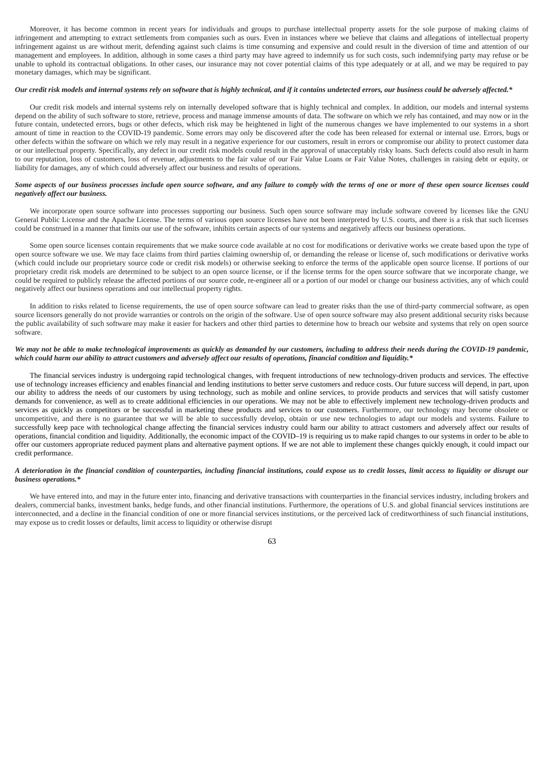Moreover, it has become common in recent years for individuals and groups to purchase intellectual property assets for the sole purpose of making claims of infringement and attempting to extract settlements from companies such as ours. Even in instances where we believe that claims and allegations of intellectual property infringement against us are without merit, defending against such claims is time consuming and expensive and could result in the diversion of time and attention of our management and employees. In addition, although in some cases a third party may have agreed to indemnify us for such costs, such indemnifying party may refuse or be unable to uphold its contractual obligations. In other cases, our insurance may not cover potential claims of this type adequately or at all, and we may be required to pay monetary damages, which may be significant.

# *Our credit risk models and internal systems rely on software that is highly technical, and if it contains undetected errors, our business could be adversely affected.\**

Our credit risk models and internal systems rely on internally developed software that is highly technical and complex. In addition, our models and internal systems depend on the ability of such software to store, retrieve, process and manage immense amounts of data. The software on which we rely has contained, and may now or in the future contain, undetected errors, bugs or other defects, which risk may be heightened in light of the numerous changes we have implemented to our systems in a short amount of time in reaction to the COVID-19 pandemic. Some errors may only be discovered after the code has been released for external or internal use. Errors, bugs or other defects within the software on which we rely may result in a negative experience for our customers, result in errors or compromise our ability to protect customer data or our intellectual property. Specifically, any defect in our credit risk models could result in the approval of unacceptably risky loans. Such defects could also result in harm to our reputation, loss of customers, loss of revenue, adjustments to the fair value of our Fair Value Loans or Fair Value Notes, challenges in raising debt or equity, or liability for damages, any of which could adversely affect our business and results of operations.

# Some aspects of our business processes include open source software, and any failure to comply with the terms of one or more of these open source licenses could *negatively affect our business.*

We incorporate open source software into processes supporting our business. Such open source software may include software covered by licenses like the GNU General Public License and the Apache License. The terms of various open source licenses have not been interpreted by U.S. courts, and there is a risk that such licenses could be construed in a manner that limits our use of the software, inhibits certain aspects of our systems and negatively affects our business operations.

Some open source licenses contain requirements that we make source code available at no cost for modifications or derivative works we create based upon the type of open source software we use. We may face claims from third parties claiming ownership of, or demanding the release or license of, such modifications or derivative works (which could include our proprietary source code or credit risk models) or otherwise seeking to enforce the terms of the applicable open source license. If portions of our proprietary credit risk models are determined to be subject to an open source license, or if the license terms for the open source software that we incorporate change, we could be required to publicly release the affected portions of our source code, re-engineer all or a portion of our model or change our business activities, any of which could negatively affect our business operations and our intellectual property rights.

In addition to risks related to license requirements, the use of open source software can lead to greater risks than the use of third-party commercial software, as open source licensors generally do not provide warranties or controls on the origin of the software. Use of open source software may also present additional security risks because the public availability of such software may make it easier for hackers and other third parties to determine how to breach our website and systems that rely on open source software.

## *We may not be able to make technological improvements as quickly as demanded by our customers, including to address their needs during the COVID-19 pandemic, which could harm our ability to attract customers and adversely affect our results of operations, financial condition and liquidity.\**

The financial services industry is undergoing rapid technological changes, with frequent introductions of new technology-driven products and services. The effective use of technology increases efficiency and enables financial and lending institutions to better serve customers and reduce costs. Our future success will depend, in part, upon our ability to address the needs of our customers by using technology, such as mobile and online services, to provide products and services that will satisfy customer demands for convenience, as well as to create additional efficiencies in our operations. We may not be able to effectively implement new technology-driven products and services as quickly as competitors or be successful in marketing these products and services to our customers. Furthermore, our technology may become obsolete or uncompetitive, and there is no guarantee that we will be able to successfully develop, obtain or use new technologies to adapt our models and systems. Failure to successfully keep pace with technological change affecting the financial services industry could harm our ability to attract customers and adversely affect our results of operations, financial condition and liquidity. Additionally, the economic impact of the COVID–19 is requiring us to make rapid changes to our systems in order to be able to offer our customers appropriate reduced payment plans and alternative payment options. If we are not able to implement these changes quickly enough, it could impact our credit performance.

# *A deterioration in the financial condition of counterparties, including financial institutions, could expose us to credit losses, limit access to liquidity or disrupt our business operations.\**

We have entered into, and may in the future enter into, financing and derivative transactions with counterparties in the financial services industry, including brokers and dealers, commercial banks, investment banks, hedge funds, and other financial institutions. Furthermore, the operations of U.S. and global financial services institutions are interconnected, and a decline in the financial condition of one or more financial services institutions, or the perceived lack of creditworthiness of such financial institutions, may expose us to credit losses or defaults, limit access to liquidity or otherwise disrupt

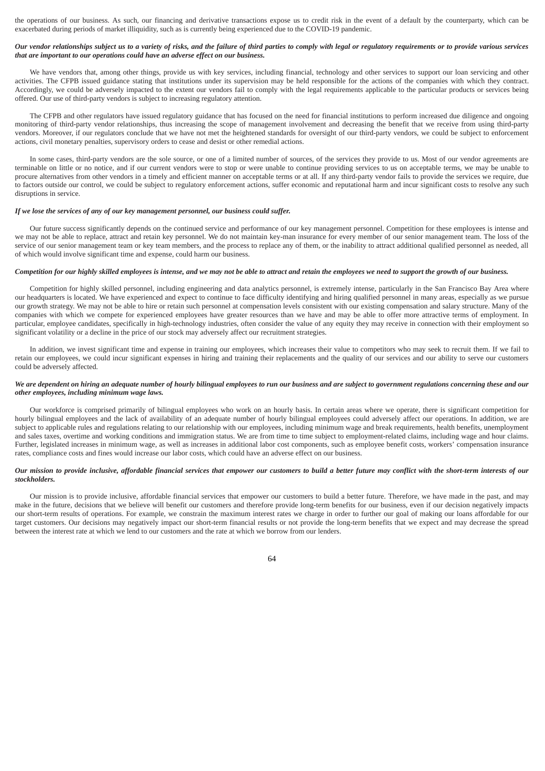the operations of our business. As such, our financing and derivative transactions expose us to credit risk in the event of a default by the counterparty, which can be exacerbated during periods of market illiquidity, such as is currently being experienced due to the COVID-19 pandemic.

# *Our vendor relationships subject us to a variety of risks, and the failure of third parties to comply with legal or regulatory requirements or to provide various services that are important to our operations could have an adverse effect on our business.*

We have vendors that, among other things, provide us with key services, including financial, technology and other services to support our loan servicing and other activities. The CFPB issued guidance stating that institutions under its supervision may be held responsible for the actions of the companies with which they contract. Accordingly, we could be adversely impacted to the extent our vendors fail to comply with the legal requirements applicable to the particular products or services being offered. Our use of third-party vendors is subject to increasing regulatory attention.

The CFPB and other regulators have issued regulatory guidance that has focused on the need for financial institutions to perform increased due diligence and ongoing monitoring of third-party vendor relationships, thus increasing the scope of management involvement and decreasing the benefit that we receive from using third-party vendors. Moreover, if our regulators conclude that we have not met the heightened standards for oversight of our third-party vendors, we could be subject to enforcement actions, civil monetary penalties, supervisory orders to cease and desist or other remedial actions.

In some cases, third-party vendors are the sole source, or one of a limited number of sources, of the services they provide to us. Most of our vendor agreements are terminable on little or no notice, and if our current vendors were to stop or were unable to continue providing services to us on acceptable terms, we may be unable to procure alternatives from other vendors in a timely and efficient manner on acceptable terms or at all. If any third-party vendor fails to provide the services we require, due to factors outside our control, we could be subject to regulatory enforcement actions, suffer economic and reputational harm and incur significant costs to resolve any such disruptions in service.

# *If we lose the services of any of our key management personnel, our business could suffer.*

Our future success significantly depends on the continued service and performance of our key management personnel. Competition for these employees is intense and we may not be able to replace, attract and retain key personnel. We do not maintain key-man insurance for every member of our senior management team. The loss of the service of our senior management team or key team members, and the process to replace any of them, or the inability to attract additional qualified personnel as needed, all of which would involve significant time and expense, could harm our business.

### *Competition for our highly skilled employees is intense, and we may not be able to attract and retain the employees we need to support the growth of our business.*

Competition for highly skilled personnel, including engineering and data analytics personnel, is extremely intense, particularly in the San Francisco Bay Area where our headquarters is located. We have experienced and expect to continue to face difficulty identifying and hiring qualified personnel in many areas, especially as we pursue our growth strategy. We may not be able to hire or retain such personnel at compensation levels consistent with our existing compensation and salary structure. Many of the companies with which we compete for experienced employees have greater resources than we have and may be able to offer more attractive terms of employment. In particular, employee candidates, specifically in high-technology industries, often consider the value of any equity they may receive in connection with their employment so significant volatility or a decline in the price of our stock may adversely affect our recruitment strategies.

In addition, we invest significant time and expense in training our employees, which increases their value to competitors who may seek to recruit them. If we fail to retain our employees, we could incur significant expenses in hiring and training their replacements and the quality of our services and our ability to serve our customers could be adversely affected.

# *We are dependent on hiring an adequate number of hourly bilingual employees to run our business and are subject to government regulations concerning these and our other employees, including minimum wage laws.*

Our workforce is comprised primarily of bilingual employees who work on an hourly basis. In certain areas where we operate, there is significant competition for hourly bilingual employees and the lack of availability of an adequate number of hourly bilingual employees could adversely affect our operations. In addition, we are subject to applicable rules and regulations relating to our relationship with our employees, including minimum wage and break requirements, health benefits, unemployment and sales taxes, overtime and working conditions and immigration status. We are from time to time subject to employment-related claims, including wage and hour claims. Further, legislated increases in minimum wage, as well as increases in additional labor cost components, such as employee benefit costs, workers' compensation insurance rates, compliance costs and fines would increase our labor costs, which could have an adverse effect on our business.

# *Our mission to provide inclusive, affordable financial services that empower our customers to build a better future may conflict with the short-term interests of our stockholders.*

Our mission is to provide inclusive, affordable financial services that empower our customers to build a better future. Therefore, we have made in the past, and may make in the future, decisions that we believe will benefit our customers and therefore provide long-term benefits for our business, even if our decision negatively impacts our short-term results of operations. For example, we constrain the maximum interest rates we charge in order to further our goal of making our loans affordable for our target customers. Our decisions may negatively impact our short-term financial results or not provide the long-term benefits that we expect and may decrease the spread between the interest rate at which we lend to our customers and the rate at which we borrow from our lenders.

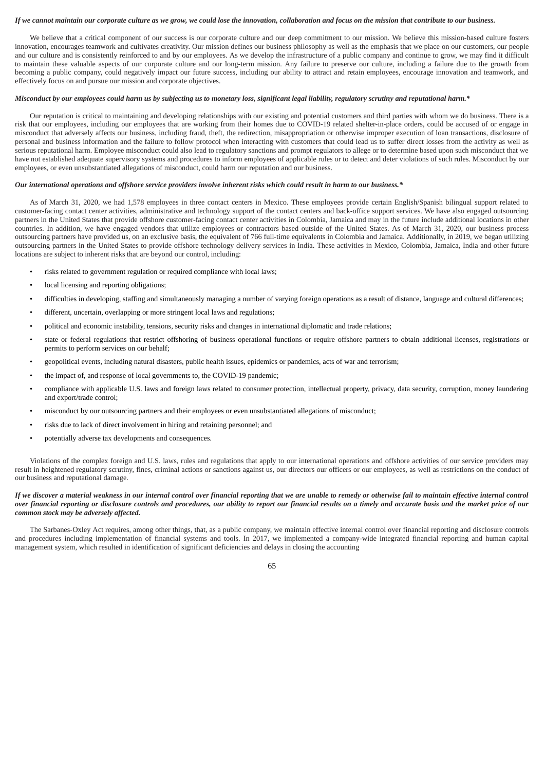### *If we cannot maintain our corporate culture as we grow, we could lose the innovation, collaboration and focus on the mission that contribute to our business.*

We believe that a critical component of our success is our corporate culture and our deep commitment to our mission. We believe this mission-based culture fosters innovation, encourages teamwork and cultivates creativity. Our mission defines our business philosophy as well as the emphasis that we place on our customers, our people and our culture and is consistently reinforced to and by our employees. As we develop the infrastructure of a public company and continue to grow, we may find it difficult to maintain these valuable aspects of our corporate culture and our long-term mission. Any failure to preserve our culture, including a failure due to the growth from becoming a public company, could negatively impact our future success, including our ability to attract and retain employees, encourage innovation and teamwork, and effectively focus on and pursue our mission and corporate objectives.

# *Misconduct by our employees could harm us by subjecting us to monetary loss, significant legal liability, regulatory scrutiny and reputational harm.\**

Our reputation is critical to maintaining and developing relationships with our existing and potential customers and third parties with whom we do business. There is a risk that our employees, including our employees that are working from their homes due to COVID-19 related shelter-in-place orders, could be accused of or engage in misconduct that adversely affects our business, including fraud, theft, the redirection, misappropriation or otherwise improper execution of loan transactions, disclosure of personal and business information and the failure to follow protocol when interacting with customers that could lead us to suffer direct losses from the activity as well as serious reputational harm. Employee misconduct could also lead to regulatory sanctions and prompt regulators to allege or to determine based upon such misconduct that we have not established adequate supervisory systems and procedures to inform employees of applicable rules or to detect and deter violations of such rules. Misconduct by our employees, or even unsubstantiated allegations of misconduct, could harm our reputation and our business.

### *Our international operations and offshore service providers involve inherent risks which could result in harm to our business.\**

As of March 31, 2020, we had 1,578 employees in three contact centers in Mexico. These employees provide certain English/Spanish bilingual support related to customer-facing contact center activities, administrative and technology support of the contact centers and back-office support services. We have also engaged outsourcing partners in the United States that provide offshore customer-facing contact center activities in Colombia, Jamaica and may in the future include additional locations in other countries. In addition, we have engaged vendors that utilize employees or contractors based outside of the United States. As of March 31, 2020, our business process outsourcing partners have provided us, on an exclusive basis, the equivalent of 766 full-time equivalents in Colombia and Jamaica. Additionally, in 2019, we began utilizing outsourcing partners in the United States to provide offshore technology delivery services in India. These activities in Mexico, Colombia, Jamaica, India and other future locations are subject to inherent risks that are beyond our control, including:

- risks related to government regulation or required compliance with local laws;
- local licensing and reporting obligations;
- difficulties in developing, staffing and simultaneously managing a number of varying foreign operations as a result of distance, language and cultural differences;
- different, uncertain, overlapping or more stringent local laws and regulations;
- political and economic instability, tensions, security risks and changes in international diplomatic and trade relations;
- state or federal regulations that restrict offshoring of business operational functions or require offshore partners to obtain additional licenses, registrations or permits to perform services on our behalf;
- geopolitical events, including natural disasters, public health issues, epidemics or pandemics, acts of war and terrorism;
- the impact of, and response of local governments to, the COVID-19 pandemic;
- compliance with applicable U.S. laws and foreign laws related to consumer protection, intellectual property, privacy, data security, corruption, money laundering and export/trade control;
- misconduct by our outsourcing partners and their employees or even unsubstantiated allegations of misconduct;
- risks due to lack of direct involvement in hiring and retaining personnel; and
- potentially adverse tax developments and consequences.

Violations of the complex foreign and U.S. laws, rules and regulations that apply to our international operations and offshore activities of our service providers may result in heightened regulatory scrutiny, fines, criminal actions or sanctions against us, our directors our officers or our employees, as well as restrictions on the conduct of our business and reputational damage.

## *If we discover a material weakness in our internal control over financial reporting that we are unable to remedy or otherwise fail to maintain effective internal control over financial reporting or disclosure controls and procedures, our ability to report our financial results on a timely and accurate basis and the market price of our common stock may be adversely affected.*

The Sarbanes-Oxley Act requires, among other things, that, as a public company, we maintain effective internal control over financial reporting and disclosure controls and procedures including implementation of financial systems and tools. In 2017, we implemented a company-wide integrated financial reporting and human capital management system, which resulted in identification of significant deficiencies and delays in closing the accounting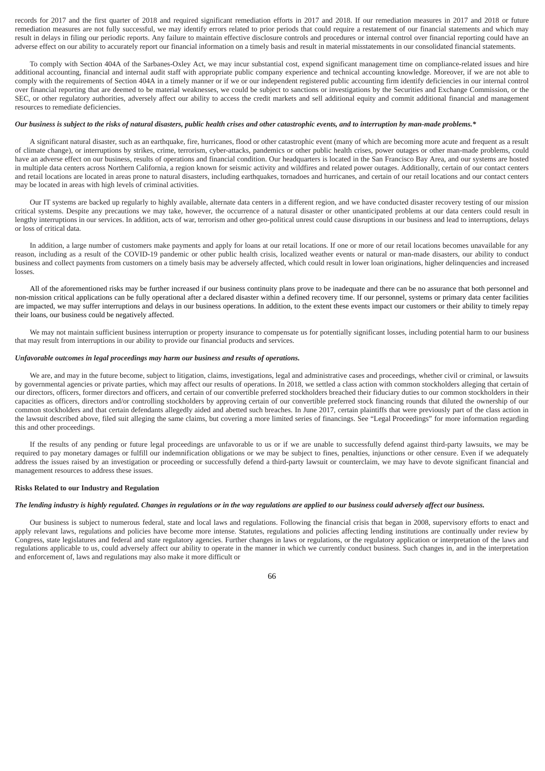records for 2017 and the first quarter of 2018 and required significant remediation efforts in 2017 and 2018. If our remediation measures in 2017 and 2018 or future remediation measures are not fully successful, we may identify errors related to prior periods that could require a restatement of our financial statements and which may result in delays in filing our periodic reports. Any failure to maintain effective disclosure controls and procedures or internal control over financial reporting could have an adverse effect on our ability to accurately report our financial information on a timely basis and result in material misstatements in our consolidated financial statements.

To comply with Section 404A of the Sarbanes-Oxley Act, we may incur substantial cost, expend significant management time on compliance-related issues and hire additional accounting, financial and internal audit staff with appropriate public company experience and technical accounting knowledge. Moreover, if we are not able to comply with the requirements of Section 404A in a timely manner or if we or our independent registered public accounting firm identify deficiencies in our internal control over financial reporting that are deemed to be material weaknesses, we could be subject to sanctions or investigations by the Securities and Exchange Commission, or the SEC, or other regulatory authorities, adversely affect our ability to access the credit markets and sell additional equity and commit additional financial and management resources to remediate deficiencies.

### *Our business is subject to the risks of natural disasters, public health crises and other catastrophic events, and to interruption by man-made problems.\**

A significant natural disaster, such as an earthquake, fire, hurricanes, flood or other catastrophic event (many of which are becoming more acute and frequent as a result of climate change), or interruptions by strikes, crime, terrorism, cyber-attacks, pandemics or other public health crises, power outages or other man-made problems, could have an adverse effect on our business, results of operations and financial condition. Our headquarters is located in the San Francisco Bay Area, and our systems are hosted in multiple data centers across Northern California, a region known for seismic activity and wildfires and related power outages. Additionally, certain of our contact centers and retail locations are located in areas prone to natural disasters, including earthquakes, tornadoes and hurricanes, and certain of our retail locations and our contact centers may be located in areas with high levels of criminal activities.

Our IT systems are backed up regularly to highly available, alternate data centers in a different region, and we have conducted disaster recovery testing of our mission critical systems. Despite any precautions we may take, however, the occurrence of a natural disaster or other unanticipated problems at our data centers could result in lengthy interruptions in our services. In addition, acts of war, terrorism and other geo-political unrest could cause disruptions in our business and lead to interruptions, delays or loss of critical data.

In addition, a large number of customers make payments and apply for loans at our retail locations. If one or more of our retail locations becomes unavailable for any reason, including as a result of the COVID-19 pandemic or other public health crisis, localized weather events or natural or man-made disasters, our ability to conduct business and collect payments from customers on a timely basis may be adversely affected, which could result in lower loan originations, higher delinquencies and increased losses.

All of the aforementioned risks may be further increased if our business continuity plans prove to be inadequate and there can be no assurance that both personnel and non-mission critical applications can be fully operational after a declared disaster within a defined recovery time. If our personnel, systems or primary data center facilities are impacted, we may suffer interruptions and delays in our business operations. In addition, to the extent these events impact our customers or their ability to timely repay their loans, our business could be negatively affected.

We may not maintain sufficient business interruption or property insurance to compensate us for potentially significant losses, including potential harm to our business that may result from interruptions in our ability to provide our financial products and services.

# *Unfavorable outcomes in legal proceedings may harm our business and results of operations.*

We are, and may in the future become, subject to litigation, claims, investigations, legal and administrative cases and proceedings, whether civil or criminal, or lawsuits by governmental agencies or private parties, which may affect our results of operations. In 2018, we settled a class action with common stockholders alleging that certain of our directors, officers, former directors and officers, and certain of our convertible preferred stockholders breached their fiduciary duties to our common stockholders in their capacities as officers, directors and/or controlling stockholders by approving certain of our convertible preferred stock financing rounds that diluted the ownership of our common stockholders and that certain defendants allegedly aided and abetted such breaches. In June 2017, certain plaintiffs that were previously part of the class action in the lawsuit described above, filed suit alleging the same claims, but covering a more limited series of financings. See "Legal Proceedings" for more information regarding this and other proceedings.

If the results of any pending or future legal proceedings are unfavorable to us or if we are unable to successfully defend against third-party lawsuits, we may be required to pay monetary damages or fulfill our indemnification obligations or we may be subject to fines, penalties, injunctions or other censure. Even if we adequately address the issues raised by an investigation or proceeding or successfully defend a third-party lawsuit or counterclaim, we may have to devote significant financial and management resources to address these issues.

### **Risks Related to our Industry and Regulation**

# *The lending industry is highly regulated. Changes in regulations or in the way regulations are applied to our business could adversely affect our business.*

Our business is subject to numerous federal, state and local laws and regulations. Following the financial crisis that began in 2008, supervisory efforts to enact and apply relevant laws, regulations and policies have become more intense. Statutes, regulations and policies affecting lending institutions are continually under review by Congress, state legislatures and federal and state regulatory agencies. Further changes in laws or regulations, or the regulatory application or interpretation of the laws and regulations applicable to us, could adversely affect our ability to operate in the manner in which we currently conduct business. Such changes in, and in the interpretation and enforcement of, laws and regulations may also make it more difficult or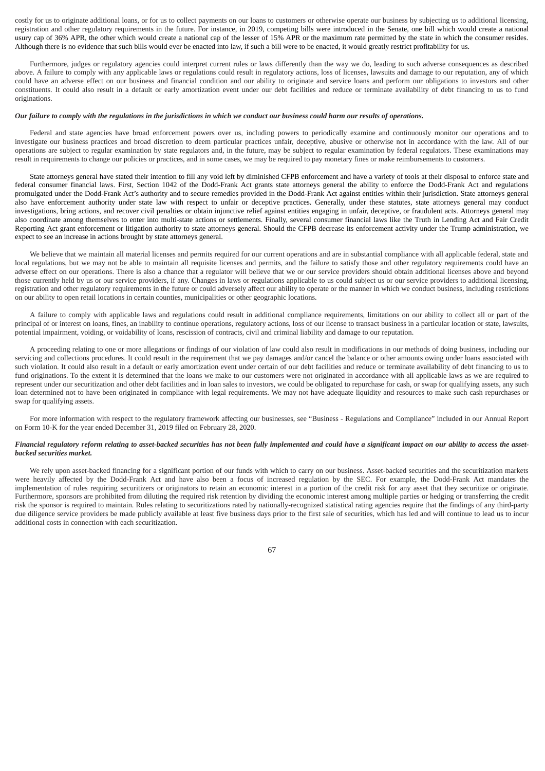costly for us to originate additional loans, or for us to collect payments on our loans to customers or otherwise operate our business by subjecting us to additional licensing, registration and other regulatory requirements in the future. For instance, in 2019, competing bills were introduced in the Senate, one bill which would create a national usury cap of 36% APR, the other which would create a national cap of the lesser of 15% APR or the maximum rate permitted by the state in which the consumer resides. Although there is no evidence that such bills would ever be enacted into law, if such a bill were to be enacted, it would greatly restrict profitability for us.

Furthermore, judges or regulatory agencies could interpret current rules or laws differently than the way we do, leading to such adverse consequences as described above. A failure to comply with any applicable laws or regulations could result in regulatory actions, loss of licenses, lawsuits and damage to our reputation, any of which could have an adverse effect on our business and financial condition and our ability to originate and service loans and perform our obligations to investors and other constituents. It could also result in a default or early amortization event under our debt facilities and reduce or terminate availability of debt financing to us to fund originations.

### *Our failure to comply with the regulations in the jurisdictions in which we conduct our business could harm our results of operations.*

Federal and state agencies have broad enforcement powers over us, including powers to periodically examine and continuously monitor our operations and to investigate our business practices and broad discretion to deem particular practices unfair, deceptive, abusive or otherwise not in accordance with the law. All of our operations are subject to regular examination by state regulators and, in the future, may be subject to regular examination by federal regulators. These examinations may result in requirements to change our policies or practices, and in some cases, we may be required to pay monetary fines or make reimbursements to customers.

State attorneys general have stated their intention to fill any void left by diminished CFPB enforcement and have a variety of tools at their disposal to enforce state and federal consumer financial laws. First, Section 1042 of the Dodd-Frank Act grants state attorneys general the ability to enforce the Dodd-Frank Act and regulations promulgated under the Dodd-Frank Act's authority and to secure remedies provided in the Dodd-Frank Act against entities within their jurisdiction. State attorneys general also have enforcement authority under state law with respect to unfair or deceptive practices. Generally, under these statutes, state attorneys general may conduct investigations, bring actions, and recover civil penalties or obtain injunctive relief against entities engaging in unfair, deceptive, or fraudulent acts. Attorneys general may also coordinate among themselves to enter into multi-state actions or settlements. Finally, several consumer financial laws like the Truth in Lending Act and Fair Credit Reporting Act grant enforcement or litigation authority to state attorneys general. Should the CFPB decrease its enforcement activity under the Trump administration, we expect to see an increase in actions brought by state attorneys general.

We believe that we maintain all material licenses and permits required for our current operations and are in substantial compliance with all applicable federal, state and local regulations, but we may not be able to maintain all requisite licenses and permits, and the failure to satisfy those and other regulatory requirements could have an adverse effect on our operations. There is also a chance that a regulator will believe that we or our service providers should obtain additional licenses above and beyond those currently held by us or our service providers, if any. Changes in laws or regulations applicable to us could subject us or our service providers to additional licensing, registration and other regulatory requirements in the future or could adversely affect our ability to operate or the manner in which we conduct business, including restrictions on our ability to open retail locations in certain counties, municipalities or other geographic locations.

A failure to comply with applicable laws and regulations could result in additional compliance requirements, limitations on our ability to collect all or part of the principal of or interest on loans, fines, an inability to continue operations, regulatory actions, loss of our license to transact business in a particular location or state, lawsuits, potential impairment, voiding, or voidability of loans, rescission of contracts, civil and criminal liability and damage to our reputation.

A proceeding relating to one or more allegations or findings of our violation of law could also result in modifications in our methods of doing business, including our servicing and collections procedures. It could result in the requirement that we pay damages and/or cancel the balance or other amounts owing under loans associated with such violation. It could also result in a default or early amortization event under certain of our debt facilities and reduce or terminate availability of debt financing to us to fund originations. To the extent it is determined that the loans we make to our customers were not originated in accordance with all applicable laws as we are required to represent under our securitization and other debt facilities and in loan sales to investors, we could be obligated to repurchase for cash, or swap for qualifying assets, any such loan determined not to have been originated in compliance with legal requirements. We may not have adequate liquidity and resources to make such cash repurchases or swap for qualifying assets.

For more information with respect to the regulatory framework affecting our businesses, see "Business - Regulations and Compliance" included in our Annual Report on Form 10-K for the year ended December 31, 2019 filed on February 28, 2020.

# Financial regulatory reform relating to asset-backed securities has not been fully implemented and could have a significant impact on our ability to access the asset*backed securities market.*

We rely upon asset-backed financing for a significant portion of our funds with which to carry on our business. Asset-backed securities and the securitization markets were heavily affected by the Dodd-Frank Act and have also been a focus of increased regulation by the SEC. For example, the Dodd-Frank Act mandates the implementation of rules requiring securitizers or originators to retain an economic interest in a portion of the credit risk for any asset that they securitize or originate. Furthermore, sponsors are prohibited from diluting the required risk retention by dividing the economic interest among multiple parties or hedging or transferring the credit risk the sponsor is required to maintain. Rules relating to securitizations rated by nationally-recognized statistical rating agencies require that the findings of any third-party due diligence service providers be made publicly available at least five business days prior to the first sale of securities, which has led and will continue to lead us to incur additional costs in connection with each securitization.

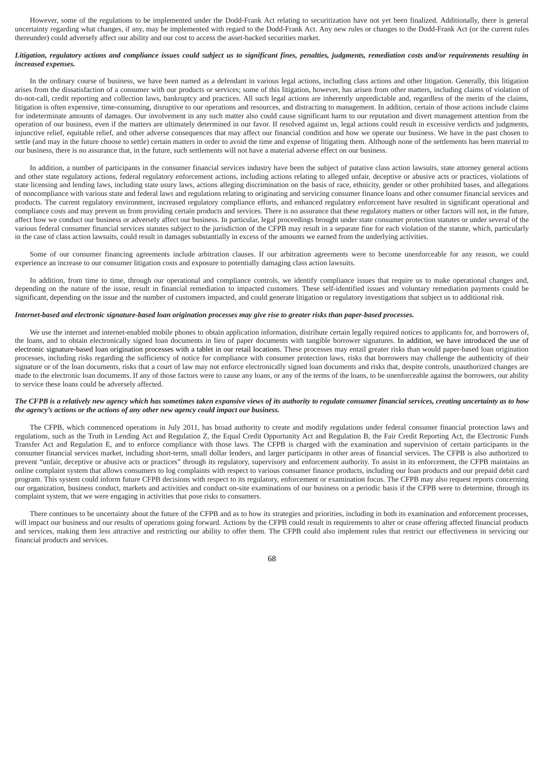However, some of the regulations to be implemented under the Dodd-Frank Act relating to securitization have not yet been finalized. Additionally, there is general uncertainty regarding what changes, if any, may be implemented with regard to the Dodd-Frank Act. Any new rules or changes to the Dodd-Frank Act (or the current rules thereunder) could adversely affect our ability and our cost to access the asset-backed securities market.

# *Litigation, regulatory actions and compliance issues could subject us to significant fines, penalties, judgments, remediation costs and/or requirements resulting in increased expenses.*

In the ordinary course of business, we have been named as a defendant in various legal actions, including class actions and other litigation. Generally, this litigation arises from the dissatisfaction of a consumer with our products or services; some of this litigation, however, has arisen from other matters, including claims of violation of do-not-call, credit reporting and collection laws, bankruptcy and practices. All such legal actions are inherently unpredictable and, regardless of the merits of the claims, litigation is often expensive, time-consuming, disruptive to our operations and resources, and distracting to management. In addition, certain of those actions include claims for indeterminate amounts of damages. Our involvement in any such matter also could cause significant harm to our reputation and divert management attention from the operation of our business, even if the matters are ultimately determined in our favor. If resolved against us, legal actions could result in excessive verdicts and judgments, injunctive relief, equitable relief, and other adverse consequences that may affect our financial condition and how we operate our business. We have in the past chosen to settle (and may in the future choose to settle) certain matters in order to avoid the time and expense of litigating them. Although none of the settlements has been material to our business, there is no assurance that, in the future, such settlements will not have a material adverse effect on our business.

In addition, a number of participants in the consumer financial services industry have been the subject of putative class action lawsuits, state attorney general actions and other state regulatory actions, federal regulatory enforcement actions, including actions relating to alleged unfair, deceptive or abusive acts or practices, violations of state licensing and lending laws, including state usury laws, actions alleging discrimination on the basis of race, ethnicity, gender or other prohibited bases, and allegations of noncompliance with various state and federal laws and regulations relating to originating and servicing consumer finance loans and other consumer financial services and products. The current regulatory environment, increased regulatory compliance efforts, and enhanced regulatory enforcement have resulted in significant operational and compliance costs and may prevent us from providing certain products and services. There is no assurance that these regulatory matters or other factors will not, in the future, affect how we conduct our business or adversely affect our business. In particular, legal proceedings brought under state consumer protection statutes or under several of the various federal consumer financial services statutes subject to the jurisdiction of the CFPB may result in a separate fine for each violation of the statute, which, particularly in the case of class action lawsuits, could result in damages substantially in excess of the amounts we earned from the underlying activities.

Some of our consumer financing agreements include arbitration clauses. If our arbitration agreements were to become unenforceable for any reason, we could experience an increase to our consumer litigation costs and exposure to potentially damaging class action lawsuits.

In addition, from time to time, through our operational and compliance controls, we identify compliance issues that require us to make operational changes and, depending on the nature of the issue, result in financial remediation to impacted customers. These self-identified issues and voluntary remediation payments could be significant, depending on the issue and the number of customers impacted, and could generate litigation or regulatory investigations that subject us to additional risk.

# *Internet-based and electronic signature-based loan origination processes may give rise to greater risks than paper-based processes.*

We use the internet and internet-enabled mobile phones to obtain application information, distribute certain legally required notices to applicants for, and borrowers of, the loans, and to obtain electronically signed loan documents in lieu of paper documents with tangible borrower signatures. In addition, we have introduced the use of electronic signature-based loan origination processes with a tablet in our retail locations. These processes may entail greater risks than would paper-based loan origination processes, including risks regarding the sufficiency of notice for compliance with consumer protection laws, risks that borrowers may challenge the authenticity of their signature or of the loan documents, risks that a court of law may not enforce electronically signed loan documents and risks that, despite controls, unauthorized changes are made to the electronic loan documents. If any of those factors were to cause any loans, or any of the terms of the loans, to be unenforceable against the borrowers, our ability to service these loans could be adversely affected.

## *The CFPB is a relatively new agency which has sometimes taken expansive views of its authority to regulate consumer financial services, creating uncertainty as to how the agency's actions or the actions of any other new agency could impact our business.*

The CFPB, which commenced operations in July 2011, has broad authority to create and modify regulations under federal consumer financial protection laws and regulations, such as the Truth in Lending Act and Regulation Z, the Equal Credit Opportunity Act and Regulation B, the Fair Credit Reporting Act, the Electronic Funds Transfer Act and Regulation E, and to enforce compliance with those laws. The CFPB is charged with the examination and supervision of certain participants in the consumer financial services market, including short-term, small dollar lenders, and larger participants in other areas of financial services. The CFPB is also authorized to prevent "unfair, deceptive or abusive acts or practices" through its regulatory, supervisory and enforcement authority. To assist in its enforcement, the CFPB maintains an online complaint system that allows consumers to log complaints with respect to various consumer finance products, including our loan products and our prepaid debit card program. This system could inform future CFPB decisions with respect to its regulatory, enforcement or examination focus. The CFPB may also request reports concerning our organization, business conduct, markets and activities and conduct on-site examinations of our business on a periodic basis if the CFPB were to determine, through its complaint system, that we were engaging in activities that pose risks to consumers.

There continues to be uncertainty about the future of the CFPB and as to how its strategies and priorities, including in both its examination and enforcement processes, will impact our business and our results of operations going forward. Actions by the CFPB could result in requirements to alter or cease offering affected financial products and services, making them less attractive and restricting our ability to offer them. The CFPB could also implement rules that restrict our effectiveness in servicing our financial products and services.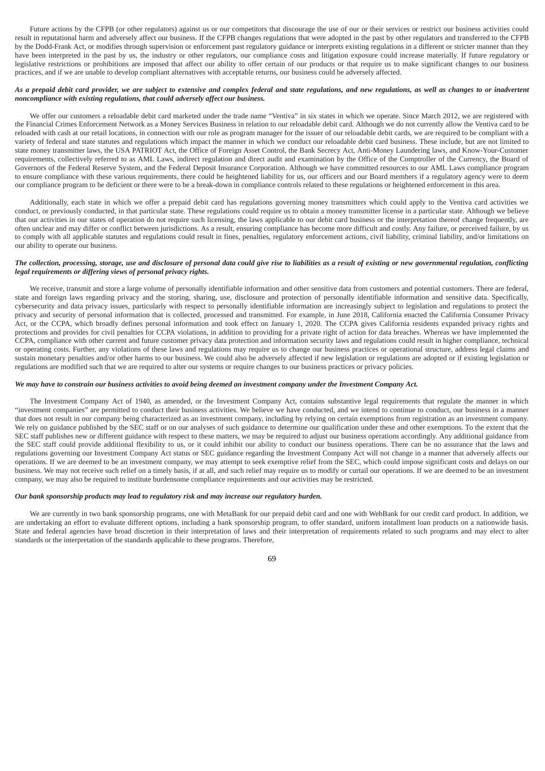Future actions by the CFPB (or other regulators) against us or our competitors that discourage the use of our or their services or restrict our business activities could result in reputational harm and adversely affect our business. If the CFPB changes regulations that were adopted in the past by other regulators and transferred to the CFPB by the Dodd-Frank Act, or modifies through supervision or enforcement past regulatory guidance or interprets existing regulations in a different or stricter manner than they have been interpreted in the past by us, the industry or other regulators, our compliance costs and litigation exposure could increase materially. If future regulatory or legislative restrictions or prohibitions are imposed that affect our ability to offer certain of our products or that require us to make significant changes to our business practices, and if we are unable to develop compliant alternatives with acceptable returns, our business could be adversely affected.

# As a prepaid debit card provider, we are subject to extensive and complex federal and state regulations, and new regulations, as well as changes to or inadvertent *noncompliance with existing regulations, that could adversely affect our business.*

We offer our customers a reloadable debit card marketed under the trade name "Ventiva" in six states in which we operate. Since March 2012, we are registered with the Financial Crimes Enforcement Network as a Money Services Business in relation to our reloadable debit card. Although we do not currently allow the Ventiva card to be reloaded with cash at our retail locations, in connection with our role as program manager for the issuer of our reloadable debit cards, we are required to be compliant with a variety of federal and state statutes and regulations which impact the manner in which we conduct our reloadable debit card business. These include, but are not limited to state money transmitter laws, the USA PATRIOT Act, the Office of Foreign Asset Control, the Bank Secrecy Act, Anti-Money Laundering laws, and Know-Your-Customer requirements, collectively referred to as AML Laws, indirect regulation and direct audit and examination by the Office of the Comptroller of the Currency, the Board of Governors of the Federal Reserve System, and the Federal Deposit Insurance Corporation. Although we have committed resources to our AML Laws compliance program to ensure compliance with these various requirements, there could be heightened liability for us, our officers and our Board members if a regulatory agency were to deem our compliance program to be deficient or there were to be a break-down in compliance controls related to these regulations or heightened enforcement in this area.

Additionally, each state in which we offer a prepaid debit card has regulations governing money transmitters which could apply to the Ventiva card activities we conduct, or previously conducted, in that particular state. These regulations could require us to obtain a money transmitter license in a particular state. Although we believe that our activities in our states of operation do not require such licensing, the laws applicable to our debit card business or the interpretation thereof change frequently, are often unclear and may differ or conflict between jurisdictions. As a result, ensuring compliance has become more difficult and costly. Any failure, or perceived failure, by us to comply with all applicable statutes and regulations could result in fines, penalties, regulatory enforcement actions, civil liability, criminal liability, and/or limitations on our ability to operate our business.

## *The collection, processing, storage, use and disclosure of personal data could give rise to liabilities as a result of existing or new governmental regulation, conflicting legal requirements or differing views of personal privacy rights.*

We receive, transmit and store a large volume of personally identifiable information and other sensitive data from customers and potential customers. There are federal, state and foreign laws regarding privacy and the storing, sharing, use, disclosure and protection of personally identifiable information and sensitive data. Specifically, cybersecurity and data privacy issues, particularly with respect to personally identifiable information are increasingly subject to legislation and regulations to protect the privacy and security of personal information that is collected, processed and transmitted. For example, in June 2018, California enacted the California Consumer Privacy Act, or the CCPA, which broadly defines personal information and took effect on January 1, 2020. The CCPA gives California residents expanded privacy rights and protections and provides for civil penalties for CCPA violations, in addition to providing for a private right of action for data breaches. Whereas we have implemented the CCPA, compliance with other current and future customer privacy data protection and information security laws and regulations could result in higher compliance, technical or operating costs. Further, any violations of these laws and regulations may require us to change our business practices or operational structure, address legal claims and sustain monetary penalties and/or other harms to our business. We could also be adversely affected if new legislation or regulations are adopted or if existing legislation or regulations are modified such that we are required to alter our systems or require changes to our business practices or privacy policies.

## *We may have to constrain our business activities to avoid being deemed an investment company under the Investment Company Act.*

The Investment Company Act of 1940, as amended, or the Investment Company Act, contains substantive legal requirements that regulate the manner in which "investment companies" are permitted to conduct their business activities. We believe we have conducted, and we intend to continue to conduct, our business in a manner that does not result in our company being characterized as an investment company, including by relying on certain exemptions from registration as an investment company. We rely on guidance published by the SEC staff or on our analyses of such guidance to determine our qualification under these and other exemptions. To the extent that the SEC staff publishes new or different guidance with respect to these matters, we may be required to adjust our business operations accordingly. Any additional guidance from the SEC staff could provide additional flexibility to us, or it could inhibit our ability to conduct our business operations. There can be no assurance that the laws and regulations governing our Investment Company Act status or SEC guidance regarding the Investment Company Act will not change in a manner that adversely affects our operations. If we are deemed to be an investment company, we may attempt to seek exemptive relief from the SEC, which could impose significant costs and delays on our business. We may not receive such relief on a timely basis, if at all, and such relief may require us to modify or curtail our operations. If we are deemed to be an investment company, we may also be required to institute burdensome compliance requirements and our activities may be restricted.

## *Our bank sponsorship products may lead to regulatory risk and may increase our regulatory burden.*

We are currently in two bank sponsorship programs, one with MetaBank for our prepaid debit card and one with WebBank for our credit card product. In addition, we are undertaking an effort to evaluate different options, including a bank sponsorship program, to offer standard, uniform installment loan products on a nationwide basis. State and federal agencies have broad discretion in their interpretation of laws and their interpretation of requirements related to such programs and may elect to alter standards or the interpretation of the standards applicable to these programs. Therefore,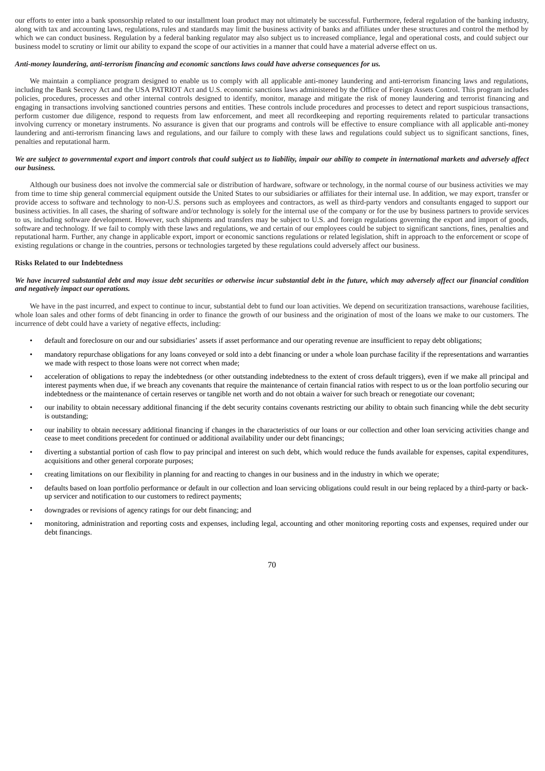our efforts to enter into a bank sponsorship related to our installment loan product may not ultimately be successful. Furthermore, federal regulation of the banking industry, along with tax and accounting laws, regulations, rules and standards may limit the business activity of banks and affiliates under these structures and control the method by which we can conduct business. Regulation by a federal banking regulator may also subject us to increased compliance, legal and operational costs, and could subject our business model to scrutiny or limit our ability to expand the scope of our activities in a manner that could have a material adverse effect on us.

### *Anti-money laundering, anti-terrorism financing and economic sanctions laws could have adverse consequences for us.*

We maintain a compliance program designed to enable us to comply with all applicable anti-money laundering and anti-terrorism financing laws and regulations, including the Bank Secrecy Act and the USA PATRIOT Act and U.S. economic sanctions laws administered by the Office of Foreign Assets Control. This program includes policies, procedures, processes and other internal controls designed to identify, monitor, manage and mitigate the risk of money laundering and terrorist financing and engaging in transactions involving sanctioned countries persons and entities. These controls include procedures and processes to detect and report suspicious transactions, perform customer due diligence, respond to requests from law enforcement, and meet all recordkeeping and reporting requirements related to particular transactions involving currency or monetary instruments. No assurance is given that our programs and controls will be effective to ensure compliance with all applicable anti-money laundering and anti-terrorism financing laws and regulations, and our failure to comply with these laws and regulations could subject us to significant sanctions, fines, penalties and reputational harm.

# *We are subject to governmental export and import controls that could subject us to liability, impair our ability to compete in international markets and adversely affect our business.*

Although our business does not involve the commercial sale or distribution of hardware, software or technology, in the normal course of our business activities we may from time to time ship general commercial equipment outside the United States to our subsidiaries or affiliates for their internal use. In addition, we may export, transfer or provide access to software and technology to non-U.S. persons such as employees and contractors, as well as third-party vendors and consultants engaged to support our business activities. In all cases, the sharing of software and/or technology is solely for the internal use of the company or for the use by business partners to provide services to us, including software development. However, such shipments and transfers may be subject to U.S. and foreign regulations governing the export and import of goods, software and technology. If we fail to comply with these laws and regulations, we and certain of our employees could be subject to significant sanctions, fines, penalties and reputational harm. Further, any change in applicable export, import or economic sanctions regulations or related legislation, shift in approach to the enforcement or scope of existing regulations or change in the countries, persons or technologies targeted by these regulations could adversely affect our business.

### **Risks Related to our Indebtedness**

## *We have incurred substantial debt and may issue debt securities or otherwise incur substantial debt in the future, which may adversely affect our financial condition and negatively impact our operations.*

We have in the past incurred, and expect to continue to incur, substantial debt to fund our loan activities. We depend on securitization transactions, warehouse facilities, whole loan sales and other forms of debt financing in order to finance the growth of our business and the origination of most of the loans we make to our customers. The incurrence of debt could have a variety of negative effects, including:

- default and foreclosure on our and our subsidiaries' assets if asset performance and our operating revenue are insufficient to repay debt obligations;
- mandatory repurchase obligations for any loans conveyed or sold into a debt financing or under a whole loan purchase facility if the representations and warranties we made with respect to those loans were not correct when made;
- acceleration of obligations to repay the indebtedness (or other outstanding indebtedness to the extent of cross default triggers), even if we make all principal and interest payments when due, if we breach any covenants that require the maintenance of certain financial ratios with respect to us or the loan portfolio securing our indebtedness or the maintenance of certain reserves or tangible net worth and do not obtain a waiver for such breach or renegotiate our covenant;
- our inability to obtain necessary additional financing if the debt security contains covenants restricting our ability to obtain such financing while the debt security is outstanding;
- our inability to obtain necessary additional financing if changes in the characteristics of our loans or our collection and other loan servicing activities change and cease to meet conditions precedent for continued or additional availability under our debt financings;
- diverting a substantial portion of cash flow to pay principal and interest on such debt, which would reduce the funds available for expenses, capital expenditures, acquisitions and other general corporate purposes;
- creating limitations on our flexibility in planning for and reacting to changes in our business and in the industry in which we operate;
- defaults based on loan portfolio performance or default in our collection and loan servicing obligations could result in our being replaced by a third-party or backup servicer and notification to our customers to redirect payments;
- downgrades or revisions of agency ratings for our debt financing; and
- monitoring, administration and reporting costs and expenses, including legal, accounting and other monitoring reporting costs and expenses, required under our debt financings.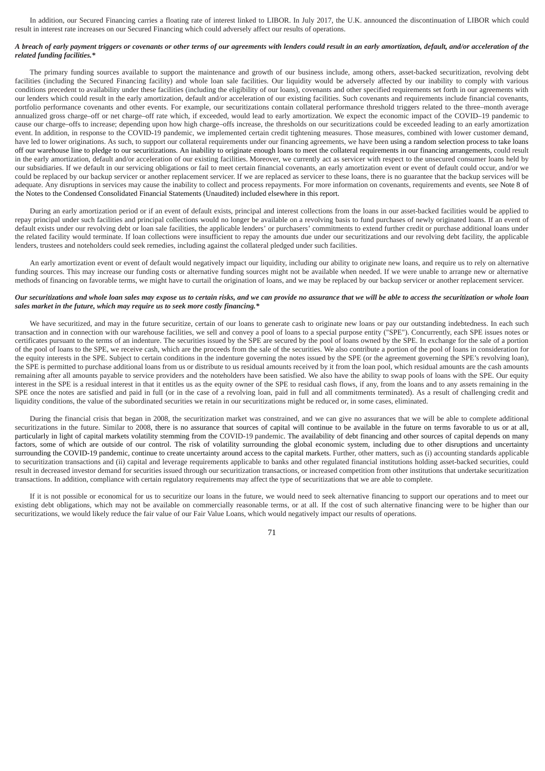In addition, our Secured Financing carries a floating rate of interest linked to LIBOR. In July 2017, the U.K. announced the discontinuation of LIBOR which could result in interest rate increases on our Secured Financing which could adversely affect our results of operations.

# *A breach of early payment triggers or covenants or other terms of our agreements with lenders could result in an early amortization, default, and/or acceleration of the related funding facilities.\**

The primary funding sources available to support the maintenance and growth of our business include, among others, asset-backed securitization, revolving debt facilities (including the Secured Financing facility) and whole loan sale facilities. Our liquidity would be adversely affected by our inability to comply with various conditions precedent to availability under these facilities (including the eligibility of our loans), covenants and other specified requirements set forth in our agreements with our lenders which could result in the early amortization, default and/or acceleration of our existing facilities. Such covenants and requirements include financial covenants, portfolio performance covenants and other events. For example, our securitizations contain collateral performance threshold triggers related to the three–month average annualized gross charge–off or net charge–off rate which, if exceeded, would lead to early amortization. We expect the economic impact of the COVID–19 pandemic to cause our charge–offs to increase; depending upon how high charge–offs increase, the thresholds on our securitizations could be exceeded leading to an early amortization event. In addition, in response to the COVID-19 pandemic, we implemented certain credit tightening measures. Those measures, combined with lower customer demand, have led to lower originations. As such, to support our collateral requirements under our financing agreements, we have been using a random selection process to take loans off our warehouse line to pledge to our securitizations. An inability to originate enough loans to meet the collateral requirements in our financing arrangements, could result in the early amortization, default and/or acceleration of our existing facilities. Moreover, we currently act as servicer with respect to the unsecured consumer loans held by our subsidiaries. If we default in our servicing obligations or fail to meet certain financial covenants, an early amortization event or event of default could occur, and/or we could be replaced by our backup servicer or another replacement servicer. If we are replaced as servicer to these loans, there is no guarantee that the backup services will be adequate. Any disruptions in services may cause the inability to collect and process repayments. For more information on covenants, requirements and events, see Note 8 of the Notes to the Condensed Consolidated Financial Statements (Unaudited) included elsewhere in this report.

During an early amortization period or if an event of default exists, principal and interest collections from the loans in our asset-backed facilities would be applied to repay principal under such facilities and principal collections would no longer be available on a revolving basis to fund purchases of newly originated loans. If an event of default exists under our revolving debt or loan sale facilities, the applicable lenders' or purchasers' commitments to extend further credit or purchase additional loans under the related facility would terminate. If loan collections were insufficient to repay the amounts due under our securitizations and our revolving debt facility, the applicable lenders, trustees and noteholders could seek remedies, including against the collateral pledged under such facilities.

An early amortization event or event of default would negatively impact our liquidity, including our ability to originate new loans, and require us to rely on alternative funding sources. This may increase our funding costs or alternative funding sources might not be available when needed. If we were unable to arrange new or alternative methods of financing on favorable terms, we might have to curtail the origination of loans, and we may be replaced by our backup servicer or another replacement servicer.

## *Our securitizations and whole loan sales may expose us to certain risks, and we can provide no assurance that we will be able to access the securitization or whole loan sales market in the future, which may require us to seek more costly financing.\**

We have securitized, and may in the future securitize, certain of our loans to generate cash to originate new loans or pay our outstanding indebtedness. In each such transaction and in connection with our warehouse facilities, we sell and convey a pool of loans to a special purpose entity ("SPE"). Concurrently, each SPE issues notes or certificates pursuant to the terms of an indenture. The securities issued by the SPE are secured by the pool of loans owned by the SPE. In exchange for the sale of a portion of the pool of loans to the SPE, we receive cash, which are the proceeds from the sale of the securities. We also contribute a portion of the pool of loans in consideration for the equity interests in the SPE. Subject to certain conditions in the indenture governing the notes issued by the SPE (or the agreement governing the SPE's revolving loan), the SPE is permitted to purchase additional loans from us or distribute to us residual amounts received by it from the loan pool, which residual amounts are the cash amounts remaining after all amounts payable to service providers and the noteholders have been satisfied. We also have the ability to swap pools of loans with the SPE. Our equity interest in the SPE is a residual interest in that it entitles us as the equity owner of the SPE to residual cash flows, if any, from the loans and to any assets remaining in the SPE once the notes are satisfied and paid in full (or in the case of a revolving loan, paid in full and all commitments terminated). As a result of challenging credit and liquidity conditions, the value of the subordinated securities we retain in our securitizations might be reduced or, in some cases, eliminated.

During the financial crisis that began in 2008, the securitization market was constrained, and we can give no assurances that we will be able to complete additional securitizations in the future. Similar to 2008, there is no assurance that sources of capital will continue to be available in the future on terms favorable to us or at all, particularly in light of capital markets volatility stemming from the COVID-19 pandemic. The availability of debt financing and other sources of capital depends on many factors, some of which are outside of our control. The risk of volatility surrounding the global economic system, including due to other disruptions and uncertainty surrounding the COVID-19 pandemic, continue to create uncertainty around access to the capital markets. Further, other matters, such as (i) accounting standards applicable to securitization transactions and (ii) capital and leverage requirements applicable to banks and other regulated financial institutions holding asset-backed securities, could result in decreased investor demand for securities issued through our securitization transactions, or increased competition from other institutions that undertake securitization transactions. In addition, compliance with certain regulatory requirements may affect the type of securitizations that we are able to complete.

If it is not possible or economical for us to securitize our loans in the future, we would need to seek alternative financing to support our operations and to meet our existing debt obligations, which may not be available on commercially reasonable terms, or at all. If the cost of such alternative financing were to be higher than our securitizations, we would likely reduce the fair value of our Fair Value Loans, which would negatively impact our results of operations.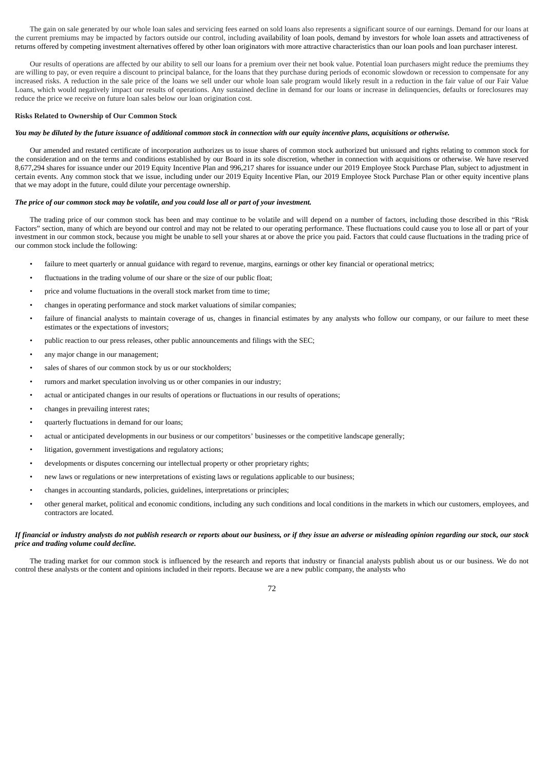The gain on sale generated by our whole loan sales and servicing fees earned on sold loans also represents a significant source of our earnings. Demand for our loans at the current premiums may be impacted by factors outside our control, including availability of loan pools, demand by investors for whole loan assets and attractiveness of returns offered by competing investment alternatives offered by other loan originators with more attractive characteristics than our loan pools and loan purchaser interest.

Our results of operations are affected by our ability to sell our loans for a premium over their net book value. Potential loan purchasers might reduce the premiums they are willing to pay, or even require a discount to principal balance, for the loans that they purchase during periods of economic slowdown or recession to compensate for any increased risks. A reduction in the sale price of the loans we sell under our whole loan sale program would likely result in a reduction in the fair value of our Fair Value Loans, which would negatively impact our results of operations. Any sustained decline in demand for our loans or increase in delinquencies, defaults or foreclosures may reduce the price we receive on future loan sales below our loan origination cost.

# **Risks Related to Ownership of Our Common Stock**

### *You may be diluted by the future issuance of additional common stock in connection with our equity incentive plans, acquisitions or otherwise.*

Our amended and restated certificate of incorporation authorizes us to issue shares of common stock authorized but unissued and rights relating to common stock for the consideration and on the terms and conditions established by our Board in its sole discretion, whether in connection with acquisitions or otherwise. We have reserved 8,677,294 shares for issuance under our 2019 Equity Incentive Plan and 996,217 shares for issuance under our 2019 Employee Stock Purchase Plan, subject to adjustment in certain events. Any common stock that we issue, including under our 2019 Equity Incentive Plan, our 2019 Employee Stock Purchase Plan or other equity incentive plans that we may adopt in the future, could dilute your percentage ownership.

### *The price of our common stock may be volatile, and you could lose all or part of your investment.*

The trading price of our common stock has been and may continue to be volatile and will depend on a number of factors, including those described in this "Risk Factors" section, many of which are beyond our control and may not be related to our operating performance. These fluctuations could cause you to lose all or part of your investment in our common stock, because you might be unable to sell your shares at or above the price you paid. Factors that could cause fluctuations in the trading price of our common stock include the following:

- failure to meet quarterly or annual guidance with regard to revenue, margins, earnings or other key financial or operational metrics;
- fluctuations in the trading volume of our share or the size of our public float;
- price and volume fluctuations in the overall stock market from time to time;
- changes in operating performance and stock market valuations of similar companies;
- failure of financial analysts to maintain coverage of us, changes in financial estimates by any analysts who follow our company, or our failure to meet these estimates or the expectations of investors;
- public reaction to our press releases, other public announcements and filings with the SEC;
- any major change in our management;
- sales of shares of our common stock by us or our stockholders;
- rumors and market speculation involving us or other companies in our industry;
- actual or anticipated changes in our results of operations or fluctuations in our results of operations;
- changes in prevailing interest rates;
- quarterly fluctuations in demand for our loans;
- actual or anticipated developments in our business or our competitors' businesses or the competitive landscape generally;
- litigation, government investigations and regulatory actions;
- developments or disputes concerning our intellectual property or other proprietary rights;
- new laws or regulations or new interpretations of existing laws or regulations applicable to our business;
- changes in accounting standards, policies, guidelines, interpretations or principles;
- other general market, political and economic conditions, including any such conditions and local conditions in the markets in which our customers, employees, and contractors are located.

# *If financial or industry analysts do not publish research or reports about our business, or if they issue an adverse or misleading opinion regarding our stock, our stock price and trading volume could decline.*

The trading market for our common stock is influenced by the research and reports that industry or financial analysts publish about us or our business. We do not control these analysts or the content and opinions included in their reports. Because we are a new public company, the analysts who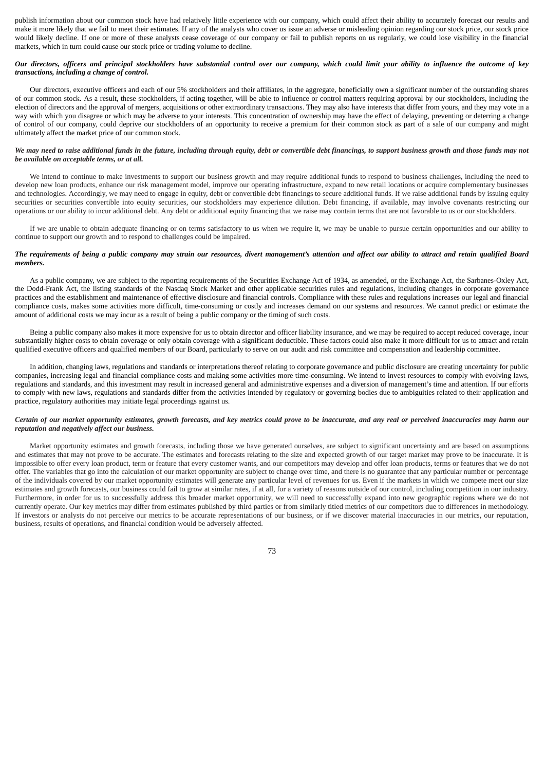publish information about our common stock have had relatively little experience with our company, which could affect their ability to accurately forecast our results and make it more likely that we fail to meet their estimates. If any of the analysts who cover us issue an adverse or misleading opinion regarding our stock price, our stock price would likely decline. If one or more of these analysts cease coverage of our company or fail to publish reports on us regularly, we could lose visibility in the financial markets, which in turn could cause our stock price or trading volume to decline.

### *Our directors, officers and principal stockholders have substantial control over our company, which could limit your ability to influence the outcome of key transactions, including a change of control.*

Our directors, executive officers and each of our 5% stockholders and their affiliates, in the aggregate, beneficially own a significant number of the outstanding shares of our common stock. As a result, these stockholders, if acting together, will be able to influence or control matters requiring approval by our stockholders, including the election of directors and the approval of mergers, acquisitions or other extraordinary transactions. They may also have interests that differ from yours, and they may vote in a way with which you disagree or which may be adverse to your interests. This concentration of ownership may have the effect of delaying, preventing or deterring a change of control of our company, could deprive our stockholders of an opportunity to receive a premium for their common stock as part of a sale of our company and might ultimately affect the market price of our common stock.

### *We may need to raise additional funds in the future, including through equity, debt or convertible debt financings, to support business growth and those funds may not be available on acceptable terms, or at all.*

We intend to continue to make investments to support our business growth and may require additional funds to respond to business challenges, including the need to develop new loan products, enhance our risk management model, improve our operating infrastructure, expand to new retail locations or acquire complementary businesses and technologies. Accordingly, we may need to engage in equity, debt or convertible debt financings to secure additional funds. If we raise additional funds by issuing equity securities or securities convertible into equity securities, our stockholders may experience dilution. Debt financing, if available, may involve covenants restricting our operations or our ability to incur additional debt. Any debt or additional equity financing that we raise may contain terms that are not favorable to us or our stockholders.

If we are unable to obtain adequate financing or on terms satisfactory to us when we require it, we may be unable to pursue certain opportunities and our ability to continue to support our growth and to respond to challenges could be impaired.

### *The requirements of being a public company may strain our resources, divert management's attention and affect our ability to attract and retain qualified Board members.*

As a public company, we are subject to the reporting requirements of the Securities Exchange Act of 1934, as amended, or the Exchange Act, the Sarbanes-Oxley Act, the Dodd-Frank Act, the listing standards of the Nasdaq Stock Market and other applicable securities rules and regulations, including changes in corporate governance practices and the establishment and maintenance of effective disclosure and financial controls. Compliance with these rules and regulations increases our legal and financial compliance costs, makes some activities more difficult, time-consuming or costly and increases demand on our systems and resources. We cannot predict or estimate the amount of additional costs we may incur as a result of being a public company or the timing of such costs.

Being a public company also makes it more expensive for us to obtain director and officer liability insurance, and we may be required to accept reduced coverage, incur substantially higher costs to obtain coverage or only obtain coverage with a significant deductible. These factors could also make it more difficult for us to attract and retain qualified executive officers and qualified members of our Board, particularly to serve on our audit and risk committee and compensation and leadership committee.

In addition, changing laws, regulations and standards or interpretations thereof relating to corporate governance and public disclosure are creating uncertainty for public companies, increasing legal and financial compliance costs and making some activities more time-consuming. We intend to invest resources to comply with evolving laws, regulations and standards, and this investment may result in increased general and administrative expenses and a diversion of management's time and attention. If our efforts to comply with new laws, regulations and standards differ from the activities intended by regulatory or governing bodies due to ambiguities related to their application and practice, regulatory authorities may initiate legal proceedings against us.

### *Certain of our market opportunity estimates, growth forecasts, and key metrics could prove to be inaccurate, and any real or perceived inaccuracies may harm our reputation and negatively affect our business.*

Market opportunity estimates and growth forecasts, including those we have generated ourselves, are subject to significant uncertainty and are based on assumptions and estimates that may not prove to be accurate. The estimates and forecasts relating to the size and expected growth of our target market may prove to be inaccurate. It is impossible to offer every loan product, term or feature that every customer wants, and our competitors may develop and offer loan products, terms or features that we do not offer. The variables that go into the calculation of our market opportunity are subject to change over time, and there is no guarantee that any particular number or percentage of the individuals covered by our market opportunity estimates will generate any particular level of revenues for us. Even if the markets in which we compete meet our size estimates and growth forecasts, our business could fail to grow at similar rates, if at all, for a variety of reasons outside of our control, including competition in our industry. Furthermore, in order for us to successfully address this broader market opportunity, we will need to successfully expand into new geographic regions where we do not currently operate. Our key metrics may differ from estimates published by third parties or from similarly titled metrics of our competitors due to differences in methodology. If investors or analysts do not perceive our metrics to be accurate representations of our business, or if we discover material inaccuracies in our metrics, our reputation, business, results of operations, and financial condition would be adversely affected.

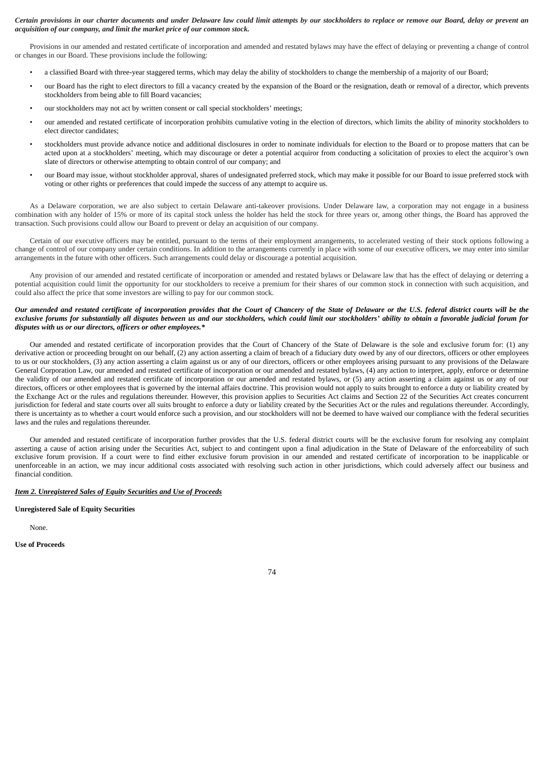### *Certain provisions in our charter documents and under Delaware law could limit attempts by our stockholders to replace or remove our Board, delay or prevent an acquisition of our company, and limit the market price of our common stock.*

Provisions in our amended and restated certificate of incorporation and amended and restated bylaws may have the effect of delaying or preventing a change of control or changes in our Board. These provisions include the following:

- a classified Board with three-year staggered terms, which may delay the ability of stockholders to change the membership of a majority of our Board;
- our Board has the right to elect directors to fill a vacancy created by the expansion of the Board or the resignation, death or removal of a director, which prevents stockholders from being able to fill Board vacancies;
- our stockholders may not act by written consent or call special stockholders' meetings;
- our amended and restated certificate of incorporation prohibits cumulative voting in the election of directors, which limits the ability of minority stockholders to elect director candidates;
- stockholders must provide advance notice and additional disclosures in order to nominate individuals for election to the Board or to propose matters that can be acted upon at a stockholders' meeting, which may discourage or deter a potential acquiror from conducting a solicitation of proxies to elect the acquiror's own slate of directors or otherwise attempting to obtain control of our company; and
- our Board may issue, without stockholder approval, shares of undesignated preferred stock, which may make it possible for our Board to issue preferred stock with voting or other rights or preferences that could impede the success of any attempt to acquire us.

As a Delaware corporation, we are also subject to certain Delaware anti-takeover provisions. Under Delaware law, a corporation may not engage in a business combination with any holder of 15% or more of its capital stock unless the holder has held the stock for three years or, among other things, the Board has approved the transaction. Such provisions could allow our Board to prevent or delay an acquisition of our company.

Certain of our executive officers may be entitled, pursuant to the terms of their employment arrangements, to accelerated vesting of their stock options following a change of control of our company under certain conditions. In addition to the arrangements currently in place with some of our executive officers, we may enter into similar arrangements in the future with other officers. Such arrangements could delay or discourage a potential acquisition.

Any provision of our amended and restated certificate of incorporation or amended and restated bylaws or Delaware law that has the effect of delaying or deterring a potential acquisition could limit the opportunity for our stockholders to receive a premium for their shares of our common stock in connection with such acquisition, and could also affect the price that some investors are willing to pay for our common stock.

### *Our amended and restated certificate of incorporation provides that the Court of Chancery of the State of Delaware or the U.S. federal district courts will be the exclusive forums for substantially all disputes between us and our stockholders, which could limit our stockholders' ability to obtain a favorable judicial forum for disputes with us or our directors, officers or other employees.\**

Our amended and restated certificate of incorporation provides that the Court of Chancery of the State of Delaware is the sole and exclusive forum for: (1) any derivative action or proceeding brought on our behalf, (2) any action asserting a claim of breach of a fiduciary duty owed by any of our directors, officers or other employees to us or our stockholders, (3) any action asserting a claim against us or any of our directors, officers or other employees arising pursuant to any provisions of the Delaware General Corporation Law, our amended and restated certificate of incorporation or our amended and restated bylaws, (4) any action to interpret, apply, enforce or determine the validity of our amended and restated certificate of incorporation or our amended and restated bylaws, or (5) any action asserting a claim against us or any of our directors, officers or other employees that is governed by the internal affairs doctrine. This provision would not apply to suits brought to enforce a duty or liability created by the Exchange Act or the rules and regulations thereunder. However, this provision applies to Securities Act claims and Section 22 of the Securities Act creates concurrent jurisdiction for federal and state courts over all suits brought to enforce a duty or liability created by the Securities Act or the rules and regulations thereunder. Accordingly, there is uncertainty as to whether a court would enforce such a provision, and our stockholders will not be deemed to have waived our compliance with the federal securities laws and the rules and regulations thereunder.

Our amended and restated certificate of incorporation further provides that the U.S. federal district courts will be the exclusive forum for resolving any complaint asserting a cause of action arising under the Securities Act, subject to and contingent upon a final adjudication in the State of Delaware of the enforceability of such exclusive forum provision. If a court were to find either exclusive forum provision in our amended and restated certificate of incorporation to be inapplicable or unenforceable in an action, we may incur additional costs associated with resolving such action in other jurisdictions, which could adversely affect our business and financial condition.

### *Item 2. Unregistered Sales of Equity Securities and Use of Proceeds*

#### **Unregistered Sale of Equity Securities**

None.

**Use of Proceeds**

74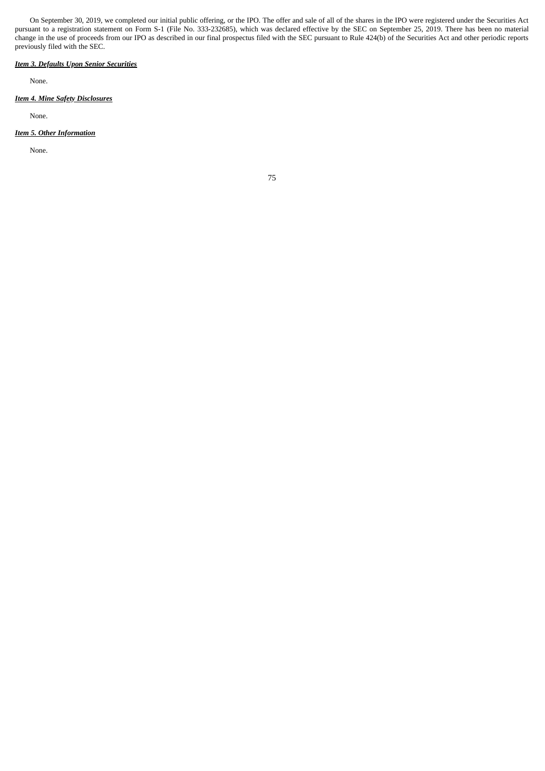On September 30, 2019, we completed our initial public offering, or the IPO. The offer and sale of all of the shares in the IPO were registered under the Securities Act pursuant to a registration statement on Form S-1 (File No. 333-232685), which was declared effective by the SEC on September 25, 2019. There has been no material change in the use of proceeds from our IPO as described in our final prospectus filed with the SEC pursuant to Rule 424(b) of the Securities Act and other periodic reports previously filed with the SEC.

# *Item 3. Defaults Upon Senior Securities*

None.

# *Item 4. Mine Safety Disclosures*

None.

## *Item 5. Other Information*

None.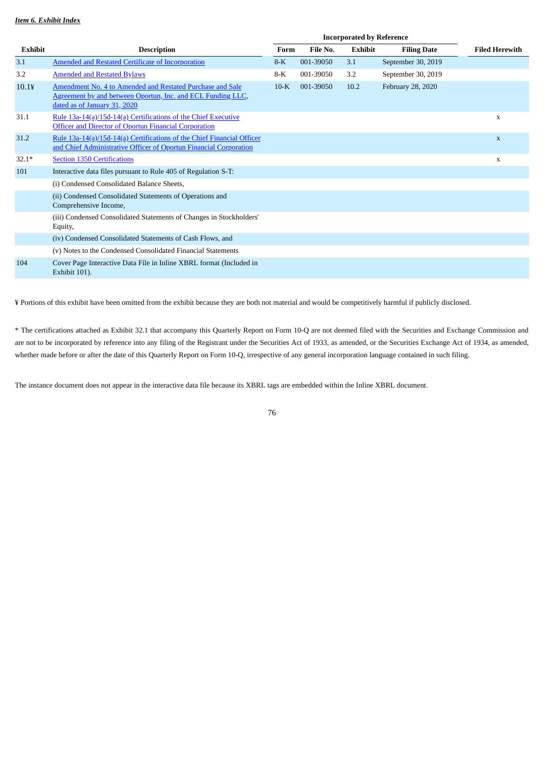|          |                                                                                                                                                          | <b>Incorporated by Reference</b> |           |                |                    |                       |
|----------|----------------------------------------------------------------------------------------------------------------------------------------------------------|----------------------------------|-----------|----------------|--------------------|-----------------------|
| Exhibit  | <b>Description</b>                                                                                                                                       | Form                             | File No.  | <b>Exhibit</b> | <b>Filing Date</b> | <b>Filed Herewith</b> |
| 3.1      | Amended and Restated Certificate of Incorporation                                                                                                        | $8-K$                            | 001-39050 | 3.1            | September 30, 2019 |                       |
| 3.2      | <b>Amended and Restated Bylaws</b>                                                                                                                       | 8-K                              | 001-39050 | 3.2            | September 30, 2019 |                       |
| $10.1$ ¥ | Amendment No. 4 to Amended and Restated Purchase and Sale<br>Agreement by and between Oportun, Inc. and ECL Funding LLC,<br>dated as of January 31, 2020 | $10-K$                           | 001-39050 | 10.2           | February 28, 2020  |                       |
| 31.1     | Rule 13a-14(a)/15d-14(a) Certifications of the Chief Executive<br><b>Officer and Director of Oportun Financial Corporation</b>                           |                                  |           |                |                    | X                     |
| 31.2     | Rule 13a-14(a)/15d-14(a) Certifications of the Chief Financial Officer<br>and Chief Administrative Officer of Oportun Financial Corporation              |                                  |           |                |                    | X                     |
| $32.1*$  | <b>Section 1350 Certifications</b>                                                                                                                       |                                  |           |                |                    | $\mathbf x$           |
| 101      | Interactive data files pursuant to Rule 405 of Regulation S-T:                                                                                           |                                  |           |                |                    |                       |
|          | (i) Condensed Consolidated Balance Sheets,                                                                                                               |                                  |           |                |                    |                       |
|          | (ii) Condensed Consolidated Statements of Operations and<br>Comprehensive Income,                                                                        |                                  |           |                |                    |                       |
|          | (iii) Condensed Consolidated Statements of Changes in Stockholders'<br>Equity,                                                                           |                                  |           |                |                    |                       |
|          | (iv) Condensed Consolidated Statements of Cash Flows, and                                                                                                |                                  |           |                |                    |                       |
|          | (v) Notes to the Condensed Consolidated Financial Statements                                                                                             |                                  |           |                |                    |                       |
| 104      | Cover Page Interactive Data File in Inline XBRL format (Included in<br>Exhibit 101).                                                                     |                                  |           |                |                    |                       |

¥ Portions of this exhibit have been omitted from the exhibit because they are both not material and would be competitively harmful if publicly disclosed.

\* The certifications attached as Exhibit 32.1 that accompany this Quarterly Report on Form 10-Q are not deemed filed with the Securities and Exchange Commission and are not to be incorporated by reference into any filing of the Registrant under the Securities Act of 1933, as amended, or the Securities Exchange Act of 1934, as amended, whether made before or after the date of this Quarterly Report on Form 10-Q, irrespective of any general incorporation language contained in such filing.

The instance document does not appear in the interactive data file because its XBRL tags are embedded within the Inline XBRL document.

76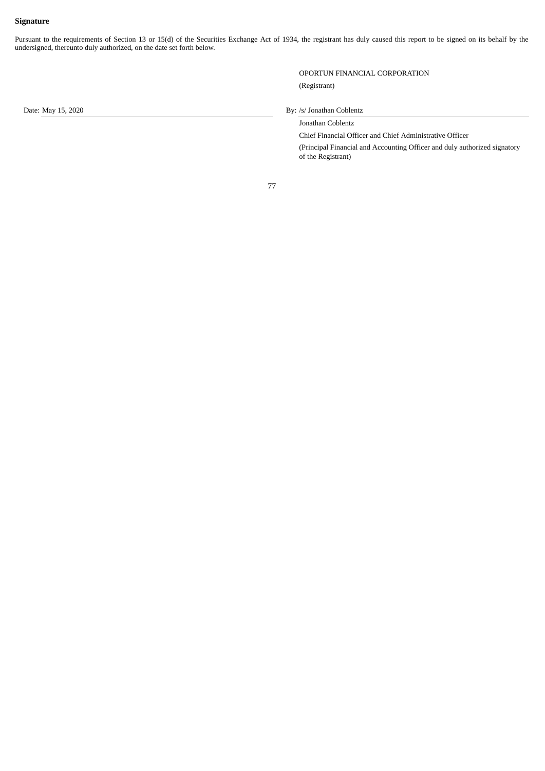# **Signature**

Pursuant to the requirements of Section 13 or 15(d) of the Securities Exchange Act of 1934, the registrant has duly caused this report to be signed on its behalf by the undersigned, thereunto duly authorized, on the date set forth below.

> OPORTUN FINANCIAL CORPORATION (Registrant)

## Date: May 15, 2020 By: /s/ Jonathan Coblentz

Jonathan Coblentz

Chief Financial Officer and Chief Administrative Officer (Principal Financial and Accounting Officer and duly authorized signatory of the Registrant)

77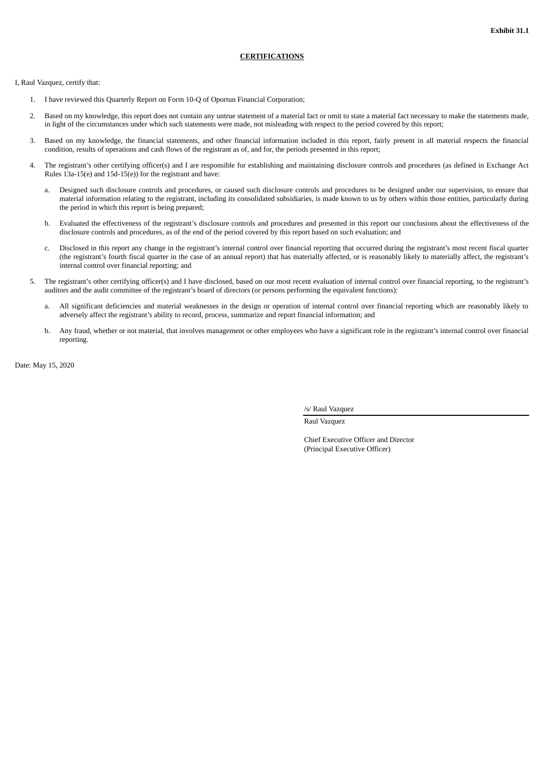# **CERTIFICATIONS**

<span id="page-77-0"></span>I, Raul Vazquez, certify that:

- 1. I have reviewed this Quarterly Report on Form 10-Q of Oportun Financial Corporation;
- Based on my knowledge, this report does not contain any untrue statement of a material fact or omit to state a material fact necessary to make the statements made, in light of the circumstances under which such statements were made, not misleading with respect to the period covered by this report;
- 3. Based on my knowledge, the financial statements, and other financial information included in this report, fairly present in all material respects the financial condition, results of operations and cash flows of the registrant as of, and for, the periods presented in this report;
- 4. The registrant's other certifying officer(s) and I are responsible for establishing and maintaining disclosure controls and procedures (as defined in Exchange Act Rules 13a-15(e) and 15d-15(e)) for the registrant and have:
	- a. Designed such disclosure controls and procedures, or caused such disclosure controls and procedures to be designed under our supervision, to ensure that material information relating to the registrant, including its consolidated subsidiaries, is made known to us by others within those entities, particularly during the period in which this report is being prepared;
	- b. Evaluated the effectiveness of the registrant's disclosure controls and procedures and presented in this report our conclusions about the effectiveness of the disclosure controls and procedures, as of the end of the period covered by this report based on such evaluation; and
	- c. Disclosed in this report any change in the registrant's internal control over financial reporting that occurred during the registrant's most recent fiscal quarter (the registrant's fourth fiscal quarter in the case of an annual report) that has materially affected, or is reasonably likely to materially affect, the registrant's internal control over financial reporting; and
- 5. The registrant's other certifying officer(s) and I have disclosed, based on our most recent evaluation of internal control over financial reporting, to the registrant's auditors and the audit committee of the registrant's board of directors (or persons performing the equivalent functions):
	- a. All significant deficiencies and material weaknesses in the design or operation of internal control over financial reporting which are reasonably likely to adversely affect the registrant's ability to record, process, summarize and report financial information; and
	- b. Any fraud, whether or not material, that involves management or other employees who have a significant role in the registrant's internal control over financial reporting.

Date: May 15, 2020

/s/ Raul Vazquez

Raul Vazquez

Chief Executive Officer and Director (Principal Executive Officer)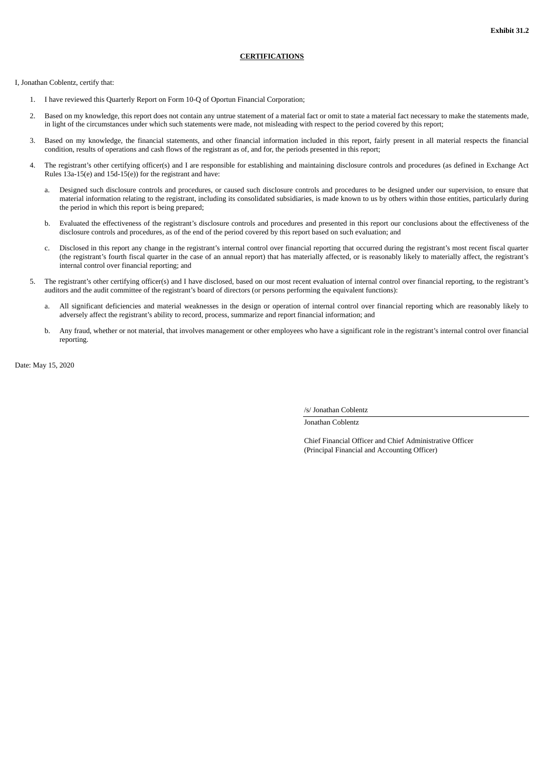## **CERTIFICATIONS**

<span id="page-78-0"></span>I, Jonathan Coblentz, certify that:

- 1. I have reviewed this Quarterly Report on Form 10-Q of Oportun Financial Corporation;
- 2. Based on my knowledge, this report does not contain any untrue statement of a material fact or omit to state a material fact necessary to make the statements made, in light of the circumstances under which such statements were made, not misleading with respect to the period covered by this report;
- 3. Based on my knowledge, the financial statements, and other financial information included in this report, fairly present in all material respects the financial condition, results of operations and cash flows of the registrant as of, and for, the periods presented in this report;
- 4. The registrant's other certifying officer(s) and I are responsible for establishing and maintaining disclosure controls and procedures (as defined in Exchange Act Rules 13a-15(e) and 15d-15(e)) for the registrant and have:
	- a. Designed such disclosure controls and procedures, or caused such disclosure controls and procedures to be designed under our supervision, to ensure that material information relating to the registrant, including its consolidated subsidiaries, is made known to us by others within those entities, particularly during the period in which this report is being prepared;
	- b. Evaluated the effectiveness of the registrant's disclosure controls and procedures and presented in this report our conclusions about the effectiveness of the disclosure controls and procedures, as of the end of the period covered by this report based on such evaluation; and
	- c. Disclosed in this report any change in the registrant's internal control over financial reporting that occurred during the registrant's most recent fiscal quarter (the registrant's fourth fiscal quarter in the case of an annual report) that has materially affected, or is reasonably likely to materially affect, the registrant's internal control over financial reporting; and
- 5. The registrant's other certifying officer(s) and I have disclosed, based on our most recent evaluation of internal control over financial reporting, to the registrant's auditors and the audit committee of the registrant's board of directors (or persons performing the equivalent functions):
	- a. All significant deficiencies and material weaknesses in the design or operation of internal control over financial reporting which are reasonably likely to adversely affect the registrant's ability to record, process, summarize and report financial information; and
	- b. Any fraud, whether or not material, that involves management or other employees who have a significant role in the registrant's internal control over financial reporting.

Date: May 15, 2020

/s/ Jonathan Coblentz

Jonathan Coblentz

Chief Financial Officer and Chief Administrative Officer (Principal Financial and Accounting Officer)